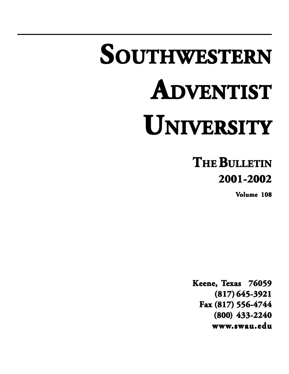# **SOUTHWESTERN OUTHWESTERN ADVENTIST VENTIST VENTIST UNIVERSIT NIVERSIT NIVERSITY**

### **THE BULLETIN 2001-2002 2001-2002**

**Volume 108**

**Keene, Texas 76059 exas (817) 645-3921 Fax (817) 556-4744 ax (817) 556-4744 (800) 433-2240 ) www.swau.edu .swau.edu**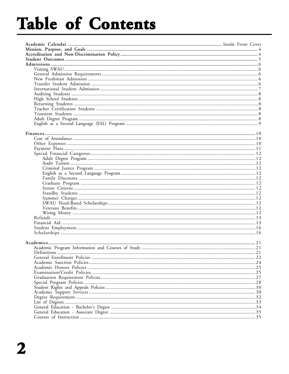# Table of Contents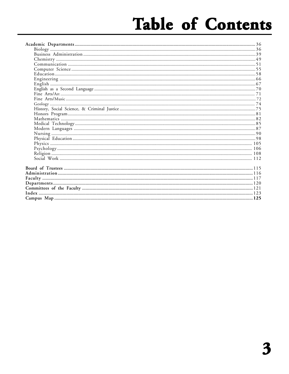# Table of Contents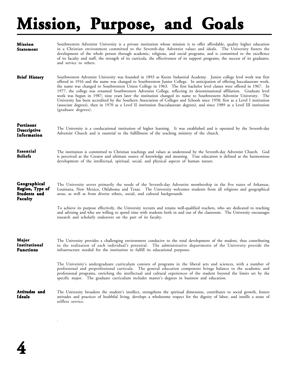# Mission, Purpose, and Goals

| <b>Mission</b><br><b>Statement</b>                         | Southwestern Adventist University is a private institution whose mission is to offer affordable, quality higher education<br>in a Christian environment committed to the Seventh-day Adventist values and ideals. The University fosters the<br>development of the whole person through academic, religious, and social programs, and is committed to the excellence<br>of its faculty and staff, the strength of its curricula, the effectiveness of its support programs, the success of its graduates,<br>and service to others.                                                                                                                                                                                                                                                                                                                                                                                     |
|------------------------------------------------------------|-------------------------------------------------------------------------------------------------------------------------------------------------------------------------------------------------------------------------------------------------------------------------------------------------------------------------------------------------------------------------------------------------------------------------------------------------------------------------------------------------------------------------------------------------------------------------------------------------------------------------------------------------------------------------------------------------------------------------------------------------------------------------------------------------------------------------------------------------------------------------------------------------------------------------|
| <b>Brief History</b>                                       | Southwestern Adventist University was founded in 1893 as Keene Industrial Academy. Junior college level work was first<br>offered in 1916 and the name was changed to Southwestern Junior College. In anticipation of offering baccalaureate work,<br>the name was changed to Southwestern Union College in 1963. The first bachelor level classes were offered in 1967. In<br>1977, the college was renamed Southwestern Adventist College, reflecting its denominational affiliation. Graduate level<br>work was begun in 1987; nine years later the institution changed its name to Southwestern Adventist University. The<br>University has been accredited by the Southern Association of Colleges and Schools since 1958; first as a Level I institution<br>(associate degrees), then in 1970 as a Level II institution (baccalaureate degrees), and since 1989 as a Level III institution<br>(graduate degrees). |
| Pertinent<br>Descriptive<br>Information                    | The University is a coeducational institution of higher learning. It was established and is operated by the Seventh-day<br>Adventist Church and is essential to the fulfillment of the teaching ministry of the church.                                                                                                                                                                                                                                                                                                                                                                                                                                                                                                                                                                                                                                                                                                 |
| <b>Essential</b><br><b>Beliefs</b>                         | The institution is committed to Christian teachings and values as understood by the Seventh-day Adventist Church. God<br>is perceived as the Creator and ultimate source of knowledge and meaning. True education is defined as the harmonious<br>development of the intellectual, spiritual, social, and physical aspects of human nature.                                                                                                                                                                                                                                                                                                                                                                                                                                                                                                                                                                             |
| Geographical<br>Region, Type of<br>Students and<br>Faculty | The University serves primarily the needs of the Seventh-day Adventist membership in the five states of Arkansas,<br>Louisiana, New Mexico, Oklahoma and Texas. The University welcomes students from all religions and geographical<br>areas, as well as from diverse ethnic, social, and cultural backgrounds.                                                                                                                                                                                                                                                                                                                                                                                                                                                                                                                                                                                                        |
|                                                            | To achieve its purpose effectively, the University recruits and retains well-qualified teachers, who are dedicated to teaching<br>and advising and who are willing to spend time with students both in and out of the classroom. The University encourages<br>research and scholarly endeavors on the part of its faculty.                                                                                                                                                                                                                                                                                                                                                                                                                                                                                                                                                                                              |
| Major<br>Institutional<br><b>Functions</b>                 | The University provides a challenging environment conducive to the total development of the student, thus contributing<br>to the realization of each individual's potential. The administrative departments of the University provide the<br>infrastructure needed for the institution to fulfill its educational purposes.                                                                                                                                                                                                                                                                                                                                                                                                                                                                                                                                                                                             |
|                                                            | The University's undergraduate curriculum consists of programs in the liberal arts and sciences, with a number of<br>professional and preprofessional curricula. The general education component brings balance to the academic and<br>professional programs, enriching the intellectual and cultural experiences of the student beyond the limits set by the<br>specific major. The graduate curriculum includes master's degrees in business and education.                                                                                                                                                                                                                                                                                                                                                                                                                                                           |
| Attitudes and<br>Ideals                                    | The University broadens the student's intellect, strengthens the spiritual dimension, contributes to social growth, fosters<br>attitudes and practices of healthful living, develops a wholesome respect for the dignity of labor, and instills a sense of<br>selfless service.                                                                                                                                                                                                                                                                                                                                                                                                                                                                                                                                                                                                                                         |

**4**

.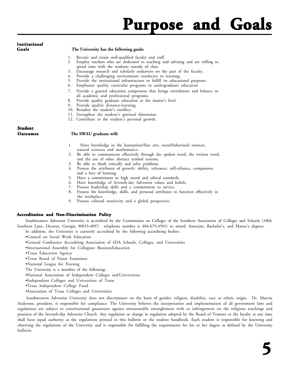# **Purpose and Goals**

### **Institutional**

#### The University has the following goals:

- 1. Recruit and retain well-qualified faculty and staff.
- 2. Employ teachers who are dedicated to teaching and advising and are willing to spend time with the students outside of class.
- 3. Encourage research and scholarly endeavors on the part of the faculty.
- 4. Provide a challenging environment conducive to learning.
- 5. Provide the institutional infrastructure to fulfill its educational purposes.
- 6. Emphasize quality curricular programs in undergraduate education
- 7. Provide a general education component that brings enrichment and balance to all academic and professional programs.
- 8. Provide quality graduate education at the master's level.
- 9. Provide quality distance-learning.
- 10. Broaden the student's intellect.
- 11. Strengthen the student's spiritual dimension.
- 12. Contribute to the student's personal growth.

### **Student**

#### **Outcomes The SWAU graduate will:**

- 1. Have knowledge in the humanities/fine arts, social/behavioral sciences, natural sciences and mathematics.
- 2. Be able to communicate effectively through the spoken word, the written word, and the use of other abstract symbol systems.
- 3. Be able to think critically and solve problems.
- 4. Possess the attributes of growth: ability, tolerance, self-reliance, compassion, and a love of learning.
- 5. Have a commitment to high moral and ethical standards.
- 6. Have knowledge of Seventh-day Adventist values and beliefs.
- 7. Possess leadership skills and a commitment to service.
- 8. Possess the knowledge, skills, and personal attributes to function effectively in the workplace.
- 9. Possess cultural sensitivity and a global perspective.

#### **Accreditation and Non-Discrimination Policy**

Southwestern Adventist University is accredited by the Commission on Colleges of the Southern Association of Colleges and Schools (1866 Southern Lane, Decatur, Georgia 30033-4097, telephone number is 404-679-4501) to award: Associate, Bachelor's, and Master's degrees.

- In addition, the University is currently accredited by the following accrediting bodies:
- •Council on Social Work Education
- •General Conference Accrediting Association of SDA Schools, Colleges, and Universities
- •International Assembly for Collegiate BusinessEducation
- •Texas Education Agency
- •Texas Board of Nurse Examiners
- •National League for Nursing
- The University is a member of the following:
- •National Association of Independent Colleges andUniversities
- •Independent Colleges and Universities of Texas
- •Texas Independent College Fund
- •Association of Texas Colleges and Universities

Southwestern Adventist University does not discriminate on the basis of gender, religion, disability, race or ethnic origin. Dr. Marvin Anderson, president, is responsible for compliance. The University believes the interpretation and implementation of all government laws and regulations are subject to constitutional guarantees against unreasonable entanglement with or infringement on the religious teachings and practices of the Seventh-day Adventist Church. Any regulation or change in regulation adopted by the Board of Trustees or the faculty at any time shall have equal authority as the regulations printed in this bulletin or the student handbook. Each student is responsible for knowing and observing the regulations of the University and is responsible for fulfilling the requirements for his or her degree as defined by the University bulletin.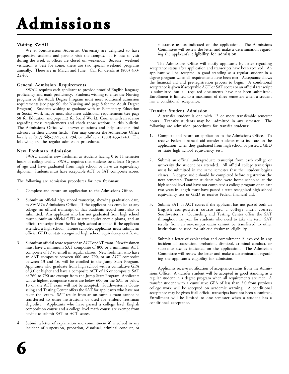## **Admissions dmissions dmissions**

#### **Visiting SWAU**

We at Southwestern Adventist University are delighted to have prospective students and parents visit the campus. It is best to visit during the week as offices are closed on weekends. Because weekend visitation is best for some, there are two special weekend programs annually. These are in March and June. Call for details at (800) 433- 2240.

#### **General Admission Requirements**

SWAU requires each applicant to provide proof of English language proficiency and math proficiency. Students wishing to enter the Nursing program or the Adult Degree Program must meet additional admission requirements (see page 90 for Nursing and page 8 for the Adult Degree Program). Students wishing to graduate with an Elementary Education or Social Work major must also meet additional requirements (see page 58 for Education and page 112 for Social Work). Counsel with an advisor regarding these requirements and check those sections in this bulletin. The Admissions Office will answer questions and help students find advisors in their chosen fields. You may contact the Admissions Office locally at (817) 645-3921, ext. 294, or toll-free at (800) 433-2240. The following are the regular admission procedures.

#### **New Freshman Admission**

SWAU classifies new freshmen as students having 0 to 11 semester hours of college credit. SWAU requires that students be at least 16 years of age and have graduated from high school or have an equivalency diploma. Students must have acceptable ACT or SAT composite scores.

The following are admission procedures for new freshman:

- 1. Complete and return an application to the Admissions Office.
- 2. Submit an official high school transcript, showing graduation date, to SWAU's Admissions Office. If the applicant has enrolled at any college, an official transcript of that academic record must also be submitted. Any applicant who has not graduated from high school must submit an official GED or state equivalency diploma, and an official transcript from the last high school attended if the applicant attended a high school. Home schooled applicants must submit an official GED or state recognized high school equivalency certificate.
- Submit an official score report of an ACT or SAT exam. New freshmen must have a minimum SAT composite of 800 or a minimum ACT composite of 17 to enroll in regular classes. New freshmen who have an SAT composite between 600 and 790, or an ACT composite between 13 and 16, will be enrolled in the Jump Start Program. Applicants who graduate from high school with a cumulative GPA of 3.0 or higher and have a composite ACT of 16 or composite SAT of 760 to 790 are exempt from the Jump Start Program. Applicants whose highest composite scores are below 600 on the SAT or below 13 on the ACT exam will not be accepted. Southwestern's Counseling and Testing Center offers the SAT for applicants who have not taken the exam. SAT results from an on-campus exam cannot be transferred to other institutions or used for athletic freshman eligibility. Applicants who have passed a college level English composition course and a college level math course are exempt from having to submit SAT or ACT scores.
- Submit a letter of explanation and commitment if involved in any incident of suspension, probation, dismissal, criminal conduct, or

**6**

substance use as indicated on the application. The Admissions Committee will review the letter and make a determination regarding the applicant's eligibility for admission.

The Admissions Office will notify applicants by letter regarding acceptance status after application and transcripts have been received. An applicant will be accepted in good standing as a regular student in a degree program when all requirements have been met. Acceptance allows the financial aid and pre-registration process to begin. A conditional acceptance is given if acceptable ACT or SAT scores or an official transcript is submitted but all required documents have not been submitted. Enrollment is limited to a maximum of three semesters when a student has a conditional acceptance.

#### **Transfer Student Admission**

A transfer student is one with 12 or more transferable semester hours. Transfer students may be admitted in any semester. The following are admission procedures for transfer students:

- 1. Complete and return an application to the Admissions Office. To receive Federal financial aid transfer students must indicate on the application when they graduated from high school or passed a GED or state high school equivalency test.
- 2. Submit an official undergraduate transcript from each college or university the student has attended. All official college transcripts must be submitted in the same semester that the student begins classes. A degree audit should be completed before registration the next semester. Transfer students who were home schooled at the high school level and have not completed a college program of at least two years in length must have passed a state recognized high school equivalency test or GED to receive Federal financial aid.
- 3. Submit SAT or ACT scores if the applicant has not passed both an English composition course and a college math course. Southwestern's Counseling and Testing Center offers the SAT throughout the year for students who need to take the test. SAT results from an on-campus exam cannot be transferred to other institutions or used for athletic freshman eligibility.
- Submit a letter of explanation and commitment if involved in any incident of suspension, probation, dismissal, criminal conduct, or substance use as indicated on the application. The Admission Committee will review the letter and make a determination regarding the applicant's eligibility for admission.

Applicants receive notification of acceptance status from the Admissions Office. A transfer student will be accepted in good standing as a regular student in a degree program when all requirements are met. A transfer student with a cumulative GPA of less than 2.0 from previous college work will be accepted on academic warning. A conditional acceptance may be given if all official transcripts have not been submitted. Enrollment will be limited to one semester when a student has a conditional acceptance.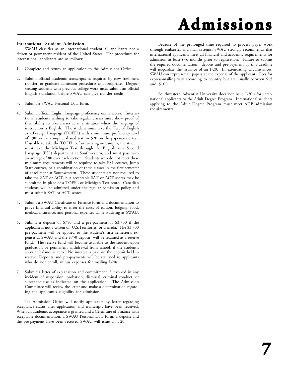### **Admissions dmissionsdmissions**

#### **International Student Admission**

SWAU classifies as an international student all applicants not a citizen or permanent resident of the United States. The procedures for international applicants are as follows:

- 1. Complete and return an application to the Admissions Office.
- 2. Submit official academic transcripts as required by new freshmen, transfer, or graduate admission procedures as appropriate. Degreeseeking students with previous college work must submit an official English translation before SWAU can give transfer credit.
- 3. Submit a SWAU Personal Data form.
- 4. Submit official English language proficiency exam scores. International students wishing to take regular classes must show proof of their ability to take classes at an institution where the language of instruction is English. The student must take the Test of English as a Foreign Language (TOEFL) with a minimum proficiency level of 190 on the computer-based test, or 520 on the paper-based test. If unable to take the TOEFL before arriving on campus, the student must take the Michigan Test through the English as a Second Language (ESL) department at Southwestern, and must pass with an average of 80 over each section. Students who do not meet these minimum requirements will be required to take ESL courses, Jump Start courses, or a combination of these classes in the first semester of enrollment at Southwestern. These students are not required to take the SAT or ACT, but acceptable SAT or ACT scores may be submitted in place of a TOEFL or Michigan Test score. Canadian students will be admitted under the regular admission policy and must submit SAT or ACT scores.
- 5. Submit a SWAU Certificate of Finance form and documentation to prove financial ability to meet the costs of tuition, lodging, food, medical insurance, and personal expenses while studying at SWAU.
- 6. Submit a deposit of \$750 and a pre-payment of \$3,700 if the applicant is not a citizen of U.S.Territories or Canada. The \$3,700 pre-payment will be applied to the student's first semester's expenses at SWAU and the \$750 deposit will be retained as a reserve fund. The reserve fund will become available to the student upon graduation or permanent withdrawal from school, if the student's account balance is zero. No interest is paid on the deposit held in reserve. Deposits and pre-payments will be returned to applicants who do not enroll, minus expenses for mailing I-20s.
- 7. Submit a letter of explanation and commitment if involved in any incident of suspension, probation, dismissal, criminal conduct, or substance use as indicated on the application. The Admission Committee will review the letter and make a determination regarding the applicant's eligibility for admission.

The Admission Office will notify applicants by letter regarding acceptance status after application and transcripts have been received. When an academic acceptance is granted and a Certificate of Finance with acceptable documentation, a SWAU Personal Data form, a deposit and the pre-payment have been received SWAU will issue an I-20.

Because of the prolonged time required to process paper work through embassies and mail systems, SWAU strongly recommends that international applicants meet all financial and academic requirements for admission at least two months prior to registration. Failure to submit the required documentation, deposit and pre-payment by this deadline will jeopardize the issuance of an I-20. In extenuating circumstances, SWAU can express-mail papers at the expense of the applicant. Fees for express-mailing vary according to country but are usually between \$15 and \$100.

Southwestern Adventist University does not issue I-20's for international applicants to the Adult Degree Program. International students applying to the Adult Degree Program must meet ADP admission requirements.

**7**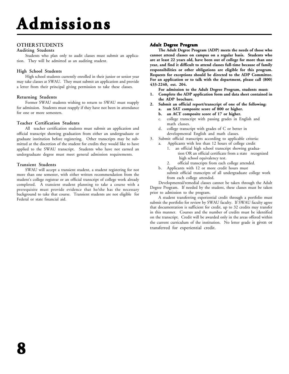# **Admissions dmissions dmissions**

#### **OTHER STUDENTS**

#### **Auditing Students**

Students who plan only to audit classes must submit an application. They will be admitted as an auditing student.

#### **High School Students**

High school students currently enrolled in their junior or senior year may take classes at SWAU. They must submit an application and provide a letter from their principal giving permission to take these classes.

#### **Returning Students**

Former SWAU students wishing to return to SWAU must reapply for admission. Students must reapply if they have not been in attendance for one or more semesters.

#### **Teacher Certification Students**

All teacher certification students must submit an application and official transcript showing graduation from either an undergraduate or graduate institution before registering. Other transcripts may be submitted at the discretion of the student for credits they would like to have applied to the SWAU transcript. Students who have not earned an undergraduate degree must meet general admission requirements.

#### **Transient Students**

SWAU will accept a transient student, a student registering for not more than one semester, with either written recommendation from the student's college registrar or an official transcript of college work already completed. A transient student planning to take a course with a prerequisite must provide evidence that he/she has the necessary background to take that course. Transient students are not eligible for Federal or state financial aid.

#### **Adult Degree Program**

**The Adult Degree Program (ADP) meets the needs of those who cannot attend classes on campus on a regular basis. Students who are at least 22 years old, have been out of college for more than one year, and find it difficult to attend classes full-time because of family responsibilities or other obligations are eligible for this program. Requests for exceptions should be directed to the ADP Committee. For an application or to talk with the department, please call (800) 433-2240, ext. 204.**

**For admission to the Adult Degree Program, students must:**

- **1. Complete the ADP application form and data sheet contained in the ADP brochure.**
- **2. Submit an official report/transcript of one of the following:**
	- **a. an SAT composite score of 800 or higher.**
	- **b. an ACT composite score of 17 or higher.**
	- c. college transcript with passing grades in English and math classes.
	- d. college transcript with grades of C or better in developmental English and math classes.
- 3. Submit official transcripts according to applicable criteria:
	- a. Applicants with less than 12 hours of college credit 1. an official high school transcript showing gradua tion OR an official certificate from a state recognized high school equivalency test.
		- 2. official transcripts from each college attended.
	- b. Applicants with 12 or more credit hours must submit official transcripts of all undergraduate college work from each college attended.

Developmental/remedial classes cannot be taken through the Adult Degree Program. If needed by the student, these classes must be taken prior to admission to the program.

A student transferring experiential credit through a portfolio must submit the portfolio for review by SWAU faculty. If SWAU faculty agree that documentation is sufficient for credit, up to 32 credits may transfer in this manner. Courses and the number of credits must be identified on the transcript. Credit will be awarded only in the areas offered within the current curriculum of the institution. No letter grade is given or transferred for experiential credit.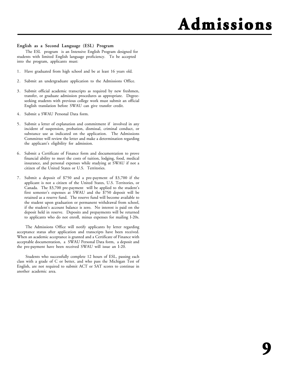### **Admissions dmissionsdmissions**

**9**

#### **English as a Second Language (ESL) Program**

The ESL program is an Intensive English Program designed for students with limited English language proficiency. To be accepted into the program, applicants must:

- 1. Have graduated from high school and be at least 16 years old.
- 2. Submit an undergraduate application to the Admissions Office.
- 3. Submit official academic transcripts as required by new freshmen, transfer, or graduate admission procedures as appropriate. Degreeseeking students with previous college work must submit an official English translation before SWAU can give transfer credit.
- 4. Submit a SWAU Personal Data form.
- 5. Submit a letter of explanation and commitment if involved in any incident of suspension, probation, dismissal, criminal conduct, or substance use as indicated on the application. The Admissions Committee will review the letter and make a determination regarding the applicant's eligibility for admission.
- 6. Submit a Certificate of Finance form and documentation to prove financial ability to meet the costs of tuition, lodging, food, medical insurance, and personal expenses while studying at SWAU if not a citizen of the United States or U.S. Territories.
- 7. Submit a deposit of \$750 and a pre-payment of \$3,700 if the applicant is not a citizen of the United States, U.S. Territories, or Canada. The \$3,700 pre-payment will be applied to the student's first semester's expenses at SWAU and the \$750 deposit will be retained as a reserve fund. The reserve fund will become available to the student upon graduation or permanent withdrawal from school, if the student's account balance is zero. No interest is paid on the deposit held in reserve. Deposits and prepayments will be returned to applicants who do not enroll, minus expenses for mailing I-20s.

The Admissions Office will notify applicants by letter regarding acceptance status after application and transcripts have been received. When an academic acceptance is granted and a Certificate of Finance with acceptable documentation, a SWAU Personal Data form, a deposit and the pre-payment have been received SWAU will issue an I-20.

Students who successfully complete 12 hours of ESL, passing each class with a grade of C or better, and who pass the Michigan Test of English, are not required to submit ACT or SAT scores to continue in another academic area.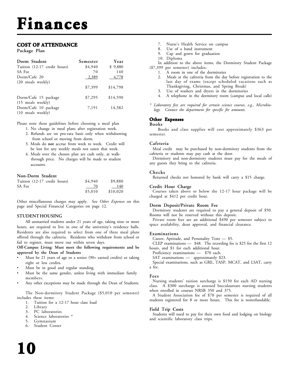#### **COST OF ATTENDANCE**

**Package Plan**

| Dorm Student                 | Semester | Year     |
|------------------------------|----------|----------|
| Tuition (12-17 credit hours) | \$4,940  | \$9,880  |
| SA Fee                       | 70       | 140      |
| Dorm/Cafe 20                 | 2,389    | 4,778    |
| (20 meals weekly)            | \$7,399  | \$14,798 |
| Dorm/Cafe 15 package         | \$7,295  | \$14,590 |
| (15 meals weekly)            |          |          |
| Dorm/Cafe 10 package         | 7.191    | 14,382   |
| (10 meals weekly)            |          |          |

Please note these guidelines before choosing a meal plan

- 1. No change in meal plans after registration week.
- 2. Refunds are on pro-rata basis only when withdrawing from school or moving from dorm.
- 3. Meals do **not** accrue from week to week. Credit will be lost for any weekly meals not eaten that week.
- 4. Meals over the chosen plan are cash only, at walk through price. No charges will be made to student accounts.

#### **Non-Dorm Student**

| Tuition (12-17 credit hours) | \$4,940       | \$9,880  |
|------------------------------|---------------|----------|
| SA Fee                       | <sup>70</sup> | 140      |
|                              | \$5,010       | \$10,020 |

Other miscellaneous charges may apply. See *Other Expenses* on this page and Special Financial Categories on page 12.

#### **STUDENT HOUSING**

All unmarried students under 21 years of age, taking nine or more hours, are required to live in one of the university's residence halls. Residents are also required to select from one of three meal plans offered through the cafeteria. Residents who withdraw from school or fail to register, must move out within seven days.

**Off-Campus Living: Must meet the following requirements and be approved by the Dean of Students**

- Must be 21 years of age or a senior (90+ earned credits) or taking eight or less credits.
- Must be in good and regular standing.
- Must be the same gender, unless living with immediate family members.
- Any other exceptions may be made through the Dean of Students.

The Non-dormitory Student Package (\$5,010 per semester) includes these items:

- 1. Tuition for a 12-17 hour class load
- 2. Library
- 3. PC laboratories
- Science laboratories \*
- 5. Gymnasium
- 6. Student Center
- 7. Nurse's Health Service on campus
- 8. Use of a band instrument
- 9. Cap and gown for graduation
- 10. Diploma

In addition to the above items, the Dormitory Student Package (\$7,399 per semester) includes:

- 1. A room in one of the dormitories
- 2. Meals at the cafeteria from the day before registration to the last day of exams (except scheduled vacations such as Thanksgiving, Christmas, and Spring Break)
- 3. Use of washers and dryers in the dormitories
- 4. A telephone in the dormitory room (campus and local calls)
- *\* Laboratory fees are required for certain science courses, e.g., Microbiology. Contact the department for specific fee amounts.*

#### **Other Expenses**

#### **Books**

Books and class supplies will cost approximately \$363 per semester.

#### **Cafeteria**

Meal credit may be purchased by non-dormitory students from the cafeteria or students may pay cash at the door.

Dormitory and non-dormitory students must pay for the meals of any guests they bring to the cafeteria.

#### **Checks**

Returned checks not honored by bank will carry a \$15 charge.

#### **Credit Hour Charge**

Courses taken above or below the 12-17 hour package will be charged at \$412 per credit hour.

#### **Dorm Deposit/Private Room Fee**

Dormitory students are required to pay a general deposit of \$50. Rooms will not be reserved without this deposit.

Private room fees are an additional \$490 per semester subject to space availability, dean approval, and financial clearance.

#### **Examinations**

Career, Aptitude, and Personality Tests — \$5.

CLEP examinations — \$48. The recording fee is \$25 for the first 12 hours, and \$1 for each additional hour.

Proficiency examinations — \$70 each.

SAT examinations — approximately \$23.

Special examinations, such as GRE, TASP, MCAT, and LSAT, carry a fee.

#### **Fees**

Nursing students' tuition surcharge is \$150 for each AD nursing class. A \$300 surcharge is assessed baccalaureate nursing students when enrolled in courses NRSB 350 and 375.

A Student Association fee of \$70 per semester is required of all students registered for 8 or more hours. This fee is nonrefundable.

#### **Field Trip Costs**

Students will need to pay for their own food and lodging on biology and scientific laboratory class trips.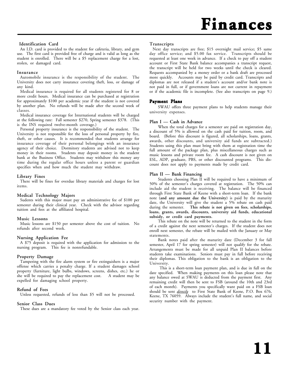#### **Identification Card**

#### An I.D. card is provided to the student for cafeteria, library, and gym use. The first card is provided free of charge and is valid as long as the student is enrolled. There will be a \$5 replacement charge for a lost, stolen, or damaged card.

#### **Insurance**

Automobile insurance is the responsibility of the student. The University does not carry insurance covering theft, loss, or damage of any kind.

Medical insurance is required for all students registered for 8 or more credit hours. Medical insurance can be purchased at registration for approximately \$100 per academic year if the student is not covered by another plan. No refunds will be made after the second week of classes.

Medical insurance coverage for International students will be charged at the following rate: Fall semester \$270, Spring semester \$378. (This is the INS required twelve-month coverage.)

Personal property insurance is the responsibility of the student. The University is not responsible for the loss of personal property by fire, theft, or other causes. It is recommended that students arrange for insurance coverage of their personal belongings with an insurance agency of their choice. Dormitory students are advised not to keep money in their rooms. Students may deposit money in the student bank at the Business Office. Students may withdraw this money any time during the regular office hours unless a parent or guardian specifies when and how much the student may withdraw.

#### **Library Fines**

There will be fines for overdue library materials and charges for lost items.

#### **Medical Technology Majors**

Sudents with this major must pay an administrative fee of \$100 per semester during their clinical year. Check with the advisor regarding tuition and fees at the affiliated hospital.

#### **Music Lessons**

Music lessons are \$150 per semester above the cost of tuition. No refunds after second week.

#### **Nursing Application Fee**

A \$75 deposit is required with the application for admission to the nursing program. This fee is nonrefundable.

#### **Property Damage**

Tampering with the fire alarm system or fire extinguishers is a major offense which carries a penalty charge. If a student damages school property (furniture, light bulbs, windows, screens, dishes, etc.) he or she will be required to pay the replacement cost. A student may be expelled for damaging school property.

#### **Refund of Fees**

Unless requested, refunds of less than \$5 will not be processed.

#### **Senior Class Dues**

These dues are a mandatory fee voted by the Senior class each year.

#### **Transcripts**

Next day transcripts are free; \$15 overnight mail service; \$5 same day office service; and \$5.00 fax service. Transcripts should be requested at least one week in advance. If a check to pay off a student account or First State Bank balance accompanies a transcript request, the transcript will be held for two weeks until the check is cleared. Requests accompanied by a money order or a bank draft are processed more quickly. Accounts may be paid by credit card. Transcripts and diplomas are not released if a student's account and/or bank note is not paid in full, or if government loans are not current in repayment or if the academic file is incomplete. (See also transcripts on page 9.)

#### **Payment Plans**

SWAU offers three payment plans to help students manage their university expenses.

#### **Plan I — Cash in Advance**

When the total charges for a semester are paid on registration day, a discount of 5% is allowed on the cash paid for tuition, room, and board. (Before this discount is figured, all scholarships, loans, grants, awards, other discounts, and university aid funds are subtracted.) Students using this plan must bring with them at registration time the full amount of the package plan, plus miscellaneous charges such as music lessons and private room fee. A cash discount is not given on ESL, ADP, graduate, PBS, or other discounted programs. This discount does not apply to payments made by credit card.

#### **Plan II — Bank Financing**

Students choosing Plan II will be required to have a minimum of 50% of the semester's charges covered at registration. The 50% can include aid the student is receiving. The balance will be financed through First State Bank of Keene with a short-term loan. If the bank note **(and any amount due the University)** is paid by the maturity date, the University will give the student a 5% rebate on cash paid during the semester. **This rebate is not given on fees, scholarships, loans, grants, awards, discounts, university aid funds, educational subsidy, or credit card payments.**

This rebate on the note will be returned to the student in the form of a credit against the next semester's charges. If the student does not enroll next semester, the rebate will be mailed with the January or May statements.

Bank notes paid after the maturity date (December 3 for fall semester, April 17 for spring semester) will not qualify for the rebate. Arrangements must be made for all unpaid Plan II balances before students take examinations. Seniors must pay in full before receiving their diplomas. This obligation to the bank is an obligation to the University.

 This is a short-term loan payment plan, and is due in full on the date specified. When making payments on this loan please note that any balance owed at SWAU is deducted from the payment first. Any remaining credit will then be sent to FSB (around the 10th and 23rd of each month). Payments you specifically want paid on a FSB loan should be sent *directly* to First State Bank of Keene, P.O. Box 676, Keene, TX 76059. Always include the student's full name, and social security number with the payment.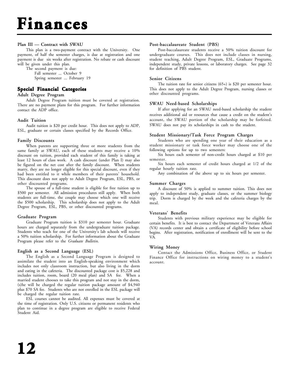#### **Plan III — Contract with SWAU**

This plan is a two-payment contract with the University. One payment, of half the semester charges, is due at registration and one payment is due six weeks after registration. No rebate or cash discount will be given under this plan.

The second payment is due: Fall semester ... October 9 Spring semester ... February 19

### **Special Financial Categories Financial**

#### **Adult Degree Program**

Adult Degree Program tuition must be covered at registration. There are no payment plans for this program. For further information contact the ADP office.

#### **Audit Tuition**

Audit tuition is \$20 per credit hour. This does not apply to ADP, ESL, graduate or certain classes specified by the Records Office.

#### **Family Discounts**

When parents are supporting three or more students from the same family at SWAU, each of these students may receive a 10% discount on tuition, provided each student of this family is taking at least 12 hours of class work. A cash discount (under Plan I) may also be figured on the net cost after the family discount. When students marry, they are no longer eligible for this special discount, even if they had been entitled to it while members of their parents' household. This discount does not apply to Adult Degree Program, ESL, PBS, or other discounted programs.

The spouse of a full-time student is eligible for free tuition up to \$500 per semester. All admission procedures still apply. When both students are full-time, the couple may choose which one will receive the \$500 scholarship. This scholarship does not apply to the Adult Degree Program, ESL, PBS, or other discounted programs.

#### **Graduate Program**

Graduate Program tuition is \$310 per semester hour. Graduate hours are charged separately from the undergraduate tuition package. Students who teach for one of the University's lab schools will receive a 50% tuition scholarship. For further information about the Graduate Program please refer to the *Graduate Bulletin*.

#### **English as a Second Language (ESL)**

The English as a Second Language Program is designed to assimilate the student into an English-speaking environment which includes not only classroom instruction, but also living in the dorm and eating in the cafeteria. The discounted package cost is \$5,228 and includes tuition, room, board (20 meal plan) and SA fee. When a married student chooses to take this program and not stay in the dorm, (s)he will be charged the regular tuition package amount of \$4,940 plus \$70 SA fee. Students who are not enrolled in the ESL package will be charged the regular tuition rate.

ESL courses cannot be audited. All expenses must be covered at the time of registration. Only U.S. citizens or permanent residents who plan to continue in a degree program are eligible to receive Federal Student Aid.

#### **Post-baccalaureate Student (PBS)**

Post-baccalaureate students receive a 50% tuition discount for undergraduate courses. This does not include classes in nursing, student teaching, Adult Degree Program, ESL, Graduate Programs, independent study, private lessons, or laboratory charges. See page 32 for definition of PBS student.

#### **Senior Citizens**

The tuition rate for senior citizens (65+) is \$20 per semester hour. This does not apply to the Adult Degree Program, nursing classes or other discounted programs.

#### **SWAU Need-based Scholarships**

If after applying for an SWAU need-based scholarship the student receives additional aid or resources that cause a credit on the student's account, the SWAU portion of the scholarship may be forfeited. SWAU does not pay its scholarships in cash to the student.

#### **Student Missionary/Task Force Program Charges**

Students who are spending one year of their education as a student missionary or task force worker may choose one of the following options for up to two semesters:

Six hours each semester of non-credit hours charged at \$10 per semester.

Six hours each semester of credit hours charged at 1/2 of the regular hourly tuition rate.

Any combination of the above up to six hours per semester.

#### **Summer Charges**

A discount of 50% is applied to summer tuition. This does not apply to independent study, graduate classes, or the summer biology trip. Dorm is charged by the week and the cafeteria charges by the meal.

#### **Veterans' Benefits**

Students with previous military experience may be eligible for certain benefits. It is best to contact the Department of Veterans Affairs (VA) records center and obtain a certificate of eligibility before school begins. After registration, notification of enrollment will be sent to the VA.

#### **Wiring Money**

Contact the Admissions Office, Business Office, or Student Finance Office for instructions on wiring money to a student's account.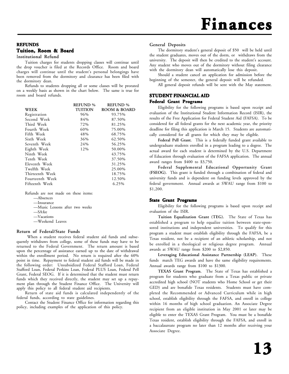#### **REFUNDS Tuition, Room & Board**

#### I**nstitutional Refund**

Tuition charges for students dropping classes will continue until the drop voucher is filed at the Records Office. Room and board charges will continue until the student's personal belongings have been removed from the dormitory and clearance has been filed with the dormitory dean.

Refunds to students dropping all or some classes will be prorated on a weekly basis as shown in the chart below. The same is true for room and board refunds.

|                 | <b>REFUND</b> % | <b>REFUND</b> % |
|-----------------|-----------------|-----------------|
| <b>WEEK</b>     | TUITION         | ROOM & BOARD    |
| Registration    | 96%             | 93.75%          |
| Second Week     | 84%             | 87.50%          |
| Third Week      | 72%             | 81.25%          |
| Fourth Week     | 60%             | 75.00%          |
| Fifth Week      | 48%             | 68.75%          |
| Sixth Week      | 36%             | 62.50%          |
| Seventh Week    | 24%             | 56.25%          |
| Eighth Week     | 12%             | 50.00%          |
| Ninth Week      |                 | 43.75%          |
| Tenth Week      |                 | 37.50%          |
| Eleventh Week   |                 | 31.25%          |
| Twelfth Week    |                 | 25.00%          |
| Thirteenth Week |                 | 18.75%          |
| Fourteenth Week |                 | 12.50%          |
| Fifteenth Week  |                 | 6.25%           |

Refunds are not made on these items:

—Absences

- —Insurance
- —Music Lessons after two weeks
- —SA fee
- —Vacations
- —Weekend Leaves

#### **Return of Federal/State Funds**

 When a student receives federal student aid funds and subsequently withdraws from college, some of these funds may have to be returned to the Federal Government. The return amount is based upon the percentage of assistance earned up to the date of withdrawal within the enrollment period. No return is required after the 60% point in time. Repayment to federal student aid funds will be made in the following order: Unsubsidized Federal Stafford Loan, Federal Stafford Loan, Federal Perkins Loan, Federal PLUS Loan, Federal Pell Grant, Federal SEOG. If it is determined that the student must return funds which they received directly, the student may set up a repayment plan through the Student Finance Office. The University will apply this policy to all federal student aid recipients.

Return of state aid funds is calculated independently of the federal funds, according to state guidelines.

Contact the Student Finance Office for information regarding this policy, including examples of the application of this policy.

#### **General Deposits**

The dormitory student's general deposit of \$50 will be held until the student graduates, moves out of the dorm, or withdraws from the university. The deposit will then be credited to the student's account. Any student who moves out of the dormitory without filing clearance with the dormitory dean will automatically lose this deposit.

Should a student cancel an application for admission before the beginning of the semester, the general deposit will be refunded.

All general deposit refunds will be sent with the May statement.

#### **STUDENT FINANCIAL AID Federal Grant Programs**

Eligibility for the following programs is based upon receipt and evaluation of the Institutional Student Information Record (ISIR), the results of the Free Application for Federal Student Aid (FAFSA). To be considered for all federal grants for the next academic year, the priority deadline for filing this application is March 15. Students are automatically considered for all grants for which they may be eligible.

**Federal Pell Grant.** This is a federally funded grant available to undergraduate students enrolled in a program leading to a degree. The actual award for each student is determined by the U.S. Department of Education through evaluation of the FAFSA application. The annual award ranges from \$400 to \$3,750.

**Federal Supplemental Educational Opportunity Grant (FSEOG).** This grant is funded through a combination of federal and university funds and is dependent on funding levels approved by the federal government. Annual awards at SWAU range from \$100 to \$1,200.

#### **State Grant Programs**

Eligibility for the following programs is based upon receipt and evaluation of the ISIR.

**Tuition Equalization Grant (TEG).** The State of Texas has established a program to help equalize tuition between state-sponsored institutions and independent universities. To qualify for this program a student must establish eligibility through the FAFSA, be a Texas resident, not be a recipient of an athletic scholarship, and not be enrolled in a theological or religious degree program. Annual awards at SWAU range from \$200 to \$2,850.

**Leveraging Educational Assistance Partnership (LEAP).** These funds match TEG awards and have the same eligibility requirements. Annual awards range from \$100 to \$1300.

**TEXAS Grant Program.** The State of Texas has established a program for students who graduate from a Texas public or private accredited high school (NOT students who Home School or get their GED) and are bonafide Texas residents. Students must have completed the Recommended or Advanced Curriculum while in high school, establish eligibility through the FAFSA, and enroll in college within 16 months of high school graduation. An Associate Degree recipient from an eligible institution in May 2001 or later may be eligible to enter the TEXAS Grant Program. You must be a bonafide Texas resident, establish eligibility through the FAFSA, and enroll in a baccalaureate program no later than 12 months after receiving your Associate Degree.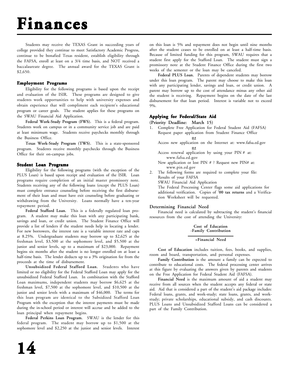### **Finances Finances Finances**

Students may receive the TEXAS Grant in succeeding years of college provided they continue to meet Satisfactory Academic Progress, continue to be bonafied Texas resident, establish eligibility through the FAFSA, enroll at least on a 3/4 time basis, and NOT received a baccalaureate degree. The annual award for the TEXAS Grant is \$2,650.

#### **Employment Programs**

Eligibility for the following programs is based upon the receipt and evaluation of the ISIR. These programs are designed to give students work opportunities to help with university expenses and obtain experience that will compliment each recipient's educational program or career goals. The student applies for these programs on the SWAU Financial Aid Application.

**Federal Work-Study Program (FWS).** This is a federal program. Students work on campus or in a community service job and are paid at least minimum wage. Students receive paychecks monthly through the Business Office.

**Texas Work-Study Program (TWS).** This is a state-sponsored program. Students receive monthly paychecks through the Business Office for their on-campus jobs.

#### **Student Loan Programs**

Eligibility for the following programs (with the exception of the PLUS Loan) is based upon receipt and evaluation of the ISIR. Loan programs require completion of an initial master promissory note. Students receiving any of the following loans (except the PLUS Loan) must complete entrance counseling before receiving the first disbursement of their loan and must have exit counseling before graduating or withdrawing from the University. Loans normally have a ten-year repayment period.

**Federal Stafford Loan.** This is a federally regulated loan program. A student may make this loan with any participating bank, savings and loan, or credit union. The Student Finance Office will provide a list of lenders if the student needs help in locating a lender. For new borrowers, the interest rate is a variable interest rate and caps at 8.25%. Undergraduate students may borrow up to \$2,625 at the freshman level, \$3,500 at the sophomore level, and \$5,500 at the junior and senior levels, up to a maximum of \$23,000. Repayment begins six months after the student is no longer enrolled on at least a half-time basis. The lender deducts up to a 3% origination fee from the proceeds at the time of disbursement.

**Unsubsidized Federal Stafford Loan.** Students who have limited or no eligibility for the Federal Stafford Loan may apply for the unsubsidized Federal Stafford Loan. In combination with the Stafford Loan maximums, independent students may borrow \$6,625 at the freshman level, \$7,500 at the sophomore level, and \$10,500 at the junior and senior levels with a maximum of \$46,000. The terms for this loan program are identical to the Subsidized Stafford Loan Program with the exception that the interest payments must be made during the in-school period or interest will accrue and be added to the loan principal when repayment begins.

**Federal Perkins Loan Program.** SWAU is the lender for this federal program. The student may borrow up to \$1,500 at the sophomore level and \$2,250 at the junior and senior levels. Interest on this loan is 5% and repayment does not begin until nine months after the student ceases to be enrolled on at least a half-time basis. Because of limited funding for this program, SWAU requires that a student first apply for the Stafford Loan. The student must sign a promissory note at the Student Finance Office during the first two weeks of the semester or the loan may be canceled.

**Federal PLUS Loan.** Parents of dependent students may borrow under this loan program. The parent may choose to make this loan with any participating lender, savings and loan, or credit union. A parent may borrow up to the cost of attendance minus any other aid the student is receiving. Repayment begins on the date of the last disbursement for that loan period. Interest is variable not to exceed 9%.

#### **Applying for Federal/State Aid**

**(Priority Deadline: March 15)**

1. Complete Free Application for Federal Student Aid (FAFSA) Request paper application from Student Finance Office

**or** Access new application on the Internet at: www.fafsa.ed.gov **or**

Access renewal application by using your PIN # at: www.fafsa.ed.gov

New application or lost PIN # ? Request new PIN# at: www.pin.ed.gov

2. The following forms are required to complete your file: Results of your FAFSA

SWAU Financial Aid Application

The Federal Processing Center flags some aid applications for additional verification. Copies of **'00 tax returns** and a Verification Worksheet will be requested.

#### **Determining Financial Need**

Financial need is calculated by subtracting the student's financial resources from the cost of attending the University:

> **Cost of Education -Family Contribution**

> > **=Financial Need**

**Cost of Education** includes tuition, fees, books, and supplies, room and board, transportation, and personal expenses.

**Family Contribution** is the amount a family can be expected to contribute to educational costs. The federal processing center arrives at this figure by evaluating the answers given by parents and students on the Free Application for Federal Student Aid (FAFSA).

**Financial Need** is the maximum amount of aid a student may receive from all sources when the student accepts any federal or state aid. Aid that is considered a part of the student's aid package includes: Federal loans, grants, and work-study; state loans, grants, and workstudy; private scholarships, educational subsidy, and cash discounts. PLUS Loans and Unsubsidized Stafford Loans can be considered a part of the Family Contribution.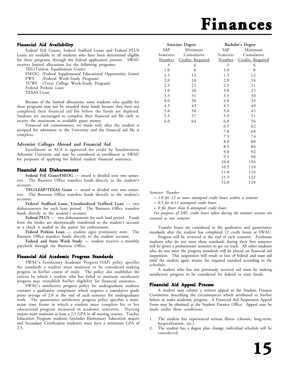### $$

#### **Financial Aid Availability**

Federal Pell Grants, Federal Stafford Loans and Federal PLUS Loans are available to all students who have been determined eligible for these programs through the federal application process. SWAU receives limited allocations for the following programs:

TEG(Tuition Equalization Grant) FSEOG (Federal Supplemental Educational Opportunity Grant) FWS (Federal Work-Study Program) TCWS (Texas College Work-Study Program) Federal Perkins Loan TEXAS Grant

Because of the limited allocations, some students who qualify for these programs may not be awarded these funds because they have not completed their financial aid file before the funds are depleted. Students are encouraged to complete their financial aid file early to receive the maximum in available grant money.

Financial aid commitments are made only after the student is accepted for admission to the University and the financial aid file is complete.

#### **Adventist Colleges Abroad and Financial Aid**

Enrollment in ACA is approved for credit by Southwestern Adventist University and may be considered as enrollment at SWAU for purposes of applying for federal student financial assistance.

#### **Financial Aid Disbursement**

**Federal Pell Grant/FSEOG** — award is divided over two semesters. The Business Office transfers funds directly to the student's account.

**TEG/LEAP/TEXAS Grant** — award is divided over two semesters. The Business Office transfers funds directly to the student's account.

**Federal Stafford Loan, Unsubsidized Stafford Loan** — two disbursements for each loan period. The Business Office transfers funds directly to the student's account.

Federal PLUS — two disbursements for each load period. Funds from the lender are electronically transferred to the student's account or a check is mailed to the parent for endorsement.

**Federal Perkins Loan** — student signs promissory note. The Business Office transfers funds directly to the student account.

Federal and State Work Study - student receives a monthly paycheck through the Business Office.

#### **Financial Aid Academic Progress Standards**

SWAU's Satisfactory Academic Progress (SAP) policy specifies the standards a student must maintain to be considered making progress in his/her course of study. The policy also establishes the criteria by which a student who has failed to maintain satisfactory progress may reestablish his/her eligibility for financial assistance.

SWAU's satisfactory progress policy for undergraduate students contains a qualitative component which requires a cumulative grade point average of 2.0 at the end of each semester for undergraduate work. The quantitative satisfactory progress policy specifies a maximum time frame in which a student must complete his or her educational program measured in academic semesters. Nursing majors must maintain at least a 2.5 GPA in all nursing courses. Teacher Education Program students (includes Elementary Education majors and Secondary Certification students) must have a minimum GPA of 2.5.

|               | <b>Associate Degree</b> |               | <b>Bachelor's Degree</b> |
|---------------|-------------------------|---------------|--------------------------|
| SAP           | Minimum                 | SAP           | Minimum                  |
| Semester      | Cumulative              | Semester      | Cumulative               |
| <u>Number</u> | Credits Required        | <u>Number</u> | Credits Required         |
| .5            | 6                       | .5            | 6                        |
| 1.0           | 8                       | 1.0           | 8                        |
| 1.5           | 12                      | 1.5           | 12                       |
| 2.0           | 16                      | 2.0           | 16                       |
| 2.5           | 21                      | 2.5           | 21                       |
| 3.0           | 26                      | 3.0           | 25                       |
| 3.5           | 31                      | 3.5           | 30                       |
| 4.0           | 36                      | 4.0           | 34                       |
| 4.5           | 43                      | 4.5           | 40                       |
| 5.0           | 50                      | 5.0           | 45                       |
| 5.5           | 57                      | 5.5           | 51                       |
| 6.0           | 64                      | 6.0           | 56                       |
|               |                         | 6.5           | 62                       |
|               |                         | 7.0           | 68                       |
|               |                         | 7.5           | 74                       |
|               |                         | 8.0           | 80                       |
|               |                         | 8.5           | 86                       |
|               |                         | 9.0           | 92                       |
|               |                         | 9.5           | 98                       |
|               |                         | 10.0          | 104                      |
|               |                         | 10.5          | 110                      |
|               |                         | 11.0          | 116                      |
|               |                         | 11.5          | 122                      |
|               |                         | 12.0          | 128                      |

*Semester Number*

*= 1.0 for 12 or more attempted credit hours within a semester*

*= 0.5 for 6-11 attempted credit hours*

*= 0 for fewer than 6 attempted credit hours*

*For purposes of SAP, credit hours taken during the summer sessions are counted as one semester.*

Transfer hours are considered in the qualitative and quantitative standards after the student has completed 12 credit hours at SWAU.

Progress will be reviewed at the end of each semester. Freshman students who do not meet these standards during their first semester will be given a probationary semester to get on track. All other students who do not meet the progress standards will be placed on financial aid suspension. This suspension will result in loss of federal and state aid until the student again attains the required standard according to the schedule.

A student who has not previously received aid must be making satisfactory progress to be considered for federal or state funds.

#### **Financial Aid Appeal Process**

A student may submit a written appeal to the Student Finance Committee describing the circumstances which attributed to his/her failure to make academic progress. A Financial Aid Suspension Appeal Form may be obtained at the Student Finance Office. Appeal may be made under these conditions:

- The student has experienced serious illness (chronic, long-term, hospitalization, etc.).
- The student has a degree plan change; individual schedule will be considered.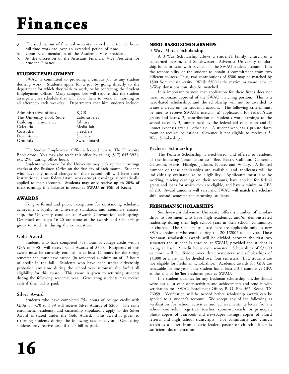### **Finances Finances Finances**

- 3. The student, out of financial necessity, carried an extremely heavy full-time workload over an extended period of time.
- Upon recommendation of the Academic Vice President.
- 5. At the discretion of the Assistant Financial Vice President for Student Finance.

#### **STUDENT EMPLOYMENT**

SWAU is committed to providing a campus job to any student desiring work. Students apply for a job by going directly to the department for which they wish to work, or by contacting the Student Employment Office. Many campus jobs will require that the student arrange a class schedule that will allow them to work all morning or all afternoon each weekday. Departments that hire students include:

| Administrative offices    | <b>KJCR</b>  |
|---------------------------|--------------|
| The University Book Store | Laboratories |
| Building maintenance      | Library      |
| Cafeteria                 | Media lab    |
| Custodial                 | Teachers     |
| Dormitories               | Security     |
| Grounds                   | Switchboard  |

The Student Employment Office is located next to The University Book Store. You may also reach this office by calling (817) 645-3921, ext. 290, during office hours.

Students who work for the University may pick up their earnings checks at the Business Office on the first day of each month. Students who have any unpaid charges on their school bill will have their institutional (not federal/state work-study) earnings automatically applied to their accounts. **Students may only receive up to 20% of their earnings if a balance is owed at SWAU or FSB of Keene.**

#### **AWARDS**

To give formal and public recognition for outstanding scholastic achievement, loyalty to University standards, and exemplary citizenship, the University conducts an Awards Convocation each spring. Described on pages 16-20 are some of the awards and scholarships given to students during the convocation.

#### **Gold Award**

Students who have completed 75+ hours of college credit with a GPA of 3.90+ will receive Gold Awards of \$300. Recipients of this award must be currently enrolled in at least 12 hours for the spring semester and must have earned (in residence) a minimum of 12 hours of credit in the fall. Students who have been under citizenship probation any time during the school year automatically forfeit all eligibility for this award. This award is given to returning students during the following academic year. Graduating students may receive cash if their bill is paid.

#### **Silver Award**

Students who have completed 75+ hours of college credit with GPAs of 3.70 to 3.89 will receive Silver Awards of \$200. The same enrollment, residency, and citizenship stipulations apply to the Silver Award as stated under the Gold Award. This award is given to returning students during the following academic year. Graduating students may receive cash if their bill is paid.

#### **NEED-BASED SCHOLARSHIPS**

#### **3-Way Match Scholarship**

A 3-Way Scholarship allows a student's family, church or a concerned person, and Southwestern Adventist University scholarship funds to assist with payment of the SWAU student account. It is the responsibility of the student to obtain a commitment from two different sources. Thus, two contributions of \$500 may be matched by \$500 from the university. While \$500 is the maximum award, smaller 3-Way donations can also be matched.

It is important to note that application for these funds does not mean automatic approval of the SWAU matching portion. This is a need-based scholarship, and the scholarshp will not be awarded to create a credit on the student's account. The following criteria must be met to receive SWAU's match: a) application for federal/state grants and loans, 2) contribution of student's work earnings to the school account, 3) unmet need by the federal aid calculation and 4) unmet expenses after all other aid. A student who has a private dorm room or receives educational allowance is not eligible to receive a 3- Way Scholarship.

#### **Pechero Scholarship**

The Pechero Scholarship is need-based, and offered to residents of the following Texas counties: Bee, Bexar, Calhoun, Cameron, Galveston, Harris, Hidalgo, Jackson, Nueces and Willacy. A limited number of these scholarships are available, and applicants will be individually evaluated as to eligibility. Applicants must also be working, placing earnings on their accounts, have applied for federal grants and loans for which they are eligible, and have a minimum GPA of 2.0. Award amounts will vary, and SWAU will match the scholarship second semester for returning students.

#### **FRESHMAN SCHOLARSHIPS**

Southwestern Adventist University offers a number of scholarships to freshmen who have high academics and/or demonstrated leadership during their high school years in their school, community, or church. The scholarships listed here are applicable only to new SWAU freshmen who enroll during the 2001/2002 school year. These freshman scholarship awards will be divided between the first two semesters the student is enrolled at SWAU, provided the student is taking at least 12 credit hours each semester. Scholarships of \$3,000 or more will be divided over three semesters and scholarships of \$4,000 or more will be divided over four semesters. ESL students are not eligible for freshman scholarships. Academic awards for GPA are renewable for one year if the student has at least a 3.5 cumulative GPA at the end of his/her freshman year at SWAU.

If a student qualifies for any freshman scholarship, he/she should write out a list of his/her activities and achievements and send it with verification to: SWAU Enrollment Office, P. O. Box 567, Keene, TX 76059. Verification will be needed before scholarship awards can be applied to a student's account. We accept any of the following as verification for school activities and achievements: a letter from a school counselor, registrar, teacher, sponsor, coach, or principal; photo copies of yearbook and newspaper listings; copies of award letters; and high school transcripts. For community and church activities a letter from a civic leader, pastor or church officer is sufficient documentation.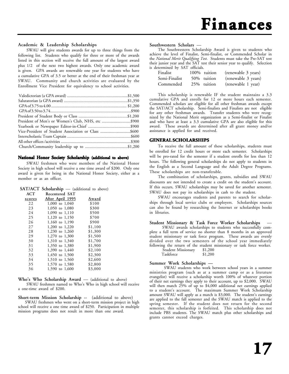#### **Academic & Leadership Scholarships**

SWAU will give students awards for up to three things from the following list. Students who qualify for three or more of the awards listed in this section will receive the full amount of the largest award plus 1/2 of the next two highest awards. Only one academic award is given. GPA awards are renewable one year for students who have a cumulative GPA of 3.5 or better at the end of their freshman year at SWAU. Community and church activities are evaluated by the Enrollment Vice President for equivalency to school activities.

| President of Men's or Women's Club, NHS, etc \$900 |  |
|----------------------------------------------------|--|
|                                                    |  |
|                                                    |  |
|                                                    |  |
|                                                    |  |
|                                                    |  |

#### **National Honor Society Scholarship (additional to above)**

SWAU freshmen who were members of the National Honor Society in high school will receive a one time award of \$200. Only one award is given for being in the National Honor Society, either as a member or as an officer.

|  | SAT/ACT Scholarship - |  | — (additional to above) |  |  |
|--|-----------------------|--|-------------------------|--|--|
|--|-----------------------|--|-------------------------|--|--|

| <b>ACT</b> | Recentered SAT   |         |
|------------|------------------|---------|
| scores     | After April 1995 | Award   |
| 22         | 1,000 to 1,040   | \$100   |
| 23         | 1,050 to 1,080   | \$300   |
| 24         | 1,090 to 1,110   | \$500   |
| 25         | 1,120 to 1,150   | \$700   |
| 26         | 1,160 to 1,190   | \$900   |
| 27         | 1,200 to 1,220   | \$1,100 |
| 28         | 1,230 to 1,260   | \$1,300 |
| 29         | 1,270 to 1,300   | \$1,500 |
| 30         | 1,310 to 1,340   | \$1,700 |
| 31         | 1,350 to 1,380   | \$1,900 |
| 32         | 1,390 to 1,440   | \$2,100 |
| 33         | 1,450 to 1,500   | \$2,300 |
| 34         | 1,510 to 1,560   | \$2,600 |
| 35         | 1,570 to 1,580   | \$2,800 |
| 36         | 1,590 to 1,600   | \$3,000 |
|            |                  |         |

**Who's Who Scholarship Award** — (additional to above)

 SWAU freshmen named to Who's Who in high school will receive a one-time award of \$200.

**Short-term Mission Scholarship --** (additional to above) SWAU freshmen who went on a short-term mission project in high school will receive a one time award of \$250. Participation in multiple mission programs does not result in more than one award.

#### **Southwestern Scholars** —

The Southwestern Scholarship Award is given to students who achieve the level of Finalist, Semi-finalist, or Commended Scholar in the *National Merit Qualifying Test*. Students must take the Pre-SAT test their junior year and the SAT test their senior year to qualify. Selection is determined by SAT officials.

| Finalist      | 100% tuition | (renewable 3 years) |
|---------------|--------------|---------------------|
| Semi-Finalist | 50% tuition  | (renewable 3 years) |
| Commended     | 25% tuition  | (renewable 1 year)  |

This scholarship is renewable IF the student maintains a 3.3 cumulative GPA and enrolls for 12 or more hours each semester. Commended scholars are eligible for all other freshman awards except the SAT/ACT scholarship. Semi-finalists and Finalists are not eligible for any other freshman awards. Transfer students who were recognized by the National Merit organization as a Semi-finalist or Finalist and who have at least a 3.3 cumulative GPA are also eligible for this award. These awards are determined after all grant money and/or assistance is applied for and received.

#### **GENERAL SCHOLARSHIPS**

To receive the full amount of these scholarships, students must be enrolled for 12 credit hours or more each semester. Scholarships will be pro-rated for the semester if a student enrolls for less than 12 hours. The following general scholarships do not apply to students in the English as a Second Language and the Adult Degree Programs. These scholarships are non-transferable.

The combination of scholarships, grants, subsidies and SWAU discounts are not intended to create a credit on the student's account. If this occurs, SWAU scholarships may be saved for another semester. SWAU does not pay its scholarships in cash to the student.

SWAU encourages students and parents to search for scholarships through local service clubs or employers. Scholarships sources can also be found by researching the Internet or scholarships books in libraries.

**Student Missionary & Task Force Worker Scholarships** — SWAU awards scholarships to students who successfully complete a full term of service no shorter than 8 months in an approved student missionary or task force program. These awards are evenly divided over the two semesters of the school year immediately following the return of the student missionary or task force worker.  $$1,200$ 

| Student Missionary | 91,200  |
|--------------------|---------|
| Taskforce          | \$1,200 |

#### **Summer Work Scholarships —**

 SWAU students who work between school years in a summer ministries program (such as at a summer camp or as a literature evangelist) will receive a scholarship worth 100% of whatever portion of their net earnings they apply to their account, up to \$2,000. SWAU will then match 25% of up to \$4,000 additional net earnings applied to a student's account. The maximum Summer Work Scholarship amount SWAU will apply as a match is \$3,000. The student's earnings are applied to the fall semester and the SWAU match is applied to the spring semester. If the student does not return for the second semester, this scholarship is forfeited. This scholarship does not include PBS students. The SWAU match plus other scholarships and grants cannot exceed charges.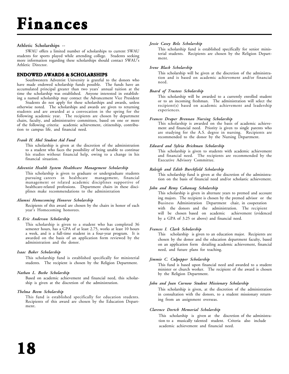#### **Athletic Scholarships --**

SWAU offers a limited number of scholarships to current SWAU students for sports played while attending college. Students seeking more information regarding these scholarships should contact SWAU's Athletic Director.

#### **ENDOWED AWARDS & SCHOLARSHIPS**

Southwestern Adventist University is grateful to the donors who have made endowed scholarship funds possible. The funds have an accumulated principal greater than two years' annual tuition at the time the scholarship was established. Anyone interested in establishing a named scholarship may contact the Advancement Vice President

Students do not apply for these scholarships and awards, unless otherwise noted. The scholarships and awards are given to returning students and are awarded at a convocation in the spring for the following academic year. The recipients are chosen by department chairs, faculty, and administrative committees, based on one or more of the following criteria: academic achievement, citizenship, contribution to campus life, and financial need.

#### *Frank H. Abel Student Aid Fund*

This scholarship is given at the discretion of the administration to a student who faces the possibility of being unable to continue his studies without financial help, owing to a change in his financial situation.

#### *Adventist Health System Healthcare Management Scholarship*

This scholarship is given to graduate or undergraduate students pursuing careers in healthcare management, financial management or related academic disciplines supportive of healthcare-related professions. Department chairs in these disciplines make recommendations to the administration

#### *Alumni Homecoming Honoree Scholarship*

Recipients of this award are chosen by the chairs in honor of each year's Homecoming honorees.

#### *S. Eric Anderson Scholarship*

This scholarship is given to a student who has completed 36 semester hours, has a GPA of at least 2.75, works at least 10 hours a week, and is a full-time student in a four-year program. It is awarded on the basis of an application form reviewed by the administration and the donor.

#### *Isaac Baker Scholarship*

This scholarship fund is established specifically for ministerial students. The recipient is chosen by the Religion Department.

#### *Nathan L. Beebe Scholarship*

Based on academic achievement and financial need, this scholarship is given at the discretion of the administration.

#### *Thelma Beem Scholarship*

This fund is established specifically for education students. Recipients of this award are chosen by the Education Department.

#### *Jessie Casey Belz Scholarship*

This scholarship fund is established specifically for senior ministerial students. Recipients are chosen by the Religion Department.

#### *Irene Black Scholarship*

This scholarship will be given at the discretion of the administration and is based on academic achievement and/or financial need.

#### *Board of Trustees Scholarship*

This scholarship will be awarded to a currently enrolled student or to an incoming freshman. The administration will select the recipient(s) based on academic achievement and leadership experiences.

#### *Frances Draper Brennan Nursing Scholarship*

This scholarship is awarded on the basis of academic achievement and financial need. Priority is given to single parents who are studying for the A.S. degree in nursing. Recipients are recommended to the donor by the Nursing Department.

#### *Edward and Sylvia Brickman Scholarship*

This scholarship is given to students with academic achievement and financial need. The recipients are recommended by the Executive Advisory Committee.

#### *Raleigh and Edith Burchfield Scholarship*

This scholarship fund is given at the discretion of the administration on the basis of financial need and/or scholastic achievement.

#### *John and Remy Cabansag Scholarship*

This scholarship is given in alternate years to premed and account ing majors. The recipient is chosen by the premed advisor or the Business Administration Department chair, in cooperation with the donors and the administration. The recipient will be chosen based on academic achievement (evidenced by a GPA of 3.25 or above) and financial need.

#### *Frances I. Clark Scholarship*

This scholarship is given to an education major. Recipients are chosen by the donor and the education department faculty, based on an application form detailing academic achievement, financial need, and future plans for teaching.

#### *Jimmie C. Culpepper Scholarship*

This fund is based upon financial need and awarded to a student minister or church worker. The recipient of the award is chosen by the Religion Department.

#### *John and Joan Curnow Student Missionary Scholarship*

This scholarship is given, at the discretion of the administration in consultation with the donors, to a student missionary returning from an assignment overseas.

#### *Clarence Dortch Memorial Scholarship*

 This scholarship is given at the discretion of the administra tion to a musically talented student. Criteria also include academic achievement and financial need.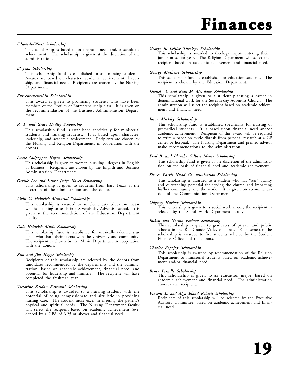#### *Edwards-Wiest Scholarship*

This scholarship is based upon financial need and/or scholastic achievement. The scholarship is given at the discretion of the administration.

#### *El Jean Scholarship*

This scholarship fund is established to aid nursing students. Awards are based on character, academic achievement, leadership, and financial need. Recipients are chosen by the Nursing Department.

#### *Entrepreneurship Scholarship*

This award is given to promising students who have been members of the Profiles of Entrepreneurship class. It is given on the recommendation of the Business Administration Department.

#### *R. T. and Grace Hadley Scholarship*

This scholarship fund is established specifically for ministerial students and nursing students. It is based upon character, leadership, and academic achievement. Recipients are chosen by the Nursing and Religion Departments in cooperation with the donors.

#### *Lessie Culpepper Hagen Scholarship*

This scholarship is given to women pursuing degrees in English or business. Recipients are chosen by the English and Business Administration Departments.

#### *Orville Lee and Laura Judge Hayes Scholarship*

This scholarship is given to students from East Texas at the discretion of the administration and the donor.

#### *Alvin C. Heinrich Memorial Scholarship*

This scholarship is awarded to an elementary education major who is planning to teach in a Seventh-day Adventist school. It is given at the recommendation of the Education Department faculty.

#### *Dale Heinrich Music Scholarship*

This scholarship fund is established for musically talented students who share their talents with the University and community. The recipient is chosen by the Music Department in cooperation with the donors.

#### *Kim and Jim Hopps Scholarship*

Recipients of this scholarship are selected by the donors from candidates recommended by the departments and the administration, based on academic achievement, financial need, and potential for leadership and ministry. The recipient will have completed the freshman year.

#### *Victorine Zaidan Kafrouni Scholarship*

This scholarship is awarded to a nursing student with the potential of being compassionate and altruistic in providing nursing care. The student must excel in meeting the patient's physical and spiritual needs. The Nursing Department faculty will select the recipient based on academic achievement (evidenced by a GPA of 3.25 or above) and financial need.

#### *George R. Leffler Theology Scholarship*

This scholarship is awarded to theology majors entering their junior or senior year. The Religion Department will select the recipient based on academic achievement and financial need.

#### *George Mathews Scholarship*

This scholarship fund is established for education students. The recipient is chosen by the Education Department.

#### *Daniel A. and Ruth M. McAdams Scholarship*

This scholarship is given to a student planning a career in denominational work for the Seventh-day Adventist Church. The administration will select the recipient based on academic achievement and financial need.

#### *Jason Mickley Scholarship*

This scholarship fund is established specifically for nursing or premedical students. It is based upon financial need and/or academic achievement. Recipients of this award will be required to write a paper on cystic fibrosis from personal research at a CF center or hospital. The Nursing Department and premed advisor make recommendations to the administration.

#### *Fred B. and Blanche Gilbert Moore Scholarship*

This scholarship fund is given at the discretion of the administration on the basis of financial need and academic achievement.

#### *Sheree Parris Nudd Communication Scholarship*

This scholarship is awarded to a student who has "star" quality and outstanding potential for serving the church and impacting his/her community and the world. It is given on recommendation of the Communication Department.

#### *Odyssey Harbor Scholarship*

This scholarship is given to a social work major; the recipient is selected by the Social Work Department faculty.

#### *Ruben and Norma Pechero Scholarship*

This scholarship is given to graduates of private and public schools in the Rio Grande Valley of Texas. Each semester, the scholarship is awarded to five students selected by the Student Finance Office and the donors.

#### *Charles Popejoy Scholarship*

This scholarship is awarded by recommendation of the Religion Department to ministerial students based on academic achievement and/or financial need.

#### *Bruce Prindle Scholarship*

This scholarship is given to an education major, based on academic achievement and financial need. The administration chooses the recipient.

#### *Vincent L. and Alga Bland Roberts Scholarship*

Recipients of this scholarship will be selected by the Executive Advisory Committee, based on academic achievement and financial need.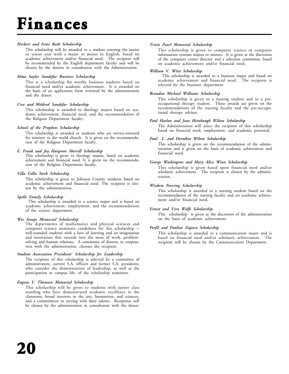### **Finances Finances Finances**

#### *Herbert and Irene Roth Scholarship*

This scholarship will be awarded to a student entering the junior or senior year with a major or minor in English, based on academic achievement and/or financial need. The recipient will be recommended by the English department faculty and will be chosen by the donors in consultation with the Administration.

#### *Alma Saylor Sandefur Business Scholarship*

This is a scholarship for worthy business students based on financial need and/or academic achievement. It is awarded on the basis of an application form reviewed by the administration and the donor.

#### *Cree and Mildred Sandefur Scholarship*

This scholarship is awarded to theology majors based on academic achievement, financial need, and the recommendation of the Religion Department faculty.

#### *School of the Prophets Scholarship*

This scholarship is awarded to students who are service-oriented for ministry to the world church. It is given on the recommendation of the Religion Department faculty.

#### *E. Frank and Joy Hargrove Sherrill Scholarship*

This scholarship is given to theology majors, based on academic achievement and financial need. It is given on the recommendation of the Religion Department faculty.

#### *Villa Gillis Sierk Scholarship*

This scholarship is given to Johnson County residents based on academic achievement and financial need. The recipient is chosen by the administration.

#### *Spells Family Scholarship*

 This scholarship is awarded to a science major and is based on academic achievement, employment, and the recommendations of the science department.

#### *Wes Stoops Memorial Scholarship*

The departments of mathematics and physical sciences and computer science nominate candidates for this scholarship - well-rounded students with a love of learning and an imagination and innovation that extends into the areas of work, problemsolving and human relations. A committee of donors, in cooperation with the administration, chooses the recipient.

#### *Student Association Presidents***'** *Scholarship for Leadership*

The recipient of this scholarship is selected by a committee of administrators, current S.A. officers and former S.A. presidents, who consider the demonstration of leadership, as well as the participation in campus life, of the scholarship nominees.

#### *Eugene V. Thomsen Memorial Scholarship*

This scholarship will be given to students with junior class standing who have demonstrated academic excellence in the classroom, broad interests in the arts, humanities, and sciences, and a commitment to serving with their talents. Recipients will be chosen by the administration in consultation with the donor.

#### *Trixie Pearl Memorial Scholarship*

This scholarship is given to computer science or computer information systems majors or minors. It is given at the discretion of the computer center director and a selection committee, based on academic achievement and/or financial need.

#### *William V. Wiist Scholarship*

This scholarship is awarded to a business major and based on academic achievement and financial need. The recipient is selected by the business department

#### *Brandon Michael Williams Scholarship*

This scholarship is given to a nursing student and to a preoccupational therapy student. These awards are given on the recommendations of the nursing faculty and the pre-occupational therapy advisor.

#### *Paul Harlan and Jean Heinbaugh Wilson Scholarship*

The Administration will select the recipient of this scholarship baesd on financial need, employment, and academic potential.

#### *Paul L. and Dorothea Wilson Scholarship*

This scholarship is given on the recommendation of the administration and is given on the basis of academic achievement and financial need.

#### *George Washington and Mary Alice Winn Scholarship*

This scholarship is given based upon financial need and/or scholastic achievement. The recipient is chosen by the administration.

#### *Wisdom Nursing Scholarship*

This scholarship is awarded to a nursing student based on the recommendation of the nursing faculty and on academic achievement and/or financial need.

#### *Ernest and Vera Wolfe Scholarship*

This scholarship is given at the discretion of the administration on the basis of academic achievement.

#### *Perfil and Pauline Zapara Scholarship*

This scholarship is awarded to a communication major and is based on financial need and/or scholastic achievement. The recipient will be chosen by the Communication Department.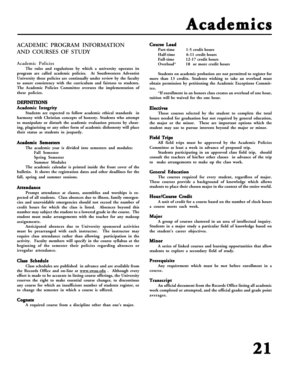### **ACADEMIC PROGRAM INFORMATION AND COURSES OF STUDY**

#### **Academic Policies**

**The rules and regulations by which a university operates its program are called academic policies. At Southwestern Adventist University these policies are continually under review by the faculty to assure consistency with the curriculum and fairness to students. The Academic Policies Committee oversees the implementation of these policies.**

#### **DEFINITIONS**

#### **Academic Integrity**

**Students are expected to follow academic ethical standards in harmony with Christian concepts of honesty. Students who attempt to manipulate or disturb the academic evaluation process by cheating, plagiarizing or any other form of academic dishonesty will place their status as students in jeopardy.**

#### **Academic Semesters**

**The academic year is divided into semesters and modules: Fall Semester**

**Spring Semester**

**Summer Modules**

**The academic calendar is printed inside the front cover of the bulletin. It shows the registration dates and other deadlines for the fall, spring and summer sessions.**

#### **Attendance**

**Prompt attendance at classes, assemblies and worships is expected of all students. Class absences due to illness, family emergencies and unavoidable emergencies should not exceed the number of credit hours for which the class is listed. Absences beyond this number may subject the student to a lowered grade in the course. The student must make arrangements with the teacher for any makeup assignments.**

**Anticipated absences due to University sponsored activities must be prearranged with each instructor. The instructor may require class attendance rather than allowing participation in the activity. Faculty members will specify in the course syllabus at the beginning of the semester their policies regarding absences or irregular attendance.**

#### **Class Schedule**

**Class schedules are published in advance and are available from the Records Office and on-line at www.swau.edu . Although every effort is made to be accurate in listing course offerings, the University reserves the right to make essential course changes, to discontinue any course for which an insufficient number of students register, or to change the semester in which a course is offered.**

#### **Cognate**

**A required course from a discipline other than one's major.**

#### **Course Load**

| Part-time | 1-5 credit hours        |
|-----------|-------------------------|
| Half-time | 6-11 credit hours       |
| Full-time | 12-17 credit hours      |
| Overload* | 18 or more credit hours |

**Students on academic probation are not permitted to register for more than 13 credits. Students wishing to take an overload must obtain permission by petitioning the Academic Exceptions Committee.**

**\*If enrollment in an honors class creates an overload of one hour, tuition will be waived for the one hour.**

#### **Electives**

**Those courses selected by the student to complete the total hours needed for graduation but not required by general education, the major or the minor. These are important options which the student may use to pursue interests beyond the major or minor.**

#### **Field Trips**

**All field trips must be approved by the Academic Policies Committee at least a week in advance of proposed trip.**

**Students participating in an approved class field trip, should consult the teachers of his/her other classes in advance of the trip to make arrangements to make up the class work.**

#### **General Education**

**The courses required for every student, regardless of major. These courses provide a background of knowledge which allows students to place their chosen major in the context of the entire world.**

#### **Hour/Course Credit**

**A unit of credit for a course based on the number of clock hours a course meets each week.**

#### **Major**

**A group of courses clustered in an area of intellectual inquiry. Students in a major study a particular field of knowledge based on the student's career objectives.**

#### **Minor**

**A series of linked courses and learning opportunities that allow students to explore a secondary field of study.**

#### **Prerequisite**

**Any requirement which must be met before enrollment in a course.**

#### **Transcript**

**An official document from the Records Office listing all academic work completed or attempted, and the official grades and grade point averages.**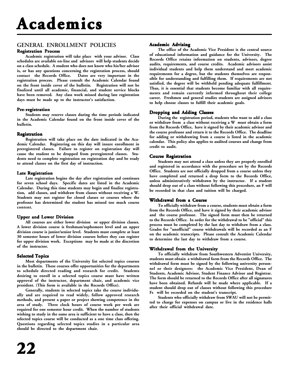## **Academics cademics cademics**

### **GENERAL ENROLLMENT POLICIES**

#### **Registration Process**

**Academic registration will take place with your advisor. Class schedules are available on-line and advisors will help students decide on a class schedule. A student who does not know who his/her advisor is, or has any questions concerning the registration process, should contact the Records Office. Dates are very important in the registration process. Please consult the Academic Calendar found on the front inside cover of the bulletin. Registration will not be finalized until all academic, financial, and student service blocks have been removed. Any class work missed during late registration days must be made up to the instructor's satisfaction.**

#### **Pre-registration**

**Students may reserve classes during the time periods indicated in the Academic Calendar found on the front inside cover of the bulletin.**

#### **Registration**

**Registration will take place on the date indicated in the Academic Calendar. Registering on this day will insure enrollment in preregistered classes. Failure to register on registration day will cause the student to be dropped from preregistered classes. Students need to complete registration on registration day and be ready to attend classes on the first day of instruction.**

#### **Late Registration**

**Late registration begins the day after registration and continues for seven school days. Specific dates are listed in the Academic Calendar. During this time students may begin and finalize registration, add classes, and withdraw from classes without receiving a W. Students may not register for closed classes or courses where the professor has determined the student has missed too much course content.**

#### **Upper and Lower Division**

**All courses are either lower division or upper division classes. A lower division course is freshman/sophomore level and an upper division course is junior/senior level. Students must complete at least 30 semester hours of lower division courses before they can register for upper division work. Exceptions may be made at the discretion of the instructor.**

#### **Selected Topics**

**Most departments of the University list selected topics courses in the bulletin. These courses offer opportunities for the departments to schedule directed reading and research for credit. Students desiring to enroll in a selected topics course must have written approval of the instructor, department chair, and academic vice president. (This form is available in the Records Office).**

**Generally, students in selected topics take the course individually and are required to read widely, follow approved research methods, and present a paper or project showing competence in the area of study. Three clock hours of course work per week are required for one semester hour credit. When the number of students wishing to study in the same area is sufficient to have a class, then the selected topics course will be conducted as a one time class offering. Questions regarding selected topics studies in a particular area should be directed to the department chair.**

#### **Academic Advising**

**The office of the Academic Vice President is the central source of educational information and guidance for the University. The Records Office retains information on students, advisors, degree audits, requirements, and course credits. Academic advisors assist individual students and help them understand and meet academic requirements for a degree, but the students themselves are responsible for understanding and fulfilling them. If requirements are not satisfied, the degree will be withheld pending adequate fulfillment. Thus, it is essential that students become familiar with all requirements and remain currently informed throughout their college career. Freshmen and general studies students are assigned advisors to help choose classes to fulfill their academic goals.**

#### **Dropping and Adding Classes**

**During the registration period, students who want to add a class or withdraw from a class without receiving a W must obtain a form from the Records Office, have it signed by their academic advisor and the course professor and return it to the Records Office. The deadline for adding or withdrawing from a course is listed in the academic calendar. This policy also applies to audited courses and change from credit to audit.**

#### **Course Registration**

**Students may not attend a class unless they are properly enrolled and registered in accordance with the procedure set by the Records Office. Students are not officially dropped from a course unless they have completed and returned a drop form to the Records Office, unless administratively withdrawn by the instructor. If a student should drop out of a class without following this procedure, an F will be recorded in that class and tuition will be charged.**

#### **Withdrawal from a Course**

**To officially withdraw from a course, students must obtain a form from the Records Office, and have it signed by their academic advisor and the course professor. The signed form must then be returned to the Records Office. In order for the withdrawal to be "official" this process must be completed by the last day to withdraw from a class. Grades for "unofficial" course withdrawals will be recorded as an F on the academic transcripts. Please consult the Academic Calendar to determine the last day to withdraw from a course.**

#### **Withdrawal from the University**

**To officially withdraw from Southwestern Adventist University, students must obtain a withdrawal form from the Records Office. The withdrawal form must be signed by the following university personnel or their designees: the Academic Vice President, Dean of Students, Academic Advisor, Student Finance Advisor and Registrar. The form should be returned to the Records Office after all signatures have been obtained. Refunds will be made where applicable. If a student should drop out of classes without following this procedure Fs will be recorded on the student's transcript.**

**Students who officially withdraw from SWAU will not be permitted to charge for expenses on campus or live in the residence halls after their official withdrawal date.**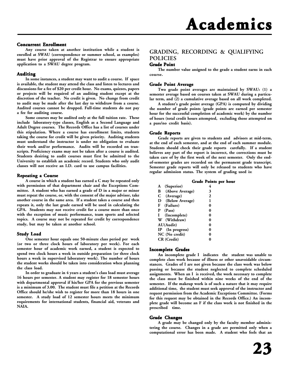#### **Concurrent Enrollment**

**Any course taken at another institution while a student is enrolled at SWAU (correspondence or summer school, as examples) must have prior approval of the Registrar to ensure appropriate application to a SWAU degree program.**

#### **Auditing**

**In some instances, a student may want to audit a course. If space is available, the student may attend the class and listen to lectures and discussions for a fee of \$20 per credit hour. No exams, quizzes, papers or projects will be required of an auditing student except at the discretion of the teacher. No credit is given. No change from credit to audit may be made after the last day to withdraw from a course. Audited courses cannot be dropped. Full-time students do not pay a fee for auditing course.**

**Some courses may be audited only at the full tuition rate. These include laboratory-type classes, English as a Second Language and Adult Degree courses. The Records Office has a list of courses under this stipulation. Where a course has enrollment limits, students taking the course for credit will be given priority. Auditing students must understand the instructor is under no obligation to evaluate their work and/or performance. Audits will be recorded on transcripts. Proficiency exams may not be taken after a course is audited. Students desiring to audit courses must first be admitted to the University to establish an academic record. Students who only audit classes will not receive an I.D. card to use campus facilities.**

#### **Repeating a Course**

**A course in which a student has earned a C may be repeated only with permission of that department chair and the Exceptions Committee. A student who has earned a grade of D in a major or minor must repeat the course, or, with the consent of the major advisor, take another course in the same area. If a student takes a course and then repeats it, only the last grade earned will be used in calculating the GPA. Students may not receive credit for a course more than once with the exception of music performance, team sports and selected topics. A course may not be repeated for credit by correspondence study, but may be taken at another school.**

#### **Study Load**

**One semester hour equals one 50-minute class period per week (or two or three clock hours of laboratory per week). For each semester hour of academic work earned, a student is expected to spend two clock hours a week in outside preparation (or three clock hours a week in supervised laboratory work). The number of hours the student works should be taken into consideration when planning the class load.**

**In order to graduate in 4 years a student's class load must average 16 hours per semester. A student may register for 18 semester hours with departmental approval if his/her GPA for the previous semester is a minimum of 3.00. The student must file a petition at the Records Office should he/she wish to register for more than 18 hours in one semester. A study load of 12 semester hours meets the minimum requirements for international students, financial aid, veterans and NAIA.**

### **GRADING, RECORDING & QUALIFYING POLICIES**

#### **Grade Point**

**The number value assigned to the grade a student earns in each course.**

#### **Grade Point Average**

**Two grade point averages are maintained by SWAU: (1) a semester average based on courses taken at SWAU during a particular term, and (2) a cumulative average based on all work completed.**

**A student's grade point average (GPA) is computed by dividing the number of grade points (grade points are earned per semester hour for the successful completion of academic work) by the number of hours (total credit hours attempted, excluding those attempted on a pass/no credit basis).**

#### **Grade Reports**

**Grade reports are given to students and advisors at mid-term, at the end of each semester, and at the end of each summer module. Students should check their grade reports carefully. If a student believes any part of the report is incorrect, the corrections must be taken care of by the first week of the next semester. Only the endof-semester grades are recorded on the permanent grade transcript. Semester grade reports will only be released to students who have regular admission status. The system of grading used is:**

#### **Grade Points per hour**

| (Superior)<br>A      | 4            |
|----------------------|--------------|
| (Above Average)<br>B | 3            |
| C<br>(Average)       | $\mathbf{2}$ |
| (Below Average)<br>D | 1            |
| F<br>(Failure)       | 0            |
| P<br>(Pass)          | 0            |
| I<br>(Incomplete)    | 0            |
| W (Withdraw)         | 0            |
| AU(Audit)            | 0            |
| IP<br>(In progress)  | 0            |
| NC (No credit)       | 0            |
| <b>CR</b> (Credit)   |              |

#### **Incomplete Grades**

**An incomplete grade I indicates the student was unable to complete class work because of illness or other unavoidable circumstances. Grades of I are not given because the class work was below passing or because the student neglected to complete scheduled assignments. When an I is received, the work necessary to complete the class must be finished within nine weeks of the end of the semester. If the makeup work is of such a nature that it may require additional time, the student must seek approval of the instructor and request permission from the Academic Exceptions Committee. (Forms for this request may be obtained in the Records Office.) An incomplete grade will become an F if the class work is not finished in the prescribed time.**

#### **Grade Changes**

**A grade may be changed only by the faculty member administering the course. Changes in a grade are permitted only when a computational error has been made. A student who feels that an**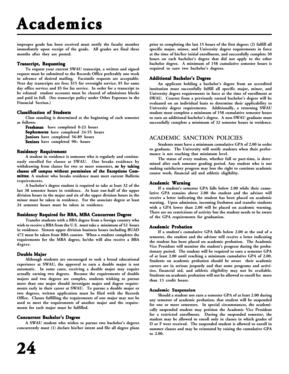# **Academics cademics cademics**

**improper grade has been received must notify the faculty member immediately upon receipt of the grade. All grades are final three months after they are posted.**

#### **Transcript, Requesting**

**To request your current SWAU transcript, a written and signed request must be submitted to the Records Office preferably one week in advance of desired mailing. Facsimile requests are acceptable. Next day transcripts are free; \$15 for overnight service; \$5 for same day office service; and \$5 for fax service. In order for a transcript to be released student accounts must be cleared of admissions blocks and paid in full. (See transcript policy under Other Expenses in the Financial Section.)**

#### **Classification of Students**

**Class standing is determined at the beginning of each semester as follows:**

**Freshman Freshman have completed 0-23 hours Sophomores** have completed 24-55 hours **Juniors Juniors have completed 56-89 hours** Seniors have completed 90+ hours

#### **Residency Requirement**

**A student in residence is someone who is regularly and continuously enrolled for classes at SWAU. One breaks residence by withdrawing from classes for two or more semesters, or by taking classes off campus without permission of the Exceptions Com**mittee. A student who breaks residence must meet current Bulletin **requirements.**

**A bachelor's degree student is required to take at least 32 of the last 38 semester hours in residence. At least one-half of the upper division hours in the major and six of the upper division hours in the minor must be taken in residence. For the associate degree at least 24 semester hours must be taken in residence.**

#### **Residency Required for BBA, MBA Concurrent Degree**

**Transfer students with a BBA degree from a foreign country who wish to receive a BBA from the U.S. must take a minimum of 52 hours in residence. Sixteen upper division business hours including BUAD 472 must be taken from BBA courses. When a student completes the requirements for the MBA degree, he/she will also receive a BBA degree.**

#### **Double Major**

**Although students are encouraged to seek a broad educational experience at SWAU, the approval to earn a double major is not automatic. In some cases, receiving a double major may require actually earning two degrees. Because the requirements of double majors and two degrees are complex, students wishing to pursue more than one major should investigate major and degree requirements early in their career at SWAU. To pursue a double major or two degrees, written application must be filed with the Records Office. Classes fulfilling the requirements of one major may not be used to meet the requirements of another major and the requirements for each major must be fulfilled.**

#### **Concurrent Bachelor's Degree**

**A SWAU student who wishes to pursue two bachelor's degrees concurrently must (1) declare his/her intent and file all degree plans**

#### **Additional Bachelor's Degree**

**An applicant holding a bachelor's degree from an accredited institution must successfully fulfill all specific major, minor, and University degree requirements in force at the time of enrollment at SWAU. Courses from a previously earned bachelor's degree will be evaluated on an individual basis to determine their applicability to University degree requirements. Additionally, a returning SWAU student must complete a minimum of 158 cumulative semester hours to earn an additional bachelor's degree. A non-SWAU graduate must successfully complete a minimum of 32 semester hours in residence.**

### **ACADEMIC SANCTION POLICIES**

**Students must have a minimum cumulative GPA of 2.00 in order to graduate. The University will notify students when their performance is not reaching that minimum level.**

**The status of every student, whether full or part-time, is determined after each semester grading period. Any student who is not making satisfactory progress may lose the right to continue academic course work, financial aid and athletic eligibility.**

#### **Academic Warning**

**If a student's semester GPA falls below 2.00 while their cumulative GPA remains above 2.00 the student and the advisor will receive a letter indicating the student has been placed on academic warning. Upon admission, incoming freshmen and transfer students with a GPA lower than 2.00 will be placed on academic warning. There are no restrictions of activity but the student needs to be aware of the GPA requirements for graduation.**

#### **Academic Probation**

**If a student's cumulative GPA falls below 2.00 at the end of a semester, the student and the advisor will receive a letter indicating the student has been placed on academic probation. The Academic Vice President will monitor the student's progress during the probationary period. The student will be required to earn a semester GPA of at least 2.00 until reaching a minimum cumulative GPA of 2.00. Students on academic probation should be aware their academic careers are in serious jeopardy and that some programs and activities, financial aid, and athletic eligibility may not be available. Students on academic probation will not be allowed to enroll for more than 13 credit hours.**

#### **Academic Suspension**

**Should a student not earn a semester GPA of at least 2.00 during any semester of academic probation, that student will be suspended for one or more semesters. In special circumstances, the academically suspended student may petition the Academic Vice President for a restricted enrollment. During the suspended semester, the student may be allowed to enroll only in classes in which grades of D or F were received. The suspended student is allowed to enroll in summer classes and may be reinstated by raising the cumulative GPA to 2.00.**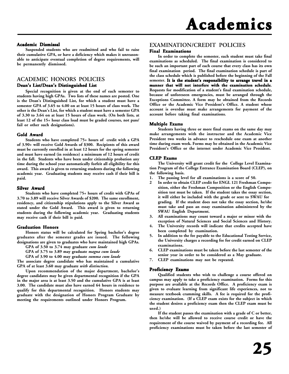#### **Academic Dismissal**

**Suspended students who are readmitted and who fail to raise their cumulative GPA, or have a deficiency which makes it unreasonable to anticipate eventual completion of degree requirements, will be permanently dismissed.**

#### **ACADEMIC HONORS POLICIES Dean's List/Dean's Distinguished List Dean's List/Dean's Distinguished List**

**Special recognition is given at the end of each semester to students having high GPAs. Two lists of these names are posted. One is the Dean's Distinguished List, for which a student must have a semester GPA of 3.65 to 4.00 on at least 15 hours of class work. The other is the Dean's List, for which a student must have a semester GPA of 3.30 to 3.64 on at least 15 hours of class work. (On both lists, at least 12 of the 15+ hour class load must be graded courses, not pass/ fail or other such designations).**

#### **Gold Award**

**Students who have completed 75+ hours of credit with a GPA of 3.90+ will receive Gold Awards of \$300. Recipients of this award must be currently enrolled in at least 12 hours for the spring semester and must have earned (in residence) a minimum of 12 hours of credit in the fall. Students who have been under citizenship probation any time during the school year automatically forfeit all eligibility for this award. This award is given to returning students during the following academic year. Graduating students may receive cash if their bill is paid.**

#### **Silver Award**

**Students who have completed 75+ hours of credit with GPAs of 3.70 to 3.89 will receive Silver Awards of \$200. The same enrollment, residency, and citizenship stipulations apply to the Silver Award as stated under the Gold Award. This award is given to returning students during the following academic year. Graduating students may receive cash if their bill is paid.**

#### **Graduation Honors**

**Honors status will be calculated for Spring bachelor's degree graduates after the semester grades are issued. The following designations are given to graduates who have maintained high GPAs.**

- **GPA of 3.50 to 3.74 may graduate** *cum laude*
- **GPA of 3.75 to 3.89 may graduate** *magna cum laude*
- **GPA of 3.90 to 4.00 may graduate** *summa cum laude*

**The associate degree candidate who has maintained a cumulative GPA of at least 3.60 may graduate** *with distinction***.**

**Upon recommendation of the major department, bachelor's degree candidates may be given departmental recognition if the GPA in the major area is at least 3.50 and the cumulative GPA is at least 3.00. The candidate must also have earned 64 hours in residence to qualify for this departmental recognition. Honors students may graduate with the designation of Honors Program Graduate by meeting the requirements outlined under Honors Program.**

#### **EXAMINATION/CREDIT POLICIES**

#### **Final Examinations**

**In order to complete the semester, each student must take final examinations as scheduled. The final examination is considered to be such an important part of each course that every class has its own final examination period. The final examination schedule is part of the class schedule which is published before the beginning of the Fall semester. It is the student's responsibility to arrange travel in a manner that will not interfere with the examination schedule. that with schedule Requests for modification of a student's final examination schedule, because of unforeseen emergencies, must be arranged through the Exceptions Committee. A form may be obtained from the Records Office or the Academic Vice President's Office. A student whose account is overdue must make arrangements for payment of the account before taking final examinations.**

#### **Multiple Exams**

**Students having three or more final exams on the same day may make arrangements with the instructor and the Academic Vice President two weeks in advance to reschedule one exam at another time during exam week. Forms may be obtained in the Academic Vice President's Office or the internet under Academic Vice President.**

#### **CLEP Exams**

**The University will grant credit for the College Level Examination Program of the College Entrance Examination Board (CLEP), on the following basis.**

- **1. The passing level for all examinations is a score of 50.**
- **2 In order to obtain CLEP credit for ENGL 121 Freshman Composition, either the Freshman Composition or the English Composition test must be taken. If the student takes the essay section, it will either be included with the grade or sent to SWAU for grading. If the student does not take the essay section, he/she must take and pass an essay examination administered by the SWAU English Department.**
- **3. All examinations may count toward a major or minor with the exception of Natural Sciences and Social Sciences and History.**
- **4. The University records will indicate that credits accepted have been completed by examination.**
- **5. In addition to the fee payable to the Educational Testing Service, the University charges a recording fee for credit earned on CLEP examinations.**
- **6. CLEP examinations must be taken before the last semester of the senior year in order to be considered as a May graduate.**
- **7. CLEP examinations may not be repeated.**

#### **Proficiency Exams**

**Qualified students who wish to challenge a course offered on campus may apply to take a proficiency examination. Forms for this purpose are available at the Records Office. A proficiency exam is given to evaluate learning from significant life experiences, not to measure textbook cramming skills. A fee is required for the proficiency examination. (If a CLEP exam exists for the subject in which the student desires a proficiency exam then the CLEP exam must be used.)**

**If the student passes the examination with a grade of C or better, then he/she will be allowed to receive course credit or have the requirement of the course waived by payment of a recording fee. All proficiency examinations must be taken before the last semester of**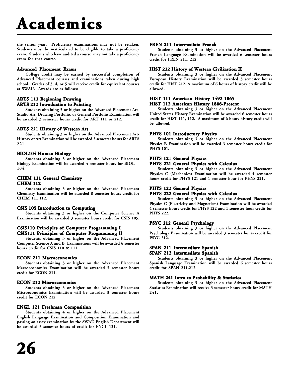# **Academics cademics cademics**

**the senior year. Proficiency examinations may not be retaken. Students must be matriculated to be eligible to take a proficiency exam. Students who have audited a course may not take a proficiency exam for that course.**

#### **Advanced Placement Exams**

**College credit may be earned by successful completion of Advanced Placement courses and examinations taken during high school. Grades of 3, 4, or 5 will receive credit for equivalent courses at SWAU. Awards are as follows:**

#### **ARTS 111 Beginning Drawing ARTS 212 Introduction to Painting**

**Students obtaining 3 or higher on the Advanced Placement Art-Studio Art, Drawing Portfolio, or General Portfolio Examination will be awarded 3 semester hours credit for ART 111 or 212.**

#### **ARTS 221 History of Western Art**

**Students obtaining 3 or higher on the Advanced Placement Art-History of Art Examination will be awarded 3 semester hours for ARTS 221.**

#### **BIOL104 Human Biology**

**Students obtaining 3 or higher on the Advanced Placement Biology Examination will be awarded 4 semester hours for BIOL 104.**

#### **CHEM 111 General Chemistry CHEM 112**

**Students obtaining 3 or higher on the Advanced Placement Chemistry Examination will be awarded 8 semester hours credit for CHEM 111,112.**

#### **CSIS 105 Introduction to Computing**

**Students obtaining 3 or higher on the Computer Science A Examination will be awarded 3 semester hours credit for CSIS 105.**

#### **CSIS110 Principles of Computer Programming I CSIS111 Principles of Computer Programming II**

**Students obtaining 3 or higher on the Advanced Placement Computer Science A and B Examinations will be awarded 6 semester hours credit for CSIS 110 & 111.**

#### **ECON 211 Macroeconomics**

**Students obtaining 3 or higher on the Advanced Placement Macroeconomics Examination will be awarded 3 semester hours credit for ECON 211.**

#### **ECON 212 Microeconomics**

**Students obtaining 3 or higher on the Advanced Placement Microeconomics Examination will be awarded 3 semester hours credit for ECON 212.**

#### **ENGL 121 Freshman Composition**

**Students obtaining 4 or higher on the Advanced Placement English Language Examination and Composition Examination and passing an essay examination by the SWAU English Department will be awarded 3 semester hours of credit for ENGL 121.**

**Students obtaining 3 or higher on the Advanced Placement French Language Examination will be awarded 6 semester hours credit for FREN 211, 212.**

#### **HIST 212 History of Western Civilization II**

**Students obtaining 3 or higher on the Advanced Placement European History Examination will be awarded 3 semester hours credit for HIST 212. A maximum of 6 hours of history credit will be allowed.**

#### **HIST 111 American History 1492-1865 HIST 112 American History 1866-Present American**

**Students obtaining 3 or higher on the Advanced Placement United States History Examination will be awarded 6 semester hours credit for HIST 111, 112. A maximum of 6 hours history credit will be allowed.**

#### **PHYS 101 Introductory Physics**

**Students obtaining 3 or higher on the Advanced Placement Physics B Examination will be awarded 3 semester hours credit for PHYS 101.**

#### **PHYS 121 General Physics PHYS 221 General Physics with Calculus**

**Students obtaining 3 or higher on the Advanced Placement Physics C (Mechanics) Examination will be awarded 4 semester hours credit for PHYS 121 and 1 semester hour for PHYS 221.**

#### **PHYS 122 General Physics PHYS 222 General Physics with Calculus**

**Students obtaining 3 or higher on the Advanced Placement Physics C (Electricity and Magnetism) Examination will be awarded 4 semester hours credit for PHYS 122 and 1 semester hour credit for PHYS 222.**

#### **PSYC 212 General Psychology**

**Students obtaining 3 or higher on the Advanced Placement Psychology Examination will be awarded 3 semester hours credit for PSYC 212.**

#### **SPAN 211 Intermediate Spanish SPAN 212 Intermediate Spanish**

**Students obtaining 3 or higher on the Advanced Placement Spanish Language Examination will be awarded 6 semester hours credit for SPAN 211,212.**

#### **MATH 241 Intro to Probability & Statistics**

**Students obtaining 3 or higher on the Advanced Placement Statistics Examination will receive 3 semester hours credit for MATH 241.**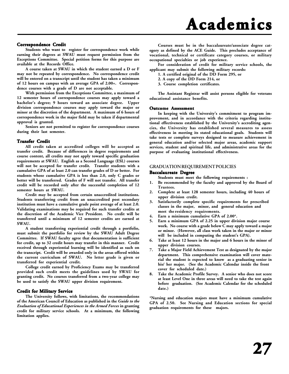### Academics

#### **Correspondence Credit Credit**

**Students who want to register for correspondence work while earning their degrees at SWAU must request permission from the Exceptions Committee. Special petition forms for this purpose are available at the Records Office.**

**A course taken at SWAU in which the student earned a D or F may not be repeated by correspondence. No correspondence credit will be entered on a transcript until the student has taken a minimum of 12 hours on campus with an average GPA of 2.00+. Correspondence courses with a grade of D are not acceptable.**

**With permission from the Exceptions Committee, a maximum of 12 semester hours of correspondence courses may apply toward a bachelor's degree; 9 hours toward an associate degree. Upper division correspondence courses may apply toward the major or minor at the discretion of the department. A maximum of 6 hours of correspondence work in the major field may be taken if departmental approval is granted.**

**Seniors are not permitted to register for correspondence courses during their last semester.**

#### **Transfer Credit Transfer**

**All credit taken at accredited colleges will be accepted as transfer credit. Because of differences in degree requirements and course content, all credits may not apply toward specific graduation requirements at SWAU. English as a Second Language (ESL) courses will not be accepted for transfer credit. Transfer students with a cumulative GPA of at least 2.0 can transfer grades of D or better. For students whose cumulative GPA is less than 2.0, only C grades or better will be transferred. Grades of F will not transfer. All transfer credit will be recorded only after the successful completion of 12 semester hours at SWAU.**

**Credit may be accepted from certain unaccredited institutions. Students transferring credit from an unaccredited post secondary institution must have a cumulative grade point average of at least 2.0. Validating examinations may be required for such transfer credits at the discretion of the Academic Vice President. No credit will be transferred until a minimum of 12 semester credits are earned at SWAU.**

**A student transferring experiential credit through a portfolio, must submit the portfolio for review by the SWAU Adult Degree Committee. If SWAU faculty agree that documentation is sufficient for credit, up to 32 credit hours may transfer in this manner. Credit received through experiential learning will be identified as such on the transcript. Credit will be awarded only in the areas offered within the current curriculum of SWAU. No letter grade is given or transferred for experiential credit.**

**College credit earned by Proficiency Exams may be transferred provided such credit meets the guidelines used by SWAU for granting credit. No courses transferred from a two-year college may be used to satisfy the SWAU upper division requirement.**

#### **Credit for Military Service**

**The University follows, with limitations, the recommendations of the American Council of Education as published in the** *Guide to the Evaluation of Educational Experiences in the Armed Forces* **in granting credit for military service schools. At a minimum, the following limitation applies.**

**Courses must be in the baccalaureate/associate degree category as defined by the ACE Guide. This precludes acceptance of vocational, technical or certificate category courses, or military occupational specialties or job experience.**

**For consideration of credit for military service schools, the applicant may submit the following military records:**

- **1. A certified original of the DD Form 295, or**
- **2. A copy of the DD Form 214, or**
- **3. Course completion certificates.**

**The Assistant Registrar will assist persons eligible for veterans educational assistance benefits.**

#### **Outcome Assessment Outcome**

**In keeping with the University's commitment to program improvement, and in accordance with the criteria regarding institutional effectiveness established by the University's accrediting agencies, the University has established several measures to assess effectiveness in meeting its stated educational goals. Students will take tests or complete surveys designed to measure achievement in general education and/or selected major areas, academic support services, student and spiritual life, and administrative areas for the purpose of evaluating institutional effectiveness.**

#### **GRADUATION REQUIREMENT POLICIES**

#### **Baccalaureate Degree**

**Students must meet the following requirements :**

- **1. Be recommended by the faculty and approved by the Board of Trustees.**
- **2. Complete at least 128 semester hours, including 40 hours of upper division credit.**
- **3. Satisfactorily complete specific requirements for prescribed classes in the major, minor, and general education and meet the residency requirements.**
- **4. Earn a minimum cumulative GPA of 2.00\*.**
- **5. Earn a minimum GPA of 2.25 in upper division major course work. No course with a grade below C may apply toward a major or minor. (However, all class work taken in the major or minor will be included in computing the student's GPA).**
- **6. Take at least 12 hours in the major and 6 hours in the minor of upper division courses.**
- **7. Take a Major Field Achievement Test as designated by the major department. This comprehensive examination will cover material the student is expected to know as a graduating senior in his/ her major. (See the Academic Calendar inside the front cover for scheduled date.)**
- **8. Take the Academic Profile Survey. A senior who does not score at least Level One in three areas will need to take the test again before graduation. (See Academic Calendar for the scheduled date.)**

**\*Nursing and education majors must have a minimum cumulative GPA of 2.50. See Nursing and Education sections for special graduation requirements for these majors.**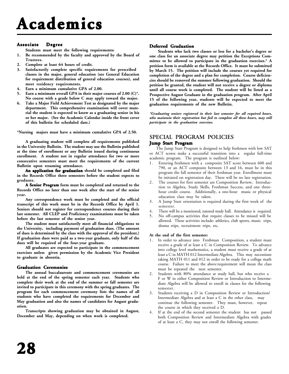#### **Associate Degree**

**Students must meet the following requirements:**

- **1. Be recommended by the faculty and approved by the Board of Trustees.**
- **2. Complete at least 64 hours of credit.**
- **3. Satisfactorily complete specific requirements for prescribed classes in the major, general education (see General Education for requirement distribution of general education courses), and meet residency requirements.**
- **4. Earn a minimum cumulative GPA of 2.00.**
- **5. Earn a minimum overall GPA in their major courses of 2.00 (C)\*. No course with a grade below C may apply toward the major.**
- **6. Take a Major Field Achievement Test as designated by the major department. This comprehensive examination will cover material the student is expected to know as a graduating senior in his or her major. (See the Academic Calendar inside the front cover of this bulletin for scheduled date.)**

**\*Nursing majors must have a minimum cumulative GPA of 2.50.**

**A graduating student will complete all requirements published in the University Bulletin. The student may use the Bulletin published at the time of enrollment or any Bulletin issued during continuous enrollment. A student not in regular attendance for two or more consecutive semesters must meet the requirements of the current Bulletin upon resuming attendance.**

An application for graduation should be completed and filed **in the Records Office three semesters before the student expects to graduate.**

A Senior Program form must be completed and returned to the **Records Office no later than one week after the start of the senior year.**

**Any correspondence work must be completed and the official transcript of this work must be in the Records Office by April 1. Seniors should not register for correspondence courses during their last semester. All CLEP and Proficiency examinations must be taken before the last semester of the senior year.**

**The student must satisfactorily meet all financial obligations to the University, including payment of graduation dues. (The amount of dues is determined by the class with the approval of the president.) If graduation dues were paid as a two-year graduate, only half of the dues will be required of the four-year graduate.**

**All graduates are expected to participate in the commencement exercises unless given permission by the Academic Vice President to graduate in absentia.**

#### **Graduation Ceremonies**

**The annual baccalaureate and commencement ceremonies are held at the end of the spring semester each year. Students who complete their work at the end of the summer or fall semester are invited to participate in this ceremony with the spring graduates. The program for each commencement ceremony lists the names of all students who have completed the requirements for December and May graduation and also the names of candidates for August graduation.**

**Transcripts showing graduation may be obtained in August, December and May, depending on when work is completed.**

#### **Deferred Graduation**

**Students who lack two classes or less for a bachelor's degree or one class for an associate degree may petition the Exceptions Committee to be allowed to participate in the graduation exercises.\* A petition form is available at the Records Office. It must be submitted by March 15. The petition will include the courses yet required for completion of the degree and a plan for completion. Course deficiencies should be removed the summer following graduation. Should the petition be granted, the student will not receive a degree or diploma until all course work is completed. The student will be listed as a Prospective August Graduate in the graduation program. After April 15 of the following year, students will be expected to meet the graduation requirements of the new Bulletin.**

*\*Graduating seniors registered in their last semester for all required hours, who maintain their registration but fail to complete all these hours, may still participate in the graduation exercises.*

### **SPECIAL PROGRAM POLICIES**

#### **Jump Start Program**

 The Jump Start Program is designed to help freshmen with low SAT or ACT scores make a successful transition into a regular full-time academic program. The program is outlined below:

- 1. Entering freshmen with a composite SAT score between 600 and 790, or an ACT composite between 13 and 16, must be in this program the fall semester of their freshman year. Enrollment must be initiated on registration day. There will be no late registration.
- 2. The courses for first semester are Composition Review, Introduction to Algebra, Study Skills, Freshman Success, and one threehour credit course. Additionally, a one-hour music or physical education class may be taken.
- 3. A Jump Start orientation is required during the first week of the semester.
- 4. There will be a monitored, tutored study hall. Attendance is required.
- 5. No off-campus activities that require classes to be missed will be allowed. These activities include: athletics, club sports, music trips, drama trips, recruitment trips, etc.

#### **At the end of the first semester:**

- 1. In order to advance into Freshman Composition, a student must receive a grade of at least a C in Composition Review. To advance into college level mathematics, a student must receive a grade of at least a C in MATH 012 Intermediate Algebra. This may necessitate taking MATH 011 and 012 in order to be ready for a college math course. Failure to meet the above requirement will mean the class must be repeated the next semester.
- Students with 80% attendance at study hall, but who receive a F or W in either Composition Review or Introduction to Intermediate Algebra will be allowed to enroll in classes for the following semester.
- 3. Students receiving a D in Composition Review or Introduction/ Intermediate Algebra and at least a C in the other class, may continue the following semester. They must, however, repeat the course in which they received a D.
- 4. If at the end of the second semester the student has not passed both Composition Review and Intermediate Algebra with grades of at least a C, they may not enroll the following semester.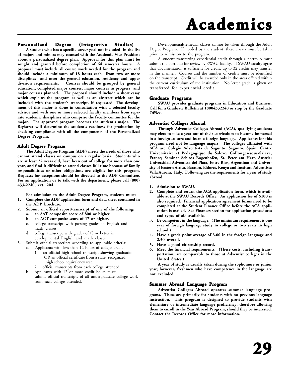### Academics

#### **Personalized Degree (Integrative Studies)**

**A student who has a specific career goal not included in the list of majors and minors may counsel with the Academic Vice President about a personalized degree plan. Approval for this plan must be sought and granted before completion of 64 semester hours. A proposal must include all course work needed for the program and should include a minimum of 18 hours each from two or more disciplines and meet the general education, residency and upper division requirements. Courses should be grouped by general education, completed major courses, major courses in progress and major courses planned. The proposal should include a short essay which explains the program as well as an abstract which can be included with the student's transcript, if requested. The development of this major is done in consultation with a selected faculty advisor and with one or more selected faculty members from separate academic disciplines who comprise the faculty committee for the major. The approved program becomes the student's major. The Registrar will determine the student's readiness for graduation by checking compliance with all the components of the Personalized Degree Program.**

#### **Adult Degree Program**

**The Adult Degree Program (ADP) meets the needs of those who cannot attend classes on campus on a regular basis. Students who are at least 22 years old, have been out of college for more than one year, and find it difficult to attend classes full-time because of family responsibilities or other obligations are eligible for this program. Requests for exceptions should be directed to the ADP Committee. For an application or to talk with the department, please call (800) 433-2240, ext. 204.**

**For admission to the Adult Degree Program, students must:**

- **1. Complete the ADP application form and data sheet contained in the ADP brochure.**
- **2. Submit an official report/transcript of one of the following:**
	- **a. an SAT composite score of 800 or higher.**
	- **b. an ACT composite score of 17 or higher.**
	- c. college transcript with passing grades in English and math classes.
	- d. college transcript with grades of C or better in developmental English and math classes.
- 3. Submit official transcripts according to applicable criteria: Applicants with less than 12 hours of college credit
	- 1. an official high school transcript showing graduation OR an official certificate from a state recognized high school equivalency test.
	- 2. official transcripts from each college attended.
	- b. Applicants with 12 or more credit hours must
	- submit official transcripts of all undergraduate college work from each college attended.

Developmental/remedial classes cannot be taken through the Adult Degree Program. If needed by the student, these classes must be taken prior to admission to the program.

A student transferring experiential credit through a portfolio must submit the portfolio for review by SWAU faculty. If SWAU faculty agree that documentation is sufficient for credit, up to 32 credits may transfer in this manner. Courses and the number of credits must be identified on the transcript. Credit will be awarded only in the areas offered within the current curriculum of the institution. No letter grade is given or transferred for experiential credit.

#### **Graduate Programs**

**SWAU provides graduate programs in Education and Business. Call for a Graduate Bulletin at 18004332240 or stop by the Graduate Office.**

#### **Adventist Colleges Abroad**

**Through Adventist Colleges Abroad (ACA), qualifying students may elect to take a year out of their curriculum to become immersed in a foreign culture and learn a foreign language. Applicants for this program need not be language majors. The colleges affiliated with ACA are Colegio Adventista de Sagunto, Sagunto, Spain; Centre Universitaire et Pedagogique du Saleve, Collonges-sous-Saleve, France; Seminar Schloss Bogenhofen, St. Peter am Hart, Austria; Universidad Adventista del Plata, Entre Rios, Argentina; and University of Eastern Africa, Baraton, Eldoret, Kenya and Instituto Adventista Villa Aurora, Italy. Following are the requirements for a year of study abroad:**

- **1. Admission to SWAU.**
- **2. Complete and return the ACA application form, which is available at the SWAU Records Office. An application fee of \$100 is also required. Financial application agreement forms need to be completed at the Student Finance Office before the ACA application is mailed. See Finances section for application procedures and types of aid available.**
- **3. Be competent in the language. (The minimum requirement is one year of foreign language study in college or two years in high school.)**
- **4. Have a grade point average of 3.00 in the foreign language and 2.50 overall.**
- **5. Have a good citizenship record.**
- **6. Meet the financial requirements. (These costs, including transportation, are comparable to those at Adventist colleges in the United States.)**

**A year of study is usually taken during the sophomore or junior year; however, freshmen who have competence in the language are not excluded.**

#### **Summer Abroad Language Program**

**Adventist Colleges Abroad operates summer language programs. These are primarily for students with no previous language instruction. This program is designed to provide students with elementary or intermediate language proficiency, therefore allowing them to enroll in the Year Abroad Program, should they be interested. Contact the Records Office for more information.**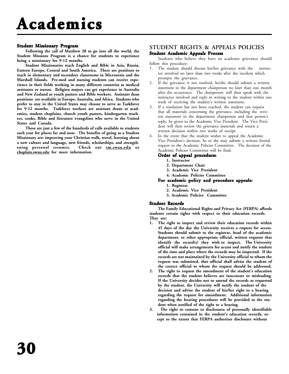#### **Student Missionary Program**

**Following the call of Matthew 28 to go into all the world, the Student Missions Program is a chance for students to experience being a missionary for 9-12 months.**

**Student Missionaries teach English and Bible in Asia, Russia, Eastern Europe, Central and South America. There are positions to teach in elementary and secondary classrooms in Micronesia and the Marshall Islands. Pre-med and nursing students can receive experience in their fields working in many different countries as medical assistants or nurses. Religion majors can get experience in Australia and New Zealand as youth pastors and Bible workers. Assistant dean positions are available in Europe, Australia, and Africa. Students who prefer to stay in the United States may choose to serve as Taskforce for 9-12 months. Taskforce workers are assistant deans at academies, student chaplains, church youth pastors, kindergarten teachers, cooks, Bible and literature evangelists who serve in the United States and Canada.**

**These are just a few of the hundreds of calls available to students each year for places far and near. The benefits of going as a Student Missionary are: improving your Christian walk, travel, learning about a new culture and language, new friends, scholarships, and strength-**Check out <u>sm.swau.edu</u> or **chaplain.swau.edu for more information.**

#### **STUDENT RIGHTS & APPEALS POLICIES Student Academic Appeals Process**

Students who believe they have an academic grievance should follow this procedure:

- 1. The student should discuss his/her grievance with the instructor involved no later than two weeks after the incident which prompts the grievance.
- 2. If the grievance is not resolved, he/she should submit a written statement to the department chairperson no later than one month after the occurrence. The chairperson will then speak with the instructor involved and reply in writing to the student within one week of receiving the student's written statement.
- 3. If a resolution has not been reached, the student can request that all materials concerning the grievance, including the written statement to the department chairperson and that person's reply, be given to the Academic Vice President. The Vice President will then review the grievance materials and return a written decision within two weeks of receipt.
- 4. In the event that the student wishes to appeal the Academic Vice President's decision, he or she may submit a written formal request to the Academic Policies Committee. The decision of the Academic Policies Committee will be final.
	- **Order of appeal procedure: procedure:**
		- **1. Instructor**
		- **2. Department Chair**
		- **3. Academic Vice President**
		- **4. Academic Policies Committee**

#### **For academic policy and procedure appeals: For and**

- **1. Registrar 2. Academic Vice President**
- **3. Academic Policies Committee**

#### **Student Records**

**The Family Educational Rights and Privacy Act (FERPA) affords students certain rights with respect to their education records. They are:**

- **1. The right to inspect and review their education records within 45 days of the day the University receives a request for access. Students should submit to the registrar, head of the academic department, or other appropriate official, written requests that identify the record(s) they wish to inspect. The University official will make arrangements for access and notify the student of the time and place where the records may be inspected. If the records are not maintained by the University official to whom the request was submitted, that official shall advise the student of the correct official to whom the request should be addressed.**
- **2. The right to request the amendment of the student's education records that the student believes are inaccurate or misleading. If the University decides not to amend the records as requested by the student, the University will notify the student of the decision and advise the student of his/her right to a hearing regarding the request for amendment. Additional information regarding the hearing procedures will be provided to the student when notified of the right to a hearing.**
- **3. The right to consent to disclosures of personally identifiable information contained in the student's education records, except to the extent that FERPA authorizes disclosure without**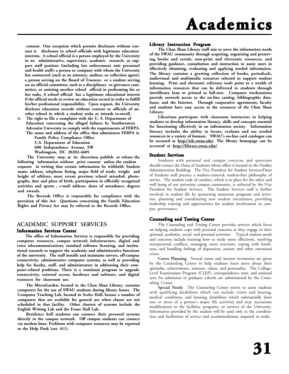**consent. One exception which permits disclosure without consent is disclosure to school officials with legitimate education interests. A school official is a person employed by the University in an administrative, supervisory, academic research, or support staff position (including law enforcement unit personnel and health staff); a person or company with whom the University has contracted (such as an attorney, auditor, or collection agent); a person serving on the Board of Trustees; or a student serving on an official committee, such as a disciplinary or grievance committee, or assisting another school official in performing his or her tasks. A school official has a legitimate educational interest if the official needs to review an education record in order to fulfill his/her professional responsibility. Upon request, the University discloses education records without consent to officials of another school in which a student seeks or intends to enroll.**

- **4. The right to file a complaint with the U. S. Department of Education concerning the alleged failures by Southwestern Adventist University to comply with the requirements of FERPA. The name and address of the office that administers FERPA is:**
	- **Family Policy Compliance Office**
		- **U.S. Department of Education**
		- **600 Independence Avenue, SW**
		- **Washington, DC 20202-4605**

**The University may, at its discretion, publish or release the following information without prior consent unless the student requests in writing that certain information be withheld: Student name, address, telephone listing, major field of study, weight and height of athletes, most recent previous school attended, photographs, date and place of birth, participation in officially recognized activities and sports , e-mail address, dates of attendance, degrees and awards.**

**The Records Office is responsible for compliance with the provision of this Act. Questions concerning the Family Education Rights and Privacy Act may be referred to the Records Office.**

#### **ACADEMIC SUPPORT SERVICES**

#### **Information Services Center**

**The office of Information Services is responsible for providing computer resources, campus network infrastructure, digital and voice telecommunications, standard software licensing, and institutional research to support the academic and administrative functions of the university. The staff installs and maintains servers, off-campus connectivity, administrative computer systems, as well as providing help for faculty, staff, and administrators in addressing their computer-related problems. There is a continual program to upgrade connectivity, external access, hardware and software, and digital resources for classroom use.**

**The MicroGarden, located in the Chan Shun Library, contains computers for the use of SWAU students during library hours. The Computer Teaching Lab, located in Scales Hall, houses a number of computers that are available for general use when classes are not scheduled in that facility. Other clusters of systems include the English Writing Lab and the Evans Hall Lab.**

**Residence hall students can connect their personal systems directly to the campus network. Off campus students can connect via modem lines. Problems with computer resources may be reported to the Help Desk (ext. 411).**

#### **Library Instruction Program**

**The Chan Shun Library staff aim to serve the information needs of the SWAU community through acquiring, organizing and preserving books and serials, non-print and electronic resources, and providing guidance, consultation and instruction to assist users in effectively obtaining, evaluating and applying needed information. The library contains a growing collection of books, periodicals, audiovisual and multimedia resources selected to support student learning. Print and electronic reference tools point to a wealth of information resources that can be delivered to students through interlibrary loan or printed as full-text. Computer workstations provide network access to the on-line catalog, bibliographic databases, and the Internet. Through cooperative agreements, faculty and students have easy access to the resources of the Chan Shun Library.**

**Librarians participate with classroom instructors in helping students to develop information literacy, skills and concepts essential for functioning effectively in an information society. Information literacy includes the ability to locate, evaluate and use needed resources in a variety of formats. SWAU's on-line card catalogue can be accessed at http://silc.swau.edu/. The library homepage can be accessed at http://library.swau.edu/.**

#### **Student Services**

Students with personal and campus concerns and questions should contact the Dean of Students whose office is located in the Findley Administration Building. The Vice President for Student Services/Dean of Students staff practice a student-centered, student-first philosophy of service. The student code of conduct, which is in place for the safety and well being of our university campus community, is enforced by the Vice President for Student Services. The Student Services staff is further involved in student life by sponsoring numerous programs and activities, planning and coordinating new student orientation, providing leadership training and opportunities for student involvement in campus governance.

#### **Counseling and Testing Center**

The Counseling and Testing Center provides services which focus on helping students cope with personal concerns as they engage in their spiritual, academic, social and personal activities. Typical student needs and concerns include learning how to study more effectively, resolving interpersonal conflicts, managing stress reactions, coping with loneliness, and handling feelings of depression, anxiety and other emotional crises.

**Career Planning**: Several career and interest inventories are given by the Counseling Center to help students learn more about their aptitudes, achievements, interests, values, and personality. The College-Level Examination Program (CLEP), correspondence tests, and national tests for admission to graduate schools are administered by the Counseling Center.

**Special Needs**: The Counseling Center strives to assist students with qualifying disabilities which can include vision and hearing, medical conditions, and learning disabilities which substantially limit one or more of a person's major life activities and may necessitate modifications to the facilities, programs, or services of the University. Information provided by the student will be used only in the coordination and facilitation of service and accommodations required to make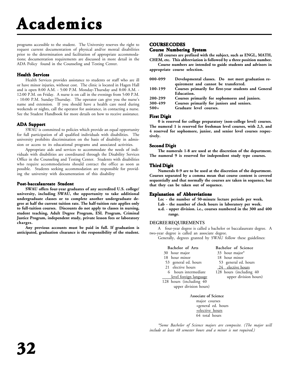# **Academics cademics cademics**

programs accessible to the student. The University reserves the right to request current documentation of physical and/or mental disabilities prior to the determination and facilitation of appropriate accommodations; documentation requirements are discussed in more detail in the ADA Policy found in the Counseling and Testing Center.

#### **Health Services**

Health Services provides assistance to students or staff who are ill or have minor injuries, without cost. The clinic is located in Hagen Hall and is open 8:00 A.M. - 5:00 P.M. Monday-Thursday and 8:00 A.M. - 12:00 P.M. on Friday. A nurse is on call in the evenings from 5:00 P.M. - 10:00 P.M. Sunday-Thursday. The operator can give you the nurse's name and extension. If you should have a health care need during weekends or nights, call the operator for assistance, in contacting a nurse. See the Student Handbook for more details on how to receive assistance.

#### **ADA Support**

SWAU is committed to policies which provide an equal opportunity for full participation of all qualified individuals with disabilities. The university prohibits discrimination on the basis of disability in admission or access to its educational programs and associated activities.

Appropriate aids and services to accommodate the needs of individuals with disabilities are coordinated through the Disability Services Office in the Counseling and Testing Center. Students with disabilities who require accommodations should contact the office as soon as possible. Students seeking accommodation are responsible for providing the university with documentation of this disability

#### **Post-baccalaureate Student**

**SWAU offers four-year graduates of any accredited U.S. college/ university, including SWAU, the opportunity to take additional undergraduate classes or to complete another undergraduate degree at half the current tuition rate. The half-tuition rate applies only to full-tuition courses. Discounts do not apply to classes in nursing, student teaching, Adult Degree Program, ESL Program, Criminal Justice Program, independent study, private lesson fees or laboratory charges.**

**Any previous accounts must be paid in full. If graduation is anticipated, graduation clearance is the responsibility of the student.**

#### **COURSE CODES**

#### **Course Numbering System**

**All courses are prefixed with the subject, such as ENGL, MATH, CHEM, etc. This abbreviation is followed by a three position number.**

**Course numbers are intended to guide students and advisors in appropriate course selection.**

| 000-099 | Developmental classes. Do not meet graduation re-     |
|---------|-------------------------------------------------------|
|         | quirement and cannot be transferred.                  |
| 100-199 | Courses primarily for first-year students and General |
|         | <b>Education.</b>                                     |
| 200-299 | Courses primarily for sophomores and juniors.         |
| 300-499 | Courses primarily for juniors and seniors.            |
| $500+$  | Graduate level courses.                               |

#### **First Digit Digit**

**0 is reserved for college preparatory (non-college level) courses. The numeral 1 is reserved for freshman level courses, with 2,3, and 4 reserved for sophomore, junior, and senior level courses respectively.**

#### **Second Digit**

**The numerals 1-8 are used at the discretion of the department. The numeral 9 is reserved for independent study type courses.**

#### **Third Digit**

**Numerals 0-9 are to be used at the discretion of the department. Courses separated by a comma mean that course content is covered sequentially and that normally the courses are taken in sequence, but that they can be taken out of sequence.**

#### **Explanation of Abbreviations**

- **Lec the number of 50-minute lecture periods per week.**
- **Lab the number of clock hours in laboratory per week.**
- **u.d. upper division. i.e., courses numbered in the 300 and 400 range.**

#### **DEGREE REQUIREMENTS**

A four-year degree is called a bachelor or baccalaureate degree. A two-year degree is called an associate degree.

Generally, degrees granted by SWAU follow these guidelines:

| <b>Bachelor</b> of Arts | Bachelor of Science     |
|-------------------------|-------------------------|
| 30 hour major           | 33 hour major*          |
| 18 hour minor           | 18 hour minor           |
| 53 general ed. hours    | 53 general ed. hours    |
| 21 elective hours       | 24 elective hours       |
| 6 hours intermediate    | 128 hours (including 40 |
| level foreign language  | upper division hours)   |
| 128 hours (including 40 |                         |
| upper division hours)   |                         |

 A**ssociate of Science** major courses +general ed. hours +elective hours

64 total hours

*\*Some Bachelor of Science majors are composite. (The major will include at least 48 semester hours and a minor is not required.)*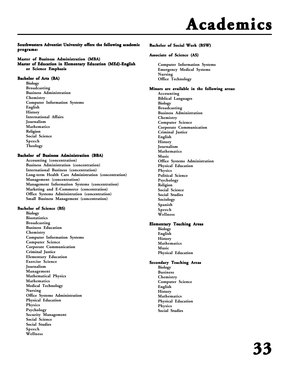**Southwestern Adventist University offers the following academic programs:**

#### **Master of Business Administration (MBA)**

**Master of Education in Elementary Education (MEd)-English or Science Emphasis**

#### **Bachelor of Arts (BA)**

**Biology Broadcasting Business Administration Chemistry Computer Information Systems English History International Affairs Journalism Mathematics Religion Social Science Speech Theology**

#### **Bachelor of Business Administration (BBA)**

**Accounting (concentration) Business Administration (concentration) International Business (concentration) Long-term Health Care Administration (concentration) Management (concentration) Management Information Systems (concentration) Marketing and E-Commerce (concentration) Office Systems Administration (concentration) Small Business Management (concentration)**

#### **Bachelor of Science (BS)**

**Biology Biostatistics Broadcasting Business Education Chemistry Computer Information Systems Computer Science Corporate Communication Criminal Justice Elementary Education Exercise Science Journalism Management Mathematical Physics Mathematics Medical Technology Nursing Office Systems Administration Physical Education Physics Psychology Security Management Social Science Social Studies Speech Wellness**

#### **Bachelor of Social Work (BSW)**

#### **Associate of Science (AS)**

**Computer Information Systems Emergency Medical Systems Nursing Office Technology**

#### **Minors are available in the following areas:**

**Spanish Speech Wellness Accounting Biblical Languages Biology Broadcasting Business Administration Chemistry Computer Science Corporate Communication Criminal Justice English History Journalism Mathematics Music Office Systems Administration Physical Education Physics Political Science Psychology Religion Social Science Social Studies Sociology**

#### **Elementary Teaching Areas**

**Biology English History Mathematics Music Physical Education**

#### **Secondary Teaching Areas**

**Biology Business Chemistry Computer Science English History Mathematics Physical Education Physics Social Studies**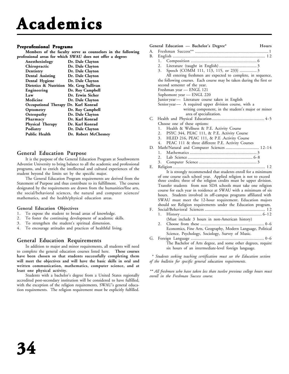# **Academics cademics cademics**

#### **Preprofessional Programs**

**Members of the faculty serve as counselors in the following professional areas for which SWAU does not offer a degree:**

| Dr. Dale Clayton                     |
|--------------------------------------|
| Dr. Dale Clayton                     |
| Dr. Dale Clayton                     |
| Dr. Dale Clayton                     |
| Dr. Dale Clayton                     |
| Mr. Greg Sullivan                    |
| Dr. Roy Campbell                     |
| Dr. Erwin Sicher                     |
| Dr. Dale Clayton                     |
| Occupational Therapy Dr. Karl Konrad |
| Dr. Roy Campbell                     |
| Dr. Dale Clayton                     |
| Dr. Karl Konrad                      |
| Dr. Karl Konrad                      |
| Dr. Dale Clayton                     |
| Dr. Robert McChesnev                 |
|                                      |

### **General Education Purpose**

It is the purpose of the General Education Program at Southwestern Adventist University to bring balance to all the academic and professional programs, and to enrich the intellectual and cultural experiences of the student beyond the limits set by the specific major.

The General Education Program requirements are derived from the Statement of Purpose and thus contribute to its fulfillment. The courses designated by the requirements are drawn from the humanities/fine arts, the social/behavioral sciences, the natural and computer sciences/ mathematics, and the health/physical education areas.

#### **General Education Objectives**

- 1. To expose the student to broad areas of knowledge.
- 2. To foster the continuing development of academic skills.
- 3. To strengthen the student's spiritual dimension.
- 4. To encourage attitudes and practices of healthful living.

### **General Education Requirements**

In addition to major and minor requirements, all students will need to complete the general education courses listed here. **These courses have been chosen so that students successfully completing them will meet the objectives and will have the basic skills in oral and written communication, mathematics, computer science, and at least one physical activity.**

Students with a bachelor's degree from a United States regionally accredited post-secondary institution will be considered to have fulfilled, with the exception of the religion requirements, SWAU's general education requirements. The religion requirement must be explicitly fulfilled.

|    | General Education - Bachelor's Degree*                                                                                      | Hours |
|----|-----------------------------------------------------------------------------------------------------------------------------|-------|
| А. |                                                                                                                             |       |
| B. |                                                                                                                             |       |
|    |                                                                                                                             |       |
|    | 2.                                                                                                                          |       |
|    | 3.<br>Speech (COMM 111, 113, 115, or 233)  3                                                                                |       |
|    | All entering freshmen are expected to complete, in sequence,                                                                |       |
|    | the following courses. Each course may be taken during the first or                                                         |       |
|    | second semester of the year.                                                                                                |       |
|    | Freshman year - ENGL 121                                                                                                    |       |
|    | Sophomore year - ENGL 220                                                                                                   |       |
|    | Junior year - Literature course taken in English                                                                            |       |
|    | Senior year - A required upper division course, with a                                                                      |       |
|    | writing component, in the student's major or minor                                                                          |       |
|    | area of specialization.                                                                                                     |       |
| C. |                                                                                                                             |       |
|    | Choose one of these options:                                                                                                |       |
|    | Health & Wellness & P.E. Activity Course<br>1.                                                                              |       |
|    | PSYC 344, PEAC 111, & P.E. Activity Course<br>2.                                                                            |       |
|    | HLED 216, PEAC 111, & P.E .Activity Course<br>3.                                                                            |       |
|    | PEAC 111 & three different P.E. Activity Courses<br>4.                                                                      |       |
| D. | Math/Natural and Computer Sciences  12-14                                                                                   |       |
|    | 1.                                                                                                                          |       |
|    | 2.                                                                                                                          |       |
|    | 3.                                                                                                                          |       |
| Е. |                                                                                                                             |       |
|    | It is strongly recommended that students enroll for a minimum                                                               |       |
|    | of one course each school year. Applied religion is not to exceed                                                           |       |
|    | three credits; three of the religion credits must be upper division.                                                        |       |
|    | Transfer students from non SDA schools must take one religion                                                               |       |
|    | course for each year in residence at SWAU with a minimum of six                                                             |       |
|    | hours. Students involved in off-campus programs affiliated with<br>SWAU must meet the 12-hour requirement. Education majors |       |
|    | should see Religion requirements under the Education program.                                                               |       |
| F. |                                                                                                                             |       |
|    | 1.                                                                                                                          |       |
|    | (Must include 3 hours in non-American history)                                                                              |       |
|    | 2.                                                                                                                          |       |
|    | Economics, Fine Arts, Geography, Modern Language, Political                                                                 |       |
|    | Science, Psychology, Sociology, Survey of Music.                                                                            |       |
| G. |                                                                                                                             |       |
|    | The Bachelor of Arts degree, and some other degrees, require                                                                |       |
|    | six hours of an intermediate-level foreign language.                                                                        |       |
|    |                                                                                                                             |       |
|    | * Students seeking teaching certification must see the Education section                                                    |       |
|    | of the bulletin for specific general education requirements.                                                                |       |

*\*\* All freshmen who have taken less than twelve previous college hours must enroll in the Freshman Success course.*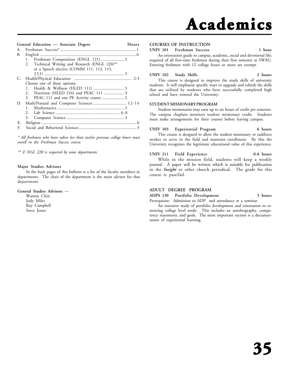|    | General Education — Associate Degree           | Hours |
|----|------------------------------------------------|-------|
| А. |                                                |       |
| В. |                                                |       |
|    | 1. Freshman Composition (ENGL 121)  3          |       |
|    | 2. Technical Writing and Research (ENGL 220)** |       |
|    | or a Speech elective (COMM 111, 113, 115,      |       |
|    |                                                |       |
| C. |                                                |       |
|    | Choose one of these options:                   |       |
|    |                                                |       |
|    |                                                |       |
|    | 3. PEAC 111 and one PE Activity course  2      |       |
|    | D. Math/Natural and Computer Sciences  12-14   |       |
|    |                                                |       |
|    | 2 <sub>1</sub>                                 |       |
|    |                                                |       |
| E. |                                                |       |
| F. |                                                |       |

*\* All freshmen who have taken less than twelve previous college hours must enroll in the Freshman Success course.*

*\*\* E NGL 220 is required by some departments.*

#### **Major Studies Advisors**

In the back pages of this bulletin is a list of the faculty members in departments. The chair of the department is the main advisor for that department.

#### **General Studies Advisors** —

Watson Chin Judy Miles Roy Campbell Steve Jones

#### **COURSES OF INSTRUCTION**

**UNIV 101 Freshman Success 1 hour** An orientation guide to campus, academic, social and devotional life; required of all first-time freshmen during their first semester at SWAU. Entering freshmen with 12 college hours or more are exempt.

| UNIV 102 Study Skills | 2 hours |
|-----------------------|---------|

This course is designed to improve the study skills of university students. It will emphasize specific ways to upgrade and refresh the skills that are utilized by students who have successfully completed high school and have entered the University.

#### **STUDENT MISSIONARY PROGRAM**

Student missionaries may earn up to six hours of credit per semester. The campus chaplain monitors student missionary credit. Students must make arrangements for their courses before leaving campus.

#### **UNIV 103 Experiential Program 6 hours**

This course is designed to allow the student missionary or taskforce worker to serve in the field and maintain enrollment. By this the University recognizes the legitimate educational value of this experience.

**UNIV 211 Field Experience 0-6 hours** While in the mission field, students will keep a weekly journal. A paper will be written which is suitable for publication in the *Insight* or other church periodical. The grade for this course is pass/fail.

#### **ADULT DEGREE PROGRAM**

**ADPS 130 Portfolio Development 3 hours**

Prerequisite: Admission to ADP and attendance at a seminar. An intensive study of portfolio development and orientation to reentering college level study. This includes an autobiography, competency statements, and goals. The most important section is a documentation of experiential learning.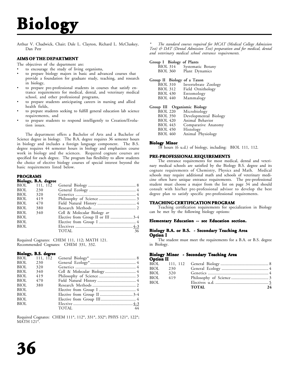# **Biology**

Arthur V. Chadwick, Chair; Dale L. Clayton, Richard L. McCluskey, Dan Petr

#### **AIMS OF THE DEPARTMENT**

The objectives of the department are:

- to encourage the study of living organisms,
- to prepare biology majors in basic and advanced courses that provide a foundation for graduate study, teaching, and research in biology,
- to prepare pre-professional students in courses that satisfy entrance requirements for medical, dental, and veterinary medical school, and other professional programs,
- to prepare students anticipating careers in nursing and allied health fields,
- to prepare students seeking to fulfill general education lab science requirements, and
- to prepare students to respond intelligently to Creation/Evolution issues.

The department offers a Bachelor of Arts and a Bachelor of Science degree in biology. The B.A. degree requires 36 semester hours in biology and includes a foreign language component. The B.S. degree requires 44 semester hours in biology and emphasizes course work in biology and the sciences. Required cognate courses are specified for each degree. The program has flexibility to allow students the choice of elective biology courses of special interest beyond the basic requirements listed below.

#### **PROGRAMS**

|             | Biology, B.A. degree |                                   |    |
|-------------|----------------------|-----------------------------------|----|
|             | $BIOL = 111, 112$    |                                   |    |
| BIOL        | 230                  |                                   |    |
| <b>BIOL</b> | 320                  |                                   |    |
| BIOL.       | 419                  |                                   |    |
| <b>BIOL</b> | 470                  |                                   |    |
| <b>BIOL</b> | 380                  |                                   |    |
| BIOL.       | 340                  | Cell & Molecular Biology or       |    |
| <b>BIOL</b> |                      | Elective from Group II or III 3-4 |    |
| BIOL        |                      |                                   |    |
| <b>BIOL</b> |                      |                                   |    |
|             |                      | TOTAL                             | 36 |
|             |                      |                                   |    |

Required Cognates: CHEM 111, 112; MATH 121. Recommended Cognates: CHEM 331, 332.

#### **Biology, B.S. degree**

| BIOL        | 111, 112 |       |    |
|-------------|----------|-------|----|
| <b>BIOL</b> | 230      |       |    |
| <b>BIOL</b> | 320      |       |    |
| <b>BIOL</b> | 340      |       |    |
| <b>BIOL</b> | 419      |       |    |
| BIOL        | 470      |       |    |
| <b>BIOL</b> | 380      |       |    |
| <b>BIOL</b> |          |       |    |
| BIOL        |          |       |    |
| <b>BIOL</b> |          |       |    |
| <b>BIOL</b> |          |       |    |
|             |          | TOTAL | 44 |
|             |          |       |    |

Required Cognates: CHEM 111\*, 112\*, 331\*, 332\*; PHYS 121\*, 122\*; MATH 121\*.

#### **Group I Biology of Plants** BIOL 314 Systematic Botany<br>BIOL 360 Plant Dynamics Plant Dynamics **Group II Biology of a Taxon** BIOL 310 Invertebrate Zoology<br>BIOL 312 Field Ornithology BIOL 312 Field Ornithology<br>BIOL 430 Entomology BIOL 430 Entomology<br>BIOL 440 Mammalogy Mammalogy **Group III Organismic Biology**

| $m_{\rm H}$ $m_{\rm H}$ $m_{\rm H}$ $m_{\rm H}$ |                       |  |
|-------------------------------------------------|-----------------------|--|
| <b>BIOL 220</b>                                 | Microbiology          |  |
| <b>BIOL 350</b>                                 | Developmental Biology |  |
| $DTOT$ 420                                      | Animal Daharian       |  |

| <b>BIOL 420</b> | Animal Behavior     |
|-----------------|---------------------|
| <b>BIOL 443</b> | Comparative Anatomy |
| <b>BIOL 450</b> | Histology           |
| <b>BIOL 460</b> | Animal Physiology   |

#### **Biology Minor**

18 hours (6 u.d.) of biology, including: BIOL 111, 112.

#### **PRE-PROFESSIONAL REQUIREMENTS**

The entrance requirements for most medical, dental and veterinary medical schools are satisfied by the Biology B.S. degree and its cognate requirements of Chemistry, Physics and Math. Medical schools may require additional math and schools of veterinary medicine often have unique entrance requirements. The pre-professional student must choose a major from the list on page 34 and should consult with his/her pre-professional advisor to develop the best degree plan to satisfy specific pre-professional requirements.

#### **TEACHING CERTIFICATION PROGRAM**

Teaching certification requirements for specialization in Biology can be met by the following biology options:

#### **Elementary Education -- see Education section. Education -- section.**

#### **Biology B.A. or B.S. - Secondary Teaching Area Option I**

The student must meet the requirements for a B.A. or B.S. degree in Biology.

#### **Biology Minor - Secondary Teaching Area**

| BIOL 230 |              |
|----------|--------------|
| 320      |              |
| 419      |              |
|          |              |
|          | 24           |
|          | <b>TOTAL</b> |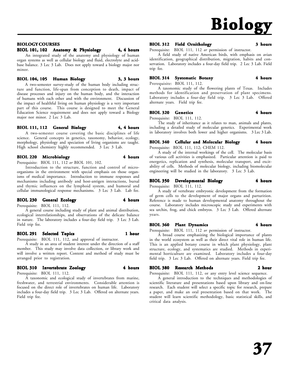# **BIOLOGY COURSES**

# **BIOL 101, 102 Anatomy & Physiology 4, 4 hours**

An integrated study of the anatomy and physiology of human organ systems as well as cellular biology and fluid, electrolyte and acidbase balance. 3 Lec 3 Lab. Does not apply toward a biology major nor minor.

# **BIOL 104, 105 Human Biology 3, 3 hours**

 A two-semester survey-study of the human body including structure and function, life-span from conception to death, impact of disease processes and injury on the human body, and the interaction of humans with each other and with the environment. Discussion of the impact of healthful living on human physiology is a very important part of this course. This course is designed to meet the General Education Science requirement and does not apply toward a Biology major nor minor. 2 Lec 3 Lab.

# **BIOL 111, 112 General Biology 4, 4 hours**

A two-semester course covering the basic disciplines of life science. General concepts in genetics, taxonomy, behavior, ecology, morphology, physiology and speciation of living organisms are taught. High school chemistry highly recommended. 3 Lec 3 Lab.

# **BIOL 220 Microbiology 4 hours**

Prerequisite: BIOL 111, 112 *or* BIOL 101, 102.

Introduction to the structure, function and control of microorganisms in the environment with special emphasis on those organisms of medical importance. Introduction to immune responses and mechanisms including antibody and host-antigen interactions, bursal and thymic influences on the lymphoid system, and humoral and cellular immunological response mechanisms. 3 Lec 3 Lab. Lab fee.

# **BIOL 230 General Ecology 4 hours**

Prerequisite: BIOL 111, 112.

A general course including study of plant and animal distribution, ecological interrelationships, and observations of the delicate balance in nature. The laboratory includes a four-day field trip. 3 Lec 3 Lab. Field trip fee.

# **BIOL 291 Selected Topics 1 hour**

Prerequisite: BIOL 111, 112, and approval of instructor.

A study in an area of student interest under the direction of a staff member. This study may involve data collection, or library work and will involve a written report. Content and method of study must be arranged prior to registration.

# **BIOL 310 Invertebrate Zoology 4 hours**

Prerequisite: BIOL 111, 112.

A taxonomic and ecological study of invertebrates from marine, freshwater, and terrestrial environments. Considerable attention is focused on the direct role of invertebrates on human life. Laboratory includes a four-day field trip. 3 Lec 3 Lab. Offered on alternate years. Field trip fee.

# **BIOL 312 Field Ornithology 3 hours**

Prerequisite: BIOL 111, 112 *or* permission of instructor.

A field study of native American birds, with emphasis on avian identification, geographical distribution, migration, habits and conservation. Laboratory includes a four-day field trip. 2 Lec 3 Lab. Field trip fee.

# **BIOL 314 Systematic Botany 4 hours**

Prerequisite: BIOL 111, 112.

A taxonomic study of the flowering plants of Texas. Includes methods for identification and preservation of plant specimens. Laboratory includes a four-day field trip. 3 Lec 3 Lab. Offered alternate years. Field trip fee.

### **BIOL 320 Genetics 4 hours**

Prerequisite: BIOL 111, 112.

The study of inheritance as it relates to man, animals and plants, including a detailed study of molecular genetics. Experimental work in laboratory involves both lower and higher organisms. 3 Lec 3 Lab.

### **BIOL 340 Cellular and Molecular Biology 4 hours** Prerequisite: BIOL 111, 112; CHEM 112.

A study of the internal workings of the cell. The molecular basis of various cell activities is emphasized. Particular attention is paid to energetics, replication and synthesis, molecular transport, and excitability of cells. Methods of molecular biology, including biomolecular engineering will be studied in the laboratory. 3 Lec 3 Lab.

# **BIOL 350 Developmental Biology 4 hours**

Prerequisite: BIOL 111, 112.

A study of vertebrate embryonic development from the formation of germ cells to the development of major organs and parturition. Reference is made to human developmental anatomy throughout the course. Laboratory includes microscopic study and experiments with sea urchin, frog, and chick embryos. 3 Lec 3 Lab. Offered alternate years.

# **BIOL 360 Plant Dynamics 4 hours**

Prerequisite: BIOL 111, 112 *or* permission of instructor. A broad course emphasizing the biological importance of plants in the world ecosystem as well as their direct vital role in human life. This is an applied botany course in which plant physiology, plant structure, ecology, and systematics are studied. Methods in experimental horticulture are examined. Laboratory includes a four-day field trip. 3 Lec 3 Lab. Offered on alternate years. Field trip fee.

# **BIOL 380 Research Methods 2 hour**

Prerequisite: BIOL 111, 112, or any entry level science sequence. A general introduction to the techniques and methodologies of scientific literature and presentations based upon library and on-line research. Each student will select a specific topic for research, prepare a paper, and make an oral presentation based on that work. The student will learn scientific methodology, basic statistical skills, and critical data analysis.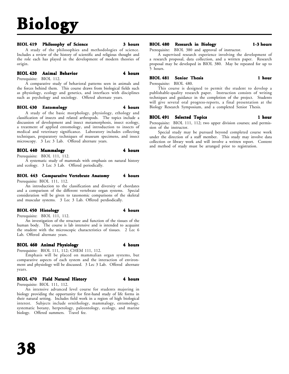# **Biology**

# **BIOL 419 Philosophy of Science 3 hours**

A study of the philosophies and methodologies of science. Includes a review of the history of scientific and religious thought and the role each has played in the development of modern theories of origin.

# **BIOL 420 Animal Behavior 4 hours**

Prerequisite: BIOL 112.

A comparative study of behavioral patterns seen in animals and the forces behind them. This course draws from biological fields such as physiology, ecology and genetics, and interfaces with disciplines such as psychology and sociology. Offered alternate years.

# **BIOL 430 Entomology 4 hours**

A study of the basic morphology, physiology, ethology and classification of insects and related arthropods. The topics include a discussion of development and insect metamorphosis, insect ecology, a treatment of applied entomology, and introduction to insects of medical and veterinary significance. Laboratory includes collecting techniques, preparatory techniques of museum specimens, and insect microscopy. 3 Lec 3 Lab. Offered alternate years.

# **BIOL 440 Mammalogy 4 hours**

Prerequisite: BIOL 111, 112.

A systematic study of mammals with emphasis on natural history and ecology. 3 Lec 3 Lab. Offered periodically.

# **BIOL 443 Comparative Vertebrate Anatomy 4 hours**

Prerequisite: BIOL 111, 112.

An introduction to the classification and diversity of chordates and a comparison of the different vertebrate organ systems. Special consideration will be given to taxonomic comparisons of the skeletal and muscular systems. 3 Lec 3 Lab. Offered perdiodically.

# **BIOL 450 Histology 4 hours**

Prerequisite: BIOL 111, 112.

An investigation of the structure and function of the tissues of the human body. The course is lab intensive and is intended to acquaint the student with the microscopic characteristics of tissues. 2 Lec 6 Lab. Offered alternate years.

# **BIOL 460 Animal Physiology 4 hours**

Prerequisite: BIOL 111, 112; CHEM 111, 112.

Emphasis will be placed on mammalian organ systems, but comparative aspects of each system and the interaction of environment and physiology will be discussed. 3 Lec 3 Lab. Offered alternate years.

# **BIOL 470 Field Natural History 4 hours**

Prerequisite: BIOL 111, 112.

An intensive advanced level course for students majoring in biology providing the opportunity for first-hand study of life forms in their natural setting. Includes field work in a region of high biological interest. Subjects include ornithology, mammalogy, entomology, systematic botany, herpetology, paleontology, ecology, and marine biology. Offered summers. Travel fee.

# **BIOL 480 Research in Biology 1-3 hours**

Prerequisite: BIOL 380 and approval of instructor.

A supervised research experience involving the development of a research proposal, data collection, and a written paper. Research proposal may be developed in BIOL 380. May be repeated for up to 5 hours.

### **BIOL 481 Senior Thesis 1 hour**

Prerequisite: BIOL 480.

This course is designed to permit the student to develop a publishable-quality research paper. Instruction consists of writing techniques and guidance in the completion of the project. Students will give several oral progress-reports, a final presentation at the Biology Research Symposium, and a completed Senior Thesis.

# **BIOL 491 Selected Topics 1 hour**

Prerequisite: BIOL 111, 112; two upper division courses; and permission of the instructor.

Special study may be pursued beyond completed course work under the direction of a staff member. This study may involve data collection or library work and will involve a written report. Content and method of study must be arranged prior to registration.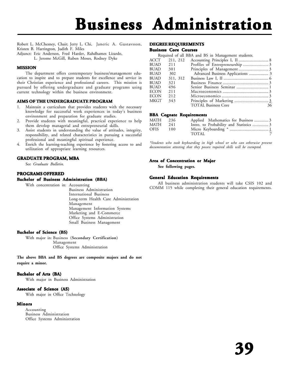Robert L. McChesney, Chair; Jerry L. Chi, Janeric A. Gustavsson, Kristen B. Harrington, Judith F. Miles

Adjunct: Eric Anderson, Fred Harder, Rahdhames Lizardo,

L. Jerome McGill, Ruben Moses, Rodney Dyke

# **MISSION**

The department offers contemporary business/management education to inspire and to prepare students for excellence and service in their Christian experience and professional careers. This mission is pursued by offering undergraduate and graduate programs using current technology within the business environment.

# **AIMS OF THE UNDERGRADUATE PROGRAM**

- Maintain a curriculum that provides students with the necessary knowledge for successful work experiences in today's business environment and preparation for graduate studies.
- Provide students with meaningful, practical experience to help them develop managerial and entrepreneurial skills.
- 3. Assist students in understanding the value of attitudes, integrity, responsibility, and related characteristics in pursuing a successful professional and meaningful spiritual experience.
- 4. Enrich the learning-teaching experience by fostering access to and utilization of appropriate learning resources.

# **GRADUATE PROGRAM, MBA**

See *Graduate Bulletin*.

# **PROGRAMS OFFERED**

### **Bachelor of Business Administration (BBA)**

With concentration in: Accounting

Business Administration International Business Long-term Health Care Administration Management Management Information Systems Marketing and E-Commerce Office Systems Administration Small Business Management

# **Bachelor of Science (BS)**

With major in: Business **(Secondary Certification)** Management Office Systems Administration

**The above BBA and BS degrees are composite majors and do not require a minor.**

### **Bachelor of Arts (BA)**

With major in Business Administration

### **Associate of Science (AS)**

With major in Office Technology

### **Minors**

Accounting Business Administration Office Systems Administration

### **DEGREE REQUIREMENTS**

### **Business Core Courses**

|             |          | Required of all BBA and BS in Management students. |    |
|-------------|----------|----------------------------------------------------|----|
| ACCT        | 211, 212 |                                                    |    |
| <b>BUAD</b> | 211      |                                                    |    |
| <b>BUAD</b> | 301      |                                                    |    |
| <b>BUAD</b> | 302      |                                                    |    |
| <b>BUAD</b> | 311, 312 |                                                    |    |
| <b>BUAD</b> | 321      |                                                    |    |
| <b>BUAD</b> | 496      |                                                    |    |
| <b>ECON</b> | 211      |                                                    |    |
| <b>ECON</b> | 212      |                                                    |    |
| MKGT        | 343      |                                                    |    |
|             |          | <b>TOTAL Business Core</b>                         | 36 |
|             |          |                                                    |    |

#### **BBA Cognate Requirements**

| MATH | 236  | Applied Mathematics for Business  3 |
|------|------|-------------------------------------|
| MATH | 2.41 |                                     |
| OFIS | 100  |                                     |
|      |      | TOTAL                               |

*\*Students who took keyboarding in high school or who can otherwise present documentation attesting that they possess required skills will be exempted.*

# **Area of Concentration or Major**

**See following pages.**

### **General Education Requirements**

All business administration students will take CSIS 102 and COMM 115 while completing their general education requirements.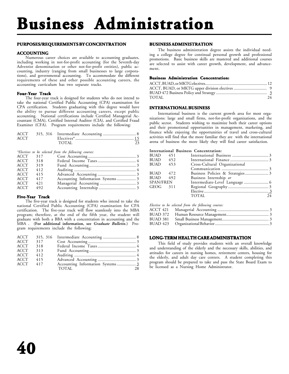# **PURPOSES/REQUIREMENTS BY CONCENTRATION**

# **ACCOUNTING**

Numerous career choices are available to accounting graduates, including working in not-for-profit accounting (for the Seventh-day Adventist denomination or other not-for-profit entities), public accounting, industry (ranging from small businesses to large corporations), and governmental accounting. To accommodate the different requirements of these and other possible accounting careers, the accounting curriculum has two separate tracks.

# **Four-Year Track**

The four-year track is designed for students who do not intend to take the national Certified Public Accounting (CPA) examination for CPA certification. Students graduating with this degree would have the ability to pursue different accounting careers, except public accounting. National certifications include Certified Managerial Accountant (CMA), Certified Internal Auditor (CIA), and Certified Fraud Examiner (CFA). Program requirements include the following:

| ACCT |       |    |
|------|-------|----|
|      | TOTAL | 23 |

| *Electives to be selected from the following courses: |  |  |  |  |
|-------------------------------------------------------|--|--|--|--|
|                                                       |  |  |  |  |

| ACCT<br>317  |  |
|--------------|--|
| ACCT<br>318  |  |
| ACCT<br>319  |  |
| 412<br>ACCT  |  |
| 415<br>ACCT  |  |
| 417<br>ACCT  |  |
| ACCT<br>42.1 |  |
| ACCT<br>492  |  |

# **Five-Year Track**

The five-year track is designed for students who intend to take the national Certified Public Accounting (CPA) examination for CPA certification. The five-year track will flow seamlessly into the MBA program; therefore, at the end of the fifth year, the student will graduate with both a BBA with a concentration in accounting and the MBA **. (For additional information, see** *Graduate Bulletin.***)** Program requirements include the following:

| ACCT        |     |                                  |    |
|-------------|-----|----------------------------------|----|
| ACCT        | 317 |                                  |    |
| ACCT        | 318 |                                  |    |
| ACCT        | 313 |                                  |    |
| <b>ACCT</b> | 412 |                                  |    |
| ACCT        | 415 |                                  |    |
| ACCT        | 417 | Accounting Information Systems 3 |    |
|             |     | <b>TOTAL</b>                     | 28 |

# **BUSINESS ADMINISTRATION**

The business administration degree assists the individual needing a college degree for continual personal growth and professional promotions. Basic business skills are mastered and additional courses are selected to assist with career growth, development, and advancement.

# **Business Administration Concentration:**

| TOTAL | 24 |
|-------|----|

# **INTERNATIONAL BUSINESS**

International business is the current growth area for most organizations: large and small firms, not-for-profit organizations, and the public sector. Students wishing to maximize both their career options and their promotional opportunities in management, marketing, and finance while enjoying the opportunities of travel and cross-cultural activities will find that the more familiar they are with the international arena of business the more likely they will find career satisfaction.

# **International Business Concentration:**

| BUAD             | 451 |                               |    |
|------------------|-----|-------------------------------|----|
| BUAD             | 452 |                               |    |
| BUAD             | 453 | Cross-Cultural Organizational |    |
|                  |     |                               |    |
| BUAD             | 472 |                               |    |
| BUAD             | 492 | Business Internship or        |    |
| <b>SPAN/FREN</b> |     |                               |    |
| GEOG 311         |     |                               |    |
|                  |     |                               |    |
|                  |     | <b>TOTAL</b>                  | 24 |
|                  |     |                               |    |

|          | Elective to be selected from the following courses: |  |
|----------|-----------------------------------------------------|--|
|          |                                                     |  |
| BUAD 372 |                                                     |  |
| BUAD 381 |                                                     |  |
|          |                                                     |  |
|          |                                                     |  |

# **LONG-TERM HEALTH CARE ADMINISTRATION**

This field of study provides students with an overall knowledge and understanding of the elderly and the necessary skills, abilities, and attitudes for careers in nursing homes, retirement centers, housing for the elderly, and adult day care centers. A student completing this program should be prepared to take and pass the State Board Exam to be licensed as a Nursing Home Administrator.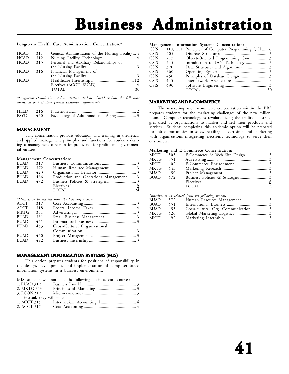### **Long-term Health Care Administration Concentration:\***

| <b>HCAD</b> | 311 | General Administration of the Nursing Facility 4 |    |
|-------------|-----|--------------------------------------------------|----|
| <b>HCAD</b> | 312 | Nursing Facility Technology  4                   |    |
| <b>HCAD</b> | 315 | Personal and Auxiliary Relationships of          |    |
|             |     |                                                  |    |
| <b>HCAD</b> | 316 | Financial Management of                          |    |
|             |     |                                                  |    |
| <b>HCAD</b> |     |                                                  |    |
|             |     |                                                  |    |
|             |     | <b>TOTAL</b>                                     | 30 |
|             |     |                                                  |    |

*\*Long-term Health Care Administration students should include the following courses as part of their general education requirements:*

| $PSYC$ 450 |  |  |
|------------|--|--|

# **MANAGEMENT**

This concentration provides education and training in theoretical and applied management principles and functions for students desiring a management career in for-profit, not-for-profit, and governmental entities.

### **Management Concentration:**

| <b>BUAD</b> | 317 |                                        |    |
|-------------|-----|----------------------------------------|----|
| <b>BUAD</b> | 372 |                                        |    |
| <b>BUAD</b> | 423 |                                        |    |
| BUAD        | 466 | Production and Operations Management 3 |    |
| BUAD.       | 472 |                                        |    |
|             |     |                                        |    |
|             |     | TOTAL.                                 | 24 |
|             |     |                                        |    |

| *Electives to be selected from the following courses: |  |  |  |  |
|-------------------------------------------------------|--|--|--|--|
|                                                       |  |  |  |  |

| ACCT        | 317 |                               |  |
|-------------|-----|-------------------------------|--|
| ACCT        | 318 |                               |  |
| <b>MKTG</b> | 351 |                               |  |
| <b>BUAD</b> | 381 |                               |  |
| <b>BUAD</b> | 451 |                               |  |
| <b>BUAD</b> | 453 | Cross-Cultural Organizational |  |
|             |     |                               |  |
| <b>BUAD</b> | 450 |                               |  |
| <b>BUAD</b> | 492 |                               |  |
|             |     |                               |  |

# **MANAGEMENT INFORMATION SYSTEMS (MIS)**

This option prepares students for positions of responsibility in the design, development, and implementation of computer based information systems in a business environment.

|                          | MIS students will not take the following business core courses: |  |
|--------------------------|-----------------------------------------------------------------|--|
| 1. BUAD 312              |                                                                 |  |
| 2. MKTG 343              |                                                                 |  |
|                          |                                                                 |  |
| instead, they will take: |                                                                 |  |
|                          |                                                                 |  |
|                          |                                                                 |  |
|                          |                                                                 |  |

#### **Management Information Systems Concentration:**

| CSIS- |     | 110, 111 Principles of Computer Programming I, II  6 |    |
|-------|-----|------------------------------------------------------|----|
| CSIS  | 205 |                                                      |    |
| CSIS  | 215 | Object-Oriented Programming C++ 3                    |    |
| CSIS  | 245 |                                                      |    |
| CSIS  | 320 |                                                      |    |
| CSIS  | 360 |                                                      |    |
| CSIS  | 450 |                                                      |    |
| CSIS  | 445 |                                                      |    |
| CSIS  | 490 |                                                      |    |
|       |     | <b>TOTAL</b>                                         | 30 |
|       |     |                                                      |    |

### **MARKETING AND E-COMMERCE**

The marketing and e-commerce concentration within the BBA prepares students for the marketing challenges of the new millennium. Computer technology is revolutionizing the traditional strategies used by organizations to market and sell their products and services. Students completing this academic option will be prepared for job opportunities in sales, retailing, advertising, and marketing with organizations integrating electronic technology to serve their customers.

#### **Marketing and E-Commerce Concentration:**

| MKTG | 303 |       |    |
|------|-----|-------|----|
| MKTG | 351 |       |    |
| MKTG | 402 |       |    |
| MKTG | 443 |       |    |
| BUAD | 450 |       |    |
| BUAD | 472 |       |    |
|      |     |       |    |
|      |     | TOTAL | 24 |
|      |     |       |    |

#### *\*Electives to be selected from the following courses:*

| BUAD | 372 | Human Resource Management  3 |  |
|------|-----|------------------------------|--|
| BUAD | 451 |                              |  |
| BUAD | 453 |                              |  |
| MKTG | 426 |                              |  |
| MKTG | 492 |                              |  |
|      |     |                              |  |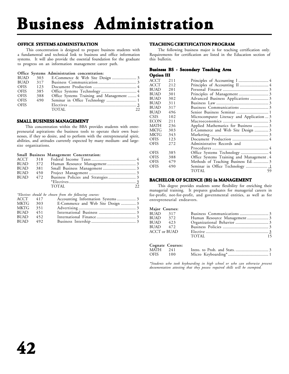# **OFFICE SYSTEMS ADMINISTRATION**

This concentration is designed to prepare business students with a fundamental and technical link to business and office information systems. It will also provide the essential foundation for the graduate to progress on an information management career path.

### **Office Systems Administration concentration:**

| <b>BUAD</b> | 303 |                                           |    |
|-------------|-----|-------------------------------------------|----|
| <b>BUAD</b> | 317 |                                           |    |
| <b>OFIS</b> | 123 |                                           |    |
| <b>OFIS</b> | 385 |                                           |    |
| <b>OFIS</b> | 388 | Office Systems Training and Management  4 |    |
| <b>OFIS</b> | 490 |                                           |    |
| <b>OFIS</b> |     |                                           |    |
|             |     | <b>TOTAL</b>                              | フフ |
|             |     |                                           |    |

# **SMALL BUSINESS MANAGEMENT**

This concentration within the BBA provides students with entrepreneurial aspirations the business tools to operate their own businesses, if they so desire, and to perform with the entrepreneurial spirit, abilities, and attitudes currently expected by many medium- and largesize organizations.

|             |          | Small Business Management Concentration: |    |
|-------------|----------|------------------------------------------|----|
| ACCT        | 318      |                                          |    |
|             | BUAD 372 |                                          |    |
| <b>BUAD</b> | 381      |                                          |    |
| <b>BUAD</b> | 450      |                                          |    |
| BUAD        | 472      |                                          |    |
|             |          |                                          |    |
|             |          | TOTAL                                    | フフ |

*\*Electives should be chosen from the following courses:*

| ACCT       | 417   |                                   |  |
|------------|-------|-----------------------------------|--|
| MKTG-      | - 303 | E-Commerce and Web Site Design  3 |  |
| MKTG       | 351   |                                   |  |
| $BUAD$ 451 |       |                                   |  |
| $BUAD$ 452 |       |                                   |  |
| $BUAD$ 492 |       |                                   |  |
|            |       |                                   |  |

# **TEACHING CERTIFICATION PROGRAM**

The following business major is for teaching certification only. Requirements for certification are listed in the Education section of this bulletin.

### **Business BS - Secondary Teaching Area**  $\mathbf{O}_{\mathbf{D}}$

| Option III |     |                                           |    |
|------------|-----|-------------------------------------------|----|
| ACCT       | 211 |                                           |    |
| ACCT       | 212 |                                           |    |
| BUAD       | 201 |                                           |    |
| BUAD       | 301 |                                           |    |
| BUAD       | 302 |                                           |    |
| BUAD       | 311 |                                           |    |
| BUAD       | 317 |                                           |    |
| BUAD       | 496 | Senior Business Seminar  1                |    |
| CSIS       | 102 | Microcomputer Literacy and Application  3 |    |
| ECON       | 211 |                                           |    |
| MATH       | 236 | Applied Mathematics for Business  3       |    |
| MKTG       | 303 | E-Commerce and Web Site Design  3         |    |
| MKTG       | 343 |                                           |    |
| OFIS       | 123 |                                           |    |
| OFIS       | 272 | Administrative Records and                |    |
|            |     |                                           |    |
| OFIS       | 385 |                                           |    |
| OFIS       | 388 | Office Systems Training and Management. 4 |    |
| OFIS       | 479 | Methods of Teaching Business Ed.  3       |    |
| OFIS       | 490 |                                           |    |
|            |     | TOTAL                                     | 59 |

# **BACHELOR OF SCIENCE (BS) in MANAGEMENT**

This degree provides students some flexibility for enriching their managerial training. It prepares graduates for managerial careers in for-profit, not-for-profit, and governmental entities, as well as for entrepreneurial endeavors.

| Major Courses:     |                            |    |
|--------------------|----------------------------|----|
| $BUAD$ 317         |                            |    |
| BUAD 372           | Human Resource Management3 |    |
| BUAD 423           |                            |    |
| <b>BUAD</b><br>472 |                            |    |
| ACCT or BUAD       |                            |    |
|                    | <b>TOTAL</b>               | 15 |
|                    |                            |    |
| Cognate Courses:   |                            |    |
| MATH 241           |                            |    |
| OFIS 100           |                            |    |
|                    |                            |    |

*\*Students who took keyboarding in high school or who can otherwise present documentation attesting that they possess required skills will be exempted.*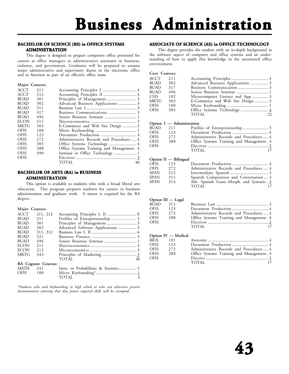# **BACHELOR OF SCIENCE (BS) in OFFICE SYSTEMS**

# **ADMINISTRATION**

This degree is designed to prepare competent office personnel for careers as office managers or administrative assistants in business, industry, and government. Graduates will be prepared to assume major administrative and supervisory duties in the electronic office and to function as part of an effective office team.

### **Major Courses:**

| <b>ACCT</b> | 211 |                                           |
|-------------|-----|-------------------------------------------|
| <b>ACCT</b> | 212 |                                           |
| <b>BUAD</b> | 301 |                                           |
| <b>BUAD</b> | 302 | Advanced Business Applications  3         |
| <b>BUAD</b> | 311 |                                           |
| <b>BUAD</b> | 317 |                                           |
| <b>BUAD</b> | 496 |                                           |
| <b>ECON</b> | 211 |                                           |
| <b>MKTG</b> | 303 | E-Commerce and Web Site Design  3         |
| <b>OFIS</b> | 100 |                                           |
| <b>OFIS</b> | 123 |                                           |
| <b>OFIS</b> | 272 | Administrative Records and Procedures  4  |
| <b>OFIS</b> | 385 |                                           |
| <b>OFIS</b> | 388 | Office Systems Training and Management. 4 |
| <b>OFIS</b> | 490 |                                           |
| <b>OFIS</b> |     |                                           |
|             |     | TOTAL                                     |

# **BACHELOR OF ARTS (BA) in BUSINESS ADMINISTRATION**

This option is available to students who wish a broad liberal arts education. This program prepares students for careers in business administration and graduate work. A minor is required for the BA degree.

### **Major Courses:**

| <b>ACCT</b>         | 211, 212 |                                       |    |  |  |
|---------------------|----------|---------------------------------------|----|--|--|
| <b>BUAD</b>         | 211      |                                       |    |  |  |
| <b>BUAD</b>         | 301      |                                       |    |  |  |
| <b>BUAD</b>         | 302      | Advanced Software Applications  3     |    |  |  |
| <b>BUAD</b>         | 311, 312 |                                       |    |  |  |
| <b>BUAD</b>         | 321      |                                       |    |  |  |
| <b>BUAD</b>         | 496      |                                       |    |  |  |
| <b>ECON</b>         | 2.11     |                                       |    |  |  |
| <b>ECON</b>         | 212      |                                       |    |  |  |
| <b>MKTG</b>         | 343      |                                       |    |  |  |
|                     |          | TOTAL                                 | 36 |  |  |
| BA Cognate Courses: |          |                                       |    |  |  |
| MATH                | 241      | Intro. to Probabilities & Statistics3 |    |  |  |
| <b>OFIS</b>         | 100      |                                       |    |  |  |
|                     |          | TOTAL                                 |    |  |  |

*\*Students who took keyboarding in high school or who can otherwise present documentation attesting that they possess required skills will be exempted.*

# **ASSOCIATE OF SCIENCE (AS) in OFFICE TECHNOLOGY**

This degree provides the student with an in-depth background in the software aspect of computer and office systems and an understanding of how to apply this knowledge in the automated office environment.

| Core Courses: |     |                                   |     |
|---------------|-----|-----------------------------------|-----|
| ACCT          | 211 |                                   |     |
| BUAD          | 302 | Advanced Business Applications  3 |     |
| BUAD          | 317 |                                   |     |
| BUAD          | 496 |                                   |     |
| CSIS-         | 102 | Microcomputer Literacy and App3   |     |
| MKTG          | 303 | E-Commerce and Web Site Design  3 |     |
| OFIS-         | 100 |                                   |     |
| OFIS-         | 385 |                                   |     |
|               |     | <b>TOTAL</b>                      | 22. |
|               |     |                                   |     |

# **Option I — Administration**

| BUAD<br>2.11 |                                           |  |
|--------------|-------------------------------------------|--|
| OFIS.<br>123 |                                           |  |
| OFIS-<br>272 | Administrative Records and Procedures  4  |  |
| OFIS.<br>388 | Office Systems Training and Management. 4 |  |
| OFIS         |                                           |  |
|              | TOTAL                                     |  |

### **Option II — Bilingual**

| TOTAL |                                                                                                                                |
|-------|--------------------------------------------------------------------------------------------------------------------------------|
|       | Administrative Records and Procedures  4<br>Spanish Composition and Conversation  3<br>Adv. Spanish Gram.-Morph. and Syntaxis3 |

# **Option III — Legal**

| BUAD  | 311  |                                           |  |
|-------|------|-------------------------------------------|--|
| OFIS. | 123  |                                           |  |
| OFIS. | 2.72 | Administrative Records and Procedures  4  |  |
| OFIS. | 388  | Office Systems Training and Management. 4 |  |
| OFIS  |      |                                           |  |
|       |      | TOTAL                                     |  |
|       |      |                                           |  |

# **Option IV — Medical**

| BIOL.<br>101                                              |  |
|-----------------------------------------------------------|--|
| OFIS<br>123                                               |  |
| OFIS<br>Administrative Records and Procedures  4<br>2.72  |  |
| OFIS.<br>Office Systems Training and Management. 4<br>388 |  |
| OFIS                                                      |  |
| TOTAL                                                     |  |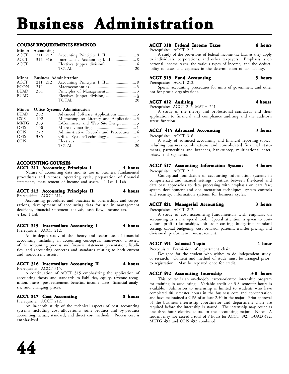# **COURSE REQUIREMENTS BY MINOR**

|      | Minor: Accounting |             |
|------|-------------------|-------------|
|      |                   |             |
| ACCT |                   |             |
| ACCT |                   |             |
|      |                   | TOTAL<br>20 |

### **Minor: Business Administration**

| <b>ECON</b> | 211   |       |    |
|-------------|-------|-------|----|
| BUAD.       | - 301 |       |    |
| <b>BUAD</b> |       |       |    |
|             |       | TOTAL | 20 |

#### **Minor: Office Systems Administration** 302 Advanced Software Applications .

| CSIS-       | 102 | Microcomputer Literacy and Application  3 |
|-------------|-----|-------------------------------------------|
| <b>MKTG</b> | 303 | E-Commerce and Web Site Design  3         |
| <b>OFIS</b> | 100 |                                           |
| <b>OFIS</b> | 272 | Administrative Records and Procedures  4  |
| <b>OFIS</b> | 385 |                                           |
| <b>OFIS</b> |     |                                           |
|             |     | TOTAL<br>20                               |
|             |     |                                           |

# **ACCOUNTING COURSES ACCT 211 Accounting Principles I 4 hours**

Nature of accounting data and its use in business, fundamental procedures and records, operating cycle, preparation of financial statements, measurement of income and assets. 4 Lec 1 Lab

#### **ACCT 212 Accounting Principles II 4 hours** Prerequisite: ACCT 211.

Accounting procedures and practices in partnerships and corporations, development of accounting data for use in management decisions, financial statement analysis, cash flow, income tax.

# **ACCT 315 Intermediate Accounting I 4 hours**

Prerequisite: ACCT 212.

4 Lec 1 Lab

An in-depth study of the theory and techniques of financial accounting, including an accounting conceptual framework, a review of the accounting process and financial statement presentation, liabilities, and accounting concerns and standards relating to both current and noncurrent assets.

# **ACCT 316 Intermediate Accounting II 4 hours**

Prerequisite: ACCT 315.

A continuation of ACCT 315 emphasizing the application of accounting theory and standards to liabilities, equity, revenue recognition, leases, post-retirement benefits, income taxes, financial analysis, and changing prices.

# **ACCT 317 Cost Accounting 3 hours**

# Prerequisite: ACCT 212.

An in-depth study of the technical aspects of cost accounting systems including cost allocations; joint product and by-product accounting; actual, standard, and direct cost methods. Process cost is emphasized.



# **ACCT 318 Federal Income Taxes 4 hours**

Prerequisite: ACCT 212.

A study of the provisions of federal income tax laws as they apply to individuals, corporations, and other taxpayers. Emphasis is on personal income taxes, the various types of income, and the deductibility of costs and expenses in the determination of tax liability.

# **ACCT 319 Fund Accounting 3 hours**

Prerequisite: ACCT 212.

Special accounting procedures for units of government and other not-for-profit organizations.

# ACCT 412 Auditing 4 hours

Prerequisite: ACCT 212; MATH 241

A study of the theory and professional standards and their application to financial and compliance auditing and the auditor's attest function.

# **ACCT 415 Advanced Accounting 3 hours**

Prerequisite: ACCT 316.

A study of advanced accounting and financial reporting topics ncluding business combinations and consolidated financial statements, partnerships and branches, bankruptcy, multinational enterprises, and segments.

# **ACCT 417 Accounting Information Systems 3 hours**

Prerequisite: ACCT 212.

Conceptual foundation of accounting information systems in computerized and manual settings; contrast between file-based and data base approaches to data processing with emphasis on data fase; system development and documentation techniques; system controls and security; information systems for business cycles.

# **ACCT 421 Managerial Accounting 3 hours**

Prerequisite: ACCT 212.

A study of cost accounting fundamentals with emphasis on accounting as a managerial tool. Special attention is given to costvolume-profit relationships, job-order costing, budgeting, standard costing, capital budgeting, cost behavior patterns, transfer pricing, and divisional performance measurement.

# **ACCT 491 Selected Topic 1 hour**

Prerequisite: Permission of department chair.

Designed for the student who wishes to do independent study or research. Content and method of study must be arranged prior to registration. May be repeated once for credit.

# **ACCT 492 Accounting Internship 3-8 hours**

This course is an on-the-job, career-oriented internship program for training in accounting. Variable credit of 3-8 semester hours is available. Admission to internship is limited to students who have completed 40 semester hours in the business core and concentration and have maintained a GPA of at least 2.50 in the major. Prior approval of the business internship coordinator and department chair are required before the internship is started. The internship may count as one three-hour elective course in the accounting major. Note: A student may not exceed a total of 8 hours for ACCT 492, BUAD 492, MKTG 492 and OFIS 492 combined.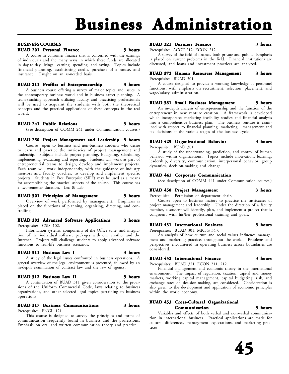# **BUSINESS COURSES**

# **BUAD 201 Personal Finance 3 hours**

A course in consumer finance that is concerned with the earnings of individuals and the many ways in which these funds are allocated in day-to-day living: earning, spending, and saving. Topics include financial planning, establishing credit, purchase of a house, and insurance. Taught on an as-needed basis.

### **BUAD 211 Profiles of Entrepreneurship 3 hours**

A business course offering a survey of major topics and issues in the contemporary business world and in business career planning. A team-teaching approach utilizing faculty and practicing professionals will be used to acquaint the students with both the theoretical concepts and the practical applications of these concepts in the real world.

# **BUAD 241 Public Relations 3 hours**

(See description of COMM 241 under Communication courses.)

### **BUAD 250 Project Management and Leadership 3 hours**

Course open to business and non-business students who desire to learn and practice the intricacies of project management and leadership. Subjects include project planning, budgeting, scheduling, implementing, evaluating and reporting. Students will work as part of entrepreneurial teams to design, develop and implement projects. Each team will work independently, with the guidance of industry mentors and faculty coaches, to develop and implement specific projects. Students in Free Enterprise (SIFE) may be used as a means for accomplishing the practical aspects of the course. This course has a two-semester duration. Lec & Lab.

### **BUAD 301 Principles of Management 3 hours**

Overview of work performed by management. Emphasis is placed on the functions of planning, organizing, directing, and controlling.

# **BUAD 302 Advanced Software Applications 3 hours**

Prerequisite: CSIS 102.

Information systems, components of the Office suite, and integration of the individual software packages with one another and the Internet. Projects will challenge students to apply advanced software functions to real-life business scenarios.

### **BUAD 311 Business Law I 3 hours**

A study of the legal issues confronted in business operations. A general overview of the legal environment is presented, followed by an in-depth examination of contract law and the law of agency.

### **BUAD 312 Business Law II 3 hours**

A continuation of BUAD 311 given consideration to the provisions of the Uniform Commercial Code, laws relating to business organizations, and other selected legal topics pertaining to business operations.

### **BUAD 317 Business Communications 3 hours**

Prerequisite: ENGL 121.

This course is designed to survey the principles and forms of communication frequently found in business and the professions. Emphasis on oral and written communication theory and practice.

### **BUAD 321 Business Finance 3 hours**

Prerequisite: ACCT 212; ECON 212.

A survey of the field of finance, both private and public. Emphasis is placed on current problems in the field. Financial institutions are discussed, and loans and investment practices are analyzed.

### **BUAD 372 Human Resources Management 3 hours** Prerequisite: BUAD 301.

A course designed to provide a working knowledge of personnel functions, with emphasis on recruitment, selection, placement, and wage/salary administration.

# **BUAD 381 Small Business Management 3 hours**

An in-depth analysis of entrepreneurship and the function of the entrepreneur in new venture creation. A framework is developed which incorporates marketing feasibility studies and financial analysis into a comprehensive business plan. The business venture is examined with respect to financial planning, marketing, management and tax decisions at the various stages of the business cycle.

# **BUAD 423 Organizational Behavior 3 hours**

Prerequisite: BUAD 301

A study of the understanding, prediction, and control of human behavior within organizations. Topics include motivation, learning, leadership, diversity, communication, interpersonal behavior, group dynamics, decision-making and change.

# **BUAD 441 Corporate Communication**

(See description of COMM 441 under Communication courses.)

# **BUAD 450 Project Management 3 hours**

Prerequisite: Permission of department chair.

Course open to business majors to practice the intricacies of project management and leadership. Under the direction of a faculty member, a student will identify, plan, and implement a project that is congruent with his/her professional training and goals.

# **BUAD 451 International Business 3 hours**

Prerequisites: BUAD 301, MKTG 343.

An analysis of how culture and social values influence management and marketing practices throughout the world. Problems and perspectives encountered in operating business across boundaries are considered.

# **BUAD 452 International Finance 3 hours**

Prerequisites: BUAD 321; ECON 211, 212.

Financial management and economic theory in the international environment. The impact of regulation, taxation, capital and money markets, working capital management, capital budgeting, risk, and exchange rates on decision-making, are considered. Consideration is also given to the development and application of economic principles within the world economy.

# **BUAD 453 Cross-Cultural Organizational Cross-Cultural Communication 3 hours**

Variables and effects of both verbal and non-verbal communication in international business. Practical applications are made for cultural differences, management expectations, and marketing practices.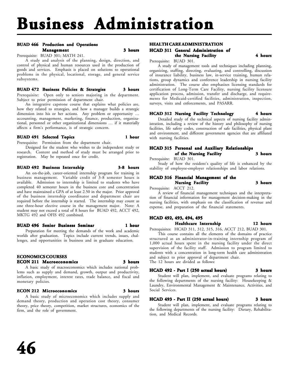# **BUAD 466 Production and Operations Management 3 hours**

Prerequisite: BUAD 301; MATH 241.

A study and analysis of the planning, design, direction, and control of physical and human resources used in the production of goods and services. Emphasis is placed on solutions to operational problems in the physical, locational, storage, and general service subsystems.

# **BUAD 472 Business Policies & Strategies 3 hours**

Prerequisite: Open only to seniors majoring in the department. Subject to prior permission of department chair.

An integrative capstone course that explains what policies are, how they related to strategies, and how a manager builds a strategic dimension into his or her actions. Any problem or opportunity … accounting, management, marketing, finance, production, organizational, personnel or other organizational dimensions … if it materially affects a firm's performance, is of strategic concern.

# **BUAD 491 Selected Topics 1 hour**

Prerequisite: Permission from the department chair. Designed for the student who wishes to do independent study or

research. Content and method of study must be arranged prior to registration. May be repeated once for credit.

### **BUAD 492 Business Internship 3-8 hours**

An on-the-job, career-oriented internship program for training in business management. Variable credit of 3-8 semester hours is available. Admission to internship is limited to students who have completed 40 semester hours in the business core and concentration and have maintained a GPA of at least 2.50 in the major. Prior approval of the business internship coordinator and department chair are required before the internship is started. The internship may count as one three-hour elective course in the management major. Note: A student may not exceed a total of 8 hours for BUAD 492, ACCT 492, MKTG 492 and OFIS 492 combined.

# **BUAD 496 Senior Business Seminar 1 hour**

Preparation for meeting the demands of the work and academic worlds after graduation. Topics include current trends, issues, challenges, and opportunities in business and in graduate education.

# **ECONOMICS COURSES**

# **ECON 211 Macroeconomics 3 hours**

A basic study of macroeconomics which includes national problems such as supply and demand, growth, output and productivity, inflation, employment, interest rates, trade balance, and fiscal and monetary policies.

# **ECON 212 Microeconomics 3 hours**

A basic study of microeconomics which includes supply and demand theory, production and operation cost theory, consumer theory, price theory, competition, market structures, economics of the firm, and the role of government.

# **HEALTH CARE ADMINISTRATION**

# **HCAD 311 General Administration of the Nursing Facility 4 hours**

Prerequisite: BUAD 301.

A study of management tools and techniques including planning, organizing, staffing, directing, evaluating, and controlling, discussion of insurance liability, business law, in-service training, human relations, group dynamics and conference leadership in nursing facility administration. The course also emphasizes licensing standards for certification of Long-Term Care Facility, nursing facility licensure application process, admission, transfer and discharge, and requirements for Medicaid-certified facilities, administration, inspection, surveys, visits and enforcements, and PASARR.

# **HCAD 312 Nursing Facility Technology 4 hours**

Detailed study of the technical aspects of nursing facility administration, including a review of the history and philosophy of nursing facilities, life safety codes, construction of safe facilities, physical plant and environment, and different government agencies that are affiliated with nursing facilities.

# **HCAD 315 Personal and Auxiliary Relationships of the Nursing Facility 3 hours** Prerequisite: BUAD 301.

Study of how the resident's quality of life is enhanced by the stability of employee-employer relationships and labor relations.

### **HCAD 316 Financial Management of the Nursing Facility 3 hours**

Prerequisite: ACCT 212.

A review of financial management techniques and the interpretation of financial information for management decision-making in the nursing facilities, with emphasis on the classification of revenue and expense, and preparation of the financial statements.

# **HCAD 492, 493, 494, 495 Healthcare Internship 12 hours**

Prerequisites: HCAD 311, 312, 315, 316, ACCT 212, BUAD 301.

This course contains all the elements of the domains of practice structured as an administrator-in-training internship program of 1,000 actual hours spent in the nursing facility under the direct supervision of the facility staff. Admission to program limited to students with a concentration in long-term health care administration and subject to prior approval of department chair. The 12 hours are divided as follows:

# **HCAD 492 - Part I (250 actual hours) 3 hours**

Student will plan, implement, and evaluate programs relating to the following departments of the nursing facility: Housekeeping & Laundry, Environmental Management & Maintenance, Activities, and Social Services.

# **HCAD 493 - Part II (250 actual hours) 3 hours**

Student will plan, implement, and evaluate programs relating to the following departments of the nursing facility: Dietary, Rehabilitation, and Medical Records.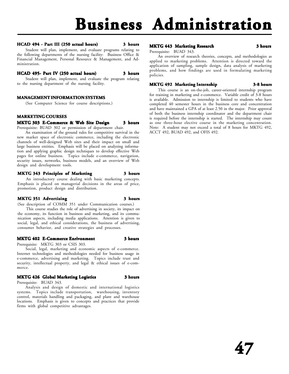### **HCAD 494 - Part III (250 actual hours) 3 hours**

Student will plan, implement, and evaluate programs relating to the following departments of the nursing facility: Business Office & Financial Management, Personal Resource & Management, and Administration.

### **HCAD 495- Part IV (250 actual hours) 3 hours**

Student will plan, implement, and evaluate the program relating to the nursing department of the nursing facility.

### **MANAGEMENT INFORMATION SYSTEMS**

(See Computer Science for course descriptions.)

### **MARKETING COURSES**

# **MKTG 303 E-Commerce & Web Site Design 3 hours**

Prerequisite: BUAD 302 or permission of department chair.

An examination of the ground rules for competitive survival in the new market space of electronic commerce, including the electronic channels of well-designed Web sites and their impact on small and large business entities. Emphasis will be placed on analyzing information and applying graphic design techniques to develop effective Web pages for online business. Topics include e-commerce, navigation, security issues, networks, business models, and an overview of Web design and development tools.

# **MKTG 343 Principles of Marketing 3 hours**

An introductory course dealing with basic marketing concepts. Emphasis is placed on managerial decisions in the areas of price, promotion, product design and distribution.

### **MKTG 351 Advertising 3 hours**

(See description of COMM 351 under Communication courses.)

This course studies the role of advertising in society, its impact on the economy, its function in business and marketing, and its communication aspects, including media applications. Attention is given to social, legal, and ethical considerations, the business of advertising, consumer behavior, and creative strategies and processes.

#### **MKTG 402 E-Commerce Enrivonment 3 hours**

Prerequisite: MKTG 303 or CSIS 303.

Social, legal, marketing and economic aspects of e-commerce. Internet technologies and methodologies needed for business usage in e-commerce, advertising and marketing. Topics include trust and security, intellectual property, and legal & ethical issues of e-commerce.

### **MKTG 426 Global Marketing Logistics 3 hours**

Prerequisite: BUAD 343.

Analysis and design of domestic and international logistics systems. Topics include transportation, warehousing, inventory control, materials handling and packaging, and plant and warehouse locations. Emphasis is given to concepts and practices that provide firms with global competitive advantages.

# **MKTG 443 Marketing Research 3 hours**

Prerequisite: BUAD 343.

An overview of research theories, concepts, and methodologies as applied to marketing problems. Attention is directed toward the application of sampling, sample design, data analysis of marketing problems, and how findings are used in formulating marketing policies.

### **MKTG 492 Marketing Internship 3-8 hours**

This course is an on-the-job, career-oriented internship program for training in marketing and e-commerce. Variable credit of 3-8 hours is available. Admission to internship is limited to students who have completed 40 semester hours in the business core and concentration and have maintained a GPA of at least 2.50 in the major. Prior approval of both the business internship coordinator and the department chair is required before the internship is started. The internship may count as one three-hour elective course in the marketing concentration. Note: A student may not exceed a total of 8 hours for MKTG 492, ACCT 492, BUAD 492, and OFIS 492.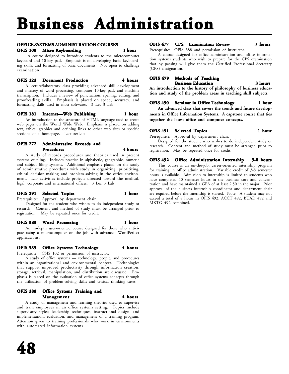# **OFFICE SYSTEMS ADMINISTRATION COURSES**

### **OFIS 100 Micro Keyboarding 1 hour**

 A course designed to introduce students to the microcomputer keyboard and 10-key pad. Emphasis is on developing basic keyboarding skills, and formatting of basic documents. Not open to challenge examination.

# **OFIS 123 Document Production 4 hours**

A lecture/laboratory class providing advanced skill development and mastery of word processing, computer 10-key pad, and machine transcription. Includes a review of punctuation, spelling, editing, and proofreading skills. Emphasis is placed on speed, accuracy, and formatting skills used in most softwares. 3 Lec 3 Lab

### **OFIS 181 Internet—Web Publishing 1 hour**

An introduction to the structure of HTML language used to create web pages on the World Wide Web. Emphasis is placed on adding text, tables, graphics and defining links to other web sites or specific sections of a homepage. Lecture/Lab

# **OFIS 272 Administrative Records and** Procedures **4 hours**

A study of records procedures and theories used in present systems of filing. Includes practice in alphabetic, geographic, numeric and subject filing systems. Additional emphasis placed on the study of administrative procedures with study in organizing, prioritizing, ethical decision-making and problem-solving in the office environment. Lab activities include projects directed toward the medical, legal, corporate and international offices. 3 Lec 3 Lab

# **OFIS 291 Selected Topics 1 hour**

Prerequisite: Approval by department chair. Designed for the student who wishes to do independent study or research. Content and method of study must be arranged prior to registration. May be repeated once for credit.

# **OFIS 383 Word Processing 1 hour**

An in-depth user-oriented course designed for those who anticipate using a microcomputer on the job with advanced WordPerfect applications.

### **OFIS 385 Office Systems Technology 4 hours**

Prerequisite: CSIS 102 or permission of instructor.

A study of office systems — technology, people, and procedures within an organizational and environmental context. Technologies that support improved productivity through information creation, storage, retrieval, manipulation, and distribution are discussed. Emphasis is placed on the evaluation of office systems concepts through the utilization of problem-solving skills and critical thinking cases.

# **OFIS 388 Office Systems Training and Management 4 hours**

A study of management and learning theories used to supervise and train employees in an office systems setting. Topics include supervisory styles; leadership techniques; instructional design; and implementation, evaluation, and management of a training program. Attention given to training professionals who work in environments with automated information systems.



# **OFIS 477 CPS: Examination Review 3 hours**

Prerequisite: OFIS 388 and permission of instructor.

A course designed for office administration and office information systems students who wish to prepare for the CPS examination that by passing will give them the Certified Professional Secretary (CPS) designation.

# **OFIS 479 Methods of Teaching Business Education 3 hours**

**An introduction to the history of philosophy of business education and study of the problem areas in teaching skill subjects.**

# **OFIS 490 Seminar in Office Technology 1 hour**

**An advanced class that covers the trends and future developments in Office Information Systems. A capstone course that ties together the latest office and computer concepts.**

# **OFIS 491 Selected Topics 1 hour**

Prerequisite: Approval by department chair.

Designed for the student who wishes to do independent study or research. Content and method of study must be arranged prior to registration. May be repeated once for credit.

# **OFIS 492 Office Administration Internship 3-8 hours**

This course is an on-the-job, career-oriented internship program for training in office administration. Variable credit of 3-8 semester hours is available. Admission to internship is limited to students who have completed 40 semester hours in the business core and concentration and have maintained a GPA of at least 2.50 in the major. Prior approval of the business internship coordinator and department chair are required before the internship is started. Note: A student may not exceed a total of 8 hours in OFIS 492, ACCT 492, BUAD 492 and MKTG 492 combined.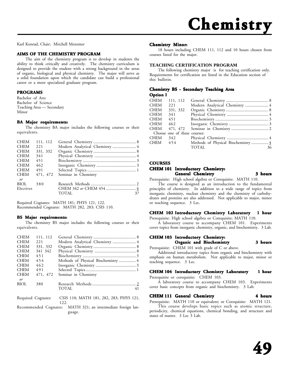

Karl Konrad, Chair; Mitchell Menzmer

### **AIMS OF THE CHEMISTRY PROGRAM**

The aim of the chemistry program is to develop in students the ability to think critically and creatively. The chemistry curriculum is designed to provide the student with a strong background in the areas of organic, biological and physical chemistry. The major will serve as a solid foundation upon which the candidate can build a professional career or a more specialized graduate program.

### **PROGRAMS**

Bachelor of Arts Bachelor of Science Teaching Area — Secondary Minor

### **BA** Major requirements:

The chemistry BA major includes the following courses or their equivalents.

| <b>CHEM</b> | 111, 112 |                                |    |
|-------------|----------|--------------------------------|----|
| <b>CHEM</b> | 221      | Modern Analytical Chemistry  4 |    |
| <b>CHEM</b> | 331, 332 |                                |    |
| <b>CHEM</b> | 341      |                                |    |
| <b>CHEM</b> | 451      |                                |    |
| <b>CHEM</b> | 462      |                                |    |
| <b>CHEM</b> | 491 —    |                                |    |
| <b>CHEM</b> | 471, 472 | Seminar in Chemistry           |    |
| or          |          |                                |    |
| BIOL.       | 380      |                                |    |
| Electives   |          |                                |    |
|             |          | TOTAL                          | 37 |
|             |          |                                |    |

Required Cognates: MATH 181; PHYS 121, 122. Recommended Cognates: MATH 282, 283; CSIS 110.

### **BS Major requirements: requirements:**

The chemistry BS major includes the following courses or their equivalents.

| <b>CHEM</b>        | 111, 112 |                                                              |
|--------------------|----------|--------------------------------------------------------------|
| <b>CHEM</b>        | 221      | Modern Analytical Chemistry  4                               |
| <b>CHEM</b>        | 331, 332 |                                                              |
| <b>CHEM</b>        | 341 342  |                                                              |
| <b>CHEM</b>        | 451      |                                                              |
| <b>CHEM</b>        | 454      | Methods of Physical Biochemistry  4                          |
| <b>CHEM</b>        | 462      |                                                              |
| <b>CHEM</b>        | 491      |                                                              |
| <b>CHEM</b>        | 471, 472 | Seminar in Chemistry                                         |
| or                 |          |                                                              |
| BIOL               | 380      |                                                              |
|                    |          | TOTAL<br>41                                                  |
|                    |          |                                                              |
| Required Cognates: |          | CSIS 110; MATH 181, 282, 283; PHYS 121,                      |
|                    |          | 122.                                                         |
|                    |          | Recommended Cognates: MATH 321; an intermediate foreign lan- |
|                    |          | guage.                                                       |

#### **Chemistry Minor:**

18 hours including CHEM 111, 112 and 10 hours chosen from courses listed for the major.

### **TEACHING CERTIFICATION PROGRAM**

The following chemistry major is for teaching certification only. Requirements for certification are listed in the Education section of this bulletin.

#### **Chemistry BS - Secondary Teaching Area Option I**

| CHEM | 111, 112                     |                    |  |
|------|------------------------------|--------------------|--|
| CHEM | 221                          |                    |  |
| CHEM | 331, 332                     |                    |  |
| CHEM | 341                          |                    |  |
| CHEM | 451 —                        |                    |  |
| CHEM | 462                          |                    |  |
| CHEM | 471, 472                     |                    |  |
|      | Choose one of these courses: |                    |  |
| CHEM | 342                          |                    |  |
| CHEM | 454                          |                    |  |
|      |                              | <b>TOTAL</b><br>36 |  |
|      |                              |                    |  |

#### **COURSES**

### **CHEM 101 Introductory Chemistry: Chemistry: General Chemistry 3 hours**

Prerequisite: High school algebra or Corequisite: MATH 110.

The course is designed as an introduction to the fundamental principles of chemistry. In addition to a wide range of topics from inorganic chemistry, nuclear chemistry and the chemistry of carbohydrates and proteins are also addressed. Not applicable to major, minor or teaching sequence. 3 Lec.

### **CHEM 102 Introductory Chemistry Laboratory 1 hour**

Prerequisite: High school algebra or Corequisite; MATH 110.

A laboratory course to accompany CHEM 101. Experiments cover topics from inorganic chemistry, organic, and biochemistry. 3 Lab.

# **CHEM 103 Introductory Chemistry: Chemistry: Organic and Biochemistry 3 hours**

Prerequisite: CHEM 101 with grade of C or above.

Additional introductory topics from organic and biochemistry with emphasis on human metabolism. Not applicable to major, minor or teaching sequence. 3 Lec.

# **CHEM 104 Introductory Chemistry Laboratory 1 hour**

Prerequisite or corequisite: CHEM 103.

A laboratory course to accompany CHEM 103. Experiments cover basic concepts from organic and biochemistry. 3 Lab.

### **CHEM 111 General Chemistry 4 hours**

Prerequisite: MATH 110 or equivalent; or Corequisite: MATH 121. This course develops basic topics such as atomic structure, periodicity, chemical equations, chemical bonding, and structure and states of matter. 3 Lec 3 Lab.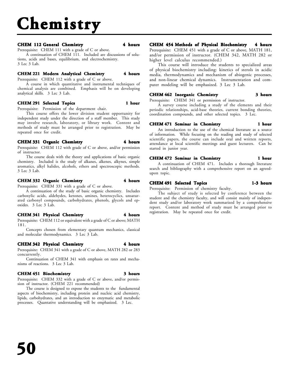# **Chemistr Chemistr Chemistry**

### **CHEM 112 General Chemistry 4 hours**

Prerequisite: CHEM 111 with a grade of C or above. A continuation of CHEM 111. Included are discussions of solutions, acids and bases, equilibrium, and electrochemistry. 3 Lec 3 Lab.

# **CHEM 221 Modern Analytical Chemistry 4 hours**

Prerequisite: CHEM 112 with a grade of C or above.

A course in which quantitative and instrumental techniques of chemical analysis are combined. Emphasis will be on developing analytical skills. 3 Lec 3 Lab.

# **CHEM 291 Selected Topics 1 hour**

Prerequisite: Permission of the department chair.

This course offers the lower division student opportunity for independent study under the direction of a staff member. This study may involve research, laboratory, or library work. Content and methods of study must be arranged prior to registration. May be repeated once for credit.

### **CHEM 331 Organic Chemistry 4 hours**

Prerequisite: CHEM 112 with grade of C or above, and/or permission of instructor.

The course deals with the theory and applications of basic organic chemistry. Included is the study of alkanes, alkenes, alkynes, simple aromatics, alkyl halides, alcohols, ethers and spectroscopic methods. 3 Lec 3 Lab.

# **CHEM 332 Organic Chemistry 4 hours**

Prerequisite: CHEM 331 with a grade of C or above.

A continuation of the study of basic organic chemistry. Includes carboxylic acids, aldehydes, ketones, amines, heterocyclics, unsaturated carbonyl compounds, carbohydrates, phenols, glycols and epoxides. 3 Lec 3 Lab.

# **CHEM 341 Physical Chemistry 4 hours**

Prerequisite: CHEM 112 or equivalent with a grade of C or above; MATH 181.

Concepts chosen from elementary quantum mechanics, classical and molecular thermodynamics. 3 Lec 3 Lab.

# **CHEM 342 Physical Chemistry 4 hours**

Prerequisite: CHEM 341 with a grade of C or above, MATH 282 or 283 concurrently.

Continuation of CHEM 341 with emphasis on rates and mechanisms of reactions. 3 Lec 3 Lab.

# **CHEM 451 Biochemistry 3 hours**

Prerequisite: CHEM 332 with a grade of C or above, and/or permission of instructor. (CHEM 221 recommended)

The course is designed to expose the students to the fundamental aspects of biochemistry, including protein and nucleic acid chemistry, lipids, carbohydrates, and an introduction to enzymatic and metabolic processes. Quantative understanding will be emphasized. 3 Lec.

# **50**

# **CHEM 454 Methods of Physical Biochemistry 4 hours**

Prerequisite: CHEM 451 with a grade of C or above, MATH 181, and/or permission of instructor. (CHEM 342, MATH 282 or higher level calculus recommended.)

This course will introduce the students to specialized areas of physical biochemistry including: kinetics of sterols in acidic media, thermodynamics and mechanism of abiogenic processes, and non-linear chemical dynamics. Instrumentation and computer modeling will be emphasized. 3 Lec 3 Lab.

# **CHEM 462 Inorganic Chemistry 3 hours**

Prerequisite: CHEM 341 or permission of instructor.

A survey course including a study of the elements and their periodic relationships, acid-base theories, current bonding theories, coordination compounds, and other selected topics. 3 Lec.

# **CHEM 471 Seminar in Chemistry 1 hour**

An introduction to the use of the chemical literature as a source of information. While focusing on the reading and study of selected scientific papers, the course can include oral and written reports, attendance at local scientific meetings and guest lecturers. Can be started in junior year.

# **CHEM 472 Seminar in Chemistry 1 hour**

A continuation of CHEM 471. Includes a thorough literature search and bibliography with a comprehensive report on an agreedupon topic.

# **CHEM 491 Selected Topics 1-3 hours**

Prerequisite: Permission of chemistry faculty.

The subject of study is selected by conference between the student and the chemistry faculty, and will consist mainly of independent study and/or laboratory work summarized by a comprehensive report. Content and method of study must be arranged prior to registration. May be repeated once for credit.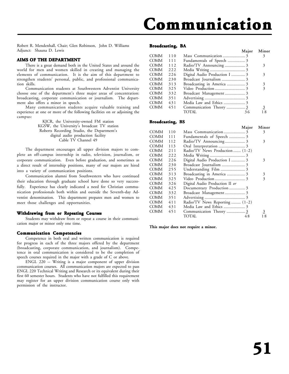# **Communication Communication Communication**

Robert R. Mendenhall, Chair; Glen Robinson, John D. Williams Adjunct: Shauna D. Lewis

# **AIMS OF THE DEPARTMENT**

There is a great demand both in the United States and around the world for men and women skilled in creating and managing the elements of communication. It is the aim of this department to strengthen students' personal, public, and professional communication skills.

Communication students at Southwestern Adventist University choose one of the department's three major areas of concentration: broadcasting, corporate communication or journalism. The department also offers a minor in speech.

Many communication students acquire valuable training and experience at one or more of the following facilities on or adjoining the campus:

> KJCR, the University-owned FM station KGSW, the University's broadcast TV station Roberts Recording Studio, the Department's digital audio production facility Cable TV Channel 49

The department encourages all upper division majors to complete an off-campus internship in radio, television, journalism, or corporate communication. Even before graduation, and sometimes as a direct result of internship positions, many of our majors are hired into a variety of communication positions.

Communication alumni from Southwestern who have continued their education through graduate school have done so very successfully. Experience has clearly indicated a need for Christian communication professionals both within and outside the Seventh-day Adventist denomination. This department prepares men and women to meet those challenges and opportunities.

# **Withdrawing from or Repeating Courses**

Students may withdraw from or repeat a course in their communication major or minor only one time.

# **Communication Competencies**

Competence in both oral and written communication is required for progress in each of the three majors offered by the department (broadcasting, corporate communication, and journalism). Competence in oral communication is considered to be the completion of speech courses required in the major with a grade of C or above.

ENGL 220 -- Writing is a major component of upper division communication courses. All communication majors are expected to pass ENGL 220 Technical Writing and Research or its equivalent during their first 60 semester hours. Students who have not fulfilled this requirement may register for an upper division communication course only with permission of the instructor.

### **Broadcasting, BA**

|      |     | Major                         | Minor |
|------|-----|-------------------------------|-------|
| COMM | 110 |                               |       |
| COMM | 111 | Fundamentals of Speech 3      |       |
| COMM | 112 | Radio/TV Announcing  3        | 3     |
| COMM | 222 |                               |       |
| COMM | 226 | Digital Audio Production I  3 | 3     |
| COMM | 230 |                               |       |
| COMM | 313 |                               | 3     |
| COMM | 325 |                               | 3     |
| COMM | 332 |                               |       |
| COMM | 351 |                               |       |
| COMM | 431 |                               |       |
| COMM | 451 | Communication Theory  3       | 3     |
|      |     | TOTAL.<br>36                  | 18    |
|      |     |                               |       |

### **Broadcasting, BS**

|      |     | Major                           | Minor |
|------|-----|---------------------------------|-------|
| COMM | 110 |                                 | 3     |
| COMM | 111 | Fundamentals of Speech 3        |       |
| COMM | 112 |                                 | 3     |
| СОММ | 113 |                                 |       |
| COMM | 211 | Radio/TV News Production  (1-2) |       |
| COMM | 222 |                                 |       |
| COMM | 226 | Digital Audio Production I  3   | 3     |
| COMM | 230 | Broadcast Journalism  3         |       |
| COMM | 255 |                                 |       |
| COMM | 313 |                                 | 3     |
| COMM | 325 |                                 | 3     |
| COMM | 326 | Digital Audio Production II or  |       |
| COMM | 425 | Documentary Production  3       |       |
| COMM | 332 | Broadcast Management3           |       |
| COMM | 351 |                                 |       |
| COMM | 411 | Radio/TV News Reporting  (1-2)  |       |
| COMM | 431 | Media Law and Ethics  3         |       |
| COMM | 451 | Communication Theory 3          | 3     |
|      |     | TOTAL<br>48                     | 18    |
|      |     |                                 |       |

**This major does not require a minor.**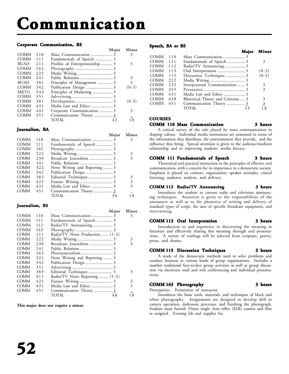# **Communication Communication Communication**

# **Corporate Communication, BS**

|             |      | Major                          | Minor   |
|-------------|------|--------------------------------|---------|
| <b>COMM</b> | 110  |                                | 3       |
| <b>COMM</b> | 111  | Fundamentals of Speech 3       |         |
| <b>BUAD</b> | 2.11 | Profiles of Entrepreneurship 3 | 3       |
| <b>COMM</b> | 163  |                                |         |
| <b>COMM</b> | 222  |                                |         |
| <b>COMM</b> | 2.41 |                                | 3       |
| <b>BUAD</b> | 301  | Principles of Management  3    | 3       |
| <b>COMM</b> | 342  |                                | $(0-3)$ |
| <b>MKTG</b> | 343  | Principles of Marketing  3     |         |
| <b>COMM</b> | 351  |                                |         |
| <b>COMM</b> | 381  |                                | $(0-3)$ |
| <b>COMM</b> | 431  | Media Law and Ethics  3        |         |
| <b>COMM</b> | 441  | Corporate Communication  3     | 3       |
| <b>COMM</b> | 451  | Communication Theory  3        |         |
|             |      | TOTAL<br>42                    |         |
|             |      |                                |         |

# **Journalism, BA**

|             |     |                             | Major | Minor |
|-------------|-----|-----------------------------|-------|-------|
| <b>COMM</b> | 110 |                             |       |       |
| <b>COMM</b> | 111 | Fundamentals of Speech  3   |       |       |
| <b>COMM</b> | 163 |                             |       |       |
| <b>COMM</b> | 222 |                             |       | 3     |
| <b>COMM</b> | 230 |                             |       | 3     |
| <b>COMM</b> | 241 |                             |       |       |
| <b>COMM</b> | 322 | News Writing and Reporting3 |       |       |
| <b>COMM</b> | 342 |                             |       |       |
| <b>COMM</b> | 383 |                             |       | 3     |
| <b>COMM</b> | 422 |                             |       | 3     |
| <b>COMM</b> | 431 |                             |       |       |
| <b>COMM</b> | 451 |                             |       |       |
|             |     | TOTAL.                      | 36    |       |
|             |     |                             |       |       |

# **Journalism, BS**

|             |     |                                 | Major | Minor |
|-------------|-----|---------------------------------|-------|-------|
| COMM        | 110 | Mass Communication  3           |       | 3     |
| COMM        | 111 | Fundamentals of Speech  3       |       |       |
| <b>COMM</b> | 112 |                                 |       |       |
| <b>COMM</b> | 163 |                                 |       |       |
| <b>COMM</b> | 211 | Radio/TV News Production  (1-2) |       |       |
| <b>COMM</b> | 222 |                                 |       | 3     |
| <b>COMM</b> | 230 | Broadcast Journalism  3         |       | 3     |
| <b>COMM</b> | 241 |                                 |       |       |
| <b>COMM</b> | 263 |                                 |       |       |
| COMM-       | 322 | News Writing and Reporting  3   |       |       |
| COMM        | 342 |                                 |       |       |
| <b>COMM</b> | 351 |                                 |       |       |
| <b>COMM</b> | 383 | Editorial Techniques  3         |       | 3     |
| <b>COMM</b> | 411 | Radio/TV News Reporting  (1-2)  |       |       |
| <b>COMM</b> | 422 |                                 |       | 3     |
| <b>COMM</b> | 431 | Media Law and Ethics  3         |       | 3     |
| <b>COMM</b> | 451 | Communication Theory  3         |       |       |
|             |     | TOTAL                           | 48    |       |

**This major does not require a minor.**

### **Speech, BA or BS**

|     |                                    | Minor   |
|-----|------------------------------------|---------|
| 110 |                                    |         |
| 111 | Fundamentals of Speech 3           | 3       |
| 112 |                                    |         |
| 113 |                                    | $(0-3)$ |
| 115 |                                    | $(0-3)$ |
| 222 |                                    |         |
| 233 | Interpersonal Communication  3     | 3       |
| 335 |                                    | 3       |
| 431 |                                    |         |
| 438 | Rhetorical Theory and Criticism  3 | 3       |
| 451 | Communication Theory  3            | 3       |
|     | TOTAL.<br>33                       | 18      |
|     |                                    | Major   |

# **COURSES**

# **COMM 110 Mass Communication 3 hours**

A critical survey of the role played by mass communication in shaping culture. Individual media institutions are examined in terms of the information they distribute, the entertainment they provide, and the influence they bring. Special attention is given to the audience/medium relationship and to improving students' media literacy.

# **COMM 111 Fundamentals of Speech 3 hours**

Theoretical and practical instruction in the principles of effective oral communication, with a concern for its importance in a democratic society. Emphasis is placed on content, organization, speaker attitudes, critical listening, audience analysis, and delivery.

# **COMM 112 Radio/TV Announcing 3 hours**

Introduces the student to current radio and television announcing techniques. Attention is given to the responsibilities of the announcer as well as to the phonetics of writing and delivery of standard types of script, the uses of specific broadcast equipment, and interviewing.

# **COMM 113 Oral Interpretation 3 hours**

Introduction to and experience in discovering the meaning in literature and effectively sharing this meaning through oral presentations. A variety of readings will be selected from scripture, poetry, prose, and drama.

# **COMM 115 Discussion Techniques 3 hours**

A study of the democratic methods used to solve problems and conduct business in various kinds of group organizations. Includes a number traditional face-to-face group activities as well as group discussion via electronic mail and web conferencing and individual presentations.

# **COMM 163 Photography 3 hours**

Prerequisite: Permission of instructor.

Introduces the basic tools, materials, and techniques of black and white photography. Assignments are designed to develop skill in camera operation, darkroom processes, and finishing the photograph. Student must furnish 35mm single -lens reflex (SLR) camera and film as assigned. Evening lab and supplies fee.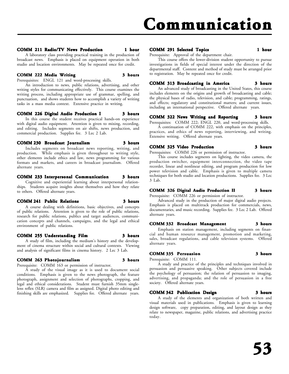# **COMM 211 Radio/TV News Production 1 hour**

A laboratory class providing practical training in the production of broadcast news. Emphasis is placed on equipment operation in both studio and location environments. May be repeated once for credit.

# **COMM 222 Media Writing 3 hours**

Prerequisites: ENGL 121 and word-processing skills.

An introduction to news, public relations, advertising, and other writing styles for communicating effectively. This course examines the writing process, including appropriate use of grammar, spelling, and punctuation, and shows students how to accomplish a variety of writing tasks in a mass media context. Extensive practice in writing.

### **COMM 226 Digital Audio Production I 3 hours**

In this course the student receives practical hands-on experience with digital audio equipment. Attention is given to mixing, recording, and editing. Includes segments on air shifts, news production, and commercial production. Supplies fee. 3 Lec 2 Lab.

# **COMM 230 Broadcast Journalism 3 hours**

Includes segments on broadcast news reporting, writing, and production. While emphasis is given throughout to writing style, other elements include ethics and law, news programming for various formats and markets, and careers in broadcast journalism. Offered alternate years.

# **COMM 233 Interpersonal Communication 3 hours**

Cognitive and experiential learning about interpersonal relationships. Students acquire insights about themselves and how they relate to others. Offered alternate years.

# **COMM 241 Public Relations 3 hours**

A course dealing with definitions, basic objectives, and concepts of public relations. Attention is given to the role of public relations, research for public relations, publics and target audiences, communication concepts and channels, campaigns, and the legal and ethical environment of public relations.

# **COMM 255 Understanding Film 3 hours**

A study of film, including the medium's history and the development of cinema structure within social and cultural contexts. Viewing and analysis of significant films in cinema history. 2 Lec 3 Lab.

# **COMM 263 Photojournalism 3 hours**

Prerequisite: COMM 163 or permission of instructor.

A study of the visual image as it is used to document social conditions. Emphasis is given to the news photograph, the feature photograph, assignment and selection of photographs, cropping, and legal and ethical considerations. Student must furnish 35mm singlelens reflex (SLR) camera and film as assigned. Digital photo editing and finishing skills are emphasized. Supplies fee. Offered alternate years.

### **COMM 291 Selected Topics 1 hour**

Prerequisite: Approval of the department chair.

This course offers the lower-division student opportunity to pursue investigations in fields of special interest under the direction of the departmental staff. Content and method of study must be arranged prior to registration. May be repeated once for credit.

# **COMM 313 Broadcasting in America 3 hours**

An advanced study of broadcasting in the United States, this course includes elements on the origins and growth of broadcasting and cable; the physical bases of radio, television, and cable; programming, ratings, and effects; regulatory and constitutional matters; and current issues, including an international perspective. Offered alternate years.

# **COMM 322 News Writing and Reporting 3 hours**

Prerequisites: COMM 222; ENGL 220, and word-processing skills.

A continuation of COMM 222, with emphasis on the principles, practices, and ethics of news reporting, interviewing, and writing. Extensive writing. Offered alternate years.

# **COMM 325 Video Production 3 hours**

Prerequisites: COMM 226 or permission of instructor. This course includes segments on lighting, the video camera, the production switcher, equipment interconnection, the video tape recorder, linear and nonlinear editing, and program production for low power television and cable. Emphasis is given to multiple camera techniques for both studio and location productions. Supplies fee. 3 Lec 3 Lab.

#### **COMM 326 Digital Audio Production II 3 hours** Prerequisite: COMM 226 or permission of instructor.

Advanced study in the production of major digital audio projects. Emphasis is placed on multitrack production for commercials, news, documentaries, and music recording. Supplies fee. 3 Lec 2 Lab. Offered alternate years.

# **COMM 332 Broadcast Management 3 hours**

Emphasis on station management, including segments on financial and human resource management, promotion and marketing, sales, broadcast regulations, and cable television systems. Offered alternate years.

# **COMM 335 Persuasion 3 hours**

Prerequisite: COMM 111.

A study and practice of the principles and techniques involved in persuasion and persuasive speaking. Other subjects covered include the psychology of persuasion; the relation of persuasion to imaging, advertising, and propaganda; and the role of persuasion in a free society. Offered alternate years.

# **COMM 342 Publication Design 3 hours**

A study of the elements and organization of both written and visual materials used in publications. Emphasis is given to learning design software, copy preparation, editing, and layout design as they relate to newspaper, magazine, public relations, and advertising practice today.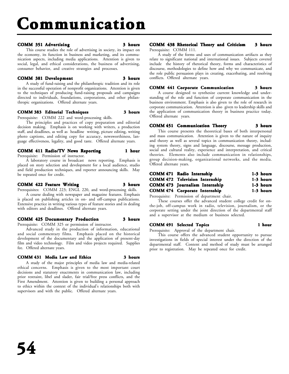# **Communication Communication Communication**

### **COMM 351 Advertising 3 hours**

This course studies the role of advertising in society, its impact on the economy, its function in business and marketing, and its communication aspects, including media applications. Attention is given to social, legal, and ethical considerations, the business of advertising, consumer behavior, and creative strategies and processes.

# **COMM 381 Development 3 hours**

A study of fund-raising and the philanthropic tradition and its role in the successful operation of nonprofit organizations. Attention is given to the techniques of producing fund-raising proposals and campaigns directed to individuals, foundations, corporations, and other philanthropic organizations. Offered alternate years.

# **COMM 383 Editorial Techniques 3 hours**

Prerequisite: COMM 222 and word-processing skills.

The principles and practices of copy preparation and editorial decision making. Emphasis is on working with writers, a production staff, and deadlines, as well as headline writing, picture editing, writing photo captions, and editing copy for accuracy, newsworthiness, language effectiveness, legality, and good taste. Offered alternate years.

### **COMM 411 Radio/TV News Reporting 1 hour**

Prerequisite: Permission of instructor.

A laboratory course in broadcast news reporting. Emphasis is placed on story selection and development for a local audience, studio and field production techniques, and reporter announcing skills. May be repeated once for credit.

### **COMM 422 Feature Writing 3 hours**

Prerequisites: COMM 223; ENGL 220, and word-processing skills. A course dealing with newspaper and magazine features. Emphasis is placed on publishing articles in on- and off-campus publications. Extensive practice in writing various types of feature stories and in dealing with editors and deadlines. Offered alternate years.

### **COMM 425 Documentary Production 3 hours**

Prerequisite: COMM 325 or permission of instructor.

Advanced study in the production of information, educational and social commentary films. Emphasis placed on the historical development of the documentary and the application of present-day film and video technology. Film and video projects required. Supplies fee. Offered alternate years.

# **COMM 431 Media Law and Ethics 3 hours**

A study of the major principles of media law and media-related ethical concerns. Emphasis is given to the most important court decisions and statutory enactments in communication law, including prior restraint, libel and slader, fair trial/free press conflicts, and the First Amendment. Attention is given to building a personal approach to ethics within the context of the individual's relationships both with supervisors and with the public. Offered alternate years.

# **COMM 438 Rhetorical Theory and Criticism 3 hours** Prerequisite: COMM 111.

A study of the forms and uses of communication artifacts as they relate to significant national and international issues. Subjects covered include the history of rhetorical theory, forms and characteristics of discourse, methodologies to define how and why we communicate, and the role public persuasion plays in creating, exacerbating, and resolving conflicts. Offered alternate years.

# **COMM 441 Corporate Communication 3 hours**

A course designed to synthesize current knowledge and understanding of the role and function of corporate communication in the business environment. Emphasis is also given to the role of research in corporate communication. Attention is also given to leadership skills and the application of communication theory in business practice today. Offered alternate years.

# **COMM 451 Communication Theory 3 hours**

This course presents the theoretical bases of both interpersonal and mass communication. Attention is given to the nature of inquiry and theory as well as several topics in communication theory, including system theory, signs and language, discourse, message production, social and cultural reality, experience and interpretation, and critical theories. Elements also include communication in relationships, group decision-making, organizational networks, and the media. Offered alternate years.

| COMM 471 Radio Internship             | 1-3 hours |
|---------------------------------------|-----------|
| <b>COMM 472 Television Internship</b> | 1-3 hours |
| COMM 473 Journalism Internship        | 1-3 hours |
| COMM 474 Corporate Internship         | 1-3 hours |

Prerequisite: Permission of department chair.

These courses offer the advanced student college credit for onthe-job, off-campus work in radio, television, journalism, or the corporate setting under the joint direction of the departmental staff and a supervisor at the medium or business selected.

# **COMM 491 Selected Topics 1 hour**

Prerequisite: Approval of the department chair.

This course offers the advanced student opportunity to pursue investigations in fields of special interest under the direction of the departmental staff. Content and method of study must be arranged prior to registration. May be repeated once for credit.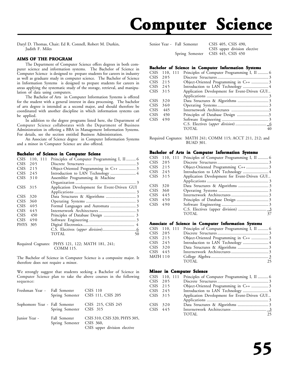# **Computer Science**

Daryl D. Thomas, Chair; Ed R. Connell, Robert M. Durkin, Judith F. Miles

# **AIMS OF THE PROGRAM**

The Department of Computer Science offers degrees in both computer science and information systems. The Bachelor of Science in Computer Science is designed to prepare students for careers in industry as well as graduate study in computer science. The Bachelor of Science in Information Systems is designed to prepare students for careers in areas applying the systematic study of the storage, retrieval, and manipulation of data using computers.

The Bachelor of Arts in Computer Information Systems is offered for the student with a general interest in data processing. The bachelor of arts degree is intended as a second major, and should therefore be coordinated with another discipline in which information systems can be applied.

In addition to the degree programs listed here, the Department of Computer Science collaborates with the Department of Business Administration in offering a BBA in Management Information Systems. For details, see the section entitled Business Administration.

An Associate of Science degree in Computer Information Systems and a minor in Computer Science are also offered.

### **Bachelor of Science in Computer Sciene**

| <b>CSIS</b> | 110, 111 |                                              |    |
|-------------|----------|----------------------------------------------|----|
| CSIS        | 205      |                                              |    |
| <b>CSIS</b> | 215      | Object-Oriented Programming in C++  3        |    |
| <b>CSIS</b> | 245      |                                              |    |
| <b>CSIS</b> | 310      | Assembler Programming & Machine              |    |
|             |          |                                              |    |
| <b>CSIS</b> | 315      | Application Development for Event-Driven GUI |    |
|             |          |                                              |    |
| <b>CSIS</b> | 320      |                                              |    |
| <b>CSIS</b> | 360      |                                              |    |
| <b>CSIS</b> | 405      | Formal Languages and Automata  3             |    |
| <b>CSIS</b> | 445      |                                              |    |
| <b>CSIS</b> | 450      |                                              |    |
| <b>CSIS</b> | 490      |                                              |    |
| <b>PHYS</b> | 305      |                                              |    |
|             |          |                                              |    |
|             |          | TOTAL                                        | 50 |

Required Cognates: PHYS 121, 122; MATH 181, 241; COMM 115.

The Bachelor of Science in Computer Science is a composite major. It therefore does not require a minor.

We strongly suggest that students seeking a Bachelor of Science in Computer Science plan to take the above courses in the following sequence:

| Freshman Year - Fall Semester |                           | CSIS 110                                          |
|-------------------------------|---------------------------|---------------------------------------------------|
|                               |                           | Spring Semester CSIS 111, CSIS 205                |
|                               |                           | Sophomore Year - Fall Semester CSIS 215, CSIS 245 |
|                               | Spring Semester CSIS 315  |                                                   |
| Junior Year -                 | Fall Semester             | CSIS 310, CSIS 320, PHYS 305,                     |
|                               | Spring Semester CSIS 360, |                                                   |
|                               |                           | CSIS upper division elective                      |

Senior Year - Fall Semester CSIS 405, CSIS 490,

CSIS upper division elective Spring Semester CSIS 445, CSIS 450

### **Bachelor of Science in Computer Information Systems**

| CSIS  | 110, 111 | Principles of Computer Programming I, II  6  |    |
|-------|----------|----------------------------------------------|----|
| CSIS- | 205      |                                              |    |
| CSIS- | 215      | Object-Oriented Programming in C++ 3         |    |
| CSIS- | 245      | Introduction to LAN Technology  4            |    |
| CSIS- | 315      | Application Development for Event-Driven GUI |    |
|       |          |                                              |    |
| CSIS  | 320      |                                              |    |
| CSIS- | 360      |                                              |    |
| CSIS- | 445      |                                              |    |
| CSIS  | 450      | Principles of Database Design 3              |    |
| CSIS. | 490      |                                              |    |
|       |          |                                              |    |
|       |          | TOTAL                                        | 40 |
|       |          |                                              |    |

Required Cognates: MATH 241; COMM 115; ACCT 211, 212; and BUAD 301.

### **Bachelor of Arts in Computer Information Systems**

| CSIS- | 110, 111 | Principles of Computer Programming I, II  6  |    |
|-------|----------|----------------------------------------------|----|
| CSIS- | 205      |                                              |    |
| CSIS- | 215      | Object-Oriented Programming C++  3           |    |
| CSIS- | 245      | Introduction to LAN Technology  4            |    |
| CSIS- | 315      | Application Development for Event-Driven GUI |    |
|       |          |                                              |    |
| CSIS  | 320      |                                              |    |
| CSIS- | 360      |                                              |    |
| CSIS- | 445      |                                              |    |
| CSIS- | 450      |                                              |    |
| CSIS  | 490      |                                              |    |
|       |          |                                              |    |
|       |          | TOTAL                                        | 37 |
|       |          |                                              |    |

# **Associate of Science in Computer Information Systems**

|            | CSIS 110, 111 | Principles of Computer Programming I, II  6 |    |
|------------|---------------|---------------------------------------------|----|
| CSIS 205   |               |                                             |    |
| $CSIS$ 215 |               | Object-Oriented Programming in C++  3       |    |
| $CSIS$ 245 |               | Introduction to LAN Technology  4           |    |
| $CSIS$ 320 |               |                                             |    |
| $CSIS$ 445 |               |                                             |    |
| MATH 110   |               |                                             |    |
|            |               | TOTAL                                       | 25 |

### **Minor in Computer Science**

|            | CSIS 110, 111 | Principles of Computer Programming I, II  6  |  |
|------------|---------------|----------------------------------------------|--|
| $CSIS$ 205 |               |                                              |  |
| $CSIS$ 215 |               | Object-Oriented Programming in C++ 3         |  |
| $CSIS$ 245 |               | Introduction to LAN Technology  4            |  |
| $CSIS$ 315 |               | Application Development for Event-Driven GUI |  |
|            |               |                                              |  |
| $CSIS$ 320 |               |                                              |  |
| CSIS 445   |               |                                              |  |
|            |               | TOTAL<br>25                                  |  |
|            |               |                                              |  |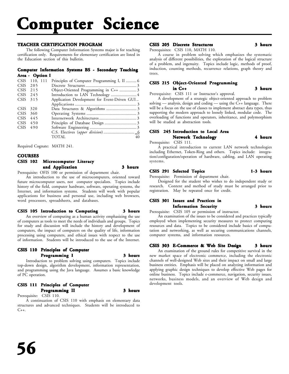# **Computer Science Computer Science Computer Science**

# **TEACHER CERTIFICATION PROGRAM**

The following Computer Information Systems major is for teaching certification only. Requirements for elementary certification are listed in the Education section of this bulletin.

# **Computer Information Systems BS - Secondary Teaching Area - Option I**

|             | CSIS 110, 111 | Principles of Computer Programming I, II  6  |    |
|-------------|---------------|----------------------------------------------|----|
| <b>CSIS</b> | 205           |                                              |    |
| <b>CSIS</b> | 215           | Object-Oriented Programming in C++ 3         |    |
| <b>CSIS</b> | 245           | Introduction to LAN Technology  4            |    |
| CSIS        | 315           | Application Development for Event-Driven GUI |    |
|             |               |                                              |    |
| <b>CSIS</b> | 320           |                                              |    |
| <b>CSIS</b> | 360           |                                              |    |
| <b>CSIS</b> | 445           |                                              |    |
| <b>CSIS</b> | 450           |                                              |    |
| <b>CSIS</b> | 490           |                                              |    |
|             |               |                                              |    |
|             |               | TOTAL                                        | 40 |
|             |               |                                              |    |

Required Cognate: MATH 241.

# **COURSES CSIS 102 Microcomputer Literacy and Application 3 hours**

Prerequisite: OFIS 100 or permission of department chair.

An introduction to the use of microcomputers, oriented toward future microcomputer users, not computer specialists. Topics include history of the field, computer hardware, software, operating systems, the Internet, and information systems. Students will work with popular applications for business and personal use, including web browsers, word processors, spreadsheets, and databases.

### **CSIS 105 Introduction to Computing 3 hours**

An overview of computing as a human activity emphasizing the use of computers as tools to meet the needs of individuals and groups. Topics for study and discussion will include the history and development of computers, the impact of computers on the quality of life, information processing using computers, and ethical issues with respect to the use of information. Students will be introduced to the use of the Internet.

# **CSIS 110 Principles of Computer Programming I 3 hours**

Introduction to problem solving using computers. Topics include top-down design, algorithm development, information representation, and programming using the Java language. Assumes a basic knowledge of PC operation.

# **CSIS 111 Principles of Computer Programming II 3 hours**

Prerequisite: CSIS 110.

A continuation of CSIS 110 with emphasis on elementary data structures and advanced techniques. Students will be introduced to  $C_{++}$ .

# **CSIS 205 Discrete Structures 3 hours**

Prerequisites: CSIS 110, MATH 110.

A course in problem solving which emphasizes the systematic analysis of different possibilities, the exploration of the logical structure of a problem, and ingenuity. Topics include logic, methods of proof, induction, counting methods, recurrence relations, graph theory and trees.

# **CSIS 215 Object-Oriented Programming in C++ 3 hours**

Prerequisite: CSIS 111 or Instructor's approval.

A development of a strategic object-oriented approach to problem solving — analysis, design and coding — using the C++ language. There will be a focus on the use of classes to implement abstract data types, thus supporting the modern approach to loosely linked, modular code. The overloading of functions and operators, inheritance, and polymorphism will be studied as abstraction tools.

# **CSIS 245 Introduction to Local Area Network Technology 4 hours**

Prerequisite: CSIS 111.

A practical introduction to current LAN network technologies including Ethernet, Token-Ring and others. Topics include: integration/configuration/operation of hardware, cabling, and LAN operating systems.

# **CSIS 291 Selected Topics 1-3 hours**

Prerequisite: Permission of department chair.

Designed for the student who wishes to do independent study or research. Content and method of study must be arranged prior to registration. May be repeated once for credit.

# **CSIS 301 Issues and Practices in Information Security 3 hours**

Prerequisite: CSIS 105 or permission of instructor.

An examination of the issues to be considered and practices typically employed when implementing security measures to protect computing resources and data. Topics to be considered include basics of computation and networking, as well as securing communications channels, computer systems, and information resources.

# **CSIS 303 E-Commerce & Web Site Design 3 hours**

An examination of the ground rules for competitive survival in the new market space of electronic commerce, including the electronic channels of well-designed Web sites and their impact on small and large business entities. Emphasis will be placed on analyzing information and applying graphic design techniques to develop effective Web pages for online business. Topics include e-commerce, navigation, security issues, networks, business models, and an overview of Web design and development tools.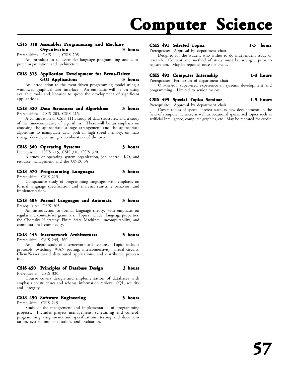# **Computer Science**

# **CSIS 310 Assembler Programming and Machine Organization 3 hours**

Prerequisites: CSIS 111, CSIS 205.

An introduction to assembler language programming and computer organization and architecture.

# **CSIS 315 Application Development for Event-Driven GUI Applications 3 hours**

An introduction to the event-driven programming model using a windowed graphical user interface. An emphasis will be on using available tools and libraries to speed the development of significant applications.

# **CSIS 320 Data Structures and Algorithms 3 hours**

Prerequisites: CSIS 205, CSIS 215.

A continuation of CSIS 111's study of data structures, and a study of the time-complexity of algorithms. There will be an emphasis on choosing the appropriate storage arrangement and the appropriate algorithms to manipulate data, both in high speed memory, on mass storage devices, or using a combination of the two.

# **CSIS 360 Operating Systems 3 hours**

Prerequisites: CSIS 215, CSIS 310, CSIS 320. A study of operating system organization, job control, I/O, and resource management and the UNIX o/s.

### **CSIS 370 Programming Languages 3 hours** Prerequisite: CSIS 215.

Comparative study of programming languages with emphasis on formal language specification and analysis, run-time behavior, and implementation.

# **CSIS 405 Formal Languages and Automata 3 hours**

Prerequisite: CSIS 205.

An introduction to formal language theory, with emphasis on regular and context-free grammars. Topics include: language properties, the Chomsky Hierarchy, Finite State Machines, uncomputability, and computational complexity.

# **CSIS 445 Internetwork Architectures 3 hours**

Prerequisite: CSIS 245, 360.

An in-depth study of internetwork architectures. Topics include: protocols, switching, WAN routing, interconnectivity, virtual circuits, Client/Server based distributed applications, and distributed processing.

# **CSIS 450 Principles of Database Design 3 hours**

Prerequisite: CSIS 320.

Course covers design and implementation of databases with emphasis on structures and schems, information retrieval, SQL, security and integrity.

# **CSIS 490 Software Engineering 3 hours**

Prerequisite: CSIS 215.

Study of the management and implementation of programming projects. Includes project management, scheduling and control, programming assignments and specifications, testing and documentation, system implementation, and evaluation.

# **CSIS 491 Selected Topics 1-3 hours**

Prerequisite: Approval by department chair. Designed for the student who wishes to do independent study or

research. Content and method of study must be arranged prior to registration. May be repeated once for credit.

# **CSIS 492 Computer Internship 1-3 hours**

Prerequisite: Permission of department chair.

On-the-job supervised experience in systems development and programming. Limited to senior majors.

# **CSIS 495 Special Topics Seminar 1-3 hours**

Prerequisite: Approval by department chair.

Covers topics of special interest such as new developments in the field of computer science, as well as occasional specialized topics such as artificial intelligence, computer graphics, etc. May be repeated for credit.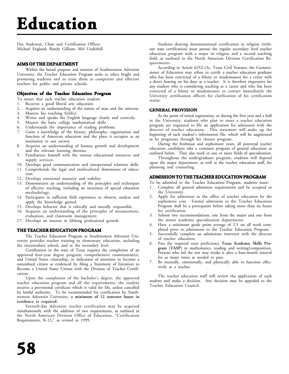# **Education ducation ducation**

Dee Anderson, Chair and Certification Officer; Michael England, Randy Gilliam, Mel Underhill

# **AIMS OF THE DEPARTMENT**

Within the broad purpose and mission of Southwestern Adventist University, the Teacher Education Program seeks to select bright and promising students and to train them as competent and effective teachers for public and private schools.

# **Objectives of the Teacher Education Program**

- To assure that each teacher education student:
- 1. Receives a good liberal arts education.<br>2. Acquires an understanding of the nature
- Acquires an understanding of the nature of man and the universe.
- 3. Masters his teaching field(s).<br>4 Writes and speaks the English
- Writes and speaks the English language clearly and correctly.
- 5. Masters the basic college mathematical skills.
- 6. Understands the importance of reading problems.
- 7. Gains a knowledge of the history, philosophy, organization and function of American education and the place it occupies as an institution in our society.
- 8. Acquires an understanding of human growth and development and the relevant learning theories.
- 9. Familiarizes himself with the various educational resources and supply services.
- 10. Develops good communication and interpersonal relations skills.
- 11. Comprehends the legal and multicultural dimensions of education.
- 12. Develops emotional maturity and stability.
- 13. Demonstrates an understanding of the principles and techniques of effective teaching, including an awareness of special education methodology.
- 14. Participates in sufficient field experience to observe, analyze and apply the knowledge gained.
- 15. Develops behavior that is ethically and morally responsible.
- 16. Acquires an understanding of the principles of measurement, evaluation, and classroom management.
- 17. Develops an interest in lifelong professional growth.

# **THE TEACHER EDUCATION PROGRAM**

The Teacher Education Program at Southwestern Adventist University provides teacher training in elementary education, including the intermediate school, and at the secondary level.

Certification in the state of Texas requires the completion of an approved four-year degree program, comprehensive examination(s), and United States citizenship, or indication of intention to become a naturalized citizen as evidenced by filing a Statement of Intention to Become a United States Citizen with the Division of Teacher Certification.

Upon the completion of the bachelor's degree, the approved teacher education program and all the requirements, the student receives a provisional certificate which is valid for life, unless cancelled by lawful authority. To be recommended for certification by Southwestern Adventist University, **a minimum of 12 semester hours in residence is required.**

Seventh-day Adventist teacher certification may be acquired simultaneously with the addition of two requirements, as outlined in the North American Division Office of Education, "Certification Requirements, K-12," as revised in 1999.

Students desiring denominational certification in religion (without state certification) must pursue the regular secondary level teacher education program with a major in religion and a second teaching field, as outlined in the North American Division Certification Requirements.

According to Article 6252-13c, Texas Civil Statutes, the Commissioner of Education may refuse to certify a teacher education graduate who has been convicted of a felony or misdemeanor for a crime with a direct bearing on his duty as a teacher. It is therefore imperative for any student who is considering teaching as a career and who has been convicted of a felony or misdemeanor to contact immediately the University certification officers for clarification of his certification status.

# **GENERAL PROVISION**

At the point of initial registration, or during the first year and a half in the University, students who plan to enter a teacher education program are requested to file an application for admission with the director of teacher education. This statement will make up the beginning of each student's information file, which will be augmented as he progresses through his chosen program.

During the freshman and sophomore years, all potential teacher education candidates take a common program of general education as outlined below. They also work in one or more fields of specialization.

Throughout the undergraduate program, students will depend upon the major department, as well as the teacher education staff, for planning and counseling.

# **ADMISSION TO THE TEACHER EDUCATION PROGRAM**

To be admitted to the Teacher Education Program, students must:

- 1. Complete all general admission requirements and be accepted to the University.
- Apply for admission to the office of teacher education by the sophomore year. Formal admission to the Teacher Education Program shall be a prerequisite before taking more than six hours for certification.
- Submit two recommendations, one from the major and one from the minor academic specialization departments.
- 4. Have a minimum grade point average of 2.5 on all work completed prior to admissions to the Teacher Education Program.
- Successfully complete an admissions interview with the director of teacher education.
- 6. Pass the required state proficiency **Texas Academic Skills Program (TASP)** in mathematics, reading and writing/composition. Persons who fail the test may retake it after a four-month interval for as many times as needed to pass.
- 7. Be mentally, emotionally, and physically able to function effectively as a teacher.

The teacher education staff will review the application of each student and make a decision. Any decision may be appealed to the Teacher Education Council.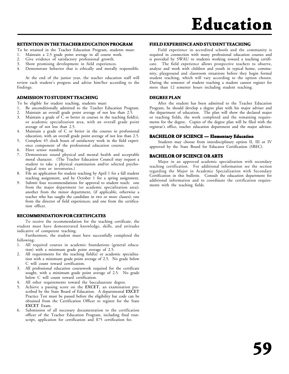# **RETENTION IN THE TEACHER EDUCATION PROGRAM**

To be retained in the Teacher Education Program, students must:

- 1. Maintain a 2.5 grade point average in all course work.
- 2. Give evidence of satisfactory professional growth.
- 3. Show promising development in field experiences.
- Demonstrate behavior that is ethically and morally responsible.

At the end of the junior year, the teacher education staff will review each student's progress and advise him/her according to the findings.

# **ADMISSION TO STUDENT TEACHING**

To be eligible for student teaching, students must:

- 1. Be unconditionally admitted to the Teacher Education Program.
- 2. Maintain an overall grade point average of not less than 2.5.
- 3. Maintain a grade of  $\overline{C}$  or better in courses in the teaching field(s), or academic specialization area, with an overall grade point average of not less than 2.5.
- 4. Maintain a grade of C or better in the courses in professional education, with an overall grade point average of not less than 2.5.
- 5. Complete 45 clock hours of satisfactory work in the field experience component of the professional education courses.
- 6. Have senior standing.
- 7. Demonstrate sound physical and mental health and acceptable moral character. (The Teacher Education Council may request a student to take a physical examination and/or selected psychological tests or inventories.)
- 8. File an application for student teaching by April 1 for a fall student teaching assignment, and by October 1 for a spring assignment.
- 9. Submit four recommendations for approval to student teach: one from the major department (or academic specialization area); another from the minor department, (if applicable, otherwise a teacher who has taught the candidate in two or more classes); one from the director of field experiences; and one from the certification officer.

### **RECOMMENDATION FOR CERTIFICATES**

To receive the recommendation for the teaching certificate, the student must have demonstrated knowledge, skills, and attitudes indicative of competent teaching.

Furthermore, the student must have successfully completed the following:

- 1. All required courses in academic foundations (general education) with a minimum grade point average of 2.5.
- All requirements for the teaching field(s) or academic specialization with a minimum grade point average of 2.5. No grade below C will count toward certification.
- 3. All professional education coursework required for the certificate sought, with a minimum grade point average of 2.5. No grade below C will count toward certification.
- 4. All other requirements toward the baccalaureate degree.
- 5. Achieve a passing score on the **EXCET**, an examination prescribed by the State Board of Education. A departmental **EXCET** Practice Test must be passed before the eligibility bar code can be obtained from the Certification Officer to register for the State **EXCET** Exam.
- 6. Submission of all necessary documentation to the certification officer of the Teacher Education Program, including final transcript, application for certification and \$75 certification fee.

# **FIELD EXPERIENCE AND STUDENT TEACHING**

Field experience in accredited schools and the community is required in connection with many professional education courses and is provided by SWAU to students working toward a teaching certificate. The field experience allows prospective teachers to observe, analyze and work with children and youth in typical home, community, playground and classroom situations before they begin formal student teaching, which will vary according to the option chosen. During the semester of student teaching a student cannot register for more than 12 semester hours including student teaching.

# **DEGREE PLAN**

After the student has been admitted to the Teacher Education Program, he should develop a degree plan with his major adviser and the department of education. The plan will show the declared major or teaching fields, the work completed and the remaining requirements for the degree. Copies of the degree plan will be filed with the registrar's office, teacher education department and the major advisor.

### **BACHELOR OF SCIENCE — Elementary Education**

Students may choose from interdisciplinary option II, III or IV approved by the State Board for Educator Certification (SBEC).

### **BACHELOR OF SCIENCE OR ARTS**

Major in an approved academic specialization with secondary teaching certification. For additional information see the section regarding the Major in Academic Specialization with Secondary Certification in this bulletin. Consult the education department for additional information and to coordinate the certification requirements with the teaching fields.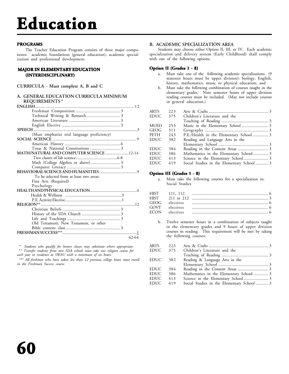# **Education ducation ducation**

# **PROGRAMS**

The Teacher Education Program consists of three major components: academic foundations (general education), academic specialization and professional development.

# **MAJOR IN ELEMENTARY EDUCATION (INTERDISCIPLINARY)**

**CURRICULA - Must complete A, B and C**

| A. GENERAL EDUCATION CURRICULA MINIMUM     |
|--------------------------------------------|
| <b>REQUIREMENTS*</b>                       |
| <b>ENGLISH</b>                             |
|                                            |
|                                            |
|                                            |
|                                            |
| <b>SPEECH</b>                              |
| (Must emphasize oral language proficiency) |
|                                            |
|                                            |
|                                            |
|                                            |
|                                            |
| Math (College Algebra or above)  3         |
|                                            |
|                                            |
| To be selected from at least two areas:    |
| Fine Arts (Required)                       |
| Psychology                                 |
|                                            |
|                                            |
|                                            |
|                                            |
|                                            |
|                                            |
|                                            |
| Old Testament, New Testament, or other     |
|                                            |
|                                            |
| $62 - 64$                                  |

 *\* Students who qualify for honors classes may substitute where appropriate.* \**\* Transfer students from non SDA schools must take one religion course for each year in residence at SWAU with a minimum of six hours.*

 *\*\*\* All freshmen who have taken less than 12 previous college hours must enroll in the Freshman Success course.*

# **B. ACADEMIC SPECIALIZATION AREA**

Students may choose either Option II, III, or IV. Each academic specialization and delivery system (Early Childhood) shall comply with one of the following options.

# **Option II (Grades 1 - 8)**

- a. Must take one of the following academic specializations (9 semester hours must be upper division): biology, English, history, mathematics, music or physical education; and
- b. Must take the following combination of courses taught in the elementary grades. Nine semester hours of upper division reading courses must be included. (May not include courses in general education.)

| ARTS | 223 |                                            |  |
|------|-----|--------------------------------------------|--|
| EDUC | 375 | Children's Literature and the              |  |
|      |     |                                            |  |
| MUED | 253 |                                            |  |
| GEOG | 311 |                                            |  |
| PETH | 243 | P.E./Health in the Elementary School3      |  |
| EDUC | 382 | Reading and Language Arts in the           |  |
|      |     |                                            |  |
| EDUC | 384 |                                            |  |
| EDUC | 386 | Mathematics in the Elementary School3      |  |
| EDUC | 413 |                                            |  |
| EDUC | 419 | Social Studies in the Elementary School  3 |  |
|      |     |                                            |  |

# **Option III (Grades 1 - 8)**

a. Must take the following courses for a specialization in: Social Studies

b. Twelve semester hours in a combination of subjects taught in the elementary grades and 9 hours of upper division courses in reading. This requirement will be met by taking the following courses:

| ARTS | 223 |                                            |  |
|------|-----|--------------------------------------------|--|
| EDUC | 375 | Children's Literature and the              |  |
|      |     |                                            |  |
| EDUC | 382 | Reading & Language Arts in the             |  |
|      |     |                                            |  |
| EDUC | 384 |                                            |  |
| EDUC | 386 | Mathematics in the Elementary School 3     |  |
| EDUC | 413 |                                            |  |
| EDUC | 419 | Social Studies in the Elementary School  3 |  |
|      |     |                                            |  |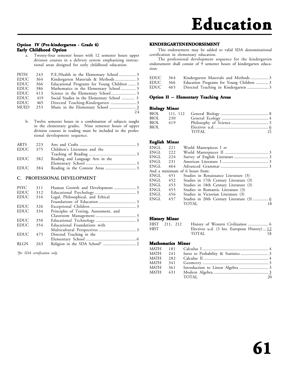# **Option IV (Pre-kindergarten - Grade 6) Early Childhood Option**

a. Twenty-four semester hours with 12 semester hours upper division courses in a delivery system emphasizing instructional areas designed for early childhood education.

| <b>PETH</b> | 243 | P.E./Health in the Elementary School 3     |    |
|-------------|-----|--------------------------------------------|----|
| <b>EDUC</b> | 364 |                                            |    |
| <b>EDUC</b> | 366 | Educational Programs for Young Children  3 |    |
| <b>EDUC</b> | 386 | Mathematics in the Elementary School 3     |    |
| <b>EDUC</b> | 413 |                                            |    |
| <b>EDUC</b> | 419 | Social Studies in the Elementary School  3 |    |
| <b>EDUC</b> | 465 |                                            |    |
| <b>MUED</b> | 253 |                                            |    |
|             |     |                                            | 24 |

b. Twelve semester hours in a combination of subjects taught in the elementary grades. Nine semester hours of upper division courses in reading must be included in the professional development sequence.

| EDUC     | 375 Children's Literature and the |  |
|----------|-----------------------------------|--|
|          |                                   |  |
| EDUC 382 | Reading and Language Arts in the  |  |
|          |                                   |  |
|          |                                   |  |

# **C. PROFESSIONAL DEVELOPMENT**

| <b>PSYC</b> | 311 |                                        |  |
|-------------|-----|----------------------------------------|--|
| <b>EDUC</b> | 312 |                                        |  |
| <b>EDUC</b> | 316 | Legal, Philosophical, and Ethical      |  |
|             |     |                                        |  |
| <b>EDUC</b> | 326 |                                        |  |
| <b>EDUC</b> | 334 | Principles of Testing, Assessment, and |  |
|             |     |                                        |  |
| <b>EDUC</b> | 350 |                                        |  |
| <b>EDUC</b> | 354 | Educational Foundations with           |  |
|             |     |                                        |  |
| <b>EDUC</b> | 475 | Directed Teaching in the               |  |
|             |     |                                        |  |
| <b>RLGN</b> | 263 |                                        |  |
|             |     |                                        |  |

*\*for SDA certification only*

# **KINDERGARTEN ENDORSEMENT**

This endorsement may be added to valid SDA denominational certification in elementary education.

The professional development sequence for the kindergarten endorsement shall consist of 9 semester hours of kindergarten education:

| EDUC | 364 | Kindergarten Materials and Methods3     |
|------|-----|-----------------------------------------|
| EDUC | 366 | Education Programs for Young Children 3 |
| EDUC |     |                                         |

# **Option II -- Elementary Teaching Areas**

# **Biology Minor**

| BIOL. | 230 |       |  |
|-------|-----|-------|--|
| BIOL. | 419 |       |  |
| BIOL. |     |       |  |
|       |     | TOTAL |  |

# **English Minor**

|     | World Masterpieces I or                |
|-----|----------------------------------------|
|     |                                        |
|     |                                        |
| 224 |                                        |
| 231 |                                        |
| 464 |                                        |
|     | And a minimum of 6 hours from:         |
| 451 | Studies in Renaissance Literature (3)  |
| 452 | Studies in 17th Century Literature (3) |
| 453 | Studies in 18th Century Literature (3) |
| 455 | Studies in Romantic Literature (3)     |
| 456 | Studies in Victorian Literature (3)    |
| 457 |                                        |
|     | TOTAL<br>18                            |
|     | 221<br>222                             |

# **History Minor**

| HIST 211, 212 |  |                                              |  |
|---------------|--|----------------------------------------------|--|
| <b>HIST</b>   |  | Electives u.d. (3 hrs. European History)  12 |  |
|               |  | TOTAL                                        |  |

# **Mathematics Minor**

| MATH 181 |      |       |    |
|----------|------|-------|----|
| MATH     | 241  |       |    |
| MATH     | 2.82 |       |    |
| MATH     | 341  |       |    |
| MATH     | 361  |       |    |
| MATH     | 431  |       |    |
|          |      | TOTAL | 20 |
|          |      |       |    |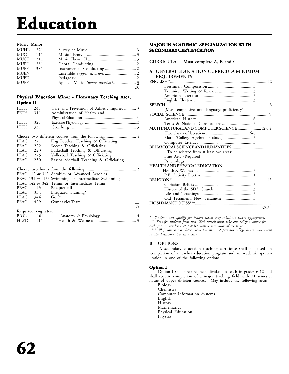# **Education ducation ducation**

# **Music Minor**

| MUHL        | 2.2.1 |    |
|-------------|-------|----|
| MUCT        | 111   |    |
| MUCT        | 211   |    |
| <b>MUPF</b> | 281   |    |
| MUPF        | 381   |    |
| MUEN        |       |    |
| MUED        |       |    |
| MUPF        |       |    |
|             |       | 20 |

# **Physical Education Minor - Elementary Teaching Area, Teaching Option II**

| PETH | 241                | Care and Prevention of Athletic Injuries  3       |
|------|--------------------|---------------------------------------------------|
| PETH | 311                | Administration of Health and                      |
|      |                    |                                                   |
| PETH | 321                |                                                   |
| PETH | 351                |                                                   |
|      |                    |                                                   |
|      |                    |                                                   |
| PEAC | 221                | Flag Football Teaching & Officiating              |
| PEAC | 222                | Soccer Teaching & Officiating                     |
|      | PEAC 223           | Basketball Teaching & Officiating                 |
|      | PEAC 225           | Volleyball Teaching & Officiating                 |
| PEAC | 230                | Baseball/Softball Teaching & Officiating          |
|      |                    |                                                   |
|      |                    |                                                   |
|      |                    | PEAC 112 or 312 Aerobics or Advanced Aerobics     |
|      |                    | PEAC 131 or 133 Swimming or Intermediate Swimming |
|      |                    | PEAC 142 or 342 Tennis or Intermediate Tennis     |
|      | PEAC 143           | Racquetball                                       |
|      |                    | PEAC 334 Lifeguard Training*                      |
|      | PEAC 344 Golf*     |                                                   |
|      |                    | PEAC 429 Gymnastics Team                          |
|      |                    | 18                                                |
|      | Required cognates: |                                                   |
| BIOL | 101                |                                                   |

HLED 111 Health & Wellness ........................................ 3

# **MAJOR IN ACADEMIC SPECIALIZATION WITH SECONDARY CERTIFICATION**

**CURRICULA - Must complete A, B and C**

### **A. GENERAL EDUCATION CURRICULA MINIMUM REQUIREMENTS**

| ***************************                |             |
|--------------------------------------------|-------------|
| ENGLISH <sup>*</sup> .                     |             |
|                                            |             |
|                                            |             |
|                                            |             |
|                                            |             |
|                                            |             |
| (Must emphasize oral language proficiency) |             |
|                                            |             |
|                                            |             |
|                                            |             |
| MATH/NATURAL AND COMPUTER SCIENCE 12-14    |             |
|                                            |             |
| Math (College Algebra or above)  3         |             |
|                                            |             |
|                                            |             |
| To be selected from at least two areas:    |             |
| Fine Arts (Required)                       |             |
| Psychology                                 |             |
|                                            |             |
|                                            |             |
|                                            |             |
| <b>RELIGION**</b>                          | $\ldots$ 12 |
|                                            |             |
|                                            |             |
|                                            |             |
|                                            |             |
|                                            |             |
|                                            | 62-64       |
|                                            |             |

*\* Students who qualify for honors classes may substitute where appropriate.* \**\* Transfer students from non SDA schools must take one religion course for each year in residence at SWAU with a minimum of six hours. \*\*\* All freshmen who have taken less than 12 previous college hours must enroll in the Freshman Success course.*

# **B. OPTIONS**

 A secondary education teaching certificate shall be based on completion of a teacher education program and an academic specialization in one of the following options.

**Option I**<br> **Option** I shall prepare the individual to teach in grades 6-12 and shall require completion of a major teaching field with 21 semester hours of upper division courses. May include the following areas:

Biology Chemistry Computer Information Systems English **History** Mathematics Physical Education Physics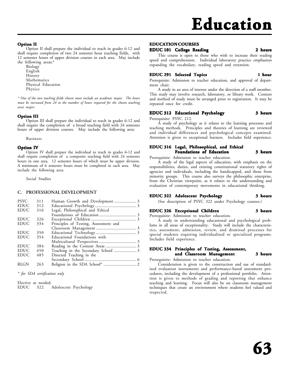**Option II**<br>
Option II shall prepare the individual to teach in grades 6-12 and shall require completion of two 24 semester hour teaching fields, with 12 semester hours of upper division courses in each area. May include the following areas:\*

Biology English History Mathematics Physical Education Physics

*\* One of the two teaching fields chosen must include an academic major. The hours must be increased from 24 to the number of hours required for the chosen teaching area major.*

**Option III**<br>Option III shall prepare the individual to teach in grades 6-12 and shall require the completion of a broad teaching field with 24 semester hours of upper division courses. May include the following area:

Business

### **Option IV**

Option IV shall prepare the individual to teach in grades 6-12 and shall require completion of a composite teaching field with 24 semester hours in one area, 12 semester hours of which must be upper division. A minimum of 6 semester hours must be completed in each area. May include the following area:

Social Studies

# **C. PROFESSIONAL DEVELOPMENT**

| 311 |                                       |                                     |
|-----|---------------------------------------|-------------------------------------|
| 312 |                                       |                                     |
| 316 | Legal, Philosophical and Ethical      |                                     |
|     |                                       |                                     |
| 326 |                                       |                                     |
| 334 | Principles of Testing, Assessment and |                                     |
|     |                                       |                                     |
| 350 |                                       |                                     |
| 354 | Educational Foundations with          |                                     |
|     |                                       |                                     |
| 384 |                                       |                                     |
| 450 |                                       |                                     |
| 485 | Directed Teaching in the              |                                     |
|     |                                       |                                     |
| 263 |                                       |                                     |
|     |                                       | Teaching in the Secondary School  3 |

*\* for SDA certification only*

Elective as needed.<br>EDUC 322 Adolescent Psychology

# **EDUCATION COURSES**

### **EDUC 101 College Reading 2 hours**

This course is open to those who wish to increase their reading speed and comprehension. Individual laboratory practice emphasizes expanding the vocabulary, reading speed and retention.

### **EDUC 291 Selected Topics 1 hour**

Prerequisite: Admission to teacher education, and approval of department chair.

A study in an area of interest under the direction of a staff member. This study may involve research, laboratory, or library work. Content and method of study must be arranged prior to registration. It may be repeated once for credit.

# **EDUC 312 Educational Psychology 3 hours**

Prerequisite: PSYC 212.

A study of psychology as it relates to the learning processes and teaching methods. Principles and theories of learning are reviewed and individual differences and psychological concepts examined. Attention is given to exceptional learners. Includes field experience.

# **EDUC 316 Legal, Philosophical, and Ethical Ethical Foundations of Education 3 hours**

Prerequisite: Admission to teacher education.

A study of the legal aspects of education, with emphasis on the responsibilities, duties, and existing constitutional statutory rights of agencies and individuals, including the handicapped, and those from minority groups. This course also surveys the philosophic enterprise, from the Christian viewpoint, as it relates to the understanding and evaluation of contemporary movements in educational thinking.

# **EDUC 322 Adolescent Psychology 3 hours**

(See description of PSYC 322 under Psychology courses.)

# **EDUC 326 Exceptional Children 3 hours**

Prerequisite: Admission to teacher education.

A study in understanding educational and psychological problems in all areas of exceptionality. Study will include the characteristics, assessment, admission, review, and dismissal processes for special students requiring individualized or specialized programs. Includes field experience.

# **EDUC 334 Principles of Testing, Assessment, Principles of Testing, Assessment, and Classroom Management 3 hours**

Prerequisite: Admission to teacher education.

Consideration is given to the construction and use of standardized evaluation instruments and performance-based assessment procedures, including the development of a professional portfolio. Attention is given to methods of grading and reporting that enhance teaching and learning. Focus will also be on classroom management techniques that create an environment where students feel valued and respected.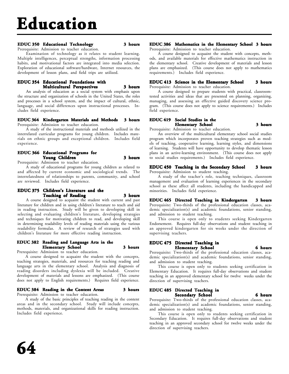# **Education ducation ducation**

# **EDUC 350 Educational Technology 3 hours**

Prerequisite: Admission to teacher education.

Examination of technology as it relates to student learning. Multiple intelligences, perceptual strengths, information processing habits, and motivational factors are integrated into media selection. Exploration of educational software/hardware, Internet resources, the development of lesson plans, and field trips are utilized.

# **EDUC 354 Educational Foundations with Multicultural Perspectives 3 hours**

An analysis of education as a social system with emphasis upon the structure and organization of schools in the United States, the roles and processes in a school system, and the impact of cultural, ethnic, language, and social differences upon instructional processes. Includes field experience.

### **EDUC 364 Kindergarten Materials and Methods 3 hours** Prerequisite: Admission to teacher education.

A study of the instructional materials and methods utilized in the interrelated curricular programs for young children. Includes materials on ethnic groups and exceptional children. Includes field experience.

# **EDUC 366 Educational Programs for Young Children 3 hours**

Prerequisite: Admission to teacher education.

A study of educational programs for young children as related to and affected by current economic and sociological trends. The interrelatedness of relationships to parents, community, and school are reviewed. Includes field experience.

# **EDUC 375 Children's Literature and the Teaching of Reading 3 hours**

A course designed to acquaint the student with current and past literature for children and in using children's literature to teach and aid in reading instruction. Study will be given to developing skill in selecting and evaluating children's literature, developing strategies and techniques for motivating children to read, and developing skill in determining readability levels of reading materials using the various readability formulas. A review of research of strategies used with children's literature for more effective reading instruction.

# **EDUC 382 Reading and Language Arts in the Elementary School Elementary School 3 hours**

Prerequisite: Admission to teacher education.

A course designed to acquaint the student with the concepts, teaching strategies, materials, and resources for teaching reading and language arts in the elementary school. Analysis and diagnosis of reading disorders including dyslexia will be included. Creative development of materials and lessons are emphasized. (This course does not apply to English requirements.) Requires field experience.

# **EDUC 384 Reading in the Content Areas 3 hours**

Prerequisite: Admission to teacher education.

A study of the basic principles of teaching reading in the content areas and in the secondary school. Study will include concepts, methods, materials, and organizational skills for reading instruction. Includes field experience.

### **EDUC 386** Mathematics in the Elementary School 3 hours Prerequisite: Admission to teacher education.

A course designed to acquaint the student with concepts, methods, and available materials for effective mathematics instruction in the elementary school. Creative development of materials and lesson plans are emphasized. (This course does not apply to mathematics requirements.) Includes field experience.

### **EDUC 413** Science in the Elementary School 3 hours Prerequisite: Admission to teacher education.

A course designed to prepare students with practical, classroomtested activities and ideas that are presented on planning, organizing, managing, and assessing an effective guided discovery science program. (This course does not apply to science requirements.) Includes field experience.

# **EDUC 419 Social Studies in the Elementary School** 3 hours

Prerequisite: Admission to teacher education.

An overview of the multicultural elementary school social studies program which incorporates proven teaching strategies such as models of teaching, cooperative learning, learning styles, and dimensions of learning. Students will have opportunity to develop thematic lesson plans in an active-learning environment. (This course does not apply to social studies requirements.) Includes field experience.

### **EDUC 450 Teaching in the Secondary School 3 hours** Prerequisite: Admission to student teaching.

A study of the teacher's role, teaching techniques, classroom management and evaluation of learning experiences in the secondary school as these affect all students, including the handicapped and minorities. Includes field experience.

#### **EDUC 465 Directed Teaching in Kindergarten 3 hours** Prerequisite: Two-thirds of the professional education classes, academic specialization(s) and academic foundations, senior standing, and admission to student teaching.

This course is open only to students seeking Kindergarten Endorsement. Requires full-day observations and student teaching in an approved kindergarten for six weeks under the direction of supervising teachers.

# **EDUC 475 Directed Teaching in** Elementary School 6 hours

Prerequisite: Two-thirds of the professional education classes, academic specialization(s) and academic foundations, senior standing, and admission to student teaching.

This course is open only to students seeking certification in Elementary Education. It requires full-day observations and student teaching in an approved elementary school for twelve weeks under the direction of supervising teachers.

# **EDUC 485 Directed Teaching in Secondary School 6 hours**

Prerequisite: Two-thirds of the professional education classes, academic specialization(s) and academic foundations, senior standing, and admission to student teaching.

This course is open only to students seeking certification in Secondary Education. It requires full-day observations and student teaching in an approved secondary school for twelve weeks under the direction of supervising teachers.

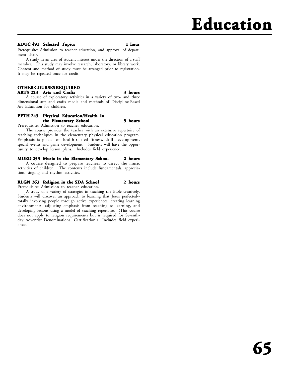# **Education ducation ducation**

# **EDUC 491 Selected Topics 1 hour**

Prerequisite: Admission to teacher education, and approval of department chair.

A study in an area of student interest under the direction of a staff member. This study may involve research, laboratory, or library work. Content and method of study must be arranged prior to registration. It may be repeated once for credit.

# **OTHER COURSES REQUIRED**

**ARTS 223 Arts and Crafts 3 hours** A course of exploratory activities in a variety of two- and three dimensional arts and crafts media and methods of Discipline-Based Art Education for children.

# **PETH 243 Physical Education/Health in the Elementary School Elementary School3 hours**

Prerequisite: Admission to teacher education. The course provides the teacher with an extensive repertoire of

teaching techniques in the elementary physical education program. Emphasis is placed on health-related fitness, skill development, special events and game development. Students will have the opportunity to develop lesson plans. Includes field experience.

# **MUED 253 Music in the Elementary School Elementary School2 hours**

A course designed to prepare teachers to direct the music activities of children. The contents include fundamentals, appreciation, singing and rhythm activities.

# **RLGN 263** Religion in the SDA School 2 hours

Prerequisite: Admission to teacher education.

A study of a variety of strategies in teaching the Bible creatively. Students will discover an approach to learning that Jesus perfected- totally involving people through active experiences, creating learning environments, adjusting emphasis from teaching to learning, and developing lessons using a model of teaching repertoire. (This course does not apply to religion requirements but is required for Seventhday Adventist Denominational Certification.) Includes field experience.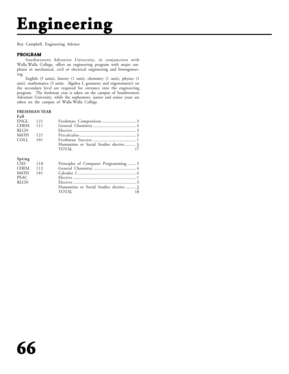# **Engineering ngineering ngineering**

Roy Campbell, Engineering Advisor

# **PROGRAM**

Southwestern Adventist University, in conjunction with Walla Walla College, offers an engineering program with major emphasis in mechanical, civil or electrical engineering and bioengineering.

English (3 units), history (1 unit), chemistry (1 unit), physics (1 unit), mathematics (3 units: Algebra I, geometry and trigonometry) on the secondary level are required for entrance into the engineering program. The freshman year is taken on the campus of Southwestern Adventist University, while the sophomore, junior and senior years are taken on the campus of Walla Walla College.

#### **FRESHMAN YEAR Fall**

| ENGL        | 121 |                                                  |    |
|-------------|-----|--------------------------------------------------|----|
| <b>CHEM</b> | 111 |                                                  |    |
| <b>RLGN</b> |     |                                                  |    |
| <b>MATH</b> | 121 |                                                  |    |
| COLL        | 101 |                                                  |    |
|             |     | Humanities or Social Studies elective 3<br>TOTAL | 17 |
| Spring      |     |                                                  |    |
| <b>CSIS</b> | 110 | Principles of Computer Programming3              |    |
| <b>CHEM</b> | 112 |                                                  |    |
| <b>MATH</b> | 181 |                                                  |    |
| <b>PEAC</b> |     |                                                  |    |
| RLGN        |     |                                                  |    |
|             |     | Humanities or Social Studies elective 3          |    |
|             |     | TOTAL                                            | 18 |
|             |     |                                                  |    |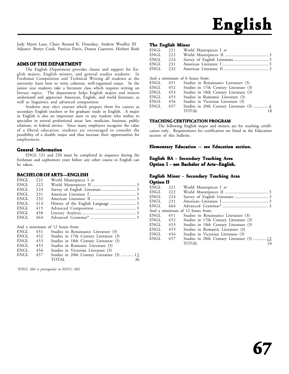Judy Myers Laue, Chair; Renard K. Doneskey, Andrew Woolley III Adjunct: Bettye Cook, Patricia Davis, Donna Guerrero, Herbert Roth

# **AIMS OF THE DEPARTMENT**

The English Department provides classes and support for English majors, English minors, and general studies students. In Freshman Composition and Technical Writing all students at the university learn how to write coherent, well-organized essays. In the junior year students take a literature class which requires writing on literary topics. The department helps English majors and minors understand and appreciate American, English, and world literature, as well as linguistics and advanced composition.

Students may elect courses which prepare them for careers as secondary English teachers or for graduate study in English. A major in English is also an important asset to any student who wishes to specialize in several professional areas: law, medicine, business, public relations, or federal service. Since many employers recognize the value of a liberal education, students are encouraged to consider the possibility of a double major and thus increase their opportunities for employment.

# **General Information**

ENGL 121 and 220 must be completed in sequence during the freshman and sophomore years before any other course in English can be taken.

# **BACHELOR OF ARTS—ENGLISH**

| ENGL | 2.2.1 | World Masterpieces I or |  |
|------|-------|-------------------------|--|
| ENGL | 222   |                         |  |
| ENGL | 224   |                         |  |
| ENGL | 231   |                         |  |
| ENGL | 232   |                         |  |
| ENGL | 414   |                         |  |
| ENGL | 415   |                         |  |
| ENGL | 458   |                         |  |
| ENGL | 464   |                         |  |
|      |       |                         |  |

And a minimum of 12 hours from:

| ENGL | 451 | Studies in Renaissance Literature (3)      |  |
|------|-----|--------------------------------------------|--|
| ENGL | 452 | Studies in 17th Century Literature (3)     |  |
| ENGL | 453 | Studies in 18th Century Literature (3)     |  |
| ENGL | 455 | Studies in Romantic Literature (3)         |  |
| ENGL | 456 | Studies in Victorian Literature (3)        |  |
| ENGL | 457 | Studies in 20th Century Literature (3)  12 |  |
|      |     | TOTAL<br>36                                |  |
|      |     |                                            |  |

*\*ENGL 464 is prerequisite to EDUC 485.*

# **The English Minor**

| THE THRUSH MINOR |     |                                        |
|------------------|-----|----------------------------------------|
| ENGL             | 221 | World Masterpieces I or                |
| ENGL             | 222 |                                        |
| ENGL             | 224 |                                        |
| ENGL             | 231 |                                        |
| ENGL             | 232 |                                        |
|                  |     |                                        |
|                  |     | And a minimum of 6 hours from:         |
| ENGL –           | 451 | Studies in Renaissance Literature (3)  |
| ENGL             | 452 | Studies in 17th Century Literature (3) |
| ENGL             | 453 | Studies in 18th Century Literature (3) |
| ENGL.            | 455 | Studies in Romantic Literature (3)     |
| ENGL             | 456 | Studies in Victorian Literature (3)    |
| ENGL             | 457 |                                        |
|                  |     | TOTAL<br>18                            |
|                  |     |                                        |

# **TEACHING CERTIFICATION PROGRAM**

The following English major and minors are for teaching certification only. Requirements for certification are listed in the Education section of this bulletin.

# **Elementary Education -- see Education section. -- section.**

# **English BA - Secondary Teaching Area Option I - see Bachelor of Arts--English.**

# **English Minor - Secondary Teaching Area Option II**

| Upuon 11 |     |                                            |
|----------|-----|--------------------------------------------|
| ENGL     | 221 | World Masterpieces I or                    |
| ENGL.    | 222 |                                            |
| ENGL 224 |     |                                            |
| ENGL.    | 231 |                                            |
| ENGL     | 464 |                                            |
|          |     | And a minimum of 12 hours from:            |
| ENGL.    | 451 | Studies in Renaissance Literature (3)      |
| ENGL     | 452 | Studies in 17th Century Literature (3)     |
| ENGL     | 453 | Studies in 18th Century Literature (3)     |
| ENGL.    | 455 | Studies in Romantic Literature (3)         |
| ENGL.    | 456 | Studies in Victorian Literature (3)        |
| ENGL.    | 457 | Studies in 20th Century Literature (3)  12 |
|          |     | TOTAL<br>24                                |
|          |     |                                            |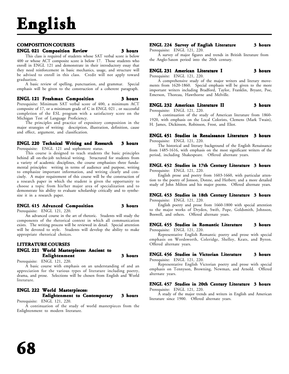# **COMPOSITION COURSES**

# **ENGL 021 Composition Review 3 hours**

This class is required of students whose SAT verbal score is below 400 or whose ACT composite score is below 17. Those students who enroll in ENGL 121 and demonstrate in their introductory essay that they need reinforcement in basic mechanics, usage, and structure will be advised to enroll in this class. Credit will not apply toward graduation.

A basic review of spelling, punctuation, and grammar. Special emphasis will be given to the construction of a coherent paragraph.

# **ENGL 121 Freshman Composition 3 hours**

Prerequisite: Minimum SAT verbal score of 400, a minimum ACT composite of 17, or a minimum grade of C in ENGL 021 , or successful completion of the ESL program with a satisfactory score on the Michigan Test of Language Proficiency.

The principles and practice of expository composition in the major strategies of writing: description, illustration, definition, cause and effect, argument, and classification.

# **ENGL 220 Technical Writing and Research 3 hours**

Prerequisite: ENGL 121 and sophomore status.

This course is designed to teach students the basic principles behind all on-the-job technical writing. Structured for students from a variety of academic disciplines, the course emphasizes three fundamental principles: writing in terms of audience and purpose, writing to emphasize important information, and writing clearly and concisely. A major requirement of this course will be the construction of a research paper in which the student is given the opportunity to choose a topic from his/her major area of specialization and to demonstrate his ability to evaluate scholarship critically and to synthesize it in a research paper.

### **ENGL 415 Advanced Composition 3 hours** Prerequisite: ENGL 121, 220.

An advanced course in the art of rhetoric. Students will study the components of the rhetorical context in which all communication exists. The writing process will be reviewed in detail. Special attention will be devoted to style. Students will develop the ability to make appropriate rhetorical choices.

# **LITERATURE COURSES ENGL 221 World Masterpieces: Ancient to Enlightenment 3 hours**

Prerequisite: ENGL 121, 220.

A basic course with emphasis on an understanding of and an appreciation for the various types of literature including poetry, drama, and prose. Selections will be chosen from English and World literature.

# **ENGL 222 World Masterpieces: World Masterpieces: Enlightenment to Contemporary 3 hours**

Prerequisite: ENGL 121, 220.

A continuation of the study of world masterpieces from the Enlightenment to modern literature.

# **ENGL 224 Survey of English Literature 3 hours**

Prerequisite: ENGL 121, 220.

A survey of major figures and trends in British literature from the Anglo-Saxon period into the 20th century.

# **ENGL 231 American Literature I 3 hours**

Prerequisite: ENGL 121, 220.

A comprehensive study of the major writers and literary movements from 1620-1860. Special emphasis will be given to the more important writers including Bradford, Taylor, Franklin, Bryant, Poe, Emerson, Thoreau, Hawthorne and Melville.

# **ENGL 232 American Literature II 3 hours**

Prerequisite: ENGL 121, 220.

A continuation of the study of American literature from 1860- 1920, with emphasis on the Local Colorists, Clemens (Mark Twain), H. James, Dickinson, Robinson, Frost, and Eliot.

### **ENGL 451 Studies in Renaissance Literature 3 hours** Prerequisite: ENGL 121, 220.

The historical and literary background of the English Renaissance from 1485-1616, with emphasis on the most significant writers of the period, including Shakespeare. Offered alternate years.

### **ENGL 452 Studies in 17th Century Literature 3 hours** Prerequisite: ENGL 121, 220.

English prose and poetry from 1603-1660, with particular attention to the poetry of Jonson, Donne, and Herbert; and a more detailed study of John Milton and his major poems. Offered alternate years.

### **ENGL 453 Studies in 18th Century Literature 3 hours** Prerequisite: ENGL 121, 220.

English poetry and prose from 1660-1800 with special attention to the major works of Dryden, Swift, Pope, Goldsmith, Johnson, Boswell, and others. Offered alternate years.

### **ENGL 455 Studies in Romantic Literature 3 hours** Prerequisite: ENGL 121, 220.

Representative English Romantic poetry and prose with special emphasis on Wordsworth, Coleridge, Shelley, Keats, and Byron. Offered alternate years.

# **ENGL 456 Studies in Victorian Literature 3 hours**

Prerequisite: ENGL 121, 220.

Representative English Victorian poetry and prose with special emphasis on Tennyson, Browning, Newman, and Arnold. Offered alternate years.

# **ENGL 457 Studies in 20th Century Literature 3 hours**

Prerequisite: ENGL 121, 220.

A study of the major trends and writers in English and American literature since 1900. Offered alternate years.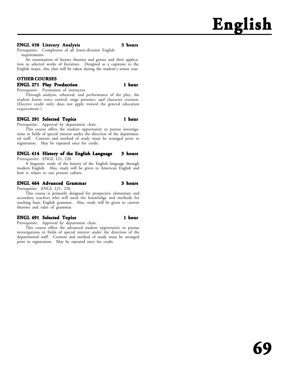# **ENGL 458 Literary Analysis 3 hours**

### Prerequisite: Completion of all lower-division English requirements.

An examination of literary theories and genres and their application to selected works of literature. Designed as a capstone to the English major, this class will be taken during the student's senior year.

# **OTHER COURSES**

**ENGL 271 Play Production 1 hour** Prerequisite: Permission of instructor.

Through analysis, rehearsal, and performance of the play, the student learns voice control, stage presence, and character creation. (Elective credit only; does not apply toward the general education requirement.)

### **ENGL 291 Selected Topics 1 hour**

Prerequisite: Approval by department chair.

This course offers the student opportunity to pursue investigations in fields of special interest under the direction of the departmental staff. Content and method of study must be arranged prior to registration. May be repeated once for credit.

# **ENGL 414 History of the English Language 3 hours**

Prerequisite: ENGL 121, 220.

A linguistic study of the history of the English language through modern English. Also, study will be given to American English and how it relates to our present culture.

### **ENGL 464 Advanced Grammar 3 hours**

Prerequisite: ENGL 121, 220. This course is primarily designed for prospective elementary and secondary teachers who will need the knowledge and methods for teaching basic English grammar. Also, study will be given to current theories and rules of grammar.

# **ENGL 491 Selected Topics 1 hour**

Prerequisite: Approval by department chair.

This course offers the advanced student opportunity to pursue investigations in fields of special interest under the direction of the departmental staff. Content and method of study must be arranged prior to registration. May be repeated once for credit.

**69**

# **English English English**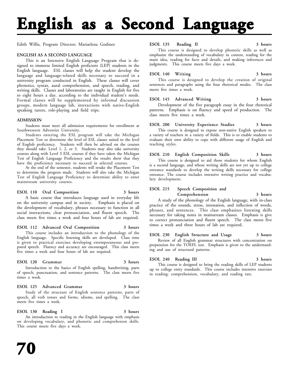# **English as a Second Language**

Edith Willis, Program Director; Mariaelena Godinez

# **ENGLISH AS A SECOND LANGUAGE**

This is an Intensive English Language Program that is designed to immerse limited English proficient (LEP) students in the English language. ESL classes will help the student develop the language and language-related skills necessary to succeed in a university program conducted in English. These classes will cover phonetics, syntax, aural comprehension, and speech, reading, and writing skills. Classes and laboratories are taught in English for five to eight hours a day, according to the individual student's needs. Formal classes will be supplemented by informal discussion groups, modern language lab, interactions with native-English speaking tutors, role-playing and field trips.

# **ADMISSION**

Students must meet all admission requirements for enrollment at Southwestern Adventist University.

Students entering the ESL program will take the Michigan Placement Test to determine the level of ESL classes suited to the level of English proficiency. Students will then be advised on the courses they should take: Level 1, 2, or 3. Students may also take university courses along with Level 3 ESL courses if they have taken the Michigan Test of English Language Proficiency and the results show that they have the proficiency necessary to succeed in selected courses.

At the end of the semester, students will retake the Placement Test to determine the progress made. Students will also take the Michigan Test of English Language Proficiency to determine ability to enter mainstream university courses.

### **ESOL 110 Oral Composition 3 hours**

A basic course that introduces language used in everyday life on the university campus and in society. Emphasis is placed on the development of vocabulary, phrases necessary to function in all social interactions, clear pronunciation, and fluent speech. The class meets five times a week and four hours of lab are required.

### **ESOL 112 Advanced Oral Composition 3 hours**

This course includes an introduction to the phonology of the English language. Specific listening skills are developed. Class time is given to practical exercises developing extemporaneous and prepared speech. Fluency and accuracy are encouraged. This class meets five times a week and four hours of lab are required.

# **ESOL 120 Grammar 3 hours**

Introduction to the basics of English spelling, handwriting, parts of speech, punctuation, and sentence patterns. The class meets five times a week.

### **ESOL 125 Advanced Grammar 3 hours**

Study of the structure of English sentence patterns, parts of speech, all verb tenses and forms, idioms, and spelling. The class meets five times a week.

# ESOL 130 Reading I 3 hours

An introduction to reading in the English language with emphasis on developing vocabulary, and phonetic and comprehesion skills. This course meets five days a week.

### **ESOL 135** Reading II 3 hours

This course is designed to develop phonetic skills as well as emphasize the understanding of vocabulary in contest, reading for the main idea, reading for facts and details, and making inferences and judgments. This course meets five days a week.

### **ESOL 140 Writing 3 hours**

This course is designed to develop the creation of original sentences and paragraphs using the four rhetorical modes. The class meets five times a week.

# **ESOL 145 Advanced Writing 3 hours**

Development of the five paragraph essay in the four rhetorical patterns. Emphasis is on fluency and speed of production. The class meets five times a week.

# **ESOL 200 University Experience Studies 3 hours**

This course is designed to expose non-native English speakers to a variety of teachers in a variety of fields. This is to enable students to evaluate their own ability to cope with different usage of English and teaching styles.

# **ESOL 210 English Composition Skills 3 hours**

This course is designed to aid those students for whom English is a second language, and whose writing skills are not yet up to college entrance standards to develop the writing skills necessary for college entrance. The course includes intensive writing practice and vocabulary development.

# **ESOL 215 Speech Composition and**

 **Comprehension 3 hours** A study of the phonology of the English language, with in-class practice of the sounds, stress, intonation, and inflection of words, phrases, and sentences. This class emphasizes listening skills necessary for taking notes in mainstream classes. Emphasis is give to correct pronunciation and fluent speech. The class meets five times a week and three hours of lab are required.

# **ESOL 230 English Structure and Usage 3 hours**

Review of all English grammar structures with concentration on preparation for the TOEFL test. Emphasis is given to the understanding and use of structural patterns**.**

# ESOL 240 Reading III 3 hours

This course is designed to bring the reading skills of LEP students up to college entry standards. This course includes intensive exercises in reading: comprehension, vocabulary, and reading rate.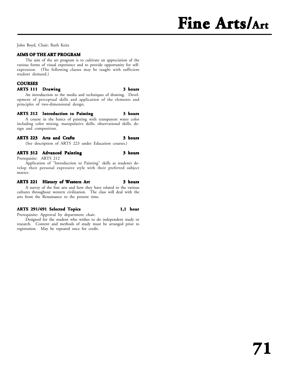# **Fine Arts/Art**

John Boyd, Chair; Ruth Keitz

# **AIMS OF THE ART PROGRAM**

The aim of the art program is to cultivate an appreciation of the various forms of visual experience and to provide opportunity for selfexpression. (The following classes may be taught with sufficient student demand.)

### **COURSES**

# **ARTS 111 Drawing 3 hours**

An introduction to the media and techniques of drawing. Development of perceptual skills and application of the elements and principles of two-dimensional design.

# **ARTS 212 Introduction to Painting 3 hours**

A course in the basics of painting with transparent water color including color mixing, manipulative skills, observational skills, design and composition.

# **ARTS 223 Arts and Crafts 3 hours**

(See description of ARTS 223 under Education courses.)

### **ARTS 312 Advanced Painting 3 hours**

Prerequisite: ARTS 212

Application of "Introduction to Painting" skills as students develop their personal expressive style with their preferred subject matter.

### **ARTS 221 History of Western Art 3 hours**

A survey of the fine arts and how they have related to the various cultures throughout western civilization. The class will deal with the arts from the Renaissance to the present time.

# **ARTS 291/491 Selected Topics 1,1 hour**

Prerequisite: Approval by department chair.

Designed for the student who wishes to do independent study or research. Content and methods of study must be arranged prior to registration. May be repeated once for credit.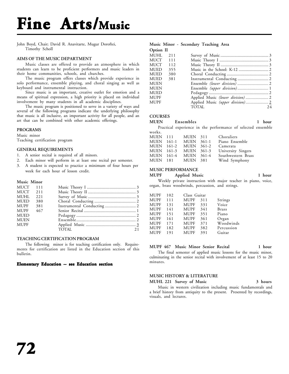# **Fine Arts/Music**

John Boyd, Chair; David R. Anavitarte, Mugur Doroftei, Timothy Scholl

### **AIMS OF THE MUSIC DEPARTMENT**

Music classes are offered to provide an atmosphere in which students can learn to be proficient performers and music leaders in their home communities, schools, and churches.

The music program offers classes which provide experience in solo performance, ensemble playing, and choral singing as well as keyboard and instrumental instruction.

Since music is an important, creative outlet for emotion and a means of spiritual expression, a high priority is placed on individual involvement by many students in all academic disciplines.

The music program is positioned to serve in a variety of ways and several of the following programs indicate the underlying philosophy that music is all inclusive, an important activity for all people, and an art that can be combined with other academic offerings.

# **PROGRAMS**

Music minor Teaching certification program

### **GENERAL REQUIREMENTS**

- 1. A senior recital is required of all minors.
- 2. Each minor will perform in at least one recital per semester.
- 3. A student is expected to practice a minimum of four hours per week for each hour of lesson credit.

### **Music Minor**

| MUCT 111 |              |  |
|----------|--------------|--|
| 2.11     |              |  |
| 221      |              |  |
| 380      |              |  |
| 381      |              |  |
| 467      |              |  |
|          |              |  |
|          |              |  |
|          |              |  |
|          | <b>TOTAL</b> |  |
|          |              |  |

### **TEACHING CERTIFICATION PROGRAM**

The following minor is for teaching certification only. Requirements for certification are listed in the Education section of this bulletin.

### **Elementary Education -- see Education section**

# **Music Minor - Secondary Teaching Area**

| Option II |     |              |    |
|-----------|-----|--------------|----|
| MUHL      | 211 |              |    |
| MUCT      | 111 |              |    |
| MUCT      | 112 |              |    |
| MUED      | 355 |              |    |
| MUED      | 380 |              |    |
| mued      | 381 |              |    |
| MUEN      |     |              |    |
| MUEN      |     |              |    |
| MUED      |     |              |    |
| MUPF      |     |              |    |
| MUPF      |     |              |    |
|           |     | <b>TOTAL</b> | 24 |
|           |     |              |    |

# **COURSES**

**MUEN Ensembles 1 hour**

Practical experience in the performance of selected ensemble works.

| .          |            |           |                    |
|------------|------------|-----------|--------------------|
| MUEN 111   | MUEN 311   |           | Choraliers         |
| MUEN 161-1 | MUEN 361-1 |           | Piano Ensemble     |
| MUEN 161-2 | MUEN       | $361 - 2$ | Camerata           |
| MUEN 161-3 | MUEN 361-3 |           | University Singers |
| MUEN 161-4 | MUEN 361-4 |           | Southwestern Brass |
| MUEN 181   | MUEN 381   |           | Wind Symphony      |
|            |            |           |                    |

### **MUSIC PERFORMANCE**

**MUPF Applied Music 1 hour**

Weekly private instruction with major teacher in piano, voice, organ, brass woodwinds, percussion, and strings.

| <b>MUPF</b> | 102 | Class Guitar |     |              |
|-------------|-----|--------------|-----|--------------|
| <b>MUPF</b> | 111 | <b>MUPF</b>  | 311 | Strings      |
| <b>MUPF</b> | 131 | <b>MUPF</b>  | 331 | Voice        |
| <b>MUPF</b> | 141 | <b>MUPF</b>  | 341 | <b>Brass</b> |
| <b>MUPF</b> | 151 | <b>MUPF</b>  | 351 | Piano        |
| <b>MUPF</b> | 161 | <b>MUPF</b>  | 361 | Organ        |
| <b>MUPF</b> | 171 | <b>MUPF</b>  | 371 | Woodwinds    |
| <b>MUPF</b> | 182 | <b>MUPF</b>  | 382 | Percussion   |
| <b>MUPF</b> | 191 | <b>MUPF</b>  | 391 | Guitar       |
|             |     |              |     |              |

# **MUPF 467 Music Minor Senior Recital 1 hour**

The final semester of applied music lessons for the music minor, culminating in the senior recital with involvement of at least 15 to 20 minutes.

# **MUSIC HISTORY & LITERATURE**

**MUHL 221 Survey of Music 3 hours**

Music in western civilization including music fundamentals and a brief history from antiquity to the present. Presented by recordings, visuals, and lectures.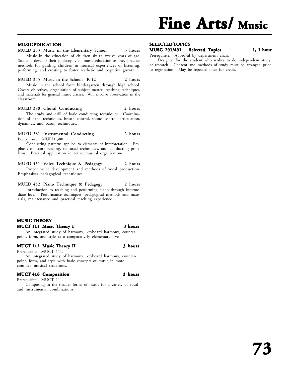### **MUSIC EDUCATION**

#### **MUED 253 Music in the Elementary School 3 hours**

Music in the education of children six to twelve years of age. Students develop their philosophy of music education as they practice methods for guiding children in musical experiences of listening, performing, and creating to foster aesthetic and cognitive growth.

#### **MUED 355 Music in the School: K-12 2 hours**

Music in the school from kindergarten through high school. Covers objectives, organization of subject matter, teaching techniques, and materials for general music classes. Will involve observation in the classroom.

#### **MUED 380 Choral Conducting 2 hours**

The study and drill of basic conducting techniques. Coordination of hand techniques, breath control, sound control, articulation, dynamics, and baton techniques.

#### **MUED 381 Instrumental Conducting 2 hours** Prerequisite: MUED 380.

Conducting patterns applied to elements of interpretation. Emphasis on score reading, rehearsal techniques, and conducting problems. Practical application in active musical organizations.

#### **MUED 451 Voice Technique & Pedagogy 2 hours**

Proper voice development and methods of vocal production. Emphasizes pedagogical techniques.

#### **MUED 452 Piano Technique & Pedagogy 2 hours**

Introduction to teaching and performing piano through intermediate level. Performance techniques, pedagogical methods and materials, maintenance and practical teaching experience.

### **MUSIC THEORY**

#### **MUCT 111 Music Theory I 3 hours**

An integrated study of harmony, keyboard harmony, counterpoint, form, and style at a comparatively elementary level.

#### **MUCT 112 Music Theory II 3 hours**

Prerequisite: MUCT 111.

An integrated study of harmony, keyboard harmony, counterpoint, form, and style with basic concepts of music in more complex musical situations.

### **MUCT 416 Composition 3 hours**

Prerequisite: MUCT 111.

Composing in the smaller forms of music for a variety of vocal and instrumental combinations.

#### **SELECTED TOPICS**

#### **MUSC 291/491 Selected Topics 1, 1 hour**

Prerequisite: Approval by department chair. Designed for the student who wishes to do independent study or research. Content and methods of study must be arranged prior to registration. May be repeated once for credit.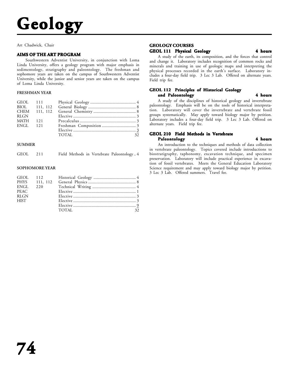Art Chadwick, Chair

#### **AIMS OF THE ART PROGRAM**

Southwestern Adventist University, in conjunction with Loma Linda University, offers a geology program with major emphasis in sedimentology, stratigraphy and paleontology. The freshman and sophomore years are taken on the campus of Southwestern Adventist University, while the junior and senior years are taken on the campus of Loma Linda University.

#### **FRESHMAN YEAR**

| <b>RLGN</b> |              |    |
|-------------|--------------|----|
| MATH 121    |              |    |
| ENGL 121    |              |    |
|             |              |    |
|             | <b>TOTAL</b> | 32 |

#### **SUMMER**

| Field Methods in Vertebrate Paleontology 4<br><b>GEOL</b> |  |  |
|-----------------------------------------------------------|--|--|
|-----------------------------------------------------------|--|--|

#### **SOPHOMORE YEAR**

| ENGL.       | 220 |       |    |
|-------------|-----|-------|----|
|             |     |       |    |
| PEAC        |     |       |    |
| <b>RLGN</b> |     |       |    |
| <b>HIST</b> |     |       |    |
|             |     |       |    |
|             |     | TOTAL | 32 |

### **GEOLOGY COURSES**

#### **GEOL 111 Physical Geology 4 hours**

A study of the earth, its composition, and the forces that control and change it. Laboratory includes recognition of common rocks and minerals and training in use of geologic maps and interpreting the physical processes recorded in the earth's surface. Laboratory includes a four-day field trip. 3 Lec 3 Lab. Offered on alternate years. Field trip fee.

#### **GEOL 112 Principles of Historical Geology and Paleontology 4 hours**

A study of the disciplines of historical geology and invertebrate paleontology. Emphasis will be on the tools of historical interpretation. Laboratory will cover the invertebrate and vertebrate fossil groups systematically. May apply toward biology major by petition. Laboratory includes a four-day field trip. 3 Lec 3 Lab. Offered on alternate years. Field trip fee.

#### **GEOL 210 Field Methods in Vertebrate Paleontology 4 hours**

An introduction to the techniques and methods of data collection in vertebrate paleontology. Topics covered include introductions to biostratigraphy, taphonomy, excavation technique, and specimen preservation. Laboratory will include practical experience in excavation of fossil vertebrates. Meets the General Education Laboratory Science requirement and may apply toward biology major by petition. 3 Lec 3 Lab. Offered summers. Travel fee.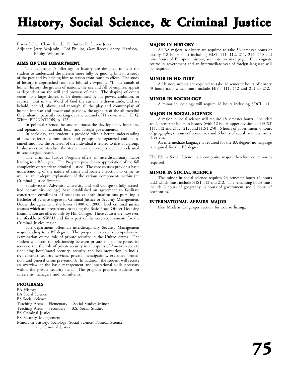Erwin Sicher, Chair; Randall R. Butler, R. Steven Jones

Adjunct: Jerry Benjamin, Ted Phillips, Gary Reeves, Sheryl Harrison, Bobby Whitmire

#### **AIMS OF THE DEPARTMENT**

The department's offerings in history are designed to help the student to understand the present more fully by guiding him in a study of the past and by helping him to reason from cause to effect. The study of history is approached from the biblical viewpoint. "In the annals of human history the growth of nations, the rise and fall of empires, appear as dependent on the will and prowess of man. The shaping of events seems, to a large degree, to be determined by his power, ambition, or caprice. But in the Word of God the curtain is drawn aside, and we behold, behind, above, and through all the play and counter-play of human interests and power and passions, the agencies of the all-merciful One, silently, patiently working out the counsel of His own will." E. G. White, EDUCATION, p. 173.

In political science the student traces the development, functions, and operation of national, local, and foreign governments.

In sociology, the student is provided with a better understanding of how societies, communities, and groups are organized and maintained, and how the behavior of the individual is related to that of a group. It also seeks to introduce the student to the concepts and methods used in sociological research.

The Criminal Justice Program offers an interdisciplinary major leading to a BS degree. The Program provides an appreciation of the full complexity of American criminal justice. The core courses provide a basic understanding of the nature of crime and society's reaction to crime, as well as an in-depth explanation of the various components within the Criminal Justice System.

Southwestern Adventist University and Hill College (a fully accredited community college) have established an agreement to facilitate concurrent enrollment of students at both institutions pursuing a Bachelor of Science degree in Criminal Justice or Security Management. Under the agreement the lower (1000 or 2000) level criminal justice courses which are preparatory to taking the Basic Peace Officer Licensing Examination are offered only by Hill College. These courses are, however, transferable to SWAU and form part of the core requirements for the Criminal Justice major.

The department offers an interdisciplinary Security Management major leading to a BS degree. The program involves a comprehensive examination of the role of private security in the United States. The student will learn the relationship between private and public protective services, and the role of private security in all aspects of American society (including hotel/motel security, security and loss prevention in industry, contract security services, private investigations, executive protection, and general crime prevention). In addition, the student will receive an overview of the basic management and operational skills necessary within the private security field. The program prepares students for careers as managers and consultants.

#### **PROGRAMS**

BA History BA Social Science BS Social Science Teaching Areas -- Elementary -- Social Studies Minor Teaching Areas -- Secondary -- B.S. Social Studies BS Criminal Justice BS Security Management Minors in History, Sociology, Social Science, Political Science and Criminal Justice

#### **MAJOR IN HISTORY**

All BA majors in history are required to take 36 semester hours of history (18 hours u.d.) including HIST 111, 112, 211, 212, 250 and nine hours of European history, see note on next page. One cognate course in government and an intermediate year of foreign language will be required.

#### **MINOR IN HISTORY**

All history minors are required to take 18 semester hours of history (9 hours u.d.) which must include HIST 111, 112 and 211 or 212.

#### **MINOR IN SOCIOLOGY**

A minor in sociology will require 18 hours including SOCI 111.

#### **MAJOR IN SOCIAL SCIENCE**

A major in social science will require 48 semester hours. Included are 24 semester hours in history (with 12 hours upper division and HIST 111, 112 and 211, 212, and HIST 250), 6 hours of government, 6 hours of geography, 6 hours of economics and 6 hours of social science/history electives.

An intermediate language is required for the BA degree; no language is required for the BS degree.

The BS in Social Science is a composite major, therefore no minor is required.

#### **MINOR IN SOCIAL SCIENCE**

The minor in social science requires 24 semester hours (9 hours u.d.) which must include HIST 112 and 212. The remaining hours must include 6 hours of geography, 6 hours of government and 6 hours of economics.

#### **INTERNATIONAL AFFAIRS MAJOR**

(See Modern Languages section for course listing.)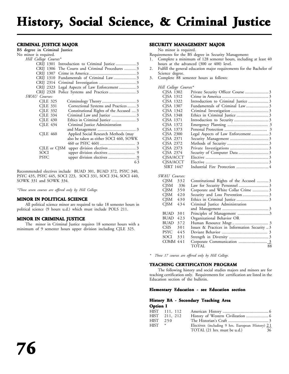#### **CRIMINAL JUSTICE MAJOR**

### **BS degree in Criminal Justice**

### No minor is required.

| Hill College Courses* |                                         |
|-----------------------|-----------------------------------------|
|                       |                                         |
| CRII 1306             | The Courts and Criminal Procedures  3   |
| CRIJ<br>1307          |                                         |
| CRII<br>1310          |                                         |
| CRIJ 2314             |                                         |
| CRIJ 2323             | Legal Aspects of Law Enforcement3       |
| CRIJ 2328             |                                         |
| <b>SWAU</b> Courses:  |                                         |
| CILE 325              |                                         |
| CILE 331              | Correctional Systems and Practices 3    |
| CJLE 332              | Constitutional Rights of the Accused  3 |
| CJLE 334              | Criminal Law and Justice  3             |
| <b>CILE 430</b>       |                                         |
| CJLE 434              | Criminal Justice Administration         |
|                       |                                         |
| CJLE 460              | Applied Social Research Methods (may    |
|                       | also be taken as either SOCI 460, SOWK  |
|                       |                                         |
| CJLE or CJSM          | upper division electives  3             |
| SOCI                  |                                         |
| PSYC                  |                                         |
|                       | 63                                      |

Recommended electives include BUAD 301, BUAD 372, PSYC 340, PSYC 435, PSYC 445, SOCI 223, SOCI 331, SOCI 334, SOCI 440, SOWK 331 and SOWK 334.

*\*These seven courses are offered only by Hill College.*

#### **MINOR IN POLITICAL SCIENCE**

All political science minor are required to take 18 semester hours in political science (9 hours u.d.) which must include POLS 211.

#### **MINOR IN CRIMINAL JUSTICE**

The minor in Criminal Justice requires 18 semester hours with a minimum of 9 semester hours upper division including CJLE 325.

#### **SECURITY MANAGEMENT MAJOR**

No minor is required.

Requirements for the BS degree in Security Management:

- 1. Complete a minimum of 128 semester hours, including at least 40 hours at the advanced (300 or 400) level.
- Fulfill the general education major requirements for the Bachelor of Science degree.
- 3. Complete 88 semester hours as follows:

#### *Hill College Courses\**

| CJSA 1302        |                                   |  |
|------------------|-----------------------------------|--|
| CISA 1312        |                                   |  |
| CJSA 1322        |                                   |  |
| CISA 1307        |                                   |  |
| CISA 1342        |                                   |  |
| CJSA 1348        |                                   |  |
| CJSA 1371        |                                   |  |
| CISA 1372        |                                   |  |
| CJSA 1373        |                                   |  |
| CJSA 2300        | Legal Aspects of Law Enforcement3 |  |
| CISA 2371        |                                   |  |
| CJSA 2372        |                                   |  |
| CISA 2373        |                                   |  |
| CISA 2374        |                                   |  |
| CISA/ACCT        |                                   |  |
| CISA/ACCT        |                                   |  |
| <b>SIRT 1447</b> | Industrial Fire Protection  4     |  |
|                  |                                   |  |

#### *SWAU Courses:* CJSM 332 Constitutional Rights of the Accused ........... 3 CJSM 336 Law for Security Personnel ............................ 3 CJSM 350 Corporate and White Collar Crime ............... 3 CJSM 420 Security and Loss Prevention ........................ 3 CJSM 430 Ethics in Criminal Justice .............................. 3 CJSM 434 Criminal Justice Administration and Management ........................................... 3 BUAD 301 Principles of Management ................................3 BUAD 423 Organizational Behavior OR BUAD 372 Human Resource Mngt .. ............................... 3 CSIS 301 Issues & Practices in Information Security .. 3 PSYC 445 Deviant Behavior ........................................... 3 SOCI 331 Strength in Diversity ..................................... 3 COMM 441 Corporate Communication ........................... 3 TOTAL

*\* These 17 courses are offered only by Hill College.*

#### **TEACHING CERTIFICATION PROGRAM**

The following history and social studies majors and minors are for teaching certification only. Requirements for certification are listed in the Education section of the bulletin.

#### **Elementary Education - see Education section**

#### **History BA - Secondary Teaching Area**

**Option I**

| ------   |               |                                                  |    |
|----------|---------------|--------------------------------------------------|----|
|          | HIST 111, 112 |                                                  |    |
|          | HIST 211, 212 |                                                  |    |
| HIST 250 |               |                                                  |    |
| HIST     | $\ast$        | Electives (including 9 hrs. European History) 21 |    |
|          |               | TOTAL (21 hrs. must be u.d.)                     | 36 |
|          |               |                                                  |    |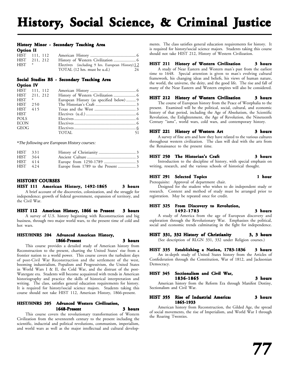#### **History Minor - Secondary Teaching Area Option II**<br>HIST 11 HIST 111, 112 American History ........................................... 6 HIST 211, 212 History of Western Civilization ..................... 6 Electives (including 9 hrs. European History) $\frac{12}{24}$ TOTAL (12 hrs. must be u.d.) 24

#### **Social Studies BS - Secondary Teaching Area**

**Option IV**

|             | HIST 111, 112 |                                         |  |
|-------------|---------------|-----------------------------------------|--|
|             | HIST 211, 212 |                                         |  |
| <b>HIST</b> | ∗             | European History (as specified below) 9 |  |
| <b>HIST</b> | 250           |                                         |  |
| <b>HIST</b> | 415           |                                         |  |
| <b>HIST</b> |               |                                         |  |
| <b>POLS</b> |               |                                         |  |
| <b>ECON</b> |               |                                         |  |
| GEOG        |               |                                         |  |
|             |               | <b>TOTAL</b>                            |  |
|             |               |                                         |  |

\**The following are European History courses:*

| $HIST \quad 331$ |                                    |  |
|------------------|------------------------------------|--|
| $HIST \quad 364$ |                                    |  |
| $HIST \quad 414$ |                                    |  |
| $HIST \quad 424$ | Europe from 1789 to the Present  3 |  |

#### **HISTORY COURSES**

#### **HIST 111 American History, 1492-1865 3 hours**

A brief account of the discoveries, colonization, and the struggle for independence; growth of federal government, expansion of territory, and the Civil War.

#### **HIST 112 American History, 1866 to Present 3 hours**

A survey of U.S. history beginning with Reconstruction and big business, through two major world wars, to the present time of cold and hot wars.

#### **HIST/HNRS 204 Advanced American History, Advanced American History, 1866-Present 3 hours**

This course provides a detailed study of American history from Reconstruction to the present, charting the United States' rise from a frontier nation to a world power. This course covers the turbulent days of post-Civil War Reconstruction and the settlement of the west, booming industrialism, Populism and Progressivism, the United States in World Wars I & II, the Cold War, and the distrust of the post-Watergate era. Students will become acquainted with trends in American historiography and practice the skills of historical interpretation and writing. The class, satisfies general education requirements for history. It is required for history/social science majors. Students taking this course should not take HIST 112, American History, 1866-present.

#### **HIST/HNRS 205 Advanced Western Civilization, 205 Advanced Western 1648-Present 3 hours**

This course covers the revolutionary transformation of Western Civilization from the seventeenth century to the present including the scientific, inductrial and political revolutions, communism, imperialism, and world wars as well as the major intellectual and cultural develop-

ments. The class satisfies general education requirements for history. It is required for history/social science majors. Students taking this course should not take HIST 212, History of Western Civilization.

#### **HIST 211 History of Western Civilization 3 hours**

A study of Near Eastern and Western man's past from the earliest time to 1648. Special attention is given to man's evolving cultural framework, his changing ideas and beliefs, his views of human nature, the world, the universe, the deity, and the good life. The rise and fall of many of the Near Eastern and Western empires will also be considered.

#### **HIST 212 History of Western Civilization 3 hours**

The course of European history from the Peace of Westphalia to the present. Examined will be the political, social, cultural, and economic history of that period, including the Age of Absolutism, the Scientific Revolution, the Enlightenment, the Age of Revolution, the Nineteenth Century "isms", world wars, cold wars, and contemporary history.

#### **HIST 221 History of Western Art 3 hours**

A survey of fine arts and how they have related to the various cultures throughout western civilization. The class will deal with the arts from the Renaissance to the present time.

#### **HIST 250 The Historian's Craft 3 hours**

Introduction to the discipline of history, with special emphasis on writing, research, and the various schools of historical thought.

#### **HIST 291 Selected Topics 1 hour**

Prerequisite: Approval of department chair.

Designed for the student who wishes to do independent study or research. Content and method of study must be arranged prior to registration. May be repeated once for credit.

#### **HIST 325 From Discovery to Revolution, Discovery to Revolution, 1492-1783 3 hours**

A study of America from the age of European discovery and exploration through the Revolutionary War. Emphasizes the political, social and economic trends culminating in the fight for independence.

#### **HIST 331, 332 History of Christianity 3, 3 hours**

(See description of RLGN 331, 332 under Religion courses.)

#### **HIST 335 Establishing a Nation, 1783-1836 3 hours**

An in-depth study of United States history from the Articles of Confederation through the Constitution, War of 1812, and Jacksonian Democracy.

#### **HIST 345 Sectionalism and Civil War, 1836-1865 3 hours**

American history from the Reform Era through Manifest Destiny, Sectionalism and Civil War.

#### **HIST 355 Rise of Industrial America: Rise of Industrial 3 hours 1865-1933**

American history from Reconstruction, the Gilded Age, the spread of social movements, the rise of Imperialism, and World War I through the Roaring Twenties.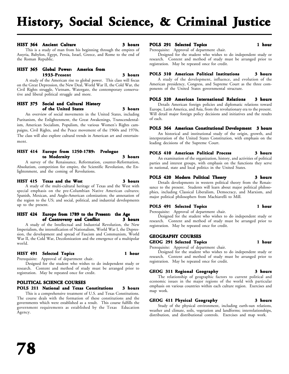#### **HIST 364 Ancient Culture 3 hours**

This is a study of man from his beginning through the empires of Assyria, Babylon, Egypt, Persia, Israel, Greece, and Rome to the end of the Roman Republic.

#### **HIST 365 Global Power: America from 1933-Present 3 hours**

A study of the American rise to global power. This class will focus on the Great Depression, the New Deal, World War II, the Cold War, the Civil Rights struggle, Vietnam, Watergate, the contemporary conservative and liberal political struggle and more.

#### **HIST 375 Social and Cultural History of the United States 3 hours**

An overview of social movements in the United States, including Puritanism, the Enlightenment, the Great Awakenings, Transcendentalism, American Socialism, Populism, the various Women's Rights campaigns, Civil Rights, and the Peace movement of the 1960s and 1970s. The class will also explore cultural trends in American art and entertainment.

#### **HIST 414 Europe from 1250-1789: Prologue to Modernity 3 hours**

A survey of the Renaissance, Reformation, counter-Reformation, Absolutism, competition for empire, the Scientific Revolution, the Enlightenment, and the coming of Revolutions.

#### **HIST 415 Texas and the West 3 hours**

A study of the multi-cultural heritage of Texas and the West with special emphasis on the pre-Columbian Native American cultures; Spanish, Mexican, and Anglo-American colonization; the annexation of the region to the US; and social, political, and industrial developments up to the present.

#### **HIST 424 Europe from 1789 to the Present: the Age of Controversy and Conflict 3 hours**

A study of the Intellectual and Industrial Revolution, the New Imperialism, the intensification of Nationalism, World War I, the Depression, the development and spread of Fascism and Communism, World War II, the Cold War, Decolonization and the emergence of a multipolar world.

#### **HIST 491 Selected Topics 1 hour**

Prerequisite: Approval of department chair.

Designed for the student who wishes to do independent study or research. Content and method of study must be arranged prior to registration. May be repeated once for credit.

#### **POLITICAL SCIENCE COURSES**

**POLS 211 National and Texas Constitutions 3 hours** This is a comprehensive treatment of U.S. and Texas Constitutions. The course deals with the formation of these constitutions and the governments which were established as a result. This course fulfills the government requirements as established by the Texas Education Agency.

#### **POLS 291 Selected Topics 1 hour**

Prerequisite: Approval of department chair. Designed for the student who wishes to do independent study or

research. Content and method of study must be arranged prior to registration. May be repeated once for credit.

#### **POLS 310 American Political Institutions 3 hours**

A study of the development, influence, and evolution of the American presidency, Congress, and Supreme Court as the three components of the United States governmental structure.

#### **POLS 320 American International Relations 3 hours**

Details American foreign policies and diplomatic relations toward Europe, Latin America, and Asia, from the revolutionary era to the present. Will detail major foreign policy decisions and initiatives and the results of each.

#### **POLS 364 American Constitutional Development 3 hours**

An historical and institutional study of the origin, growth, and interpretation of the United States Constitution, with emphasis on the leading decisions of the Supreme Court.

#### **POLS 410 American Political Process 3 hours**

An examination of the organization, history, and activities of political parties and interest groups, with emphasis on the functions they serve in national, state and local politics in the United States.

#### **POLS 420 Modern Political Theory 3 hours**

Details developments in western political theory from the Renaissance to the present. Students will learn about major political philosophies, including Classical Liberalism, Democracy, and Marxism, and major political philosophers from Machiavelli to Mill.

#### **POLS 491 Selected Topics 1 hour**

Prerequisite: Approval of department chair.

Designed for the student who wishes to do independent study or research. Content and method of study must be arranged prior to registration. May be repeated once for credit.

### **GEOGRAPHY COURSES**

#### **GEOG 291 Selected Topics 1 hour**

Prerequisite: Approval of department chair.

Designed for the student who wishes to do independent study or research. Content and method of study must be arranged prior to registration. May be repeated once for credit.

#### **GEOG 311 Regional Geography 3 hours**

The relationship of geographic factors to current political and economic issues in the major regions of the world with particular emphasis on various countries within each culture region. Exercises and map work.

#### **GEOG 411 Physical Geography 3 hours**

Study of the physical environment, including earth-sun relations, weather and climate, soils, vegetation and landforms; interrelationships, distribution, and distributional controls. Exercises and map work.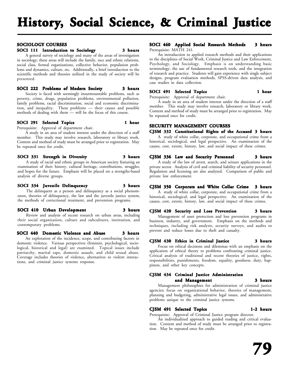#### **SOCIOLOGY COURSES**

#### **SOCI 111 Introduction to Sociology 3 hours**

A general survey of sociology and many of the areas of investigation in sociology; these areas will include the family, race and ethnic relations, social class, formal organizations, collective behavior, population problems and dynamics, culture, etc. Additionally, a brief introduction to the scientific methods and theories utilized in the study of society will be presented.

#### **SOCI 222 Problems of Modern Society 3 hours**

Society is faced with seemingly insurmountable problems, such as poverty, crime, drugs, population problems, environmental pollution, family problems, racial discrimination, social and economic discrimination, and inequality. These problems — their causes and possible methods of dealing with them — will be the focus of this course.

#### **SOCI 291 Selected Topics 1 hour**

Prerequisite: Approval of department chair.

A study in an area of student interest under the direction of a staff member. This study may involve research, laboratory or library work. Content and method of study must be arranged prior to registration. May be repeated once for credit.

#### **SOCI 331 Strength in Diversity 3 hours**

A study of racial and ethnic groups in American society featuring an examination of their history, cultural heritage, contributions, struggles, and hopes for the future. Emphasis will be placed on a strengths-based analysis of diverse groups.

#### **SOCI 334 Juvenile Delinquency 3 hours**

The delinquent as a person and delinquency as a social phenomenon, theories of delinquency, the law and the juvenile justice system, the methods of correctional treatment, and prevention programs.

#### **SOCI 410 Urban Development 3 hours**

Review and analysis of recent research on urban areas, including their social organization, culture and subcultures, institution, and contemporary problems.

#### **SOCI 440 Domestic Violence and Abuse 3 hours**

An exploration of the incidence, scope, and contributing factors in domestic violence. Various perspectives (feminist, psychological, sociological, historical and legal) are examined. Topical issues include patriarchy, marital rape, domestic assault, and child sexual abuse. Coverage includes theories of violence, alternatives to violent interactions, and criminal justice systems response.

#### **SOCI 460 Applied Social Research Methods 3 hours** Prerequisite: MATH 241.

An introduction to applied research methods and their applications to the disciplines of Social Work, Criminal Justice and Law Enforcement, Psychology, and Sociology. Emphasis is on understanding basic terminology, the use of fundamental research tools, and the integration of research and practice. Students will gain experience with single subject designs, program evaluation methods, SPSS-driven data analysis, and case studies in data collection.

#### **SOCI 491 Selected Topics 1 hour**

Prerequisite: Approval of department chair.

A study in an area of student interest under the direction of a staff member. This study may involve research, laboratory or library work. Content and method of study must be arranged prior to registration. May be repeated once for credit.

### **SECURITY MANAGEMENT COURSES**

**CJSM 332 Constitutional Rights of the Accused 3 hours** A study of white collar, corporate, and occupational crime from a historical, sociological, and legal perspective. An examination of the causes, cost, extent, history, law, and social impact of these crimes.

#### **CJSM 336 Law and Security Personnel Law and 3 hours**

A study of the law of arrest, search, and seizure applications in the private sector. Analysis of civil and criminal liability of security personnel. Regulation and licensing are also analyzed. Comparison of public and private law enforcement.

#### **CJSM 350 Corporate and White Collar Crime 3 hours**

A study of white collar, corporate, and occupational crime from a historical, sociological, and legal perspective. An examination of the causes, cost, extent, history, law, and social impact of these crimes.

#### **CJSM 420 Security and Loss Prevention 3 hours**

Management of asset protection and loss prevention programs in business, industry, and government. Emphasis on the methods and techniques, including risk analysis, security surveys, and audits to prevent and reduce losses due to theft and casualty.

#### **CJSM 430 Ethics in Criminal Justice 3 hours**

Focus on ethical decisions and dilemmas with an emphasis on the application of ethical theory to problems confronting criminal justice. Critical analysis of traditional and recent theories of justice, rights, responsibilities, punishments, freedom, equality, goodness, duty, happiness, and other key concepts.

#### **CJSM 434 Criminal Justice Administration and Management 3 hours**

Management philosophies for administration of criminal justice agencies; focus on organizational behavior, theories of management, planning and budgeting, administrative legal issues, and administrative problems unique to the criminal justice systems.

#### **CJSM 491 Selected Topics 1-2 hours**

Prerequisite: Approval of Criminal Justice program director.

An individualized approach to guided reading and critical evaluation. Content and method of study must be arranged prior to registration. May be repeated once for credit.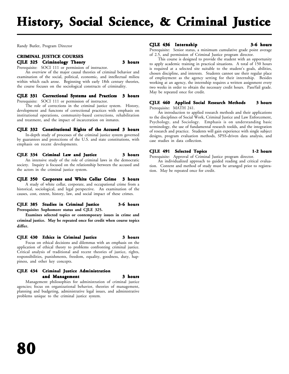Randy Butler, Program Director

### **CRIMINAL JUSTICE COURSES**

#### **CJLE 325 Criminology Theory 3 hours**

Prerequisite: SOCI 111 or permission of instructor.

An overview of the major causal theories of criminal behavior and examination of the social, political, economic, and intellectual milieu within which each arose. Beginning with early 18th century theories, the course focuses on the sociological constructs of criminality.

#### **CJLE 331 Correctional Systems and Practices 3 hours** Prerequisite: SOCI 111 or permission of instructor.

The role of corrections in the criminal justice system. History, development and functons of correctional practices with emphasis on institutional operations, community-based corrections, rehabilitation and treatment, and the impact of incarceration on inmates.

#### **CJLE 332 Constitutional Rights of the Accused 3 hours**

In-depth study of processes of the criminal justice system governed by guarantees and protections of the U.S. and state constitutions, with emphasis on recent developments.

#### **CJLE 334 Criminal Law and Justice 3 hours**

An intensive study of the role of criminal laws in the democratic society. Inquiry is focused on the relationship between the accused and the actors in the criminal justice system.

#### **CJLE 350 Corporate and White Collar Crime 3 hours**

A study of white collar, corporate, and occupational crime from a historical, sociological, and legal perspective. An examination of the causes, cost, extent, history, law, and social impact of these crimes.

### **CJLE 385 Studies in Criminal Justice 3-6 hours**

**Prerequisite: Sophomore status and CJLE 325.**

**Examines selected topics or contemporary issues in crime and criminal justice. May be repeated once for credit when course topics differ.**

#### **CJLE 430 Ethics in Criminal Justice 3 hours**

Focus on ethical decisions and dilemmas with an emphasis on the application of ethical theory to problems confronting criminal justice. Critical analysis of traditional and recent theories of justice, rights, responsibilities, punishments, freedom, equality, goodness, duty, happiness, and other key concepts.

#### **CJLE 434 Criminal Justice Administration and Management 3 hours**

Management philosophies for administration of criminal justice agencies; focus on organizational behavior, theories of management, planning and budgeting, administrative legal issues, and administrative problems unique to the criminal justice system.

#### **CJLE 436 Internship 3-6 hours**

Prerequisite: Senior status, a minimum cumulative grade point average of 2.5, and permission of Criminal Justice program director.

This course is designed to provide the student with an opportunity to apply academic training in practical situations. A total of 150 hours is required at a selected site suitable to the student's goals, abilities, chosen discipline, and interests. Students cannot use their regular place of employment as the agency setting for their internship. Besides working at an agency, the internship requires a written assignment every two weeks in order to obtain the necessary credit hours. Pass/fail grade. May be repeated once for credit.

#### **CJLE 460 Applied Social Research Methods 3 hours** Prerequisite: MATH 241.

An introduction to applied research methods and their applications to the disciplines of Social Work, Criminal Justice and Law Enforcement, Psychology, and Sociology. Emphasis is on understanding basic terminology, the use of fundamental research toolds, and the integration of research and practice. Students will gain experience with single subject designs, program evaluation methods, SPSS-driven data analysis, and case studies in data collection.

#### **CJLE 491 Selected Topics 1-2 hours**

Prerequisite: Approval of Criminal Justice program director.

An individualized approach to guided reading and critical evaluation. Content and method of study must be arranged prior to registration. May be repeated once for credit.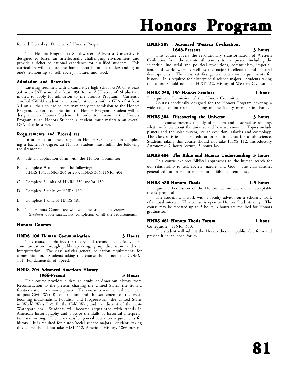## **Honors Program**

Renard Doneskey, Director of Honors Program

The Honors Program at Southwestern Adventist University is designed to foster an intellectually challenging environment and provide a richer educational experience for qualified students. This curriculum will explore the human search for an understanding of one's relationship to self, society, nature, and God.

#### **Admission and Retention**

Entering freshmen with a cumulative high school GPA of at least 3.4 or an SAT score of at least 1050 (or an ACT score of 24 plus) are invited to apply for admission to the Honors Program. Currently enrolled SWAU students and transfer students with a GPA of at least 3.4 on all their college courses may apply for admission to the Honors Program. Upon acceptance into the Honors Program a student will be designated an Honors Student. In order to remain in the Honors Program as an Honors Student, a student must maintain an overall GPA of at least 3.4.

#### **Requirements and Procedures**

In order to earn the designation Honors Graduate upon completing a bachelor's degree, an Honors Student must fulfill the following requirements:

- A. File an application form with the Honors Committee.
- B. Complete 9 units from the following: HNRS 104, HNRS 204 or 205, HNRS 304, HNRS 404
- C. Complete 3 units of HNRS 250 and/or 450.
- D. Complete 3 units of HNRS 480.
- E. Complete 1 unit of HNRS 481
- F. The Honors Committee will vote the student an *Honors Graduate* upon satisfactory completion of all the requirements.

#### **Honors Courses**

#### **HNRS 104 Human Communication 3 Hours**

This course emphasizes the theory and technique of effective oral communication through public speaking, group discussion, and oral interpretation. The class satisfies general education requirements for communication. Students taking this course should not take COMM 111, Fundamentals of Speech.

#### **HNRS 204 Advanced American History 1966-Present 3 Hours**

This course provides a detailed study of American history from Reconstruction to the present, charting the United States' rise from a frontier nation to a world power. The course covers the turbulent days of post-Civil War Reconstruction and the settlement of the west, booming industrialism, Populism and Progressivism, the United States in World Wars I & II, the Cold War, and the distrust of the post-Watergate era. Students will become acquainted with trends in American historiography and practice the skills of historical interpretation and writing. The class satisfies general education requirements for history. It is required for history/social science majors. Students taking this course should not take HIST 112, American History, 1866-present.

#### **HNRS 205 Advanced Western Civilization, 1648-Present 3 hours**

This course covers the revolutionary transformation of Western Civilization from the seventeenth century to the present including the scientific, industrial and political revolutions, communism, imperialism, and world wars as well as the major intellectual and cultural developments. The class satisfies general education requirements for history. It is required for history/social science majors. Students taking this course should not take HIST 212, History of Western Civilization.

#### **HNRS 250, 450 Honors Seminar 1 hour**

Prerequisite: Permission of the Honors Committee. Courses specifically designed for the Honors Program covering a wide range of interests depending on the faculty member in charge.

#### **HNRS 304 Discovering the Universe 3 hours**

This course presents a study of modern and historical astronomy, what we know about the universe and how we know it. Topics include planets and the solar system, stellar evolution, galaxies and cosmology. The class satisfies general education requirements for a lab science. Students taking this course should not take PHYS 112, Introductory Astronomy. 2 hours lecture, 3 hours lab.

#### **HNRS 404 The Bible and Human Understanding 3 hours**

This course explores Biblical approaches to the human search for our relationship to self, society, nature, and God. The class satisfies general education requirements for a Bible-content class.

#### **HNRS 480 Honors Thesis 1-3 hours**

Prerequisite: Permission of the Honors Committee and an acceptable thesis proposal.

The student will work with a faculty advisor on a scholarly work of mutual interest. This course is open to Honors Students only. The course may be repeated up to 5 hours; 3 hours are required for Honors graduation.

#### **HNRS 481 Honors Thesis Forum 1 hour**

Co-requisite: HNRS 480.

The student will submit the Honors thesis in publishable form and present it in an open forum.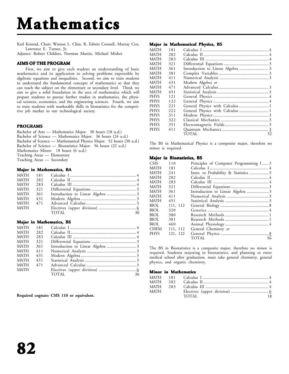## **Mathematics athematics athematics**

Karl Konrad, Chair; Watson L. Chin, R. Edwin Connell, Murray Cox, Lawrence E. Turner, Jr.

Adjunct: Robert Childers, Norman Martin, Michael Mizher

#### **AIMS OF THE PROGRAM**

First, we aim to give each student an understanding of basic mathematics and its application to solving problems expressible by algebraic equations and inequalities. Second, we aim to train students to understand the fundamental concepts of mathematics so that they can teach the subject on the elementary or secondary level. Third, we aim to give a solid foundation in the area of mathematics which will prepare students to pursue further studies in mathematics, the physical sciences, economics, and the engineering sciences. Fourth, we aim to train students with marketable skills in biostatistics for the competitive job market in our technological society.

#### **PROGRAMS**

Bachelor of Arts — Mathematics Major: 30 hours (18 u.d.) Bachelor of Science — Mathematics Major: 36 hours (24 u.d.) Bachelor of Science — Mathematical Physics Major: 52 hours (30 u.d.) Bachelor of Science — Biostatistics Major: 56 hours (22 u.d.) Mathematics Minor: 18 hours (6 u.d.) Teaching Areas — Elementary Teaching Areas — Secondary

#### **Major in Mathematics, BA**

| <b>MATH</b> | 181  |       |    |
|-------------|------|-------|----|
| <b>MATH</b> | 2.82 |       |    |
| MATH        | 283  |       |    |
| MATH        | 321  |       |    |
| MATH        | 361  |       |    |
| MATH        | 431  |       |    |
| MATH        | 471  |       |    |
| MATH        |      |       |    |
|             |      | TOTAL | 30 |

#### **Major in Mathematics, BS**

| 181 |              |    |
|-----|--------------|----|
| 282 |              |    |
| 283 |              |    |
| 321 |              |    |
| 361 |              |    |
| 411 |              |    |
| 431 |              |    |
| 451 |              |    |
| 471 |              |    |
|     |              |    |
|     | <b>TOTAL</b> | 36 |
|     |              |    |

**Required cognate: CSIS 110 or equivalent.**

#### **Major in Mathematical Physics, BS**

| MATH        | 181 |                                 |    |
|-------------|-----|---------------------------------|----|
| MATH        | 282 |                                 |    |
| MATH        | 283 |                                 |    |
| MATH        | 321 |                                 |    |
| MATH        | 361 |                                 |    |
| MATH        | 381 |                                 |    |
| MATH        | 411 |                                 |    |
| MATH        | 431 | Modern Algebra or               |    |
| MATH        | 471 |                                 |    |
| MATH        | 451 |                                 |    |
| PHYS        | 121 |                                 |    |
| <b>PHYS</b> | 122 |                                 |    |
| PHYS        | 221 | General Physics with Calculus 1 |    |
| <b>PHYS</b> | 222 | General Physics with Calculus 1 |    |
| PHYS        | 311 |                                 |    |
| PHYS        | 322 |                                 |    |
| PHYS        | 351 |                                 |    |
| PHYS        | 411 |                                 |    |
|             |     | TOTAL                           | 52 |
|             |     |                                 |    |

The BS in Mathematical Physics is a composite major, therefore no minor is required.

#### **Major in Biostatistics, BS**

| CSIS  | 110      | Principles of Computer Programming I 3 |    |
|-------|----------|----------------------------------------|----|
| MATH  | 181      |                                        |    |
| MATH  | 241      | Intro. to Probability & Statistics  3  |    |
| MATH  | 282      |                                        |    |
| MATH  | 283      |                                        |    |
| MATH  | 321      |                                        |    |
| MATH  | 361      | Introduction to Linear Algebra  3      |    |
| MATH  | 411      |                                        |    |
| MATH  | 451      |                                        |    |
| BIOL. | 111, 112 |                                        |    |
| BIOL. | 320      |                                        |    |
| BIOL. | 380      |                                        |    |
| BIOL. | 381      |                                        |    |
| BIOL  | 460      |                                        |    |
| CHEM  | 111, 112 | General Chemistry or                   |    |
| PHYS  | 121, 122 |                                        |    |
|       |          | TOTAL                                  | 56 |
|       |          |                                        |    |

The BS in Biostatistics is a composite major, therefore no minor is required. Students majoring in biostatistics, and planning to enter medical school after graduation, must take general chemistry, general physics, and organic chemistry.

#### **Minor in Mathematics**

| MATH |        |  |  |
|------|--------|--|--|
|      | TOTAL. |  |  |
|      |        |  |  |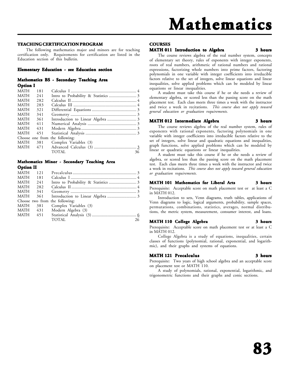## **Mathematics**

#### **TEACHING CERTIFICATION PROGRAM**

The following mathematics major and minors are for teaching certification only. Requirements for certification are listed in the Education section of this bulletin.

#### **Elementary Education - see Education section**

#### **Mathematics BS - Secondary Teaching Area Option I**

| <b>MATH</b> | 181             |                       |    |
|-------------|-----------------|-----------------------|----|
| <b>MATH</b> | 241             |                       |    |
| MATH        | 282             |                       |    |
| <b>MATH</b> | 283             |                       |    |
| <b>MATH</b> | 321             |                       |    |
| <b>MATH</b> | 341             |                       |    |
| MATH        | 361             |                       |    |
| MATH        | 411             |                       |    |
| <b>MATH</b> | 431             |                       |    |
| <b>MATH</b> | 451             |                       |    |
|             | Choose one from | the following:        |    |
| <b>MATH</b> | 381             | Complex Variables (3) |    |
| MATH        | 471             |                       |    |
|             |                 | <b>TOTAL</b>          | 36 |
|             |                 |                       |    |

#### **Mathematics Minor - Secondary Teaching Area Option II**

| <b>MATH</b> | 121 |                                |    |
|-------------|-----|--------------------------------|----|
| MATH        | 181 |                                |    |
| <b>MATH</b> | 241 |                                |    |
| <b>MATH</b> | 282 |                                |    |
| MATH        | 341 |                                |    |
| MATH        | 361 |                                |    |
|             |     | Choose two from the following: |    |
| <b>MATH</b> | 381 | Complex Variables (3)          |    |
| MATH        | 431 | Modern Algebra (3)             |    |
| MATH        | 451 |                                |    |
|             |     | <b>TOTAL</b>                   | 26 |
|             |     |                                |    |

#### **COURSES**

#### **MATH 011 Introduction to Algebra 3 hours**

The course reviews algebra of the real number system, concepts of elementary set theory, rules of exponents with integer exponents, roots of real numbers, arithmetic of rational numbers and rational expressions, factorizing whole numbers into prime factors, factoring polynomials in one variable with integer coefficients into irreducible factors relative to the set of integers, solve linear equations and linear inequalities, solve applied problems which can be modeled by linear equations or linear inequalities.

A student must take this course if he or she needs a review of elementary algebra, or scored less than the passing score on the math placement test. Each class meets three times a week with the instructor and twice a week in recitations. *This course does not apply toward general education or graduation requirements.*

#### **MATH 012 Intermediate Algebra 3 hours**

The course reviews algebra of the real number system, rules of exponents with rational exponents, factoring polynomials in one variable with integer coefficients into irreducible factors relative to the set of integers, solve linear and quadratic equations and inequalities, graph functions, solve applied problems which can be modeled by linear or quadratic equations or linear inequalities.

A student must take this course if he or she needs a review of algebra, or scored less than the passing score on the math placement test. Each class meets three times a week with the instructor and twice a week in recitations. *This course does not apply toward general education or graduation requirements.*

#### **MATH 101 Mathematics for Liberal Arts 3 hours**

Prerequisite: Acceptable score on math placement test or at least a C in MATH 012.

Introduction to sets, Venn diagrams, truth tables, applications of Venn diagrams to logic, logical arguments, probability, sample spaces, permutations, combinations, statistics, averages, normal distributions, the metric system, measurement, consumer interest, and loans.

#### **MATH 110 College Algebra 3 hours**

Prerequisite: Acceptable score on math placement test or at least a C in MATH 012.

College Algebra is a study of equations, inequalities, certain classes of functions (polynomial, rational, exponential, and logarithmic), and their graphs and systems of equations.

#### **MATH 121 Precalculus 3 hours**

Prerequisite: Two years of high school algebra and an acceptable score on placement test or MATH 110.

A study of polynomials, rational, exponential, logarithmic, and trigonometric functions and their graphs and conic sections.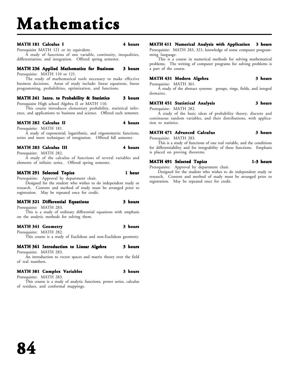## **Mathematics athematics athematics**

#### **MATH 181 Calculus I 4 hours**

Prerequisite MATH 121 or its equivalent.

A study of functions of one variable, continuity, inequalities, differentiation, and integration. Offered spring semester.

#### **MATH 236 Applied Mathematics for Business 3 hours**

Prerequisite: MATH 110 or 121.

The study of mathematical tools necessary to make effective business decisions. Areas of study include: linear equations, linear programming, probabilities, optimization, and functions.

#### **MATH 241 Intro. to Probability & Statistics 3 hours**

Prerequisite High school Algebra II or MATH 110.

This course introduces elementary probability, statistical inference, and applications to business and science. Offered each semester.

#### **MATH 282 Calculus II 4 hours**

Prerequisite: MATH 181.

A study of exponential, logarithmic, and trigonometric functions, series and more techniques of integration. Offered fall semester.

#### **MATH 283 Calculus III 4 hours**

Prerequisite: MATH 282.

A study of the calculus of functions of several variables and elements of infinite series. Offered spring semester.

#### **MATH 291 Selected Topics 1 hour**

Prerequisite: Approval by department chair. Designed for the student who wishes to do independent study or

research. Content and method of study must be arranged prior to registration. May be repeated once for credit.

#### **MATH 321 Differential Equations 3 hours**

Prerequisite: MATH 283.

This is a study of ordinary differential equations with emphasis on the analytic methods for solving them.

#### **MATH 341 Geometry 3 hours**

Prerequisite: MATH 282. This course is a study of Euclidean and non-Euclidean geometry.

#### **MATH 361 Introduction to Linear Algebra 3 hours**

Prerequisite: MATH 283.

An introduction to vector spaces and matrix theory over the field of real numbers.

#### **MATH 381 Complex Variables 3 hours**

Prerequisite: MATH 283.

This course is a study of analytic functions, power series, calculus of residues, and conformal mappings.

### **MATH 411 Numerical Analysis with Application 3 hours**

Prerequisite: MATH 283, 321; knowledge of some computer programming language.

This is a course in numerical methods for solving mathematical problems. The writing of computer programs for solving problems is a part of the course.

#### **MATH 431 Modern Algebra 3 hours**

Prerequisite: MATH 361.

A study of the abstract systems: groups, rings, fields, and integral domains.

#### **MATH 451 Statistical Analysis 3 hours**

Prerequisite: MATH 282.

A study of the basic ideas of probability theory, discrete and continuous random variables, and their distributions, with application to statistics.

#### **MATH 471 Advanced Calculus 3 hours**

Prerequisite: MATH 283.

This is a study of functions of one real variable, and the conditions for differentiability and for integrability of these functions. Emphasis is placed on proving theorems.

#### **MATH 491 Selected Topics 1-3 hours**

Prerequisite: Approval by department chair.

Designed for the student who wishes to do independent study or research. Content and method of study must be arranged prior to registration. May be repeated once for credit.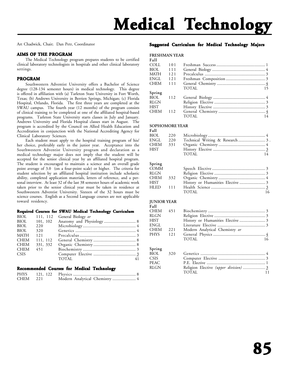# **Medical Technology echnology echnology**

Art Chadwick, Chair; Dan Petr, Coordinator

#### **AIMS OF THE PROGRAM**

The Medical Technology program prepares students to be certified clinical laboratory technologists in hospitals and other clinical laboratory settings.

#### **PROGRAM**

Southwestern Adventist University offers a Bachelor of Science degree (128-134 semester hours) in medical technology. This degree is offered in affiliation with (a) Tarleton State University in Fort Worth, Texas; (b) Andrews University in Berrien Springs, Michigan; (c) Florida Hospital, Orlando, Florida. The first three years are completed at the SWAU campus. The fourth year (12 months) of the program consists of clinical training to be completed at one of the affiliated hospital-based programs. Tarleton State University starts classes in July and January. Andrews University and Florida Hospital classes start in August. The program is accredited by the Council on Allied Health Education and Accreditation in conjunction with the National Accrediting Agency for Clinical Laboratory Sciences.

Each student must apply to the hospital training program of his/ her choice, preferably early in the junior year. Acceptance into the Southwestern Adventist University program and declaration as a medical technology major does not imply that the student will be accepted for the senior clinical year by an affiliated hospital program. The student is encouraged to maintain a science and an overall grade point average of 3.0 (on a four-point scale) or higher. The criteria for student selection by an affiliated hospital institution include scholastic ability, completed application materials, letters of reference, and a personal interview. At least 32 of the last 38 semester hours of academic work taken prior to the senior clinical year must be taken in residence at Southwestern Adventist University. Sixteen of the 32 hours must be science courses. English as a Second Language courses are not applicable toward residency.

#### **Required Courses for SWAU Medical Technology Curriculum**

| <b>BIOL</b> |          | 111, 112 General Biology or |    |
|-------------|----------|-----------------------------|----|
| <b>BIOL</b> | 101, 102 |                             |    |
| BIOL        | 220      |                             |    |
| BIOL.       | 320      |                             |    |
| MATH        | 121      |                             |    |
| <b>CHEM</b> | 111, 112 |                             |    |
| <b>CHEM</b> | 331, 332 |                             |    |
| <b>CHEM</b> | 451      |                             |    |
| <b>CSIS</b> |          |                             |    |
|             |          | <b>TOTAL</b>                | 41 |
|             |          |                             |    |

#### **Recommended Courses for Medical Technology**

| PHYS       |  |  |
|------------|--|--|
| $CHEM$ 221 |  |  |

### **Suggested Curriculum for Medical Technology Majors**

#### **FRESHMAN YEAR**

| Fall   |      |              |    |
|--------|------|--------------|----|
| COLL   | 101  |              |    |
| BIOL.  | 111  |              |    |
| MATH   | 12.1 |              |    |
| ENGL   | 121  |              |    |
| CHEM   | 111  |              |    |
|        |      | <b>TOTAL</b> | 15 |
| Spring |      |              |    |
| BIOL   | 112  |              |    |
| RLGN   |      |              |    |
| HIST   |      |              |    |
| CHEM   | 112  |              |    |
|        |      | <b>TOTAL</b> | 14 |
|        |      |              |    |

#### **SOPHOMORE YEAR**

| TOTAL |                                 |
|-------|---------------------------------|
|       | $BIOL$ 220<br>220<br>$CHEM$ 331 |

#### **Spring**

| COMM   |     |       |    |
|--------|-----|-------|----|
| RLGN   |     |       |    |
| CHEM   | 332 |       |    |
| HIST . |     |       |    |
| HLED.  | 111 |       |    |
|        |     | TOTAL | 16 |

#### **JUNIOR YEAR**

| Fall        |     |                                       |    |
|-------------|-----|---------------------------------------|----|
| <b>CHEM</b> | 451 |                                       |    |
| <b>RLGN</b> |     |                                       |    |
| <b>HIST</b> |     | History or Humanities Elective  3     |    |
| ENGL        |     |                                       |    |
| <b>CHEM</b> | 221 | Modern Analytical Chemistry or        |    |
| <b>PHYS</b> | 121 |                                       |    |
|             |     | TOTAL                                 | 16 |
| Spring      |     |                                       |    |
| BIOL        | 320 |                                       |    |
| <b>CSIS</b> |     |                                       |    |
| <b>PEAC</b> |     |                                       |    |
| <b>RLGN</b> |     | Religion Elective (upper division)  3 |    |
|             |     | TOTAL                                 |    |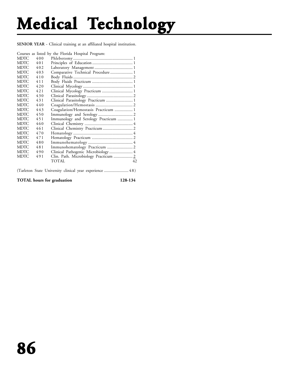# **Medical Technology echnology echnology**

**SENIOR YEAR -** Clinical training at an affiliated hospital institution.

| <b>TOTAL</b> hours for graduation<br>128-134 |                                                          |                                       |    |  |
|----------------------------------------------|----------------------------------------------------------|---------------------------------------|----|--|
|                                              | (Tarleton State University clinical year experience  48) |                                       |    |  |
|                                              |                                                          | TOTAL                                 | 42 |  |
| MDTC                                         | 491                                                      | Clin. Path. Microbiology Practicum  2 |    |  |
| <b>MDTC</b>                                  | 490                                                      | Clinical Pathogenic Microbiology  4   |    |  |
| MDTC                                         | 481                                                      | Immunohematology Practicum  2         |    |  |
| MDTC                                         | 480                                                      |                                       |    |  |
| <b>MDTC</b>                                  | 471                                                      |                                       |    |  |
| <b>MDTC</b>                                  | 470                                                      |                                       |    |  |
| <b>MDTC</b>                                  | 461                                                      |                                       |    |  |
| <b>MDTC</b>                                  | 460                                                      |                                       |    |  |
| <b>MDTC</b>                                  | 451                                                      | Immunology and Serology Practicum  1  |    |  |
| <b>MDTC</b>                                  | 450                                                      |                                       |    |  |
| <b>MDTC</b>                                  | 443                                                      | Coagulation/Hemostasis Practicum  1   |    |  |
| <b>MDTC</b>                                  | 440                                                      |                                       |    |  |
| MDTC                                         | 431                                                      | Clinical Parasitology Practicum  1    |    |  |
| <b>MDTC</b>                                  | 430                                                      |                                       |    |  |
| <b>MDTC</b>                                  | 421                                                      |                                       |    |  |
| <b>MDTC</b>                                  | 420                                                      |                                       |    |  |
| <b>MDTC</b>                                  | 411                                                      |                                       |    |  |
| <b>MDTC</b>                                  | 410                                                      |                                       |    |  |
| MDTC                                         | 403                                                      | Comparative Technical Procedure  1    |    |  |
| <b>MDTC</b>                                  | 402                                                      |                                       |    |  |
| <b>MDTC</b>                                  | 401                                                      |                                       |    |  |
| <b>MDTC</b>                                  | 400                                                      |                                       |    |  |
|                                              |                                                          | the Thomas Thosphan Thogham.          |    |  |

Courses as listed by the Florida Hospital Program: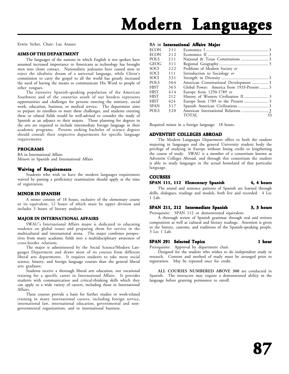## **Modern Languages**

Erwin Sicher, Chair; Luz Arauzo

#### **AIMS OF THE DEPARTMENT**

The languages of the nations in which English is not spoken have assumed increased importance to Americans as technology has brought men into closer contact. Nationalistic jealousies have caused men to reject the idealistic dream of a universal language, while Christ's commission to carry the gospel to all the world has greatly increased the need of having the means to communicate His Word to people of other tongues.

The extensive Spanish-speaking population of the American Southwest and of the countries south of our borders represents opportunities and challenges for persons entering the ministry, social work, education, business, or medical service. The department aims to prepare its enrollees to meet these challenges, and students entering these or related fields would be well-advised to consider the study of Spanish as an adjunct to their majors. Those planning for degrees in the arts are required to include intermediate foreign language in their academic programs. Persons seeking bachelor of science degrees should consult their respective departments for specific language requirements.

#### **PROGRAMS**

BA in International Affairs Minors in Spanish and International Affairs

#### **Waiving of Requirements**

Students who wish to have the modern languages requirement waived by passing a proficiency examination should apply at the time of registration.

#### **MINOR IN SPANISH**

A minor consists of 18 hours, exclusive of the elementary course or its equivalent, 12 hours of which must be upper division and includes 3 hours of literary analysis.

#### **MAJOR IN INTERNATIONAL AFFAIRS**

SWAU's International Affairs major is dedicated to educating students on global issues and preparing them for service in the multicultural and international arena. The major combines perspectives from many academic fields into a multidisciplinary awareness of cross-border relations.

The major is administered by the Social Science/Modern Languages Department and draws most of its courses from different liberal arts departments. It requires students to take more social science, history, and foreign language courses than the general liberal arts graduate.

Students receive a thorough liberal arts education, not vocational training for a specific career in International Affairs. It provides students with communication and critical-thinking skills which they can apply to a wide variety of careers, including those in International Affairs.

These courses provide a basis for further studies or work-related training in many international careers, including foreign service, international law, international education, governmental and nongovernmental organizations, and in international business.

#### **BA in International Affairs Major**

| ECON  | 211 |                                            |    |
|-------|-----|--------------------------------------------|----|
| ECON  | 212 |                                            |    |
| POLS. | 211 |                                            |    |
| GEOG  | 311 |                                            |    |
| SOCI  | 222 | Problems of Modern Society or              |    |
| SOCI  | 111 | Introduction to Sociology or               |    |
| SOCI  | 331 |                                            |    |
| POLS  | 364 | American Constitutional Development 3      |    |
| HIST  | 365 | Global Power: America from 1933-Present  3 |    |
| HIST  | 414 | Europe from 1250-1789 or                   |    |
| HIST  | 212 |                                            |    |
| HIST  | 424 |                                            |    |
| SPAN  | 317 |                                            |    |
| POLS  | 320 |                                            |    |
|       |     | TOTAL                                      | 33 |
|       |     |                                            |    |

Required minor in a foreign language: 18 hours.

#### **ADVENTIST COLLEGES ABROAD**

The Modern Languages Department offers to both the student majoring in languages and the general University student body the privilege of studying in Europe without losing credit or lengthening the course of study. SWAU is a member of a consortium known as Adventist Colleges Abroad, and through this consortium the student is able to study languages in the actual homeland of that particular language.

#### **COURSES**

#### **SPAN 111, 112 Elementary Spanish 4, 4 hours**

The sound and sentence patterns of Spanish are learned through drills, dialogues, readings and models, both live and recorded. 4 Lec 1 Lab.

#### **SPAN 211, 212 Intermediate Spanish 3, 3 hours**

Prerequisite: SPAN 112 or demonstrated equivalent.

A thorough review of Spanish grammar through oral and written composition as well as cultural and literary readings. Attention is given to the history, customs, and traditions of the Spanish-speaking people. 3 Lec 1 Lab.

#### **SPAN 291 Selected Topics 1 hour**

Prerequisite: Approval by department chair.

Designed for the student who wishes to do independent study or research. Content and method of study must be arranged prior to registration. May be repeated once for credit.

**ALL COURSES NUMBERED ABOVE 300** are conducted in Spanish. The instructor may require a demonstrated ability in the language before granting permission to enroll.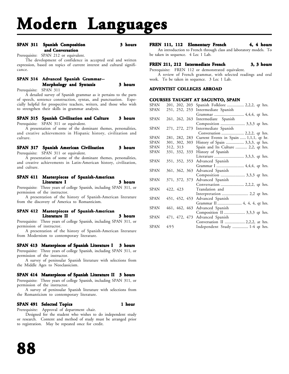# **Modern Languages n Languages n Languages**

#### **SPAN 311 Spanish Composition 3 hours and Conversation**

Prerequisite: SPAN 212 or equivalent.

The development of confidence in accepted oral and written expression, based on topics of current interest and cultural significance.

#### **SPAN 314 Advanced Spanish Grammar--**

**Morphology and Syntaxis 3 hours** Prerequisite: SPAN 311

A detailed survey of Spanish grammar as it pertains to the parts of speech, sentence construction, syntax, and punctuation. Especially helpful for prospective teachers, writers, and those who wish to strengthen their skills in grammar analysis.

#### **SPAN 315 Spanish Civilization and Culture 3 hours**

Prerequisite: SPAN 311 or equivalent.

A presentation of some of the dominant themes, personalities, and creative achievements in Hispanic history, civilization and culture.

#### **SPAN 317 Spanish American Civilization 3 hours**

Prerequisite: SPAN 311 or equivalent.

A presentation of some of the dominant themes, personalities, and creative achievements in Latin-American history, civilization, and culture.

#### **SPAN 411 Masterpieces of Spanish-American Literature I 3 hours**

Prerequisite: Three years of college Spanish, including SPAN 311, or permission of the instructor.

A presentation of the history of Spanish-American literature from the discovery of America to Romanticism.

#### **SPAN 412 Masterpieces of Spanish-American Literature II 3 hours**

Prerequisite: Three years of college Spanish, including SPAN 311, or permission of instructor.

A presentation of the history of Spanish-American literature from Modernism to contemporary literature.

#### **SPAN 413 Masterpieces of Spanish Literature I 3 hours**

Prerequisite: Three years of college Spanish, including SPAN 311, or permission of the instructor.

A survey of peninsular Spanish literature with selections from the Middle Ages to Neoclassicism.

#### **SPAN 414 Masterpieces of Spanish Literature II 3 hours**

Prerequisite: Three years of college Spanish, including SPAN 311, or permission of the instructor.

A survey of peninsular Spanish literature with selections from the Romanticism to contemporary literature.

#### **SPAN 491 Selected Topics 1 hour**

Prerequisite: Approval of department chair.

Designed for the student who wishes to do independent study or research. Content and method of study must be arranged prior to registration. May be repeated once for credit.

#### **FREN 111, 112 Elementary French 4, 4 hours**

An introduction to French through class and laboratory models. To be taken in sequence. 4 Lec 1 Lab.

#### **FREN 211, 212 Intermediate French 3, 3 hours**

Prerequisite: FREN 112 or demonstrated equivalent. A review of French grammar, with selected readings and oral work. To be taken in sequence. 3 Lec 1 Lab.

#### **ADVENTIST COLLEGES ABROAD**

#### **COURSES TAUGHT AT SAGUNTO, SPAIN**

| <b>SPAN</b> | 201, 202, 203 | Spanish Folklore  2,2,2, qt hrs.       |
|-------------|---------------|----------------------------------------|
| <b>SPAN</b> | 251, 252, 253 | Intermediate Spanish                   |
|             |               | Grammar  4,4,4, qt hrs.                |
| <b>SPAN</b> | 261, 262, 263 | Intermediate Spanish                   |
|             |               | Composition  3,3,3 qt hrs.             |
| <b>SPAN</b> | 271, 272, 273 | Intermediate Spanish                   |
|             |               | Conversation  2,2,2, qt hrs.           |
| <b>SPAN</b> | 281, 282, 283 | Current Events in Spain  1,1,1, qt hr. |
| <b>SPAN</b> | 301, 302, 303 | History of Spain  3,3,3, qt hrs.       |
| <b>SPAN</b> | 312, 313      | Spain and Its Culture  2,2, qt hrs.    |
| <b>SPAN</b> | 331, 332, 333 | History of Spanish                     |
|             |               | Literature  3,3,3, qt hrs.             |
| <b>SPAN</b> | 351, 352, 353 | Advanced Spanish                       |
|             |               | Grammar I  4,4,4, qt hrs.              |
| <b>SPAN</b> | 361, 362, 363 | Advanced Spanish                       |
|             |               | Composition  3,3,3 qt hrs.             |
| <b>SPAN</b> | 371, 372, 373 | Advanced Spanish                       |
|             |               | Conversation  2,2,2, qt hrs.           |
| <b>SPAN</b> | 422, 423      | Translation and                        |
|             |               | Interpretation  2,2 qt hrs.            |
| <b>SPAN</b> | 451, 452, 453 | Advanced Spanish                       |
|             |               | Grammar II  4, 4, 4, qt hrs.           |
| <b>SPAN</b> | 461, 462, 463 | Advanced Spanish                       |
|             |               | Composition II  3,3,3 qt hrs.          |
| <b>SPAN</b> | 471, 472, 473 | Advanced Spanish                       |
|             |               | Conversation II  2,2,2, at hrs.        |
| <b>SPAN</b> | 495           | Independent Study  1-4 qt hrs.         |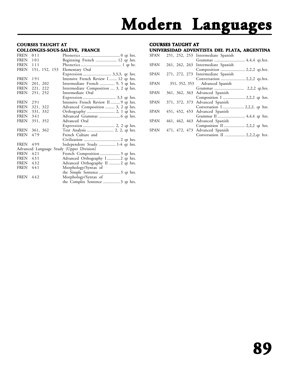# **Modern Languages**

#### **COURSES TAUGHT AT COLLONGES-SOUS-SALÈVE, FRANCE**

| FREN        | 011           |                                          |
|-------------|---------------|------------------------------------------|
| <b>FREN</b> | 101           | Beginning French  12 qt hrs.             |
| <b>FREN</b> | 111           |                                          |
| <b>FREN</b> | 151, 152, 153 | Elementary Oral                          |
|             |               | Expression  3,3,3, qt hrs.               |
| FREN        | 191           | Intensive French Review I  12 qt hrs.    |
| FREN        | 201, 202      | Intermediate French  9, 5 qt hrs.        |
| <b>FREN</b> | 221, 222      | Intermediate Composition  3, 2 qt hrs.   |
| FREN        | 251, 252      | Intermediate Oral                        |
|             |               |                                          |
| FREN        | 291           | Intensive French Review II  9 qt hrs.    |
| <b>FREN</b> | 321, 322      | Advanced Composition  3, 2 qt hrs.       |
| FREN        | 331, 332      |                                          |
| FREN        | 341           |                                          |
| <b>FREN</b> | 351, 352      | Advanced Oral                            |
|             |               |                                          |
| FREN        | 361, 362      | Text Analysis  2, 2, qt hrs.             |
| <b>FREN</b> | 479           | French Culture and                       |
|             |               |                                          |
| FREN        | 499           | Independent Study  1-4 qt hrs.           |
|             |               | Advanced Language Study (Upper Division) |
| <b>FREN</b> | 421           | French Composition  3 qt hrs.            |
| <b>FREN</b> | 431           | Advanced Orthography I 2 qt hrs.         |
| FREN        | 432           | Advanced Orthography II  2 qt hrs.       |
| <b>FREN</b> | 441           | Morphology/Syntax of                     |
|             |               |                                          |
| FREN        | 442           | Morphology/Syntax of                     |
|             |               | the Complex Sentence  3 qt hrs.          |
|             |               |                                          |

#### **COURSES TAUGHT AT UNIVERSIDAD ADVENTISTA DEL PLATA, ARGENTINA**

| <b>SPAN</b> | 251, 252, 253 Intermediate Spanish |
|-------------|------------------------------------|
|             |                                    |
| <b>SPAN</b> | 261, 262, 263 Intermediate Spanish |
|             | Composition  2,2,2 qt.hrs.         |
| <b>SPAN</b> | 271, 272, 273 Intermediate Spanish |
|             | Conversation  2,2,2 qt.hrs.        |
| <b>SPAN</b> | 351, 352, 353 Advanced Spanish     |
|             |                                    |
| <b>SPAN</b> | 361, 362, 363 Advanced Spanish     |
|             | Composition I  2,2,2 qt hrs.       |
| <b>SPAN</b> | 371, 372, 373 Advanced Spanish     |
|             | Conversation I  2,2,2, qt hrs.     |
| <b>SPAN</b> | 451, 452, 453 Advanced Spanish     |
|             | Grammar II  4,4,4 qt hrs.          |
| <b>SPAN</b> | 461, 462, 463 Advanced Spanish     |
|             | Composition II  2,2,2 qt hrs.      |
| <b>SPAN</b> | 471, 472, 473 Advanced Spanish     |
|             | Conversation II  2,2,2,qt hrs.     |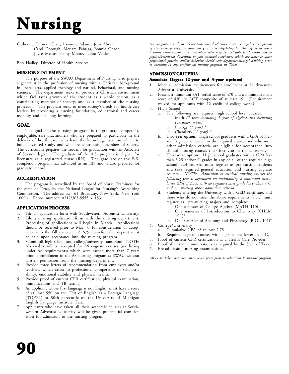# **Nursing Nursing Nursing**

Catherine Turner, Chair; Lavonne Adams, Jean Alway, Carol Dorough, Meriam Fabriga, Bonnie Gnadt, Joyce Melius, Penny Moore, Lolita Valdez

Bob Hadley, Director of Health Services

#### **MISSION STATEMENT**

The purpose of the SWAU Department of Nursing is to prepare a generalist in the profession of nursing with a Christian background in liberal arts, applied theology and natural, behavioral, and nursing sciences. The department seeks to provide a Christian environment which facilitates growth of the student as a whole person, as a contributing member of society, and as a member of the nursing profession. The program seeks to meet society's needs for health care leaders by providing a nursing foundation, educational and career mobility and life long learning.

#### **GOAL**

The goal of the nursing program is to graduate competent, employable, safe practitioners who are prepared to participate in the delivery of health care, who have the knowledge base on which to build advanced study, and who are contributing members of society. The curriculum prepares the student for graduation with an Associate of Science degree. The graduate of the A.S. program is eligible for licensure as a registered nurse (RN). The graduate of the B.S. completion program has advanced as an RN and is also prepared for graduate school.

#### **ACCREDITATION**

The program is accredited by the Board of Nurse Examiners for the State of Texas, by the National League for Nursing's Accrediting Commission. The address is: 61 Broadway, New York, New York 10006. Phone number: #212/363-5555 x 153.

#### **APPLICATION PROCESS**

- File an application form with Southwestern Adventist University.
- 2. File a nursing application form with the nursing department. Processing of applications will begin in March. Applications should be received prior to May 31 for consideration of acceptance into the fall semester. A \$75 nonrefundable deposit must be paid upon acceptance into the nursing program.
- Submit all high school and college/university transcripts. NOTE: No credits will be accepted for AS cognate courses (see listing under AS requirements) which were earned more than 7 years prior to enrollment in the AS nursing program at SWAU without written permission from the nursing department.
- 4. Provide three letters of recommendation from employers and/or teachers, which attest to professional competence or scholastic ability, emotional stability and physical health.
- 5. Provide proof of current CPR certification, physical examination, immunizations and TB testing.
- 6. An applicant whose first language is not English must have a score of at least 550 on the Test of English as a Foreign Language (TOEFL) or 80th percentile on the University of Michigan English Language Institute Test.
- 7. Applicants who have taken all their academic courses at Southwestern Adventist University will be given preferential consideration for admission to the nursing program.

*\*In compliance with the Texas State Board of Nurse Examiner's policy, completion of the nursing program does not guarantee eligibility for the registered nurse licensure examination. An individual who may be ineligible for licensure due to physical/emotional disabilities or past criminal convictions which are likely to affect professional practice and/or behavior should seek departmental/legal advising prior to enrolling in any professional nursing program in Texas.*

#### **ADMISSION CRITERIA**

#### **Associate Degree (2-year and 3-year options)**

- 1. Meet all admission requirements for enrollment at Southwestern Adventist University.
- Present a minimum SAT verbal score of 470 and a minimum math score of 430, or ACT composite of at least 19. (Requirement waived for applicants with 12 credit of college work.)
- High School
	- a. The following are required high school level courses:
		- i. Math *(2 years including 1 year of algebra and excluding consumer math)*
		- ii. Biology *(1 year)* \*
		- iii. Chemistry *(1 year)* \*
	- b. **Two-year option:** High school graduates with a GPA of 3.25 and B grades or better in the required courses and who meet other admission criteria are eligible for acceptance into clinical nursing courses their first year in the University.
	- c. **Three-year option:** High school graduates with a GPA less than 3.25 and/or C grades in any or all of the required high school level courses, must register as pre-nursing students and take required general education and nursing cognate courses. *NOTE: Admission to clinical nursing courses the following year is dependent on maintaining a minimum cumulative GPA of 2.75, with no cognate course grade lower than a C, and on meeting other admission criteria.*
	- d. Students entering the University with a GED certificate, and those who do not meet the above requirements (a,b,c) must register as pre-nursing majors and complete:
		- i. One semester of College Algebra (MATH 110)
		- ii. One semester of Introduction to Chemistry (CHEM  $101$ <sup>\*</sup>
		- iii. One semester of Anatomy and Physiology (BIOL 101)\*
- 4. College/University
	- a. Cumulative GPA of at least 2.75
- b. Required cognate courses with a grade not lower than C.
- 5. Proof of current CPR certification as a Health Care Provider.
- 6. Proof of current immunizations as required by the State of Texas.
- 7. Pre-admission nursing examination.

*\*Must be taken not more than seven years prior to admission to nursing program.*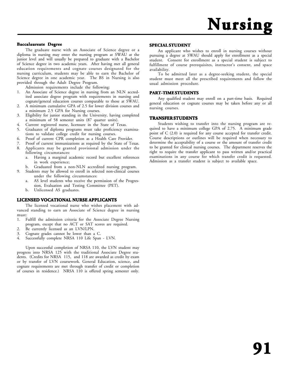#### **Baccalaureate Degree**

The graduate nurse with an Associate of Science degree or a diploma in nursing may enter the nursing program at SWAU at the junior level and will usually be prepared to graduate with a Bachelor of Science degree in two academic years. After having met all general education requirements and cognate courses designated for the nursing curriculum, students may be able to earn the Bachelor of Science degree in one academic year. The BS in Nursing is also provided through the Adult Degree Program.

Admission requirements include the following:

- 1. An Associate of Science degree in nursing from an NLN accredited associate degree program with requirements in nursing and cognate/general education courses comparable to those at SWAU.
- 2. A minimum cumulative GPA of 2.5 for lower division courses and a minimum 2.5 GPA for Nursing courses.
- 3. Eligibility for junior standing in the University, having completed a minimum of 58 semester units (87 quarter units).
- 4. Current registered nurse, licensure in the State of Texas.
- 5. Graduates of diploma programs must take proficiency examinations to validate college credit for nursing courses.
- 6. Proof of current CPR completion as a Health Care Provider.
- 7. Proof of current immunizations as required by the State of Texas. 8. Applicants may be granted provisional admission under the
	- following circumstances: a. Having a marginal academic record but excellent references in work experience;
	- b. Graduated from a non-NLN accredited nursing program.
- Students may be allowed to enroll in selected non-clinical courses under the following circumstances:
	- a. AS level students who receive the permission of the Progression, Evaluation and Testing Committee (PET).
	- b. Unlicensed AS graduates.

#### **LICENSED VOCATIONAL NURSE APPLICANTS**

The licensed vocational nurse who wishes placement with advanced standing to earn an Associate of Science degree in nursing must:

- 1. Fulfill the admission criteria for the Associate Degree Nursing program, except that no ACT or SAT scores are required.
- 2. Be currently licensed as an LVN/LPN.
- 3. Cognate grades cannot be lower than a C.<br>4 Successfully complete NRSA 110 Life Span
- Successfully complete NRSA 110 Life Span LVN.

Upon successful completion of NRSA 110, the LVN student may progress into NRSA 125 with the traditional Associate Degree students. (Credits for NRSA 115, and 118 are awarded as credit by exam or by transfer of LVN coursework. General Education, science, and cognate requirements are met through transfer of credit or completion of courses in residence.) NRSA 110 is offered spring semester only.

#### **SPECIAL STUDENT**

An applicant who wishes to enroll in nursing courses without pursuing a degree at SWAU should apply for enrollment as a special student. Consent for enrollment as a special student is subject to fulfillment of course prerequisites, instructor's consent, and space availability.

To be admitted later as a degree-seeking student, the special student must meet all the prescribed requirements and follow the usual admission procedure.

#### **PART-TIME STUDENTS**

Any qualified student may enroll on a part-time basis. Required general education or cognate courses may be taken before any or all nursing courses.

#### **TRANSFER STUDENTS**

Students wishing to transfer into the nursing program are required to have a minimum college GPA of 2.75. A minimum grade point of C (2.0) is required for any course accepted for transfer credit. Course descriptions or outlines will be required when necessary to determine the acceptability of a course or the amount of transfer credit to be granted for clinical nursing courses. The department reserves the right to require the transfer applicant to pass written and/or practical examinations in any course for which transfer credit is requested. Admission as a transfer student is subject to available space.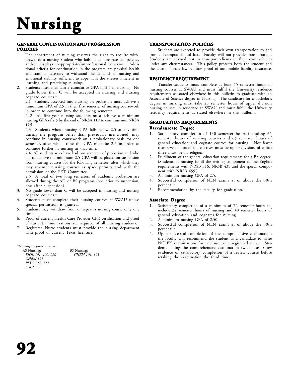#### **GENERAL CONTINUATION AND PROGRESSION POLICIES**

- 1. The department of nursing reserves the right to require withdrawal of a nursing student who fails to demonstrate competency and/or displays inappropriate/unprofessional behavior. Additional criteria for continuation in the program are physical health and stamina necessary to withstand the demands of nursing and emotional stability sufficient to cope with the stresses inherent in learning and practicing nursing.
- 2. Students must maintain a cumulative GPA of 2.5 in nursing. No grade lower than C will be accepted in nursing and nursing cognate courses.\*

2.1 Students accepted into nursing on probation must achieve a minumum GPA of 2.5 in their first semester of nursing coursework in order to continue into the following semester.

2..2 All first-year nursing students must achieve a minimum nursing GPA of 2.5 by the end of NRSA 119 to continue into NRSA 125.

2.3 Students whose nursing GPA falls below 2.5 at any time during the program other than previously mentioned, may continue in nursing coursework on a probationary basis for one semester, after which time the GPA must be 2.5 in order to continue further in nursing at that time.

2.4 All students who have had one semester of probation and who fail to achieve the minimum 2.5 GPA will be placed on suspension from nursing courses for the following semester, after which they may re-enter nursing courses as space permits and with the permission of the PET Committee.

2.5 A total of two long semesters of academic probation are allowed during the AD or BS programs (one prior to suspension, one after suspension).

- 3. No grade lower than C will be accepted in nursing and nursing cognate courses.\*
- 4. Students must complete their nursing courses at SWAU unless special permission is granted.
- 5. Students may withdraw from or repeat a nursing course only one time.
- 6. Proof of current Health Care Provider CPR certification and proof of current immunizations are required of all nursing students.
- 7. Registered Nurse students must provide the nursing department with proof of current Texas licensure.

*\*Nursing cognate courses:*

AS Nursing: BS Nursing: *BIOL 101, 102, 220 CHEM 101, 103 CHEM 101 PSYC 212, 311 SOCI 111*

#### **TRANSPORTATION POLICIES**

Students are expected to provide their own transportation to and from off-campus clinical labs. Faculty will not provide transportation. Students are advised not to transport clients in their own vehicles under any circumstances. This policy protects both the student and the client. Texas law requires proof of automobile liability insurance.

#### **RESIDENCY REQUIREMENT**

Transfer students must complete at least 15 semester hours of nursing courses at SWAU and must fulfill the University residence requirements as stated elsewhere in this bulletin to graduate with an Associate of Science degree in Nursing. The candidate for a bachelor's degree in nursing must take 28 semester hours of upper division nursing courses in residence at SWAU and must fulfill the University residency requirements as stated elsewhere in this bulletin.

#### **GRADUATION REQUIREMENTS**

#### **Baccalaureate Degree**

- Satisfactory completion of 130 semester hours including 65 semester hours of nursing courses and 65 semester hours of general education and cognate courses for nursing. Not fewer than seven hours of the electives must be upper division, of which three must be in religion.
- Fulfillment of the general education requirements for a BS degree. (Students of nursing fulfill the writing component of the English requirements with NRSB 316, NRSB 435 and the speech component with NRSB 455.)
- 3. A minimum nursing GPA of 2.5.
- 4. Successful completion of NLN exams at or above the 30th percentile.
- 5. Recommendation by the faculty for graduation.

#### **Associate Degree**

- 1. Satisfactory completion of a minimum of 72 semester hours to include 32 semester hours of nursing and 40 semester hours of general education and cognates for nursing.
- 2. A minimum nursing GPA of 2.50.
- Successful completion of NLN exams at or above the 30th percentile.
- 4. Upon successful completion of the comprehensive examination, the faculty will recommend the student as a candidate to write NCLEX examinations for licensure as a registered nurse. Students failing the comprehensive examination twice must show evidence of satisfactory completion of a review course before retaking the examination the third time.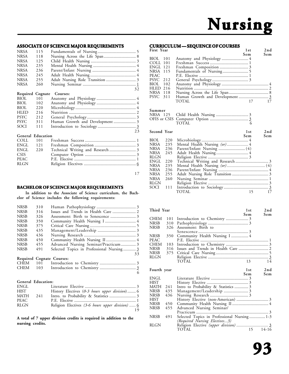# $N$ ursing

#### **ASSOCIATE OF SCIENCE MAJOR REQUIREMENTS**

| <b>NRSA</b> | 115 |    |
|-------------|-----|----|
| NRSA        | 118 |    |
| NRSA        | 125 |    |
| <b>NRSA</b> | 235 |    |
| NRSA        | 236 |    |
| <b>NRSA</b> | 245 |    |
| <b>NRSA</b> | 255 |    |
| <b>NRSA</b> | 260 |    |
|             |     | 32 |

#### **Required Cognate Courses:**

| BIOL        | 101 |    |
|-------------|-----|----|
| <b>BIOL</b> | 102 |    |
| <b>BIOL</b> | 220 |    |
| <b>HLED</b> | 216 |    |
| <b>PSYC</b> | 212 |    |
| <b>PSYC</b> | 311 |    |
| <b>SOCI</b> | 111 |    |
|             |     | 23 |
|             |     |    |

### **General Education**

| COLL 101    |     |  |
|-------------|-----|--|
| ENGL        | 121 |  |
| ENGL        | 220 |  |
| <b>CSIS</b> |     |  |
| PEAC        |     |  |
| RLGN        |     |  |
|             |     |  |

17

#### **BACHELOR OF SCIENCE MAJOR REQUIREMENTS**

**In addition to the Associate of Science curriculum, the Bachelor of Science includes the following requirements:**

| <b>NRSB</b> | 310 |                                          |              |
|-------------|-----|------------------------------------------|--------------|
| <b>NRSB</b> | 316 |                                          |              |
| <b>NRSB</b> | 326 |                                          |              |
| <b>NRSB</b> | 350 |                                          |              |
| <b>NRSB</b> | 375 |                                          |              |
| <b>NRSB</b> | 435 |                                          |              |
| <b>NRSB</b> | 436 |                                          |              |
| <b>NRSB</b> | 450 |                                          |              |
| <b>NRSB</b> | 455 | Advanced Nursing Seminar/Practicum3      |              |
| <b>NRSB</b> | 491 | Selected Topics in Professional Nursing3 |              |
|             |     |                                          | 33           |
|             |     | Required Cognate Courses:                |              |
|             |     | $CHEM = 101$ Introduction to Chemistry   | $\mathbf{z}$ |

|      | General Education: |                                                  |
|------|--------------------|--------------------------------------------------|
| ENGL |                    |                                                  |
| HIST |                    | History Electives (0-3 hours upper division) 6   |
| MATH | 2.41               |                                                  |
| PEAC |                    |                                                  |
| RLGN |                    | Religion Electives (3-6 hours upper division)  6 |
|      |                    |                                                  |

**A total of 7 upper division credits is required in addition to the nursing credits.**

## **CURRICULUM — SEQUENCE OF COURSES**<br>**First Year**

| First Year |              | 1 <sub>st</sub> | 2nd |
|------------|--------------|-----------------|-----|
|            |              | Sem-            | Sem |
| BIOL 101   |              |                 |     |
| COLL 101   |              |                 |     |
| ENGL 121   |              |                 |     |
| NRSA 115   |              |                 |     |
| PEAC       |              |                 |     |
| PSYC 212   |              |                 |     |
| BIOL 102   |              |                 |     |
| HLED 216   |              |                 |     |
| NRSA 118   |              |                 |     |
| PSYC 311   |              |                 |     |
|            | <b>TOTAL</b> | $17$ and $17$   | 17  |
|            |              |                 |     |
|            |              |                 |     |

#### **Summer**

| . |       |  |
|---|-------|--|
|   |       |  |
|   |       |  |
|   | TOTAL |  |
|   |       |  |

| Second Year |     | Sem                          | 1 <sub>st</sub> | 2nd<br>Sem |
|-------------|-----|------------------------------|-----------------|------------|
| BIOL.       | 220 |                              |                 |            |
| NRSA        | 235 | Mental Health Nursing (or) 4 |                 |            |
| NRSA        | 236 |                              |                 |            |
| NRSA        | 245 |                              |                 |            |
| RLGN        |     |                              |                 |            |
| ENGL        | 220 |                              |                 |            |
| NRSA        | 235 |                              |                 |            |
| NRSA        | 236 |                              |                 |            |
| NRSA        | 255 |                              |                 |            |
| NRSA        | 260 |                              |                 |            |
| RLGN        |     |                              |                 |            |
| SOCI        | 111 |                              |                 |            |
|             |     | TOTAL                        | 15              |            |

| Third Year  |     |                                             | 1st<br>Sem | 2nd<br>Sem |
|-------------|-----|---------------------------------------------|------------|------------|
| CHEM        | 101 |                                             |            |            |
| NRSB        | 310 |                                             |            |            |
| NRSB        | 326 | Assessment: Birth to                        |            |            |
|             |     |                                             |            |            |
| NRSB        | 350 | Community Health Nursing I  4               |            |            |
| PEAC        |     |                                             |            |            |
| CHEM        | 103 |                                             |            |            |
| NRSB        | 316 |                                             |            |            |
| NRSB        | 375 |                                             |            |            |
| RLGN        |     |                                             |            |            |
|             |     | TOTAL                                       | 13         | 14         |
| Fourth year |     |                                             | 1st        | 2nd        |
|             |     |                                             | Sem        | Sem        |
| ENGL        |     |                                             |            |            |
| HIST        |     |                                             |            |            |
| MATH        | 241 | Intro to Probability & Statistics  3        |            |            |
| NRSB        | 435 |                                             |            |            |
| NRSB        | 436 |                                             |            |            |
| HIST        |     |                                             |            |            |
| NRSB        | 450 |                                             |            |            |
| NRSB        | 455 | Advanced Nursing Seminar/                   |            |            |
|             |     |                                             |            |            |
| NRSB        | 491 | Selected Topics in Professional Nursing 1-3 |            |            |
|             |     | (Required Nursing Electives3)               |            |            |
| RLGN        |     | Religion Elective (upper division)  3       |            |            |
|             |     |                                             |            |            |
|             |     | TOTAL                                       |            | 15 14-16   |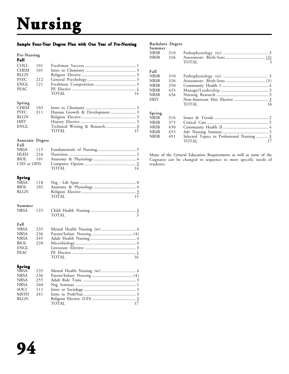# **Nursing Nursing Nursing**

#### **Sample Four-Year Degree Plan with One Year of Pre-Nursing**

| Pre-Nursing      |     |                              |
|------------------|-----|------------------------------|
| Fall             |     |                              |
| COLL             | 101 |                              |
| <b>CHEM</b>      | 101 |                              |
| <b>RLGN</b>      |     |                              |
| <b>PSYC</b>      | 212 |                              |
| ENGL             | 121 |                              |
| <b>PEAC</b>      |     |                              |
|                  |     | TOTAL<br>14                  |
| Spring           |     |                              |
| <b>CHEM</b>      | 103 |                              |
| <b>PSYC</b>      | 311 |                              |
| RLGN             |     |                              |
| HIST             |     |                              |
| ENGL             |     |                              |
|                  |     | TOTAL<br>15                  |
| Associate Degree |     |                              |
| Fall             |     |                              |
| NRSA             | 115 |                              |
| HLED             | 216 |                              |
| <b>BIOL</b>      | 101 |                              |
| CSIS or OFIS     |     |                              |
|                  |     | TOTAL<br>14                  |
|                  |     |                              |
| Spring           |     |                              |
| NRSA             | 118 |                              |
| BIOL             | 102 |                              |
| RLGN             |     |                              |
|                  |     | TOTAL<br>15                  |
| Summer           |     |                              |
| NRSA             | 125 |                              |
|                  |     | TOTAL<br>3                   |
|                  |     |                              |
| Fall             |     |                              |
| NRSA             | 235 | Mental Health Nursing (or) 4 |
| NRSA             | 236 |                              |
| NRSA             | 245 |                              |
| <b>BIOL</b>      | 220 |                              |
| ENGL             |     |                              |
| PEAC             |     |                              |
|                  |     | TOTAL<br>16                  |
|                  |     |                              |
| Spring<br>NRSA   | 235 |                              |
| NRSA             | 236 |                              |
| NRSA             | 255 |                              |
| NRSA             | 260 |                              |
| SOCI             | 111 |                              |
|                  |     |                              |
| MATH             | 241 |                              |
| RLGN             |     | TOTAL<br>17                  |

| <b>Bachelors</b> Degree |     |                                           |    |
|-------------------------|-----|-------------------------------------------|----|
| Summer                  |     |                                           |    |
| <b>NRSB</b>             | 310 |                                           |    |
| <b>NRSB</b>             | 326 |                                           |    |
|                         |     | TOTAL                                     | 3  |
| Fall                    |     |                                           |    |
| <b>NRSB</b>             | 310 |                                           |    |
| <b>NRSB</b>             | 326 |                                           |    |
| <b>NRSB</b>             | 350 |                                           |    |
| <b>NRSB</b>             | 435 |                                           |    |
| <b>NRSB</b>             | 436 |                                           |    |
| <b>HIST</b>             |     |                                           |    |
|                         |     | TOTAL                                     | 16 |
| Spring                  |     |                                           |    |
| <b>NRSB</b>             | 316 |                                           |    |
| <b>NRSB</b>             | 375 |                                           |    |
| <b>NRSB</b>             | 450 |                                           |    |
| <b>NRSB</b>             | 455 |                                           |    |
| <b>NRSB</b>             | 491 | Selected Topics in Professional Nursing 3 |    |
|                         |     | TOTAL                                     | 17 |

Many of the General Education Requirements as well as some of the Cognates can be changed in sequence to meet specific needs of students.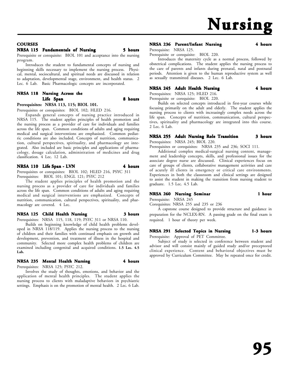Introduces the maternity cycle as a normal process, followed by

### **NRSA 245 Adult Health Nursing 4 hours**

Prerequisites: NRSA 125; HLED 216. Prerequisite or corequisite: BIOL 220.

Builds on selected concepts introduced in first-year courses while focusing primarily on the adult and elderly. The student applies the nursing process to clients with increasingly complex needs across the life span. Concepts of nutrition, communication, cultural perspectives, spirituality and pharmacology are integrated into this course. 2 Lec. 6 Lab.

#### **NRSA 255 Adult Nursing Role Transition 3 hours**

Prerequisites: NRSA 245; BIOL 220.

Additional complex medical-surgical nursing content, management and leadership concepts, skills, and professional issues for the

associate degree nurse are discussed. Clinical experiences focus on care of groups of clients, collaborative management activities and care of acutely ill clients in emergency or critical care environments. Experiences in both the classsroom and clinical settings are designed to assist the student in making the transition from nursing student to graduate. 1.5 Lec. 4.5 Lab.

### **NRSA 260 Nursing Seminar 1 hour**

Prerequisite: NRSA 245

A capstone course designed to provide structure and guidance in

### **NRSA 291 Selected Topics in Nursing 1-3 hours**

Prerequisite: Approval of PET Committee.

Subject of study is selected in conference between student and advisor and will consist mainly of guided study and/or preceptored clinical experience. Content and behavioral objectives must be approved by Curriculum Committee. May be repeated once for credit.

### **NRSA 236 Parent/Infant Nursing 4 hours**

#### Prerequisite: NRSA 125. **NRSA 115 Fundamentals of Nursing 5 hours**

Prerequisite or corequisite: BIOL 220.

obstetrical complications. The student applies the nursing process to the care of parents and infants during prenatal, natal and postnatal periods. Attention is given to the human reproductive system as well as sexually transmitted diseases. 2 Lec. 6 Lab.

Prerequisites or corequisites: NRSA 235 and 236; SOCI 111.

Corequisites: NRSA 255 and 235 or 236 preparation for the NCLEX-RN. A passing grade on the final exam is

required. 1 hour of theory per week.

#### beginning skills necessary to implement the nursing process. Physical, mental, sociocultural, and spiritual needs are discussed in relation to adaptation, developmental stage, environment, and health status. 2

**Life Span 8 hours**

**Prerequisites: NRSA 113, 115; BIOL 101.** Prerequisites or corequisites: BIOL 102; HLED 216.

**NRSA 118 Nursing Across the**

Expands general concepts of nursing practice introduced in NRSA 115. The student applies principles of health promotion and the nursing process as a provider of care for individuals and families across the life span. Common conditions of adults and aging requiring medical and surgical interventions are emphasized. Common pediatric conditions are also included. Concepts of nutrition, communication, cultural perspectives, spirituality, and pharmacology are integrated. Also included are basic principles and applications of pharmacology, dosage calculation, administration of medicines and drug classification. 4 Lec. 12 Lab.

Prerequisite or corequisite: BIOL 101 and acceptance into the nursing

Lec. 6 Lab. Basic Pharmacologic concepts are incorporated.

Introduces the student to fundamental concepts of nursing and

#### **NRSA 110 Life Span - LVN 4 hours**

**COURSES**

program.

Prerequisites or corequisites: BIOL 102; HLED 216, PSYC 311 Prerequisites: BIOL 101; ENGL 121; PSYC 212

The student applies principles of health promotion and the nursing process as a provider of care for individuals and families across the life span. Common conditions of adults and aging requiring medical and surgical interventions are emphasized. Concepts of nutrition, communication, cultural perspectives, spirituality, and pharmacology are covered. 4 Lec.

#### **NRSA 125 Child Health Nursing 3 hours**

Prerequisites: NRSA 115, 118, 119; PSYC 311 or NRSA 110.

Builds on beginning knowledge of child health problems developed in NRSA 118/119. Applies the nursing process to the nursing of children and their families with continued emphasis on growth and development, prevention, and treatment of illness in the hospital and community. Selected more complex health problems of children are examined including congenital and acquired conditions. **1.5 Lec. 4.5 Lab.**

### **NRSA 235 Mental Health Nursing 4 hours**

Prerequisites: NRSA 125; PSYC 212.

Involves the study of thoughts, emotions, and behavior and the application of mental health principles. The student applies the nursing process to clients with maladaptive behaviors in psychiatric settings. Emphasis is on the promotion of mental health. 2 Lec. 6 Lab.



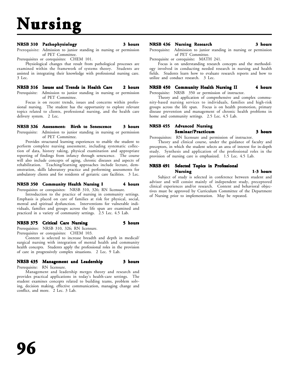# **Nursing Nursing Nursing**

#### **NRSB 310 Pathophysiology 3 hours**

Prerequisite: Admission to junior standing in nursing or permission of PET Committee.

Prerequisites or corequisites: CHEM 101.

Physiological changes that result from pathological processes are examined within the framework of systems theory. Students are assisted in integrating their knowledge with professional nursing care. 3 Lec.

#### **NRSB 316 Issues and Trends in Health Care 2 hours**

Prerequisite: Admission to junior standing in nursing or permission of PET Committee.

Focus is on recent trends, issues and concerns within professional nursing. The student has the opportunity to explore relevant topics related to clients, professional nursing, and the health care delivery system. 2 Lec.

#### **NRSB 326 Assessment: Birth to Senescence 3 hours**

Prerequisite: Admission to junior standing in nursing or permission of PET Committee.

Provides structured learning experiences to enable the student to perform complete nursing assessment, including systematic collection of data, history taking, physical examination and appropriate reporting of findings from infancy through senescence. The course will also include concepts of aging, chronic diseases and aspects of rehabilitation. Teaching/learning approaches include lecture, demonstration, skills laboratory practice and performing assessments for ambulatory clients and for residents of geriatric care facilities. 3 Lec.

#### **NRSB 350 Community Health Nursing I 4 hours**

Prerequisites or corequisites: NRSB 310, 326; RN licensure.

Introduction to the practice of nursing in community settings. Emphasis is placed on care of families at risk for physical, social, mental and spiritual dysfunction. Interventions for vulnerable individuals, families and groups across the life span are examined and practiced in a variety of community settings. 2.5 Lec. 4.5 Lab.

#### **NRSB 375 Critical Care Nursing 5 hours**

Prerequisites: NRSB 310, 326; RN licensure. Prerequisites or corequisites: CHEM 103.

Content is selected to increase breadth and depth in medical/ surgical nursing with integration of mental health and community health concepts. Students apply the professional roles in the provision of care in progressively complex situations. 2 Lec. 9 Lab.

#### **NRSB 435 Management and Leadership 3 hours**

Prerequisite: RN licensure.

Management and leadership merges theory and research and provides practical applications in today's health-care settings. The student examines concepts related to building teams, problem solving, decision making, effective communication, managing change and conflict, and more. 2 Lec. 3 Lab.

#### **NRSB 436 Nursing Research 3 hours**

Prerequisite: Admission to junior standing in nursing or permission of PET Committee.

Prerequisite or corequisite: MATH 241.

Focus is on understanding research concepts and the methodology involved in conducting needed research in nursing and health fields. Students learn how to evaluate research reports and how to utilize and conduct research. 3 Lec.

#### **NRSB 450 Community Health Nursing II 4 hours**

Prerequisite: NRSB 350 or permission of instructor.

Theory and application of comprehensive and complex community-based nursing services to individuals, families and high-risk groups across the life span. Focus is on health promotion, primary disease prevention and management of chronic health problems in home and community settings. 2.5 Lec. 4.5 Lab.

#### **NRSB 455 Advanced Nursing Seminar/Practicum 3 hours**

Prerequisites: RN licensure and permission of instructor. Theory and clinical course, under the guidance of faculty and preceptors, in which the student selects an area of interest for in-depth study. Synthesis and application of the professional roles in the provision of nursing care is emphasized. 1.5 Lec. 4.5 Lab.

#### **NRSB 491 Selected Topics in Professional Topics Nursing 1-3 hours**

Subject of study is selected in conference between student and advisor and will consist mainly of independent study, preceptored clinical experiences and/or research. Content and behavioral objectives must be approved by Curriculum Committee of the Department of Nursing prior to implementation. May be repeated.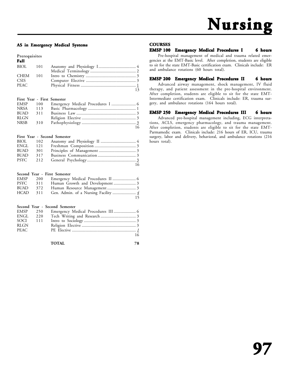#### **AS in Emergency Medical Systems**

| Prerequisites |
|---------------|
|---------------|

| Fall        |  |    |
|-------------|--|----|
|             |  |    |
|             |  |    |
| CHEM 101    |  |    |
| CSIS -      |  |    |
| <b>PEAC</b> |  |    |
|             |  | 13 |
|             |  |    |

#### **First Year - First Semester**

| $EMSP$ 100  |     |    |
|-------------|-----|----|
| <b>NRSA</b> | 113 |    |
| <b>BUAD</b> | 311 |    |
| RLGN        |     |    |
| NRSB        | 310 |    |
|             |     | 16 |

#### **First Year - Second Semester**

| $BIOL$ 102 |     |    |
|------------|-----|----|
| ENGL       | 121 |    |
| BUAD       | 301 |    |
| BUAD       | 317 |    |
| $PSYC$ 212 |     |    |
|            |     | 16 |

#### **Second Year - First Semester**

| EMSP        | 200 |    |
|-------------|-----|----|
| PSYC.       | 311 |    |
| BUAD        | 372 |    |
| <b>HCAD</b> | 311 |    |
|             |     | 15 |

#### **Second Year - Second Semester**

| EMSP 250    |     |    |
|-------------|-----|----|
| ENGL        | 220 |    |
| SOCI        | 111 |    |
| <b>RLGN</b> |     |    |
| PEAC        |     |    |
|             |     | 16 |

**TOTAL** 78

#### **COURSES**

#### **EMSP 100 Emergency Medical Procedures I 6 hours**

Pre-hospital management of medical and trauma related emergencies at the EMT-Basic level. After completion, students are eligible to sit for the state EMT-Basic certification exam. Clinicals include: ER and ambulance rotations (60 hours total).

### **EMSP 200 Emergency Medical Procedures II 6 hours**

Advanced airway management, shock management, IV fluid therapy, and patient assessment in the pre-hospital environment. After completion, students are eligible to sit for the state EMT-Intermediate certification exam. Clinicals include: ER, trauma surgery, and ambulance rotations (164 hours total).

### **EMSP 250 Emergency Medical Procedures III 6 hours**

Advanced pre-hospital management including, ECG interpretations, ACLS, emergency pharmacology, and trauma management. After completion, students are eligible to sit for the state EMT-Parmamedic exam. Clinicals include: 216 hours of ER, ICU, trauma surgery, labor and delivery, behavioral, and ambulance rotations (216 hours total).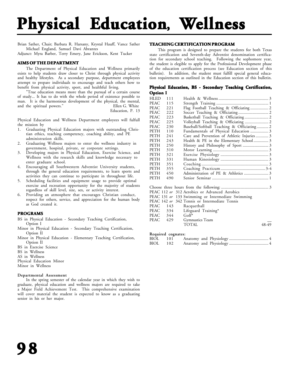# **Physical E hysical E hysical Education ducation ducation, Wellness ellness ellness**

Brian Sather, Chair; Barbara R. Harsany, Krystal Hauff, Vance Sather Michael England, Samuel Davi Abrantes

Adjunct: Myra Barber, Terry Emery, Jane Erickson, Kent Tucker

#### **AIMS OF THE DEPARTMENT**

The Department of Physical Education and Wellness primarily exists to help students draw closer to Christ through physical activity and healthy lifestyles. As a secondary purpose, department employees attempt to prepare individuals to encourage and teach others how to benefit from physical activity, sport, and healthful living.

"True education means more than the pursual of a certain course of study... It has to do with the whole period of existence possible to man. It is the harmonious development of the physical, the mental, and the spiritual powers." Education, P. 13

Physical Education and Wellness Department employees will fulfull the mission by

- 1. Graduating Physical Education majors with outstanding Christian ethics, teaching competency, coaching ability, and PE administration skills.
- 2. Graduating Wellness majors to enter the wellness industry in government, hospital, private, or corporate settings.
- 3. Developing majors in Physical Education, Exercise Science, and Wellness with the research skills and knowledge necessary to enter graduate school.
- 4. Encouraging all Southwestern Adventist University students, through the general education requirements, to learn sports and activities they can continue to participate in throughout life.
- 5. Scheduling facilities and equipment usage to provide optimal exercise and recreation opportunity for the majority of students regardless of skill level, size, sex, or activity interest.
- 6. Providing an atmosphere that encourages Christian conduct, respect for others, service, and appreciation for the human body as God created it.

#### **PROGRAMS**

- BS in Physical Education Secondary Teaching Certification, Option I
- Minor in Physical Education Secondary Teaching Certification, Option II
- Minor in Physical Education Elementary Teaching Certification, Option II

BS in Exercise Science

- BS in Wellness
- AS in Wellness
- Physical Education Minor
- Minor in Wellness

#### **Departmental Assessment**

In the spring semester of the calendar year in which they wish to graduate, physical education and wellness majors are required to take a Major Field Achievement Test. This comprehensive examination will cover material the student is expected to know as a graduating senior in his or her major.

#### **TEACHING CERTIFICATION PROGRAM**

This program is designed to prepare the students for both Texas state certification and Seventh-day Adventist denomination certification for secondary school teaching. Following the sophomore year, the student is elegible to apply for the Professional Development phase of the education certification process (see Education section of this bulletin). In addition, the student must fulfill special general education requirements as outlined in the Education section of this bulletin.

#### **Physical Education, BS - Secondary Teaching Certification, Physical Education, Certification, Option I**

| <b>HLED</b> | 111         |                                               |
|-------------|-------------|-----------------------------------------------|
| PEAC        | 115         |                                               |
| <b>PEAC</b> | 2.2.1       | Flag Football Teaching & Officiating  2       |
| PEAC        | 222         |                                               |
| <b>PEAC</b> | 223         | Basketball Teaching & Officiating  2          |
| PEAC        | 225         | Volleyball Teaching & Officiating  2          |
| <b>PEAC</b> | 230         | Baseball/Softball Teaching & Officiating 2    |
| PETH        | 110         | Fundamentals of Physical Education  3         |
| PETH        | 241         | Care and Prevention of Athletic Injuries 3    |
| PETH        | 243         | Health & PE in the Elementary School  3       |
| <b>PETH</b> | 250         |                                               |
| PETH        | 310         |                                               |
| PETH        | 321         |                                               |
| PETH        | 331         |                                               |
| PETH        | 351         |                                               |
| PETH        | 355         |                                               |
| <b>PETH</b> | 450         | Administration of PE & Athletics  3           |
| PETH        | 490         |                                               |
|             |             |                                               |
|             |             | PEAC 112 or 312 Aerobics or Advanced Aerobics |
|             | PEAC 131 or | 133 Swimming or Intermediate Swimming         |
|             | PEAC 142 or | 342 Tennis or Intermediate Tennis             |
| PEAC        | 143         | Racquetball                                   |
| PEAC        | 334         | Lifeguard Training*                           |
| PEAC        | 344         | $Golf^*$                                      |
| PEAC        | 429         | Gymnastics Team                               |
|             |             | 48-49<br><b>TOTAL</b>                         |
|             |             |                                               |

#### **Required cognates:**

| $BIOL$ 101 |  |  |  |
|------------|--|--|--|
| $BIOL$ 102 |  |  |  |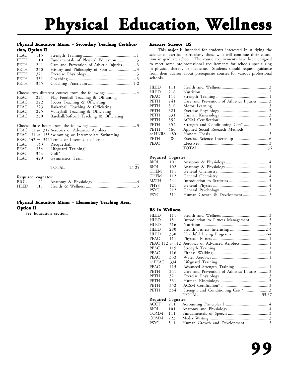#### **Physical Education Minor - Secondary Teaching Certification, Option II**

| ,                  |     |                                                     |
|--------------------|-----|-----------------------------------------------------|
| <b>PEAC</b>        | 115 |                                                     |
| <b>PETH</b>        | 110 | Fundamentals of Physical Education 3                |
| PETH               | 241 | Care and Prevention of Athletic Injuries  3         |
| PETH               | 250 |                                                     |
| PETH               | 321 |                                                     |
| PETH               | 351 |                                                     |
| PETH               | 355 |                                                     |
|                    |     | Choose two different courses from the following:  4 |
| <b>PEAC</b>        | 221 | Flag Football Teaching & Officiating                |
| PEAC               | 222 | Soccer Teaching & Officiating                       |
| PEAC               | 223 | Basketball Teaching & Officiating                   |
| PEAC               | 225 | Volleyball Teaching & Officiating                   |
| <b>PEAC</b>        | 230 | Baseball/Softball Teaching & Officiating            |
|                    |     |                                                     |
|                    |     | PEAC 112 or 312 Aerobics or Advanced Aerobics       |
|                    |     | PEAC 131 or 133 Swimming or Intermediate Swimming   |
|                    |     | PEAC 142 or 342 Tennis or Intermediate Tennis       |
| PEAC               | 143 | Racquetball                                         |
| PEAC 334           |     | Lifeguard Training*                                 |
| PEAC 344           |     | $Golf^*$                                            |
| PEAC 429           |     | Gymnastics Team                                     |
|                    |     | $24 - 25$<br><b>TOTAL</b>                           |
| Required cognates: |     |                                                     |

| Required cognates: |  |  |
|--------------------|--|--|
|                    |  |  |
|                    |  |  |

#### **Physical Education Minor - Elementary Teaching Area, Option II**

**See Education section.**

#### **Exercise Science, BS**

This major is intended for students interested in studying the science of exercise, particularly those who will continue their education in graduate school. The course requirements have been designed to meet some pre-professional requirements for schools specializing in physical therapy or medicine. Students should request guidance from their advisor about prerequisite courses for various professional schools.

| HLED    | 111  |                                              |    |
|---------|------|----------------------------------------------|----|
| HLED    | 216  |                                              |    |
| PEAC    | 115  |                                              |    |
| PETH    | 2.41 | Care and Prevention of Athletics Injuries  3 |    |
| PETH    | 310  |                                              |    |
| PETH    | 321  |                                              |    |
| PETH    | 331  |                                              |    |
| PETH    | 352  |                                              |    |
| PETH    | 354  |                                              |    |
| PETH    | 460  | Applied Social Research Methods              |    |
| or HNRS | 480  |                                              |    |
| PETH    | 480  |                                              |    |
| PEAC    |      |                                              |    |
|         |      | TOTAL                                        | 36 |
|         |      |                                              |    |

#### **Required Cognates:**

| $\cdots$ quite $\cdots$ |     |  |
|-------------------------|-----|--|
|                         |     |  |
| BIOL                    | 102 |  |
| CHEM                    | 111 |  |
| CHEM                    | 112 |  |
| MATH                    | 241 |  |
| PHYS.                   | 121 |  |
| PSYC                    | 212 |  |
| PSYC                    | 311 |  |
|                         |     |  |

#### **BS in Wellness**

| <b>HLED</b>     | 111       |                                              |
|-----------------|-----------|----------------------------------------------|
| <b>HLED</b>     | 151       | Introduction to Fitness Management  3        |
| <b>HLED</b>     | 216       |                                              |
| <b>HLED</b>     | 280       |                                              |
| <b>HLED</b>     | 330       | Healthful Living Programs  2-4               |
| <b>PEAC</b>     | 111       |                                              |
| PEAC 112 or 312 |           | Aerobics or Advanced Aerobics  1             |
| <b>PEAC</b>     | 115       |                                              |
| PEAC            | 116       |                                              |
| <b>PEAC</b>     | 333       |                                              |
| or PEAC         | 334       | Lifeguard Training                           |
| <b>PEAC</b>     | 415       | Advanced Strength Training  1                |
| <b>PETH</b>     | 241       | Care and Prevention of Athletics Injuries  3 |
| <b>PETH</b>     | 321       |                                              |
| <b>PETH</b>     | 331       |                                              |
| <b>PETH</b>     | 352       |                                              |
| <b>PETH</b>     | 354       | Strength and Conditioning Cert.*  3          |
|                 |           | TOTAL<br>33-37                               |
| Required        | Cognates: |                                              |
| ACCT            | 211       |                                              |
| <b>BIOL</b>     | 101       |                                              |
| COMM            | 111       |                                              |
| <b>COMM</b>     | 223       |                                              |
| <b>PSYC</b>     | 311       |                                              |
|                 |           |                                              |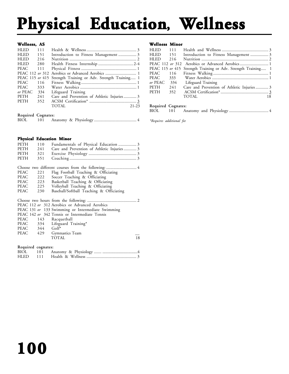#### **Wellness, AS**

| <b>HLED</b> | 111    |                                                               |
|-------------|--------|---------------------------------------------------------------|
| <b>HLED</b> | 151    |                                                               |
| <b>HLED</b> | 216    |                                                               |
| <b>HLED</b> | 280    |                                                               |
| <b>PEAC</b> | $-111$ |                                                               |
|             |        | PEAC 112 or 312 Aerobics or Advanced Aerobics  1              |
|             |        | PEAC 115 or 415 Strength Training or Adv. Strength Training 1 |
| PEAC        | 116    |                                                               |
| <b>PEAC</b> | 333    |                                                               |
| or PEAC     | 334    | Lifeguard Training                                            |
| <b>PETH</b> | 2.41   | Care and Prevention of Athletic Injuries  3                   |
| PETH        | 352    |                                                               |
|             |        | TOTAL<br>$21 - 23$                                            |
|             |        |                                                               |

## **Required Cognates:**

BIOL 101 Anatomy & Physiology ........................................ 4

#### **Physical Education Minor**

| PETH                                    | 110 |                                                   |
|-----------------------------------------|-----|---------------------------------------------------|
| PETH                                    | 241 | Care and Prevention of Athletic Injuries  3       |
| PETH                                    | 321 |                                                   |
| PETH                                    | 351 |                                                   |
|                                         |     |                                                   |
| PEAC                                    | 221 | Flag Football Teaching & Officiating              |
| PEAC                                    | 222 | Soccer Teaching & Officiating                     |
| PEAC 223                                |     | Basketball Teaching & Officiating                 |
|                                         |     | PEAC 225 Volleyball Teaching & Officiating        |
| PEAC 230                                |     | Baseball/Softball Teaching & Officiating          |
|                                         |     |                                                   |
|                                         |     |                                                   |
|                                         |     | PEAC 112 or 312 Aerobics or Advanced Aerobics     |
|                                         |     | PEAC 131 or 133 Swimming or Intermediate Swimming |
|                                         |     | PEAC 142 or 342 Tennis or Intermediate Tennis     |
|                                         |     | PEAC 143 Racquetball                              |
|                                         |     | PEAC 334 Lifeguard Training*                      |
| PEAC $344$ Golf*                        |     |                                                   |
|                                         |     | PEAC 429 Gymnastics Team                          |
|                                         |     | TOTAL<br>18                                       |
| Required cognates:                      |     |                                                   |
| $\mathbf{D} \mathbf{A} \cap \mathbf{A}$ |     | $\sim$ $\mathbb{R}^1$ $\cdot$ $\cdot$             |

| BIOL        | 101 |  |
|-------------|-----|--|
| <b>HLED</b> | 111 |  |

#### **Wellness Minor**

| <b>HLED</b>                                         | 111 |                                                               |    |
|-----------------------------------------------------|-----|---------------------------------------------------------------|----|
|                                                     |     |                                                               |    |
| <b>HLED</b>                                         |     |                                                               |    |
|                                                     |     |                                                               |    |
|                                                     |     | PEAC 115 or 415 Strength Training or Adv. Strength Training 1 |    |
|                                                     |     |                                                               |    |
| <b>PEAC</b>                                         |     |                                                               |    |
| or PEAC                                             |     | 334 Lifeguard Training                                        |    |
| <b>PETH</b>                                         | 241 | Care and Prevention of Athletic Injuries 3                    |    |
| PETH                                                | 352 |                                                               |    |
|                                                     |     | TOTAL                                                         | 18 |
|                                                     |     |                                                               |    |
| $\mathbf{n}$ $\mathbf{1}$ $\mathbf{0}$ $\mathbf{1}$ |     |                                                               |    |

#### **Required Cognates:**

| BIOL | 101 |  |  |  |
|------|-----|--|--|--|
|------|-----|--|--|--|

*\*Requires additional fee*

# **100**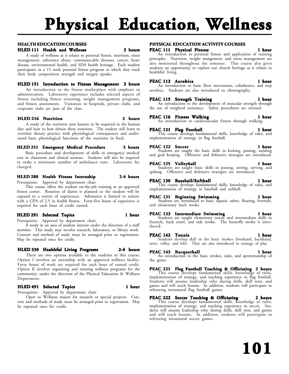#### **HEALTH EDUCATION COURSES**

#### **HLED 111 Health and Wellness 3 hours**

A study of wellness as it relates to personal fitness, nutrition, stress management, substance abuse, communicable diseases, cancer, heart disease, environmental health, and SDA health heritage. Each student participates in a 15 week personal fitness program in which they track their body composition strength and oxygen uptake.

#### **HLED 151 Introduction to Fitness Management 3 hours**

An introduction to the fitness marketplace with emphasis in administration. Laboratory experience includes selected aspects of fitness including fitness screening, weight management programs, and fitness assessments. Visitation to hospitals, private clubs, and corporate clubs are part of the class.

#### **HLED 216 Nutrition 2 hours**

A study of the nutrients now known to be required in the human diet and how to best obtain these nutrients. The student will learn to correlate dietary practice with physiological consequences and understand basic physiological functions of the nutrients in food.

#### **HLED 251 Emergency Medical Procedure 3 hours**

Basic procedure and development of skills in emergency medical care in classroom and clinical sessions. Students will also be required to make a minimum number of ambulance runs. Laboratory fee charged.

#### **HLED 280 Health Fitness Internship 2-4 hours**

Prerequisite: Approval by department chair.

This course offers the student on-the-job training at an approved fitness center. Rotation of duties is planned so the student will be exposed to a variety of experiences. Admission is limited to seniors with a GPA of 2.5 in health fitness. Forty-five hours of experience is required for each hour of credit earned.

#### **HLED 291 Selected Topics 1 hour**

Prerequisite: Approval by department chair.

A study in an area of student interest under the direction of a staff member. This study may involve research, laboratory, or library work. Content and method of study must be arranged prior to registration. May be repeated once for credit.

#### **HLED 330 Healthful Living Programs 2-4 hours**

There are two options available to the students in this course. Option I involves an internship with an approved wellness facility. Forty hours of work are required for each hour of earned credit. Option II involves organizing and running wellness programs for the community, under the direction of the Physical Education & Wellness Department.

#### **HLED 491 Selected Topics 1 hour**

Prerequisite: Approval by department chair.

Open to Wellness majors for research or special projects. Content and methods of study must be arranged prior to registration. May be repeated once for credit.

#### **PHYSICAL EDUCATION ACTIVITY COURSES**

**PEAC 111 Physical Fitness 1 hour** An introduction to personal fitness and application of training principles. Nutrition, weight mangement, and stress management are also monitored throughout the semester. This course also gives students an opportunity to explore our church heritage as it relates to healthful living.

#### **PEAC 112 Aerobics 1 hour**

An introduction to basic floor movements, calisthenics, and step aerobics. Students are also introduced to choreography.

#### **PEAC 115 Strength Training 1 hour**

An introduction to the development of muscular strength through the use of weighted resistance. Safety procedures are stressed.

**PEAC 116 Fitness Walking 1 hour** An introduction to cardiovascular fitness through walking.

**PEAC 121 Flag Football Football1 hour** This course develops fundamental skills, knowledge of rules, and implementation of strategy in flag football.

**PEAC 122 Soccer 1 hour** Students are taught the basic skills in kicking, passing, tackling and goal keeping. Offensive and defensive strategies are introduced.

**PEAC 125 Volleyball 1 hour** Students are taught basic skills in passing, setting, serving, and spiking. Offensive and defensive strategies are introduced.

**PEAC 130 Baseball/Softball Baseball Baseball Baseball Baseball Baseball Baseball Baseball Baseball Baseball Baseball Baseball Baseball Baseball Baseball Baseball Baseball Baseball Baseb** This course develops fundamental skills, knowledge of rules, and implementation of strategy in baseball and softball.

**PEAC 131 Beginning Swimming 1 hour** Students are introduced to basic aquatic safety, floating, freestyle, and elementary back stroke.

**PEAC 133 Intermediate Swimming 1 hour** Students are taught elementary rescue and intermediate skills in freestyle, back crawl, and side stroke. The butterfly stroke is introduced.

**PEAC 142 Tennis 1 hour** Students develop skill in the basic strokes (forehand, backhand, serve, volley, and lob). They are also introduced to strategy of play.

**PEAC 143 Racquetball 1 hour** An introduction to the basic strokes, rules, and sportsmanship of the game.

**PEAC 221 Flag Football Teaching & Officiating 2 hours** This course develops fundamental skills, knowledge of rules, implementation of strategy, and teaching experience in flag football. Students will assume leadership roles during drills, skill tests, and games and will teach lessons. In addition, students will participate in refereeing intramural flag football games.

## **PEAC 222 Soccer Teaching & Officiating 2 hours** This course develops fundamental skills, knowledge of rules,

implementation of strategy, and teaching experience in soccer. Students will assume leadership roles during drills, skill tests, and games and will teach lessons. In addition, students will participate in refereeing intramural soccer games.

**101**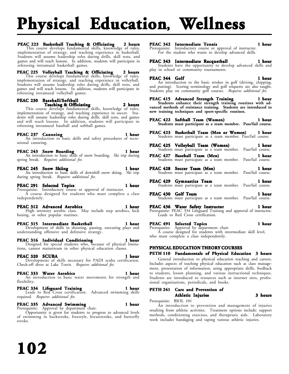## **PEAC 223 Basketball Teaching & Officiating 2 hours** This course develops fundamental skills, knowledge of rules,

implementation of strategy, and teaching experience in basketball. Students will assume leadership roles during drills, skill tests, and games and will teach lessons. In addition, students will participate in refereeing intramural basketball games.

**PEAC 225 Volleyball Teaching & Officiating 2 hours** This course develops fundamental skills, knowledge of rules, implementation of strategy, and teaching experience in volleyball. Students will assume leadership roles during drills, skill tests, and games and will teach lessons. In addition, students will participate in refereeing intramural volleyball games.

### **PEAC 230 Baseball/Softball**

 **Teaching & Officiating 2 hours** This course develops fundamental skills, knowledge of rules, implementation of strategy, and teaching experience in soccer. Students will assume leadership roles during drills, skill tests, and games and will teach lessons. In addition, students will participate in refereeing intramural baseball and softball games.

**PEAC 237 Canoeing 1 hour** An introduction to basic skills and safety procedures of recreational canoeing.

**PEAC 243 Snow Boarding 1 hour** An introduction to basic skills of snow boarding. Ski trip during

spring break. *Requires additional fee*.

### **PEAC 245 Snow Skiing 1 hour** An introduction to basic skills of downhill snow skiing. Ski trip during spring break. *Requires additional fee*.

## **PEAC 291 Selected Topics 1 hour** Prerequisite: Introductory course or approval of instructor.

A course designed for students who must complete a class independently.

#### **PEAC 312 Advanced Aerobics 1 hour**

High intensity aerobic class. May include step aerobics, kick boxing, or other popular routines.

#### PEAC 315 Intermediate Basketball 1 hour

Development of skills in shooting, passing, executing plays and understanding offensive and defensive strategy.

## **PEAC 316 Individual Conditioning 1 hour** Designed for special students who, because of physical limita-

tions, cannot mainstream in other physical education classes.

#### **PEAC 320 SCUBA 1 hour**

Development of skills necessary for PADI scuba certification. Check-off dives at Lake Travis. *Requires additional fee.*

#### **PEAC 333 Water Aerobics 1 hour**

An introduction to basic water movements for strength and flexibility.

### **PEAC 334 Lifeguard Training 1 hour**

Leads to Red Cross certification. Advanced swimming skills required. *Requires additional fee.*

### **PEAC 335 Advanced Swimming 1 hour** Prerequisite: Approval by department chair.

Opportunity is given for students to progress to advanced levels of swimming in backstroke, freestyle, breaststroke, and butterfly stroke.

### **PEAC 342 Intermediate Tennis 1 hour**

Prerequisite: Introductory course or approval of instructor. For the student who wants to develop advanced skills.

#### **PEAC 343** Intermediate Racquetball 1 hour Students have the opportunity to develop advanced skills and play in school or community tournaments.

#### **PEAC 344 Golf 1 hour** An introduction to the basic strokes in golf (driving, chipping, and putting). Scoring terminology and golf etiquette are also taught. Students play on community golf courses. *Requires additional fee*.

**PEAC 415 Advanced Strength Training 1 hour Students enhance their strength training routines with advanced methods of resistance training. Students are introduced to new training techniques and sport-specific routines.**

| PEAC 422 Softball Team (Women)<br>Students must participate as a team member. Pass/fail course.                 | 1 hour |
|-----------------------------------------------------------------------------------------------------------------|--------|
| PEAC 423 Basketball Team (Men or Women) 1 hour<br>Students must participate as a team member. Pass/fail course. |        |

| PEAC 425 Volleyball Team (Women)                              | 1 hour |
|---------------------------------------------------------------|--------|
| Students must participate as a team member. Pass/fail course. |        |
|                                                               |        |

**PEAC 427 Baseball Team (Men) 1 hour** Students must participate as a team member. Pass/fail course.

**PEAC 428 Soccer Team (Men) 1 hour** Students must participate as a team member. Pass/fail course.

- **PEAC 429 Gymnastics Team 1 hour** Students must participate as a team member. Pass/fail course.
- **PEAC 430 Golf Team 1 hour** Students must participate as a team member. Pass/fail course.

**PEAC 436 Water Safety Instructor 1 hour** Prerequisite: PEAC 334 Lifeguard Training and approval of instructor. Leads to Red Cross certification.

#### **PEAC 491 Selected Topics 1 hour**

Prerequisite: Approval by department chair. A course designed for students with intermediate skill level, who must complete a class independently.

#### **PHYSICAL EDUCATION THEORY COURSES**

#### **PETH 110 Fundamentals of Physical Education 3 hours**

General introduction to physical education teaching and careers. Includes aspects of teaching physical education such as class management, presentation of information, using appropriate drills, feedback to students, lesson planning, and various instructional techniques. Students are introduced to resources such as internet sites, professional organizations, periodicals, and books.

### **PETH 241 Care and Prevention of Athletic Injuries 3 hours**

Prerequisite: BIOL 101

An introduction to prevention and management of injuries resulting from athletic activities. Treatment options include: support methods, conditioning exercises, and therapeutic aids. Laboratory work includes bandaging and taping various athletic injuries.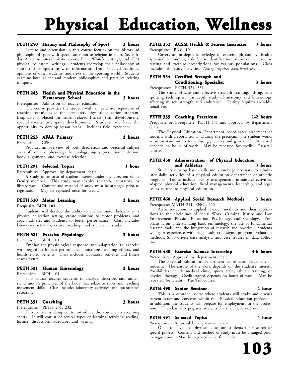#### **PETH 250 History and Philosophy of Sport 3 hours**

Lecture and discussion in this course focuses on the history ad philosophy of sport with special attention to religion in sport, Seventhday Adventist interscholastic sports, Ellen White's writings, and SDA physical educators' writings. Students redevelop their philosophy of sport and competition with information from selected readings, opinions of other students, and news in the sporting world. Students examine both acient and modern philosophies and practices relating to sport.

#### **PETH 243 Health and Physical Education in the Elementary School Elementary School 3 hours**

Prerequisite: Admission to teacher education.

The course provides the student with an extensive repertoire of teaching techniques in the elementary physical education program. Emphasis is placed on health-related fitness, skill development, special events, and game development. Students will have the opportunity to develop lesson plans. Includes field experience.

#### **PETH 253 AFAA Primary 2 hours**

Prerequisite: CPR

Provides an overview of both theoretical and practical subject areas of exercise physiology, kinesiology, injury prevention, nutrition, body alignment, and exercise selection.

#### **PETH 291 Selected Topics 1 hour**

Prerequisite: Approval by department chair

A study in an area of student interest under the direction of a faculty member. This study may involve research, laboratory, or library work. Content and method of study must be arranged prior to registration. May be repeated once for credit.

#### **PETH 310 Motor Learning 3 hours**

**Prequisite: BIOL 101**

Students will develop the ability to analyze motor behavior in a physical education setting, create solutions to motor problems, and coach athletes and students to better performance. Class includes laboratory activities, critical readings and a research study.

#### **PETH 321 Exercise Physiology 3 hours**

Prerequisite: BIOL 101

Emphasizes physiological response and adaptation to exercise with regard to human performance limitations, training effects, and health-related benefits. Class includes laboratory activities and fitness assessments.

#### **PETH 331 Human Kinesiology 3 hours**

This course teaches students to analyze, describe, and understand motion principles of the body that relate to sport and teaching movement skills. Class includes laboratory activities and quantitative research.

#### **PETH 351 Coaching 3 hours**

Prerequisite: BIOL 101

Prerequisites: PETH 231, 232.

This course is designed to introduce the student to coaching sports. It will consist of several types of learning activities: reading, lecture, discussion, videotape, and writing.

#### **PETH 352 ACSM Health & Fitness Instructor 3 hours** Prerequisite: BIOL 101.

Covers an in-depth knowledge of exercise physiology, health appraisal techniques, risk factor identification, sub-maximal exercise testing and exercise prescriptions for various populations. Class includes laboratory activities. *Testing requires additional fee.*

### **PETH 354 Certified Strength and Conditioning Specialist 3 hours**

Prerequisites: PETH 321, 331.

The study of safe and effective strength training, lifting, and spotting techniques. In depth study of anatomy and kinesiology affecting muscle strength and endurance. Testing requires an additional fee.

#### **PETH 355 Coaching Practicum 1-2 hours**

Prequisite or Corequisite: PETH 351 and approval by department chair.

The Physical Education Department coordinates placement of students with a sports team. During the practicum, the student works as an assistant with a team during practices and games. Credit earned depends on hours of work. May be repeated for credit. Pass/fail course.

#### **PETH 450 Administration of Physical Education and Athletics 3 hours**

Students develop basic skills and knowledge necessary to administer daily activities of a physical education department or athletic program. Topics include facility management, intramural activities, adapted physical education, fiscal managements, leadership, and legal issues related to physical education.

#### **PETH 460 Applied Social Research Methods 3 hours**

Prerequisite: MATH 241, ENGL 220

An introduction to applied research methods and their applications to the disciplines of Social Work, Criminal Justice and Law Enforcement, Physical Education, Psychology, and Sociology. Emphasis is on understanding basic terminology, the use of fundamental research tools, and the integration of research and practice. Students will gain experience with single subject designs, program evaluation methods, SPSS-driven data analysis, and case studies in data collection.

#### **PETH 480 Exercise Science Internship 3-6 hours**

Prerequisite: Approval by department chair.

The Physical Education Department coordinates placement of students. The nature of the work depends on the student's interest. Possibilities include medical clinic, sports team, athletic training, or physical therapy. Credit earned depends on hours of work. May be repeated for credit. Pass/fail course.

#### **PETH 490 Senior Seminar 1 hour**

This is a capstone course where students will study and discuss current issues and concepts within the Physical Education profession. In addition, the students will prepare for employment in the profession. The class also prepares students for the major exit exam.

#### **PETH 491 Selected Topics 1 hour**

Prerequisite: Approval by department chair.

Open to advanced physical education students for research or special project. Content and method of study must be arranged prior to registration. May be repeated once for credit.

**103**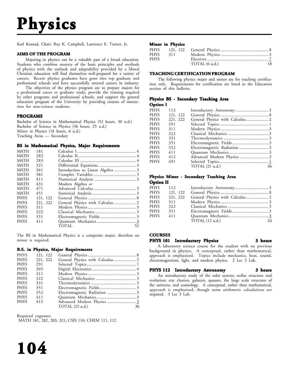# **Physics**

Karl Konrad, Chair; Roy K. Campbell, Lawrence E. Turner, Jr.

#### **AIMS OF THE PROGRAM**

Majoring in physics can be a valuable part of a broad education. Students who combine mastery of the basic principles and methods of physics with the outlook and adaptability provided by a liberal Christian education will find themselves well-prepared for a variety of careers. Recent physics graduates have gone into top graduate and professional schools and have successfully entered careers in industry.

The objectives of the physics program are to prepare majors for a professional career or graduate study, provide the training required by other programs and professional schools, and support the general education program of the University by providing courses of instruction for non-science students.

#### **PROGRAMS**

Bachelor of Science in Mathematical Physics (52 hours, 30 u.d.) Bachelor of Science in Physics (36 hours, 25 u.d.) Minor in Physics (18 hours, 6 u.d.) Teaching Areas — Secondary

#### **BS in Mathematical Physics, Major Requirements**

| <b>MATH</b> | 181      |                                   |  |
|-------------|----------|-----------------------------------|--|
| <b>MATH</b> | 282      |                                   |  |
| <b>MATH</b> | 283      |                                   |  |
| <b>MATH</b> | 321      |                                   |  |
| MATH        | 361      | Introduction to Linear Algebra  3 |  |
| <b>MATH</b> | 381      |                                   |  |
| MATH        | 411      |                                   |  |
| MATH        | 431      | Modern Algebra or                 |  |
| <b>MATH</b> | 471      |                                   |  |
| <b>MATH</b> | 451      |                                   |  |
| <b>PHYS</b> | 121, 122 |                                   |  |
| <b>PHYS</b> | 221, 222 |                                   |  |
| <b>PHYS</b> | 311      |                                   |  |
| <b>PHYS</b> | 322      |                                   |  |
| <b>PHYS</b> | 351      |                                   |  |
| <b>PHYS</b> | 411      |                                   |  |
|             |          | TOTAL                             |  |

The BS in Mathematical Physics is a composite major, therefore no minor is required.

#### **B.S. in Physics, Major Requirements**

| <b>PHYS</b> | 121, 122 |                 |    |
|-------------|----------|-----------------|----|
| <b>PHYS</b> | 221, 222 |                 |    |
| <b>PHYS</b> | 291      |                 |    |
| <b>PHYS</b> | 305      |                 |    |
| <b>PHYS</b> | 311      |                 |    |
| <b>PHYS</b> | 322      |                 |    |
| <b>PHYS</b> | 331      |                 |    |
| <b>PHYS</b> | 351      |                 |    |
| <b>PHYS</b> | 352      |                 |    |
| <b>PHYS</b> | 411      |                 |    |
| <b>PHYS</b> | 412      |                 |    |
|             |          | TOTAL (25 u.d.) | 36 |
|             |          |                 |    |

Required cognates: MATH 181, 282, 283, 321; CSIS 110; CHEM 111, 112

#### **Minor in Physics**

| - 311 |                  |     |
|-------|------------------|-----|
|       |                  |     |
|       | TOTAL $(6 u.d.)$ | 18. |
|       |                  |     |

#### **TEACHING CERTIFICATION PROGRAM**

The following physics major and minor are for teaching certification only. Requirements for certification are listed in the Education section of this bulletin.

#### **Physics BS - Secondary Teaching Area Option I**

| PHYS        | 112      |                 |    |
|-------------|----------|-----------------|----|
| PHYS        | 121, 122 |                 |    |
| <b>PHYS</b> | 221, 222 |                 |    |
| <b>PHYS</b> | 291      |                 |    |
| PHYS        | 311      |                 |    |
| <b>PHYS</b> | 322      |                 |    |
| PHYS        | 331      |                 |    |
| <b>PHYS</b> | 351      |                 |    |
| <b>PHYS</b> | 352      |                 |    |
| <b>PHYS</b> | 411      |                 |    |
| PHYS        | 412      |                 |    |
| <b>PHYS</b> | 491      |                 |    |
|             |          | TOTAL (21 u.d.) | 36 |
|             |          |                 |    |

#### **Physics Minor - Secondary Teaching Area**

#### **Option II** PHYS 112 Introductory Astronomy ............................... 3 PHYS 121, 122 General Physics ............................................. 8 PHYS 221, 222 General Physics with Calculus..................... 2 PHYS 311 Modern Physics ............................................. 3 PHYS 322 Classical Mechanics ...................................... 3 PHYS 351 Electromagnetic Fields.................................. 3 PHYS 411 Quantum Mechanics..................................... 3 TOTAL (12 u.d.) 24

#### **COURSES PHYS 101 Introductory Physics 3 hours**

A laboratory science course for the student with no previous background in physics. A conceptual, rather than mathematical, approach is emphasized. Topics include mechanics, heat, sound, electromagnetism, light, and modern physics. 2 Lec 3 Lab.

#### **PHYS 112 Introductory Astronomy 3 hours**

An introductory study of the solar system; stellar structure and evolution; star clusters, galaxies, quasars, the large scale structure of the universe, and cosmology. A conceptual, rather than mathematical, approach is emphasized, though some arithmetic calculations are required. 3 Lec 3 Lab.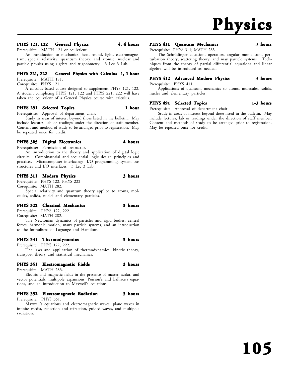## **Physics**

#### **PHYS 121, 122 General Physics 4, 4 hours**

Prerequisite: MATH 121 or equivalent.

An introduction to mechanics, heat, sound, light, electromagnetism, special relativity, quantum theory; and atomic, nuclear and particle physics using algebra and trigonometry. 3 Lec 3 Lab.

#### **PHYS 221, 222 General Physics with Calculus 1, 1 hour**

Prerequisite: MATH 181.

Corequisite: PHYS 121.

A calculus based course designed to supplement PHYS 121, 122. A student completing PHYS 121, 122 and PHYS 221, 222 will have taken the equivalent of a General Physics course with calculus.

#### **PHYS 291 Selected Topics 1 hour**

Prerequisite: Approval of department chair.

Study in areas of interest beyond those listed in the bulletin. May include lectures, lab or readings under the direction of staff member. Content and method of study to be arranged prior to registration. May be repeated once for credit.

#### **PHYS 305 Digital Electronics 4 hours**

Prerequisite: Permission of instructor.

An introduction to the theory and application of digital logic circuits. Combinatorial and sequential logic design principles and practices. Microcomputer interfacing: I/O programming, system bus structures and I/O interfaces. 3 Lec 3 Lab.

#### **PHYS 311 Modern Physics 3 hours**

Prerequisite: PHYS 122, PHYS 222. Corequisite: MATH 282.

Special relativity and quantum theory applied to atoms, molecules, solids, nuclei and elementary particles.

#### **PHYS 322 Classical Mechanics 3 hours**

Prerequisite: PHYS 122, 222. Corequisite: MATH 282.

The Newtonian dynamics of particles and rigid bodies; central forces, harmonic motion, many particle systems, and an introduction to the formulisms of Lagrange and Hamilton.

#### **PHYS 331 Thermodynamics 3 hours**

Prerequisite: PHYS 122, 222. The laws and application of thermodynamics, kinetic theory, transport theory and statistical mechanics.

#### **PHYS 351 Electromagnetic Fields 3 hours**

Prerequisite: MATH 283.

Electric and magnetic fields in the presence of matter, scalar, and vector potentials, multipole expansions, Poisson's and LaPlace's equations, and an introduction to Maxwell's equations.

#### **PHYS 352 Electromagnetic Radiation 3 hours**

Prerequisite: PHYS 351.

Maxwell's equations and electromagnetic waves; plane waves in infinite media, reflection and refraction, guided waves, and multipole radiation.

### **PHYS 411 Quantum Mechanics 3 hours**

Prerequisite: PHYS 311; MATH 283.

The Schrödinger equation, operators, angular momentum, perturbation theory, scattering theory, and may particle systems. Techniques from the theory of partial differential equations and linear algebra will be introduced as needed.

### **PHYS 412 Advanced Modern Physics 3 hours**

Prerequisite: PHYS 411.

Applications of quantum mechanics to atoms, molecules, solids, nuclei and elementary particles.

#### **PHYS 491 Selected Topics 1-3 hours**

Prerequisite: Approval of department chair.

Study in areas of interest beyond these listed in the bulletin. May include lectures, lab or readings under the direction of staff member. Content and methods of study to be arranged prior to registration. May be repeated once for credit.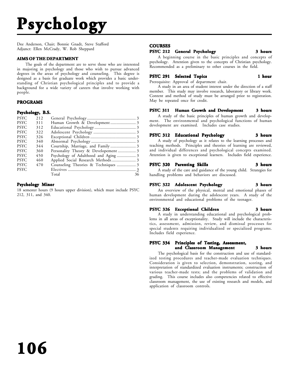# **Psychology chology chology**

Dee Anderson, Chair; Bonnie Gnadt, Steve Stafford Adjunct: Ellen McCrady, W. Rob Sheppard

#### **AIMS OF THE DEPARTMENT**

The goals of the department are to serve those who are interested in majoring in psychology and those who wish to pursue advanced degrees in the areas of psychology and counseling. This degree is designed as a basis for graduate work which provides a basic understanding of Christian psychological principles and to provide a background for a wide variety of careers that involve working with people.

#### **PROGRAMS**

#### **Psychology, B.S. B.S.**

| <b>PSYC</b> | 2.12 |                                      |    |
|-------------|------|--------------------------------------|----|
| <b>PSYC</b> | 311  |                                      |    |
| <b>PSYC</b> | 312  |                                      |    |
| <b>PSYC</b> | 322  |                                      |    |
| <b>PSYC</b> | 326  |                                      |    |
| <b>PSYC</b> | 340  |                                      |    |
| <b>PSYC</b> | 344  |                                      |    |
| <b>PSYC</b> | 360  | Personality Theory & Developement  3 |    |
| <b>PSYC</b> | 450  |                                      |    |
| <b>PSYC</b> | 460  |                                      |    |
| <b>PSYC</b> | 470  |                                      |    |
| <b>PSYC</b> |      |                                      |    |
|             |      | Total                                | 36 |

#### **Psychology Minor**

18 semester hours (9 hours upper division), which must include PSYC 212, 311, and 340.

#### **COURSES**

#### **PSYC 212 General Psychology 3 hours**

A beginning course in the basic principles and concepts of psychology. Attention given to the concepts of Christian psychology. Recommended as a preliminary to other courses in the field.

#### **PSYC 291 Selected Topics 1 hour**

Prerequisite: Approval of department chair.

A study in an area of student interest under the direction of a staff member. This study may involve research, laboratory or library work. Content and method of study must be arranged prior to registration. May be repeated once for credit.

#### **PSYC 311 Human Growth and Development 3 hours**

A study of the basic principles of human growth and development. The environmental and psychological functions of human development are examined. Includes case studies.

#### **PSYC 312 Educational Psychology 3 hours**

A study of psychology as it relates to the learning processes and teaching methods. Principles and theories of learning are reviewed, and individual differences and psychological concepts examined. Attention is given to exceptional learners. Includes field experience.

#### **PSYC 320 Parenting Skills 3 hours**

A study of the care and guidance of the young child. Strategies for handling problems and behaviors are discussed.

#### **PSYC 322 Adolescent Psychology 3 hours**

An overview of the physical, mental and emotional phases of human development during the adolescent years. A study of the environmental and educational problems of the teenager.

#### **PSYC 326 Exceptional Children 3 hours**

A study in understanding educational and psychological problems in all areas of exceptionality. Study will include the characteristics, assessment, admission, review, and dismissal processes for special students requiring individualized or specialized programs. Includes field experience.

#### **PSYC 334 Principles of Testing, Assessment, and Classroom Management 3 hours**

The psychological basis for the construction and use of standardized testing procedures and teacher-made evaluation techniques. Consideration is given to selection, demonstration, scoring, and interpretation of standardized evaluation instruments; construction of various teacher-made tests; and the problems of validation and grading. This course includes also competencies related to effective classroom management, the use of existing research and models, and application of classroom controls.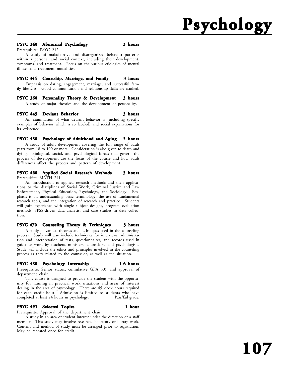#### **PSYC 340 Abnormal Psychology 3 hours**

Prerequisite: PSYC 212.

A study of maladaptive and disorganized behavior patterns within a personal and social context, including their development, symptoms, and treatment. Focus on the various etiologies of mental illness and treatment modalities.

#### **PSYC 344 Courtship, Marriage, and Family 3 hours**

Emphasis on dating, engagement, marriage, and successful family lifestyles. Good communication and relationship skills are studied.

#### **PSYC 360 Personality Theory & Development 3 hours** A study of major theories and the development of personality.

**PSYC 445 Deviant Behavior 3 hours**

An examination of what deviant behavior is (including specific examples of behavior which is so labeled) and social explanations for its existence.

#### **PSYC 450 Psychology of Adulthood and Aging 3 hours**

A study of adult development covering the full range of adult years from 18 to 100 or more. Consideration is also given to death and dying. Biological, social, and psychological forces that govern the process of development are the focus of the course and how adult differences affect the process and pattern of development.

#### **PSYC 460 Applied Social Research Methods 3 hours** Prerequisite: MATH 241.

An introduction to applied research methods and their applications to the disciplines of Social Work, Criminal Justice and Law Enforcement, Physical Education, Psychology, and Sociology. Emphasis is on understanding basic terminology, the use of fundamental research tools, and the integration of research and practice. Students will gain experience with single subject designs, program evaluation methods, SPSS-driven data analysis, and case studies in data collection.

#### **PSYC 470 Counseling Theory & Techniques 3 hours**

A study of various theories and techniques used in the counseling process. Study will also include techniques for interviews, administration and interpretation of tests, questionnaires, and records used in guidance work by teachers, ministers, counselors, and psychologists. Study will include the ethics and principles involved in the counseling process as they related to the counselor, as well as the situation.

#### **PSYC 480 Psychology Internship 1-6 hours**

Prerequisite: Senior status, cumulative GPA 3.0, and approval of department chair.

This course is designed to provide the student with the opportunity for training in practical work situations and areas of interest dealing in the area of psychology. There are 45 clock hours required for each credit hour. Admission is limited to students who have completed at least 24 hours in psychology. Pass/fail grade.

#### **PSYC 491 Selected Topics 1 hour**

Prerequisite: Approval of the department chair.

A study in an area of student interest under the direction of a staff member. This study may involve research, laboratory or library work. Content and method of study must be arranged prior to registration. May be repeated once for credit.

## **107**

**Psychology chology chology**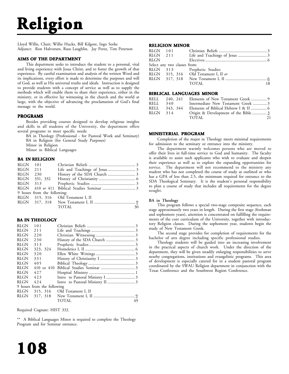# **Religion Religion Religion**

Lloyd Willis, Chair; Willie Hucks, Bill Kilgore, Ingo Sorke Adjunct: Ron Halvorsen, Russ Laughlin, Jay Perez, Tim Peterson

#### **AIMS OF THE DEPARTMENT**

This department seeks to introduce the student to a personal, vital and living experience with Jesus Christ, and to foster the growth of that experience. By careful examination and analysis of the written Word and its implications, every effort is made to determine the purposes and will of God, as well as His universal truths and ideals. Instruction is designed to provide students with a concept of service as well as to supply the methods which will enable them to share their experience, either in the ministry, or in effective lay witnessing in the church and the world at large, with the objective of advancing the proclamation of God's final message to the world.

#### **PROGRAMS**

Besides providing courses designed to develop religious insights and skills in all students of the University, the department offers several programs to meet specific needs:

BA in Theology (Professional - for Pastoral Work and Seminary) BA in Religion (for General Study Purposes)

Minor in Religion

Minor in Biblical Languages

#### **BA IN RELIGION**

| <b>RLGN</b>                 | 101        |                                   |  |
|-----------------------------|------------|-----------------------------------|--|
| <b>RLGN</b>                 | 211        |                                   |  |
| <b>RLGN</b>                 | 230        |                                   |  |
| <b>RLGN</b>                 | 331, 332   |                                   |  |
|                             | $RLGN$ 313 |                                   |  |
| <b>RLGN</b>                 |            |                                   |  |
| 9 hours from the following: |            |                                   |  |
|                             |            | RLGN 315, 316 Old Testament I, II |  |
|                             |            |                                   |  |
|                             |            | TOTAL<br>30                       |  |

#### **BA IN THEOLOGY**

| <b>RLGN</b>                | 101            |                     |    |
|----------------------------|----------------|---------------------|----|
| <b>RLGN</b>                | 211            |                     |    |
| <b>RLGN</b>                | 220            |                     |    |
| <b>RLGN</b>                | 230            |                     |    |
| <b>RLGN</b>                | 313            |                     |    |
| <b>RLGN</b>                | 323, 324       |                     |    |
| <b>RLGN</b>                | 320            |                     |    |
| <b>RLGN</b>                | 331            |                     |    |
| <b>RLGN</b>                | 405            |                     |    |
| <b>RLGN</b>                | $410$ or $410$ |                     |    |
| <b>RLGN</b>                | 427            |                     |    |
| <b>RLGN</b>                | 423            |                     |    |
| <b>RLGN</b>                | 424            |                     |    |
| 9 hours from the following |                |                     |    |
| <b>RLGN</b>                | 315, 316       | Old Testament I, II |    |
| <b>RLGN</b>                | 317, 318       |                     |    |
|                            |                | TOTAL               | 49 |

Required Cognate: HIST 332.

\*\* A Biblical Languages Minor is required to complete the Theology Program and for Seminar entrance.

|       | RLGN 101                     |                                      |    |
|-------|------------------------------|--------------------------------------|----|
|       |                              |                                      |    |
| RLGN. |                              |                                      |    |
|       | Select any two classes from: |                                      |    |
|       |                              | RLGN 313 Prophetic Studies           |    |
|       |                              | RLGN 315, 316 Old Testament I, II or |    |
|       |                              |                                      |    |
|       |                              | TOTAL                                | 18 |
|       |                              |                                      |    |

#### **BIBLICAL LANGUAGES MINOR**

|       | RELL 240, 241 |                                    |  |
|-------|---------------|------------------------------------|--|
| RELL. | 340           | Intermediate New Testament Greek 3 |  |
| RELL. | 343. 344      |                                    |  |
| RLGN  | 314           | Origin & Development of the Bible3 |  |
|       |               | TOTAL                              |  |

#### **MINISTERIAL PROGRAM**

Completion of the major in Theology meets minimal requirements for admission to the seminary or entrance into the ministry.

The department warmly welcomes persons who are moved to offer their lives in full-time service to God and humanity. The faculty is available to assist such applicants who wish to evaluate and deepen their experience as well as to explore the expanding opportunities for service. The department will not recommend to the ministry any student who has not completed the course of study as outlined or who has a GPA of less than 2.5, the minimum required for entrance to the SDA Theological Seminary. It is the student's personal responsibility to plan a course of study that includes all requirements for the degree sought.

#### **BA in Theology**

This program follows a special two-stage composite sequence, each stage approximately two years in length. During the first stage (freshman and sophomore years), attention is concentrated on fulfilling the requirements of the core curriculum of the University, together with introductory Religion classes. During the sophomore year, students begin the study of New Testament Greek.

The second stage provides for completion of requirements for the bachelor of arts degree including specific professional studies.

Theology students will be guided into an increasing involvement in the practical aspects of church work. Under the direction of the department, they will be given steadily enlarging responsibilities to serve nearby congregations, institutions and evangelistic programs. This area of development is especially catered for in a student pastoral program coordinated by the SWAU Religion department in conjunction with the Texas Conference and the Southwest Region Conference.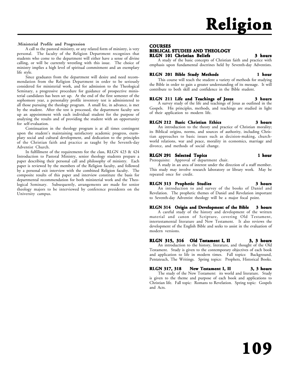#### .**Ministerial Profile and Progression**

A call to the pastoral ministry, or any related form of ministry, is very personal. The faculty of the Religion Department recognizes that students who come to the department will either have a sense of divine calling, or will be currently wrestling with this issue. The choice of ministry implies a high level of spiritual commitment and an exemplary life style.

Since graduates from the department will desire and need recommendation from the Religion Department in order to be seriously considered for ministerial work, and for admission to the Theological Seminary, a progressive procedure for guidance of prospective ministerial candidates has been set up. At the end of the first semester of the sophomore year, a personality profile inventory test is administered to all those pursuing the theology program. A small fee, in advance, is met by the student. After the test is processed, the department faculty sets up an appointment with each individual student for the purpose of analyzing the results and of providing the student with an opportunity for self-evaluation.

Continuation in the theology program is at all times contingent upon the student's maintaining satisfactory academic progress, exemplary social and cultural development, and dedication to the principles of the Christian faith and practice as taught by the Seventh-day Adventist Church.

In fulfillment of the requirements for the class, RLGN 423 & 424 Introduction to Pastoral Ministry, senior theology students prepare a paper describing their personal call and philosophy of ministry. Each paper is reviewed by the members of the Religion faculty, and followed by a personal exit interview with the combined Religion faculty. The composite results of this paper and interview constitute the basis for departmental recommendation for both ministerial work and the Theological Seminary. Subsequently, arrangements are made for senior theology majors to be interviewed by conference presidents on the University campus.

#### **COURSES**

#### **BIBLICAL STUDIES AND THEOLOGY RLGN 101 Christian Beliefs 3 hours**

A study of the basic concepts of Christian faith and practice with emphasis upon fundamental doctrines held by Seventh-day Adventists.

#### **RLGN 201 Bible Study Methods 1 hour**

This course will teach the student a variety of methods for studying the Bible in order to gain a greater understanding of its message. It will contribute to both skill and confidence in the Bible student.

#### **RLGN 211 Life and Teachings of Jesus 3 hours**

A survey study of the life and teachings of Jesus as outlined in the Gospels. His principles, methods, and teachings are studied in light of their application to modern life.

#### **RLGN 212 Basic Christian Ethics 3 hours**

An introduction to the theory and practice of Christian morality; its Biblical origins, norms, and sources of authority, including Christian approaches to basic issues such as decision-making, churchworld relations, war and peace, morality in economics, marriage and divorce, and methods of social change.

#### **RLGN 291 Selected Topics 1 hour**

Prerequisite: Approval of department chair. A study in an area of interest under the direction of a staff member. This study may involve research laboratory or library work. May be repeated once for credit.

#### **RLGN 313 Prophetic Studies 3 hours**

An introduction to and survey of the books of Daniel and Revelation. The prophetic themes of Daniel and Revelation important to Seventh-day Adventist theology will be a major focal point.

#### **RLGN 314 Origin and Development of the Bible 3 hours**

A careful study of the history and development of the written material and canon of Scripture, covering Old Testament, intertestamental literature and New Testament. It also reviews the development of the English Bible and seeks to assist in the evaluation of modern versions.

#### **RLGN 315, 316 Old Testament I, II 3, 3 hours**

An introduction to the history, literature, and thought of the Old Testament. Study is given to the contemporary objectives of each book and application to life in modern times. Fall topics: Background, Pentateuch, The Writings. Spring topics: Prophets, Historical Books.

#### **RLGN 317, 318 New Testament I, II 3, 3 hours**

The study of the New Testament: its world and literature. Study is given to the theme and purpose of each book and applications to Christian life. Fall topic: Romans to Revelation. Spring topic: Gospels and Acts.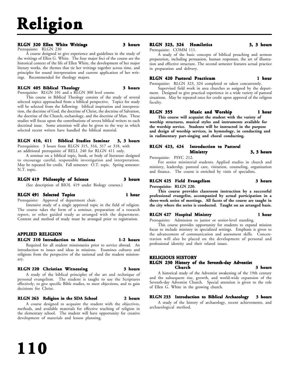# **Religion Religion Religion**

#### **RLGN 320 Ellen White Writings 3 hours**

Prerequisite: RLGN 230

A course designed to give experience and guidelines in the study of the writings of Ellen G. White. The four major foci of the course are the historical context of the life of Ellen White, the development of her major literary works, the themes that tie her writings together across time, and principles for sound interpretation and current application of her writings. Recommended for theology majors.

#### **RLGN 405 Biblical Theology 3 hours**

Prerequisite: RLGN 101 and a RLGN 300 level course.

This course in Biblical Theology consists of the study of several selected topics approached from a biblical perspective. Topics for study will be selected from the following: biblical inspiration and interpretation, the doctrine of God, the doctrine of Christ, the doctrine of Salvation, the doctrine of the Church, eschatology, and the doctrine of Man. These studies will focus upon the contributions of severa biblical writers to each doctrinal issue. Some attention will also be given to the way in which selected recent writers have handled the biblical material.

#### **RLGN 410, 411 Biblical Studies Seminar 3, 3 hours**

Prerequisites: 3 hours from RLGN 315, 316, 317 or 318, with an additional prerequisite of RELL 240 for RLGN 411 only.

A seminar on a biblical topic, book, or body of literature designed to encourage careful, responsible investigation and interpretation. May be repeated for credit. Fall semester: O.T. topic. Spring semester: N.T. topic.

#### **RLGN 419 Philosophy of Science 3 hours**

(See description of BIOL 419 under Biology courses.)

#### **RLGN 491 Selected Topics 1 hour**

Prerequisite: Approval of department chair. Intensive study of a single approved topic in the field of religion. The course takes the form of a seminar, preparation of a research report, or other guided study as arranged with the department. Content and method of study must be arranged prior to registration.

#### **APPLIED RELIGION**

#### **RLGN 210 Introduction to Missions 1-2 hours**

Required for all student missionaries prior to service abroad. An introduction to issues and ideas in missions. Examines cultures and religions from the perspective of the national and the student missionary.

#### **RLGN 220 Christian Witnessing 3 hours**

A study of the biblical principles of the art and technique of personal evangelism. The student is taught to use the Scriptures effectively, to give specific Bible studies, to meet objections, and to gain decisions for Christ.

#### **RLGN 263 Religion in the SDA School in 2 hours**

A course designed to acquaint the student with the objectives, methods, and available materials for effective teaching of religion in the elementary school. The student will have opportunity for creative development of materials and lesson planning.

#### **RLGN 323, 324 Homiletics 3, 3 hours**

Prerequisite: COMM 111. A study of the basic concepts of biblical preaching and sermon preparation, including persuasion, human responses, the art of illustration and effective structure. The second semester features actual practice in preparation and delivery.

#### **RLGN 420 Pastoral Practicum 1 hour**

Prerequisite: RLGN 323, 324 completed or taken concurrently.

Supervised field work in area churches as assigned by the department. Designed to give practical experience in a wide variety of pastoral situations. May be repeated once for credit upon approval of the religion faculty.

#### **RLGN 355 Music and Worship 1 hour**

**This course will acquaint the student with the variety of worship structures, musical styles and instruments available for the worship service. Students will be instructed in the purpose and design of worship services, in hymnology, in conducting and in rudimentary part-singing and choral conducting.**

#### **RLGN 423, 424 Introduction to Pastoral Introduction Pastoral Ministry 3, 3 hours** Prerequisite: PSYC 212.

For senior ministerial students. Applied studies in church and ministry, leadershp, pastoral care, visitation, counseling, organization and finance. The course is enriched by visits of specialists.

#### **RLGN 425 Field Evangelism 3 hours**

**Prerequisite: RLGN 220.**

**This course provides classroom instruction by a successful professional evangelist, accompanied by actual participation in a three-week series of meetings. All facets of the course are taught in the city where the series is conducted. Taught on an arranged basis.**

#### **RLGN 427 Hospital Ministry 1 hour**

Prerequisite: Admission to junior or senior-level standing.

This course provides opportunity for students to expand mission focus to include ministry in specialized settings. Emphasis is given to the advancement of communication and assessment skills. Concentration will also be placed on the development of personal and professional identity and their related issues.

#### **RELIGIOUS HISTORY RLGN 230 History of the Seventh-day Adventist Church 3 hours**

A historical study of the Adventist awakening of the 19th century and the subsequent rise, growth, and world-wide expansion of the Seventh-day Adventist Church. Special attention is given to the role of Ellen G. White in the growing church.

#### **RLGN 233 Introduction to Biblical Archaeology 3 hours**

A study of the history of archaeology, recent achievements, and archaeological method.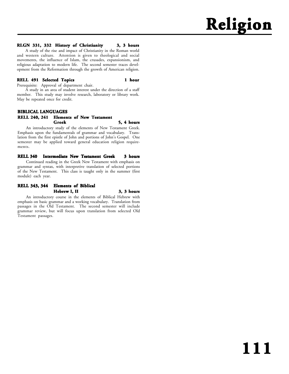#### **RLGN 331, 332 History of Christianity 3, 3 hours**

A study of the rise and impact of Christianity in the Roman world and western culture. Attention is given to theological and social movements, the influence of Islam, the crusades, expansionism, and religious adaptation to modern life. The second semester traces development from the Reformation through the growth of American religion.

#### **RELL 491 Selected Topics 1 hour**

Prerequisite: Approval of department chair.

A study in an area of student interest under the direction of a staff member. This study may involve research, laboratory or library work. May be repeated once for credit.

#### **BIBLICAL LANGUAGES RELL 240, 241 Elements of New Testament Greek 5, 4 hours**

An introductory study of the elements of New Testament Greek. Emphasis upon the fundamentals of grammar and vocabulary. Translation from the first epistle of John and portions of John's Gospel. One semester may be applied toward general education religion requirements.

#### **RELL 340 Intermediate New Testament Greek 3 hours**

Continued reading in the Greek New Testament with emphasis on grammar and syntax, with interpretive translation of selected portions of the New Testament. This class is taught only in the summer (first module) each year.

#### **RELL 343, 344 Elements of Biblical Elements of Biblical Hebrew I, II 3, 3 hours**

An introductory course in the elements of Biblical Hebrew with emphasis on basic grammar and a working vocabulary. Translation from passages in the Old Testament. The second semester will include grammar review, but will focus upon translation from selected Old Testament passages.

## **111**

**Religion Religion Religion**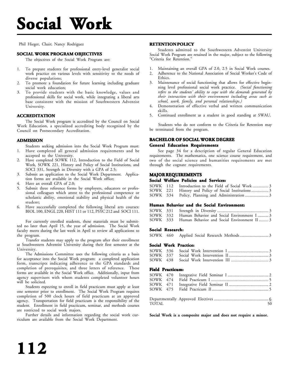## **Social Work**

Phil Hieger, Chair; Nancy Rodriguez

#### **SOCIAL WORK PROGRAM OBJECTIVES**

The objectives of the Social Work Program are:

- 1. To prepare students for professional entry-level generalist social work practice on various levels with sensitivity to the needs of diverse populations;
- 2. To promote a foundation for future learning including graduate social work education;
- 3. To provide students with the basic knowledge, values and professional skills for social work, while integrating a liberal arts base consistent with the mission of Southwestern Adventist University.

#### **ACCREDITATION**

The Social Work program is accredited by the Council on Social Work Education, a specialized accrediting body recognized by the Council on Postsecondary Accreditation.

#### **ADMISSION**

Students seeking admission into the Social Work Program must: 1. Have completed all general admission requirements and be

- accepted to the University. 2. Have completed SOWK 112, Introduction to the Field of Social Work, SOWK 221, History and Policy of Social Institutions, and SOCI 331, Strength in Diversity with a GPA of 2.5;
- 3. Submit an application to the Social Work Department. Application forms are available in the Social Work office;
- 4. Have an overall GPA of 2.0;
- 5. Submit three reference forms by employers, educators or professional colleagues which attest to the professional competence or scholastic ability, emotional stability and physical health of the student;
- 6. Have successfully completed the following liberal arts courses: BIOL 100, ENGL 220, HIST 111 or 112, PSYC 212 and SOCI 111.

For currently enrolled students, these materials must be submitted no later than April 15, the year of admission. The Social Work faculty meets during the last week in April to review all applications to the program.

Transfer students may apply to the program after their enrollment at Southwestern Adventist University during their first semester at the University.

The Admissions Committee uses the following criteria as a basis for acceptance into the Social Work program: a completed application form, transcripts indicating adherence to the GPA standards and completion of prerequisites, and three letters of reference. These forms are available in the Social Work office. Additionally, input from agency supervisors with whom students completed volunteer hours will be solicited.

Students expecting to enroll in field practicum must apply at least one semester prior to enrollment. The Social Work Program requires completion of 500 clock hours of field practicum at an approved agency. Transportation for field practicum is the responsibility of the student. Enrollment in field practicum, seminar, and methods courses are restricted to social work majors.

Further details and information regarding the social work curriculum are available from the Social Work Department.

#### **RETENTION POLICY**

Students admitted to the Southwestern Adventist University Social Work Program are retained in the major, subject to the following "Criteria for Retention."

- Maintaining an overall GPA of 2.0, 2.5 in Social Work courses.
- Adherence to the National Association of Social Worker's Code of Ethics.
- 3. Maintenance of social functioning that allows for effective beginning level professional social work practice. *(Social functioning refers to the students' ability to cope with the demands generated by their interaction with their environment including areas such as school, work, family, and personal relationships.)*
- 4. Demonstration of effective verbal and written communication skills.
- 5. Continued enrollment as a student in good standing at SWAU.

Students who do not conform to the Criteria for Retention may be terminated from the program.

### **BACHELOR OF SOCIAL WORK DEGREE**

#### **General Education Requirements**

See page 34 for a description of regular General Education requirements. The mathematics, one science course requirement, and two of the social science and humanities requirements are met through the cognate requirements.

#### **MAJOR REQUIREMENTS**

#### **Social Welfare Policies and Services: Policies and**

|  | SOWK 112 Introduction to the Field of Social Work3  |
|--|-----------------------------------------------------|
|  | SOWK 221 History and Policy of Social Institutions3 |
|  |                                                     |

#### **Human Behavior and the Social Environment: Human and the Social**

|  |  |  | SOWK 332 Human Behavior and Social Environment I  3  |  |
|--|--|--|------------------------------------------------------|--|
|  |  |  | SOWK 333 Human Behavior and Social Environment II  3 |  |

#### **Social Research: Research:**

SOWK 460 Applied Social Research Methods........................... 3

#### **Social Work Practice:**

#### **Field Practicum: Field**

| TOTAL |  | 50 |
|-------|--|----|

**Social Work is a composite major and does not require a minor.**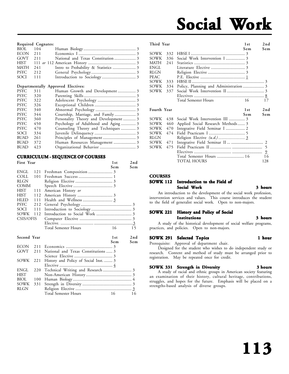## **Social Work**

| Required Cognates: |  |
|--------------------|--|
|                    |  |
|                    |  |
|                    |  |
|                    |  |
| MATH 241           |  |
|                    |  |
|                    |  |

#### **Departmentally Approved Electives:**

| <b>PSYC</b> | 311 | Human Growth and Development3       |  |
|-------------|-----|-------------------------------------|--|
| <b>PSYC</b> | 320 |                                     |  |
| <b>PSYC</b> | 322 |                                     |  |
| <b>PSYC</b> | 326 |                                     |  |
| <b>PSYC</b> | 340 |                                     |  |
| <b>PSYC</b> | 344 |                                     |  |
| <b>PSYC</b> | 360 | Personality Theory and Development3 |  |
| <b>PSYC</b> | 450 | Psychology of Adulthood and Aging 3 |  |
| <b>PSYC</b> | 470 | Counseling Theory and Techniques 3  |  |
| SOCI        | 334 |                                     |  |
| <b>BUAD</b> | 261 |                                     |  |
| <b>BUAD</b> | 372 | Human Resources Management  3       |  |
| <b>BUAD</b> | 423 |                                     |  |
|             |     |                                     |  |

#### **CURRICULUM - SEQUENCE OF COURSES**

| First Year  |     |                             | 1st | 2nd |
|-------------|-----|-----------------------------|-----|-----|
|             |     |                             | Sem | Sem |
| ENGL        | 121 |                             |     |     |
| COLL.       |     |                             |     |     |
| RLGN        |     |                             |     |     |
| <b>COMM</b> |     |                             |     |     |
| <b>HIST</b> | 111 | American History or         |     |     |
| HIST        |     |                             |     |     |
| <b>HLED</b> | 111 |                             |     |     |
| <b>PSYC</b> |     |                             |     |     |
| SOCI        | 111 |                             |     |     |
| <b>SOWK</b> |     |                             |     |     |
| CSIS/OFIS   |     |                             |     |     |
|             |     |                             |     |     |
|             |     | <b>Total Semester Hours</b> | 16  | 15  |
|             |     |                             |     |     |

| Second Year |     |                                                | 1 <sub>st</sub> | 2nd |
|-------------|-----|------------------------------------------------|-----------------|-----|
|             |     |                                                | Sem             | Sem |
| ECON.       |     |                                                |                 |     |
|             |     | GOVT 211 National and Texas Constitutions  3   |                 |     |
|             |     |                                                |                 |     |
|             |     | SOWK 221 History and Policy of Social Inst.  3 |                 |     |
|             |     |                                                |                 |     |
| ENGL        |     |                                                |                 |     |
| <b>HIST</b> |     |                                                |                 |     |
| BIOL        | 100 |                                                |                 |     |
| SOWK        |     |                                                |                 |     |
| <b>RLGN</b> |     |                                                |                 |     |
|             |     | <b>Total Semester Hours</b>                    | 16              |     |
|             |     |                                                |                 |     |

| Third Year  |     | 1st                                    | 2nd |
|-------------|-----|----------------------------------------|-----|
|             |     | Sem                                    | Sem |
| SOWK        | 332 |                                        |     |
| SOWK        | 336 | Social Work Intervention I  3          |     |
| MATH        | 241 |                                        |     |
| <b>ENGL</b> |     |                                        |     |
| RLGN        |     |                                        |     |
| <b>PEAC</b> |     |                                        |     |
| SOWK        | 333 |                                        |     |
| SOWK        | 334 | Policy, Planning and Administration  3 |     |
| SOWK        | 337 |                                        |     |
|             |     |                                        |     |
|             |     | 16<br>Total Semester Hours             | 17  |
| Fourth Year |     | 1st                                    | 2nd |
|             |     | Sem                                    | Sem |
| SOWK        | 438 | Social Work Intervention III  3        |     |
| SOWK        | 460 | Applied Social Research Methods 3      |     |
| SOWK        | 470 |                                        |     |
| SOWK        | 474 |                                        |     |
| RLGN        |     |                                        |     |
| SOWK        | 471 |                                        |     |
| SOWK        | 475 |                                        |     |
|             |     |                                        | 2   |
|             |     | Total Semester Hours  16               | 16  |
|             |     | TOTAL HOURS                            | 128 |

#### **COURSES**

#### **SOWK 112 Introduction to the Field of to Social Work**

| юш<br>п<br>c |
|--------------|
|              |

An introduction to the development of the social work profession, intervention services and values. This course introduces the student to the field of generalist social work. Open to non-majors.

#### **SOWK 221 History and Policy of Social Institutions 3 hours**

A study of the historical development of social welfare programs, practices, and policies. Open to non-majors.

#### **SOWK 291 Selected Topics 1 hour**

Prerequisite: Approval of department chair.

Designed for the student who wishes to do independent study or research. Content and method of study must be arranged prior to registration. May be repeated once for credit.

#### **SOWK 331 Strength in Diversity 3 hours**

A study of racial and ethnic groups in American society featuring an examination of their history, cultural heritage, contributions, struggles, and hopes for the future. Emphasis will be placed on a strengths-based analysis of diverse groups.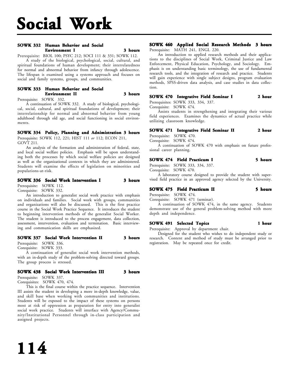#### **SOWK 332 <b>Human Behavior** and Social **Environment I 3 hours**

Prerequisite: BIOL 100; PSYC 212; SOCI 111 & 331; SOWK 112.

A study of the biological, psychological, social, cultural, and spiritual foundations of human development; their interrelatedness for normal and abnormal behavior from infancy through adolescence. The lifespan is examined using a systems approach and focuses on social and family systems, groups, and communities.

#### **SOWK 333 Human Behavior and Social Human Behavior Environment II 3 hours**

Prerequisite: SOWK 332.

A continuation of SOWK 332. A study of biological, psychological, social, cultural, and spiritual foundations of development; their interrelationship for normal and abnormal behavior from young adulthood through old age, and social functioning in social environments.

#### **SOWK 334 Policy, Planning and Adnimistration 3 hours**

Prerequisite: SOWK 112, 221; HIST 111 *or* 112; ECON 211, GOVT 211.

An analysis of the formation and administration of federal, state, and local social welfare policies. Emphasis will be upon understanding both the processes by which social welfare policies are designed as well as the organizational contexts in which they are administered. Students will examine the effects of legislation on minorities and populations-at-risk.

#### **SOWK 336 Social Work Intervention I 3 hours**

Prerequisite: SOWK 112. Corequisite: SOWK 332.

An introduction to generalist social work practice with emphasis on individuals and families. Social work with groups, communities and organizations will also be discussed. This is the first practice course in the Social Work Practice Sequence. It introduces the student to beginning intervention methods of the generalist Social Worker. The student is introduced to the process engagement, data collection, assessment, intervention, evaluation and termination. Basic interviewing and communication skills are emphasized.

#### **SOWK 337 Social Work Intervention II 3 hours**

Prerequisite: SOWK 336. Corequisite: SOWK 333.

A continuation of generalist social work intervention methods, with an in-depth study of the problem-solving directed toward groups. The group process is stressed.

#### **SOWK 438 Social Work Intervention III 3 hours**

Prerequisite: SOWK 337. Corequisites: SOWK 470, 474.

This is the final course within the practice sequence. Intervention III assists the student in developing a more in-depth knowledge, value, and skill base when working with communities and institutions. Students will be exposed to the impact of these systems on persons most at risk of oppression as preparation for entry into generalist social work practice. Students will interface with Agency/Community/Institutional Personnel through in-class participation and assigned projects.

#### **SOWK 460 Applied Social Research Methods 3 hours** Prerequisite: MATH 241, ENGL 220.

An introduction to applied research methods and their applications to the disciplines of Social Work, Criminal Justice and Law Enforcement, Physical Education, Psychology, and Sociology. Emphasis is on understanding basic terminology, the use of fundamental research tools, and the integration of research and practice. Students will gain experience with single subject designs, program evaluation methods, SPSS-driven data analysis, and case studies in data collection.

#### **SOWK 470 Integrative Field Seminar I 2 hour**

Prerequisites: SOWK 333, 334, 337. Corequisite: SOWK 474.

Assists students in strengthening and integrating their various field experiences. Examines the dynamics of actual practice while utilizing classroom knowledge.

#### **SOWK 471 Integrative Field Seminar II 2 hour**

Prerequisite: SOWK 470.

Corequisite: SOWK 474.

A continuation of SOWK 470 with emphasis on future professional career planning.

#### **SOWK 474 Field Practicum I 5 hours**

Prerequisite: SOWK 333, 334, 337. Corequisite: SOWK 470.

A laboratory course designed to provide the student with supervised field practice in an approved agency selected by the University.

#### **SOWK 475 Field Practicum II 5 hours**

Prerequisite: SOWK 474.

Corequisite: SOWK 471 (seminar).

A continuation of SOWK 474, in the same agency. Students demonstrate use of the general problem-solving method with more depth and independence.

#### **SOWK 491 Selected Topics 1 hour**

Prerequisite: Approval by department chair.

Designed for the student who wishes to do independent study or research. Content and method of study must be arranged prior to registration. May be repeated once for credit.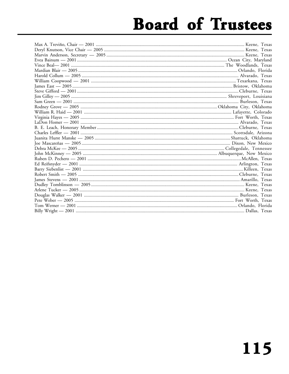# **Board of Trustees**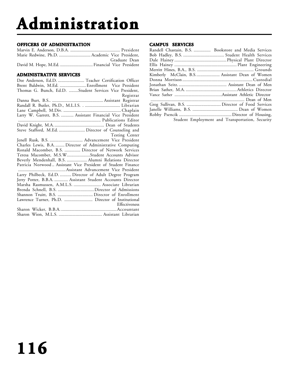## $Administration$

#### **OFFICERS OF ADMINISTRATION**

|                                                | Graduate Dean |
|------------------------------------------------|---------------|
| David M. Hope, M.Ed.  Financial Vice President |               |

#### **ADMINISTRATIVE SERVICES**

| Brent Baldwin, M.Ed.  Enrollment Vice President              |
|--------------------------------------------------------------|
| Thomas G. Bunch, Ed.D. Student Services Vice President,      |
| Registrar                                                    |
|                                                              |
|                                                              |
|                                                              |
|                                                              |
|                                                              |
|                                                              |
| Steve Stafford, M.Ed.  Director of Counseling and            |
| Testing Center                                               |
|                                                              |
| Charles Lewis, B.A.  Director of Administrative Computing    |
| Ronald Macomber, B.S.  Director of Network Services          |
| Teresa Macomber, M.S.WStudent Accounts Advisor               |
| Beverly Mendenhall, B.S.  Alumni Relations Director          |
| Patricia Norwood Assistant Vice President of Student Finance |
|                                                              |
| Larry Philbeck, Ed.D.  Director of Adult Degree Program      |
| Jerry Potter, B.B.A.  Assistant Student Accounts Director    |
| Marsha Rasmussen, A.M.L.S.  Associate Librarian              |
|                                                              |
|                                                              |
| Lawrence Turner, Ph.D.  Director of Institutional            |
| Effectiveness                                                |
|                                                              |
|                                                              |

#### **CAMPUS SERVICES**

| Randell Chastain, B.S.  Bookstore and Media Services |                                                 |
|------------------------------------------------------|-------------------------------------------------|
|                                                      |                                                 |
|                                                      |                                                 |
|                                                      |                                                 |
|                                                      |                                                 |
| Kimberly McClain, B.S.  Assistant Dean of Women      |                                                 |
|                                                      |                                                 |
|                                                      |                                                 |
|                                                      |                                                 |
|                                                      |                                                 |
|                                                      |                                                 |
|                                                      |                                                 |
|                                                      |                                                 |
|                                                      |                                                 |
|                                                      | Student Employment and Transportation, Security |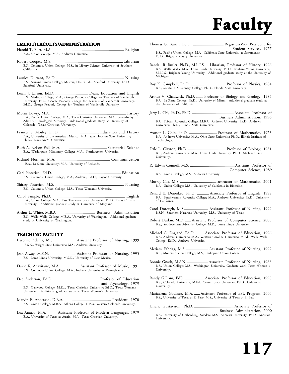# **Faculty**

#### **EMERITI FACULTY/ADMINISTRATION**

- Harold T. Burr, M.A. ........................................................................ Religion B.A., Union College; M.A., Andrews University.
- Robert Cooper, M.S. .......................................................................Librarian B.S., Columbia Union College; M.S., in Library Science, University of Southern California.
- Laurice Durrant, Ed.D. .................................................................... Nursing B.S., Nursing Union College; Masters, Health Ed.., Stanford University; Ed.D., Stanford University.
- Lewis J. Larson, Ed.D. ................................. Dean, Education and English B.S., Madison College; M.A., George Peabody College for Teachers of Vanderbilt University; Ed.S., George Peabody College for Teachers of Vanderbilt University; Ed.D., George Peabody College for Teachers of Vanderbilt University.
- Morris Lowry, M.A. ............................................................................ History B.A., Pacific Union College; M.A., Texas Christian University; M.A., Seventh-day Adventist Theological Seminary. Additional graduate study at University of Colorado, Texas Christian University.
- Frances S. Mosley, Ph.D. ........................................ Education and History B.A., University of the Americas, Mexico; M.A., Sam Houston State University; Ph.D., Texas A&M University.
- Ruth A. Nelson Foll, M.A. .............................................. Secretarial Science B.A., Washington Missionary College; M.A., Northwestern University.
- Richard Norman, M.A. ...................................................... Communication B.A., La Sierra University; M.A., University of Redlands.
- Carl Pinterich, Ed.D. ..................................................................... Education B.S., Columbia Union College; M.A., Andrews; Ed.D., Baylor University.
- Shirley Pinterich, M.S. ..................................................................... Nursing B.S., Columbia Union College; M.S., Texas Woman's University.
- Carol Sample, Ph.D. ......................................................................... English B.A., Union College; M.A., East Tennessee State University; Ph.D., Texas Christian University. Additional graduate study at University of Maryland.
- Arthur L. White, M.B.A. ...................................... Business Administration B.S., Walla Walla College; M.B.A., University of Washington. Additional graduate study at University of Washington.

#### **TEACHING FACULTY**

- Lavonne Adams, M.S. ..................... Assistant Professor of Nursing, 1999 B.S.N., Wright State University; M.S., Andrews University.
- Jean Alway, M.S.N. .......................... Assistant Professor of Nursing, 1995 B.S., Loma Linda University; M.S.N., University of New Mexico.
- David R. Anavitarte, M.A. ................... Assistant Professor of Music, 1991 B.S., Columbia Union College; M.A., Indiana University of Pennsylvania.
- Dee Anderson, Ed.D. .............................................. Professor of Education and Psychology, 1979 B.S., Oakwood College; M.Ed., Texas Christian University; Ed.D., Texas Woman's University. Additional graduate study at Texas Woman's University.
- Marvin E. Anderson, D.B.A. ............................................... President, 1970 B.S., Union College; M.B.A., Athens College; D.B.A. Western Colorado University.
- Luz Arauzo, M.A. .......... Assistant Professor of Modern Languages, 1979 B.A., University of Texas at Austin; M.A., Texas Christian University.
- Thomas G. Bunch, Ed.D. ............................... Registrar/Vice President for Student Services, 1977 B.S., Pacific Union College; M.A., California State University at Sacramento; Ed.D., Brigham Young University.
- Randall R. Butler, Ph.D., M.L.I.S. ... Librarian, Professor of History, 1996 B.A., Walla Walla; M.A., Loma Linda University; Ph.D., Brigham Young University; M.L.I.S., Brigham Young University. Additional graduate study at the University of Michigan.
- Roy K. Campbell, Ph.D. ................................... Professor of Physics, 1984 B.S., Southern Missionary College; Ph.D., Florida State University.
- Arthur V. Chadwick, Ph.D. ....... Professor of Biology and Geology, 1984 B.A., La Sierra College; Ph.D., University of Miami. Additional graduate study at the University of California.
- Jerry L. Chi, Ph.D., Ph.D. .......................................... Associate Professor of Business Administration, 1996 B.A., Taiwan Adventist College; M.B.A., Andrews University; Ph.D., Andrews University; Ph.D., Illinois State University.
- Watson L. Chin, Ph.D. ............................ Professor of Mathematics, 1973 B.A., Andrews University; M.A., Ohio State University; Ph.D., Illinois Institute of Technology.
- Dale L. Clayton, Ph.D. ...................................... Professor of Biology, 1981 B.S., Andrews University; M.A., Loma Linda University; Ph.D., Michigan State University.
- R. Edwin Connell, M.S. .............................................Assistant Professor of Computer Science, 1989 B.A., Union College; M.S., Andrews University.
- Murray Cox, M.S. ....................................Instructor of Mathematics, 2001 B.A., Union College; M.S., University of California in Riverside.
- Renard K. Doneskey, Ph.D. ............ Associate Professor of English, 1999 B.A., Southwestern Adventist College; M.A., Andrews University; Ph.D., University of California.
- Carol Dorough, M.S ........................ .Assistant Professor of Nursing, 1999 B.S.N., Southern Nazarene University; M.S., University of Texas.
- Robert Durkin, M.D. ...... Assistant Professor of Computer Science, 2000 B.S., Southwestern Adventist College; M.D., Loma Linda University.
- Michael G. England, Ed.D. ........ Associate Professor of Education, 1996 B.S., Andrews University; M.A., Western Carolina University; M.Ed., Walla Walla College; Ed.D., Andrews University.
- Meriam Fabriga, M.S. ...................... Assistant Professor of Nursing, 1992 B.S., Mountain View College; M.S., Philippine Union College.
- Bonnie Gnadt, M.S.N. ..................... Associate Professor of Nursing, 1988 B.S., Union College; M.S., Washington University, Graduate work Texas Woman 's University.
- Randy Gilliam, EdD. ................... Associate Professor of Education, 1998 B.S., Colorado University; M.Ed., Central State University; Ed.D., Oklahoma University.
- Mariaelena Godinez, M.A. ...... Assistant Professor of ESL Program, 2000 B.S., University of Texas at El Paso; M.S., University of Texas at El Paso.
- Janeric Gustavsson, Ph.D. ........................................ Associate Professor of Business Administration, 2000 B.S., University of Gothenburg, Sweden; M.S., Andrews University; Ph.D., Andrews

University.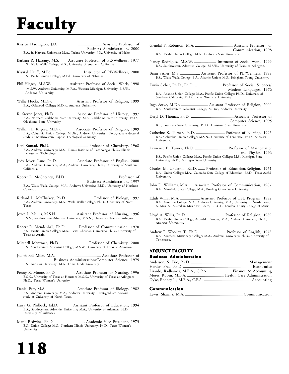## **Faculty**

- Kirsten Harrington, J.D. ............................................Assistant Professor of Business Administration, 2000 B.A., in Harvard University; M.A., Tulane University; J.D., University of Idaho.
- Barbara R. Harsany, M.S. ....... Associate Professor of PE/Wellness, 1977 B.S., Walla Walla College; M.S., University of Southern California.
- Krystal Hauff, M.Ed. .............................. Instructor of PE/Wellness, 2000 B.S., Pacific Union College; M.Ed., University of Nebraska.
- Phil Hieger, M.S.W. ................. Assistant Professor of Social Work, 1998 M.S.W. Andrews University; M.P.A., Western Michigan University, B.S.W., Andrews University
- Willie Hucks, M.Div. ...................... Assistant Professor of Religion, 1999 B.A., Oakwood College; M.Div., Andrews University.
- R. Steven Jones, Ph.D. ..................... Associate Professor of History, 1997 B.A., Northern Oklahoma State University; M.A., Oklahoma State University; Ph.D., Oklahoma State University
- William L. Kilgore, M.Div. ............. Associate Professor of Religion, 1989 B.A., Columbia Union College; M.Div., Andrews University. Post-graduate doctoral study at Southwestern Baptist Theological Seminary.
- Karl Konrad, Ph.D. ...................................... Professor of Chemistry, 1968 B.A., Andrews University; M.S., Illinois Institute of Technology; Ph.D., Illinois Institute of Technology.
- Judy Myers Laue, Ph.D. ................... Associate Professor of English, 2000 B.A., Andrews University; M.A., Andrews University; Ph.D., University of Southern California.
- Robert L. McChesney, Ed.D. .................................................... Professor of Business Administration, 1997 B.A., Walla Walla College; M.A., Andrews University; Ed.D., University of Northern Colorado.
- Richard L. McCluskey, Ph.D. ........................... Professor of Biology, 1997 B.A., Andrews University; M.A., Walla Walla College; Ph.D., University of North Texas.
- Joyce L. Melius, M.S.N. ................... Assistant Professor of Nursing, 1996 B.S.N., Southwestern Adventist University; M.S.N., University Texas at Arlington.
- Robert R. Mendenhall, Ph.D. ............ Professor of Communication, 1970 B.S., Pacific Union College; M.A., Texas Christian University; Ph.D., University of Texas at Austin.
- Mitchell Menzmer, Ph.D. ............................ Professor of Chemistry, 2000 B.S., Southwestern Adventist College; M.S.W., University of Texas at Arlington.
- Judith Foll Miles, M.A. .............................................. Associate Professor of Business Administration/Computer Science, 1979 B.S., Andrews University; M.A., Loma Linda University.
- Penny K. Moore, Ph.D. ................... Associate Professor of Nursing, 1996 B.S.N., University of Texas at Houston; M.S.N., University of Texas at Arlington; Ph.D., Texas Woman's University.
- Daniel Petr, M.A. .............................. Associate Professor of Biology, 1982 B.S., Andrews University; M.A., Andrews University. Post-graduate doctoral study at University of North Texas.
- Larry G. Philbeck, Ed.D. ............. Assistant Professor of Education, 1994 B.A., Southwestern Adventist University; M.A., University of Arkansas; Ed.D., University of Arkansas.
- Marie Redwine, Ph.D. ............................... Academic Vice President, 1973 B.S., Union College; M.S., Northern Illinois University; Ph.D., Texas Woman's University.
- Glendal P. Robinson, M.A. ...................................... Assistant Professor of Communication, 1998 B.A., Pacific Union College; M.A., California State University.
- Nancy Rodriguez, M.S.W. ...................... Instructor of Social Work, 1999 B.S., Southwestern Adventist College; M.S.W., University of Texas at Arlington.
- Brian Sather, M.S. .................... Assistant Professor of PE/Wellness, 1999 B.S., Walla Walla College, B.A., Atlantic Union; M.S., Bringham Young University.
- Erwin Sicher, Ph.D., Ph.D. ........................... Professor of Social Sciences/ Modern Languages, 1976 B.A., Atlantic Union College; M.A., Pacific Union College; Ph.D., University of Southern California; Ph.D., Texas Woman's University.
- Ingo Sorke, M.Div ........................... Assistant Professor of Religion, 2000 B.A., Southwestern Adventist College; M.Div., Andrews University.
- Daryl D. Thomas, Ph.D. ........................................... Associate Professor of Computer Science, 1995 B.S., Louisiana State University; Ph.D., Louisiana State University.
- Catherine K. Turner, Ph.D. ............................. Professor of Nursing, 1996 B.S., Columbia Union College; M.S.N., University of Tennessee; Ph.D., Andrews University.
- Lawrence E. Turner, Ph.D. ................................. Professor of Mathematics and Physics, 1996 B.S., Pacific Union College; M.A., Pacific Union College; M.S., Michigan State University; Ph.D., Michigan State University.
- Charles M. Underhill, Ed.D. ....... Professor of Education/Religion, 1961 B.A., Union College; M.A., Colorado State College of Education; Ed.D., Texas A&M University.
- John D. Williams, M.A. ..... Associate Professor of Communication, 1987 B.A., Mansfield State College; M.A., Bowling Green State University.
- Edith Willis, M.A. .................... Assistant Professor of ESL Program, 1992 B.A., Avondale College; M.A., Andrews University; M.A., University of North Texas; A. Mus. A., Australian Music Ex. Board; L.T.C.L., London Trinity College of Music
- Lloyd A. Willis, Ph.D. ...................................... Professor of Religion, 1989 B.A., Pacific Union College, Avondale Campus; M.A., Andrews University; Ph.D., Andrews University.
- Andrew P. Woolley III, Ph.D. .......................... Professor of English, 1978 B.A., Southern Missionary College; M.A., Andrews University; Ph.D., University of Tennessee.

#### **ADJUNCT FACULTY**

#### **Business Administration**

| Lizardo, Radhamés, M.B.A., C.P.A.  Finance & Accounting |  |
|---------------------------------------------------------|--|
|                                                         |  |
|                                                         |  |

#### . **Communication**

Lewis, Shawna, M.A. .......................................................... Communication

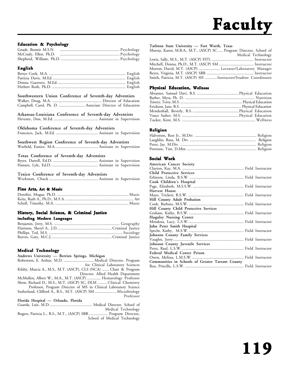# **Faculty**

#### **Education & Psychology**

#### **English**

**Southwestern Union Conference of Seventh-day Adventists** Walker, Doug, M.A. .................................................. Director of Education Campbell, Carol, Ph. D. .......................... Associate Director of Education

**Arkansas-Louisiana Conference of Seventh-day Adventists** Hevener, Don, M.Ed. ............................................ Assistant in Supervision

**Oklahoma Conference of Seventh-day Adventists** Francisco, Jack, M.Ed. .......................................... Assistant in Supervision

**Southwest Region Conference of Seventh-day Adventists** Warfield, Eunice, M.A. .......................................... Assistant in Supervision

#### **Texas Conference of Seventh-day Adventists**

**Texico Conference of Seventh-day Adventists**

Workman, Chuck ................................................. Assistant in Supervision

#### Fine Arts, Art & Music

#### **History, Social Science, & Criminal Justice**

#### **including Modern Languages**

#### **Medical Technology**

| Andrews University — Berrien Springs, Michigan                   |
|------------------------------------------------------------------|
|                                                                  |
| for Clinical Laboratory Sciences                                 |
| Kilsby, Marcia A., M.S., M.T. (ASCP), CLS (NCA)  Chair & Program |
| Director, Allied Health Department                               |
| McMullen, Albert W., M.A., M.T. (ASCP)  Hematology Professor     |
| Show, Richard D., M.S., M.T. (ASCP) SC, DLM  Clinical Chemistry  |
| Professor, Program Director of MS in Clinical Laboratory Science |
| Sutherland, Clifford A., B.S., M.T. (ASCP) SM  Microbiology      |
| Professor                                                        |
| Florida Hospital - Orlando, Florida                              |
|                                                                  |

```
Medical Technology
Rogers, Patricia L., B.S., M.T., (ASCP) SBB ................... Program Director,
                                          School of Medical Technology
```

| Tarleton State University — Fort Worth, Texas                      |
|--------------------------------------------------------------------|
| Murray, Karen, M.B.A., M.T., (ASCP) SC Program Director, School of |
| Medical Technology                                                 |
|                                                                    |
|                                                                    |
|                                                                    |
|                                                                    |
| Smith, Patricia, M.T. (ASCP) SH  Instructor/Student Coordinator    |
|                                                                    |

#### **Physical Education, Physical Education, Wellness**

#### **Religion**

#### **Social Work**

| American Cancer Society                          |
|--------------------------------------------------|
|                                                  |
| Child Protective Services                        |
|                                                  |
| Cook Children's Hospital                         |
|                                                  |
| <b>Harvest</b> House                             |
|                                                  |
| Hill County Adult Probation                      |
|                                                  |
| Hill County Child Protective Services            |
|                                                  |
| <b>Huguley Nursing Center</b>                    |
|                                                  |
| John Peter Smith Hospital                        |
|                                                  |
| Johnson County Family Services                   |
|                                                  |
| Johnson County Juvenile Services                 |
|                                                  |
| Federal Medical Center Prison                    |
|                                                  |
| Communities in Schools of Greater Tarrant County |
|                                                  |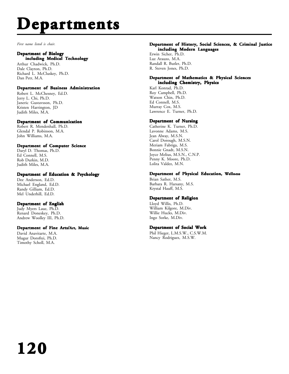## **Departments**

*First name listed is chair.*

#### **Department of Biology including Medical Technology**

Arthur Chadwick, Ph.D. Dale Clayton, Ph.D. Richard L. McCluskey, Ph.D. Dan Petr, M.A.

#### **Department of Business Administration**

Robert L. McChesney, Ed.D. Jerry L. Chi, Ph.D. Janeric Gustavsson, Ph.D. Kristen Harrington, JD Judith Miles, M.A.

#### **Department of Communication**

Robert R. Mendenhall, Ph.D. Glendal P. Robinson, M.A. John Williams, M.A.

#### **Department of Computer Science**

Daryl D. Thomas, Ph.D. Ed Connell, M.S. Rob Durkin, M.D. Judith Miles, M.A.

#### **Department of Education & Psychology**

Dee Anderson, Ed.D. Michael England, Ed.D. Randy Gilliam, Ed.D. Mel Underhill, Ed.D.

#### **Department of English**

Judy Myers Laue, Ph.D. Renard Doneskey, Ph.D. Andrew Woolley III, Ph.D.

#### **Department of Fine Arts/Art, Music**

David Anavitarte, M.A. Mugur Doroftei, Ph.D. Timothy Scholl, M.A.

#### **Department of History, Social Sciences, & Criminal Justice including Modern Languages**

Erwin Sicher, Ph.D. Luz Arauzo, M.A. Randall R. Butler, Ph.D. R. Steven Jones, Ph.D.

#### **Department of Mathematics & Physical Sciences including Chemistry, Physics**

Karl Konrad, Ph.D. Roy Campbell, Ph.D. Watson Chin, Ph.D. Ed Connell, M.S. Murray Cox, M.S. Lawrence E. Turner, Ph.D.

#### **Department of Nursing**

Catherine K. Turner, Ph.D. Lavonne Adams, M.S. Jean Alway, M.S.N. Carol Dorough, M.S.N. Meriam Fabriga, M.S. Bonnie Gnadt, M.S.N. Joyce Melius, M.S.N., C.N.P. Penny K. Moore, Ph.D. Lolita Valdez, M.N.

#### **Department of Physical Education, Wellness**

Brian Sather, M.S. Barbara R. Harsany, M.S. Krystal Hauff, M.S.

#### **Department of Religion**

Lloyd Willis, Ph.D. William Kilgore, M.Div. Willie Hucks, M.Div. Ingo Sorke, M.Div.

#### **Department of Social Work**

Phil Hieger, L.M.S.W., C.S.W.M. Nancy Rodriguez, M.S.W.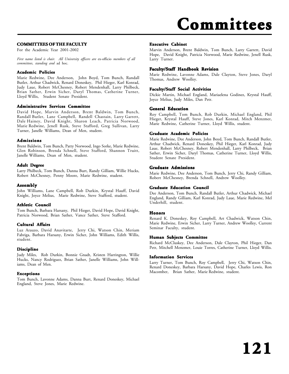#### **COMMITTEES OF THE FACULTY**

For the Academic Year 2001-2002

*First name listed is chair. All University officers are* ex-officio *members of all committees, standing and* ad hoc.

#### **Academic Policies**

Marie Redwine, Dee Anderson, John Boyd, Tom Bunch, Randall Butler, Arthur Chadwick, Renard Doneskey, Phil Hieger, Karl Konrad, Judy Laue, Robert McChesney, Robert Mendenhall, Larry Philbeck, Brian Sather, Erwin Sicher, Daryl Thomas, Catherine Turner, Lloyd Willis, Student Senate President.

#### **Administrative Services Committee**

David Hope, Marvin Anderson, Brent Baldwin, Tom Bunch, Randall Butler, Lane Campbell, Randell Chastain, Larry Garrett, Dale Hainey, David Knight, Sharon Leach, Patricia Norwood, Marie Redwine, Jenell Rusk, Steve Stafford, Greg Sullivan, Larry Turner, Janelle Williams, Dean of Men, student.

#### **Admissions**

Brent Baldwin, Tom Bunch, Patty Norwood, Ingo Sorke, Marie Redwine, Glen Robinson, Brenda Schnell, Steve Stafford, Shannon Truitt, Janelle Williams, Dean of Men, student.

#### **Adult Degree**

Larry Philbeck, Tom Bunch, Danna Burt, Randy Gilliam, Willie Hucks, Robert McChesney, Penny Moore, Marie Redwine, student.

#### **Assembly**

John Williams, Lane Campbell, Rob Durkin, Krystal Hauff, David Knight, Joyce Melius, Marie Redwine, Steve Stafford, student.

#### **Athletic Council Athletic**

Tom Bunch, Barbara Harsany, Phil Hieger, David Hope, David Knight, Patricia Norwood, Brian Sather, Vance Sather, Steve Stafford.

#### **Cultural Affairs**

Luz Arauzo, David Anavitarte, Jerry Chi, Watson Chin, Meriam Fabriga, Barbara Harsany, Erwin Sicher, John Williams, Edith Willis, student.

#### **Discipline**

Judy Miles, Rob Durkin, Bonnie Gnadt, Kristen Harrington, Willie Hucks, Nancy Rodriguez, Brian Sather, Janelle Williams, John Williams, Dean of Men.

#### **Exceptions**

Tom Bunch, Lavonne Adams, Danna Burt, Renard Doneskey, Michael England, Steve Jones, Marie Redwine.

#### **Executive Cabinet**

Marvin Anderson, Brent Baldwin, Tom Bunch, Larry Garrett, David Hope, David Knight, Patricia Norwood, Marie Redwine, Jenell Rusk, Larry Turner.

#### **Faculty/Staff Handbook Revision**

Marie Redwine, Lavonne Adams, Dale Clayton, Steve Jones, Daryl Thomas, Andrew Woolley.

#### **Faculty/Staff Social Activities**

Dickie Martin, Michael England, Mariaelena Godinez, Krystal Hauff, Joyce Melius, Judy Miles, Dan Petr.

#### **General Education**

Roy Campbell, Tom Bunch, Rob Durkin, Michael England, Phil Hieger, Krystal Hauff, Steve Jones, Karl Konrad, Mitch Menzmer, Marie Redwine, Catherine Turner, Lloyd Willis, student.

#### **Graduate Academic Policies**

Marie Redwine, Dee Anderson, John Boyd, Tom Bunch, Randall Butler, Arthur Chadwick, Renard Doneskey, Phil Hieger, Karl Konrad, Judy Laue, Robert McChesney, Robert Mendenhall, Larry Philbeck, Brian Sather, Erwin Sicher, Daryl Thomas, Catherine Turner, Lloyd Willis, Student Senate President.

#### **Graduate Admissions**

Marie Redwine, Dee Anderson, Tom Bunch, Jerry Chi, Randy Gilliam, Robert McChesney, Brenda Schnell, Andrew Woolley.

#### **Graduate Education Council Council**

Dee Anderson, Tom Bunch, Randall Butler, Arthur Chadwick, Michael England, Randy Gilliam, Karl Konrad, Judy Laue, Marie Redwine, Mel Underhill, student.

#### **Honors**

Renard K. Doneskey, Roy Campbell, Art Chadwick, Watson Chin, Marie Redwine, Erwin Sicher, Larry Turner, Andrew Woolley, Current Seminar Faculty, student.

#### **Human Subjects Committee**

Richard McCluskey, Dee Anderson, Dale Clayton, Phil Hieger, Dan Petr, Mitchell Menzmer, Louie Torres, Catherine Turner, Lloyd Willis.

#### **Information Services**

Larry Turner, Tom Bunch, Roy Campbell, Jerry Chi, Watson Chin, Renard Doneskey, Barbara Harsany, David Hope, Charles Lewis, Ron Macomber, Brian Sather, Marie Redwine, student.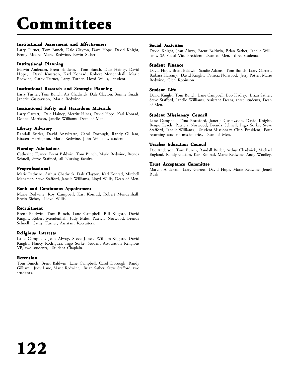## **Committees Committees Committees**

#### **Institutional Assessment and Effectiveness**

Larry Turner, Tom Bunch, Dale Clayton, Dave Hope, David Knight, Penny Moore, Marie Redwine, Erwin Sicher.

#### **Institutional Planning**

Marvin Anderson, Brent Baldwin, Tom Bunch, Dale Hainey, David Hope, Daryl Knutson, Karl Konrad, Robert Mendenhall, Marie Redwine, Cathy Turner, Larry Turner, Lloyd Willis, student.

#### **Institutional Research and Strategic Planning**

Larry Turner, Tom Bunch, Art Chadwick, Dale Clayton, Bonnie Gnadt, Janeric Gustavsson, Marie Redwine.

#### **Institutional Safety and Hazardous Materials**

Larry Garrett, Dale Hainey, Merritt Hines, David Hope, Karl Konrad, Donna Morrison, Janelle Williams, Dean of Men.

#### **Library Advisory**

Randall Butler, David Anavitarte, Carol Dorough, Randy Gilliam, Kirsten Harrington, Marie Redwine, John Williams, student.

#### **Nursing Admissions**

Catherine Turner, Brent Baldwin, Tom Bunch, Marie Redwine, Brenda Schnell, Steve Stafford, all Nursing faculty.

#### **Preprofessional Preprofessional**

Marie Redwine, Arthur Chadwick, Dale Clayton, Karl Konrad, Mitchell Menzmer, Steve Stafford, Janelle Williams, Lloyd Willis, Dean of Men.

#### **Rank and Continuous Appointment**

Marie Redwine, Roy Campbell, Karl Konrad, Robert Mendenhall, Erwin Sicher, Lloyd Willis.

#### **Recruitment**

Brent Baldwin, Tom Bunch, Lane Campbell, Bill Kilgore, David Knight, Robert Mendenhall, Judy Miles, Patricia Norwood, Brenda Schnell, Cathy Turner, Assistant Recruiters.

#### **Religious Interests**

Lane Campbell, Jean Alway, Steve Jones, William Kilgore, David Knight, Nancy Rodriguez, Ingo Sorke, Student Association Religious VP, two students, Student Chaplain.

#### **Retention**

Tom Bunch, Brent Baldwin, Lane Campbell, Carol Dorough, Randy Gilliam, Judy Laue, Marie Redwine, Brian Sather, Steve Stafford, two students.

#### **Social Activities**

David Knight, Jean Alway, Brent Baldwin, Brian Sather, Janelle Williams, SA Social Vice President, Dean of Men, three students.

#### **Student Finance**

David Hope, Brent Baldwin, Sandie Adams, Tom Bunch, Larry Garrett, Barbara Harsany, David Knight, Patricia Norwood, Jerry Potter, Marie Redwine, Glen Robinson.

#### **Student Life**

David Knight, Tom Bunch, Lane Campbell, Bob Hadley, Brian Sather, Steve Stafford, Janelle Williams, Assistant Deans, three students, Dean of Men.

#### **Student Missionary Council Missionary Council**

Lane Campbell, Tina Bottsford, Janeric Gustavsson, David Knight, Benjie Leach, Patricia Norwood, Brenda Schnell, Ingo Sorke, Steve Stafford, Janelle Williams, Student Missionary Club President, Four returning student missionaries, Dean of Men.

#### **Teacher Education Council Teacher Education**

Dee Anderson, Tom Bunch, Randall Butler, Arthur Chadwick, Michael England, Randy Gilliam, Karl Konrad, Marie Redwine, Andy Woolley.

#### **Trust Acceptance Committee**

Marvin Anderson, Larry Garrett, David Hope, Marie Redwine, Jenell Rusk.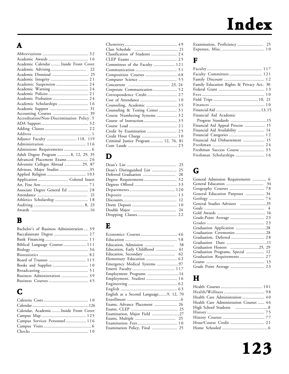# **Index**

### **A**

| Academic Calendar  Inside Front Cover      |
|--------------------------------------------|
|                                            |
|                                            |
|                                            |
| Academic Suspension  24                    |
|                                            |
|                                            |
|                                            |
| Academic Scholarships  16                  |
|                                            |
|                                            |
| Accreditation/Non-Discrimination Policy. 5 |
|                                            |
|                                            |
|                                            |
| Adjunct Faculty  118, 119                  |
|                                            |
|                                            |
| Adult Degree Program  8, 12, 29, 35        |
| Advanced Placement Exams 26                |
| Adventist Colleges Abroad  29, 87          |
| Advisors, Major Studies 35                 |
|                                            |
| Application  Colored Insert                |
|                                            |
| Associate Degree General Ed  28            |
|                                            |
| Athletics Scholarship  18                  |
|                                            |
|                                            |

### **B**

## **C**

| Calendar, Academic  Inside Front Cover |
|----------------------------------------|
|                                        |
| Campus Services Personnel  116         |
|                                        |
|                                        |

| Classification of Students  24       |  |
|--------------------------------------|--|
|                                      |  |
| Committees of the Faculty  121       |  |
|                                      |  |
|                                      |  |
|                                      |  |
|                                      |  |
| Corporate Communication 52           |  |
| Correspondence Credit  27            |  |
|                                      |  |
| Counseling, Academic  35             |  |
| Counseling & Testing Center  31      |  |
| Course Numbering Systems  32         |  |
|                                      |  |
|                                      |  |
| Credit by Examination  25            |  |
|                                      |  |
| Criminal Justice Program  12, 76, 81 |  |
|                                      |  |
|                                      |  |

### **D**

| Dean's Distinguished List  25 |  |
|-------------------------------|--|
|                               |  |
|                               |  |
|                               |  |
|                               |  |
|                               |  |
|                               |  |
|                               |  |
|                               |  |
|                               |  |
|                               |  |

### **E**

| Education, Early Childhood            | 61 |
|---------------------------------------|----|
|                                       |    |
| Elementary Education  62              |    |
| Emergency Medical Systems 97          |    |
|                                       |    |
| Employment Programs 14                |    |
| Employment, Student  16               |    |
|                                       |    |
|                                       |    |
| English as a Second Language9, 12, 70 |    |
|                                       |    |
| Exams, Advance Placement  26          |    |
|                                       |    |
| Examination, Major Field 27           |    |
|                                       |    |
|                                       |    |
| Examination Policy, Final  25         |    |
|                                       |    |

|  | Examination, Proficiency  25 |  |
|--|------------------------------|--|
|  |                              |  |

### **F**

| Faculty Committees  121                  |
|------------------------------------------|
|                                          |
| Family Education Rights & Privacy Act 30 |
|                                          |
|                                          |
|                                          |
|                                          |
|                                          |
| Financial Aid Academic                   |
|                                          |
| Financial Aid Appeal Process  15         |
| Financial Aid Availability  14           |
| 12                                       |
| Financial Aid Disbursement<br>15         |
| 24                                       |
| Freshman Success Course  35              |
| Freshman Scholarships  16                |

## **G**

| General Admission Requirements  6 |
|-----------------------------------|
|                                   |
|                                   |
| General Education Purposes  34    |
|                                   |
| General Studies Advisors 35       |
|                                   |
|                                   |
|                                   |
|                                   |
| Graduation Application 28         |
| Graduation Ceremonies28           |
|                                   |
|                                   |
| Graduation Honors 25, 29          |
| Graduation Programs, Special  12  |
| Graduation Requirements  27       |
|                                   |
|                                   |

### **H**

| Health Care Administration  40         |
|----------------------------------------|
| Health Care Administration Courses  46 |
|                                        |
|                                        |
|                                        |
| Hour/Course Credit  21                 |
|                                        |
|                                        |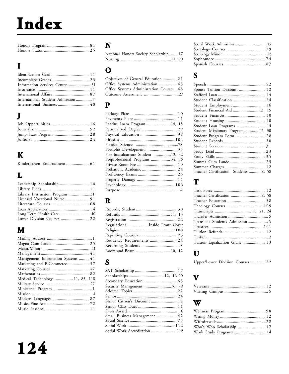# **Index**

### **I**

| Information Services Center31 |
|-------------------------------|
|                               |
|                               |
|                               |
|                               |
|                               |

## **J**

### **K**

|  | Kindergarten Endorsement  61 |  |
|--|------------------------------|--|
|--|------------------------------|--|

### **L**

| Leadership Scholarship  16     |  |
|--------------------------------|--|
|                                |  |
|                                |  |
| Library Instruciton Program 31 |  |
|                                |  |
|                                |  |
|                                |  |
| Long Term Health Care  40      |  |
| Lower Division Courses  22     |  |

### **M**

| Management Information Systems  41 |
|------------------------------------|
| Marketing and E-Commerce 37        |
|                                    |
|                                    |
| Medical Technology  11, 85, 118    |
|                                    |
|                                    |
|                                    |
|                                    |
|                                    |
|                                    |
|                                    |

### **N**

National Honors Society Scholarship ...... 17 Nursing ...............................................11, 90

### **O**

| Objectives of General Education  21      |  |
|------------------------------------------|--|
| Office Systems Administration  43        |  |
| Office Systems Administration Courses 48 |  |
|                                          |  |

### **P**

| Perkins Loam Program  14, 15      |
|-----------------------------------|
|                                   |
|                                   |
|                                   |
|                                   |
| Portfolio Development  35         |
| Post-baccalaureate Student 12, 32 |
| Preprofessional Programs  34, 36  |
|                                   |
| Probation, Academic  24           |
|                                   |
|                                   |
|                                   |
|                                   |

### **R**

| Regulations  Inside Front Cover |  |
|---------------------------------|--|
|                                 |  |
|                                 |  |
| Residency Requirements  24      |  |
|                                 |  |
| Room and Board  10, 12          |  |

### **S**

| Social Work Admission  112 |  |
|----------------------------|--|
|                            |  |
|                            |  |
|                            |  |
|                            |  |

### **S**

| Spouse Tuition Discount  12           |
|---------------------------------------|
|                                       |
|                                       |
| Student Employment  16                |
| Student Financial Aid  13, 15         |
|                                       |
|                                       |
| Student Loan Programs 14              |
| Student Missionary Program  12, 30    |
| Student Program Form  28              |
|                                       |
|                                       |
|                                       |
|                                       |
|                                       |
|                                       |
| Teacher Certification Students  8, 58 |
|                                       |

### **T**

| Teacher Certification  8, 58   |  |
|--------------------------------|--|
|                                |  |
|                                |  |
| Transcripts  11, 21, 24        |  |
|                                |  |
|                                |  |
|                                |  |
|                                |  |
|                                |  |
| Tuition Equalization Grant  13 |  |
|                                |  |

### **U**

|  |  | Upper/Lower Division Courses  22 |  |
|--|--|----------------------------------|--|
|--|--|----------------------------------|--|

### **V**

### **W**

| Who's Who Scholarship  17 |  |
|---------------------------|--|
| Work Study Programs  14   |  |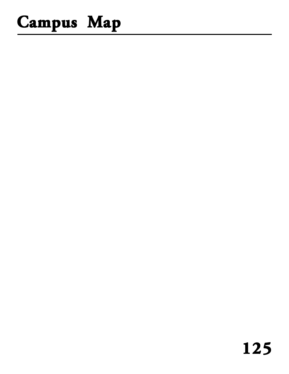# **Campus M ampus Map**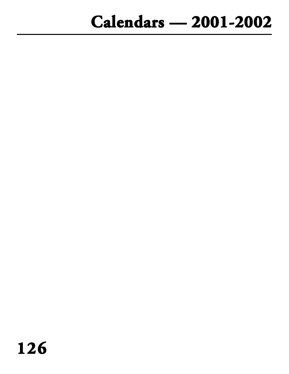## **Calendars alendars alendars alendars alendars — 2001-2002 2001-2002 2001-2002 2001-2002 2001-2002**